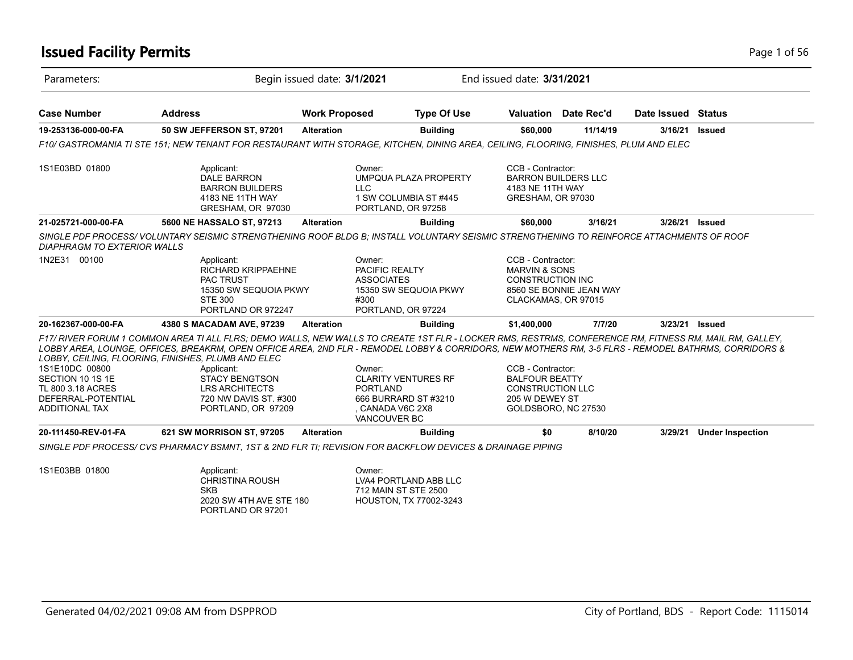## **Issued Facility Permits** Page 1 of 56

| Parameters:                                                                                            |                                                                                                                                                                                                                                                                                                                                                                                                                                                                                     | Begin issued date: 3/1/2021 |                                                                                                                     | End issued date: 3/31/2021                                                                                     |                         |                    |                         |
|--------------------------------------------------------------------------------------------------------|-------------------------------------------------------------------------------------------------------------------------------------------------------------------------------------------------------------------------------------------------------------------------------------------------------------------------------------------------------------------------------------------------------------------------------------------------------------------------------------|-----------------------------|---------------------------------------------------------------------------------------------------------------------|----------------------------------------------------------------------------------------------------------------|-------------------------|--------------------|-------------------------|
| <b>Case Number</b>                                                                                     | <b>Address</b>                                                                                                                                                                                                                                                                                                                                                                                                                                                                      | <b>Work Proposed</b>        | <b>Type Of Use</b>                                                                                                  |                                                                                                                | Valuation Date Rec'd    | Date Issued Status |                         |
| 19-253136-000-00-FA                                                                                    | 50 SW JEFFERSON ST, 97201                                                                                                                                                                                                                                                                                                                                                                                                                                                           | <b>Alteration</b>           | <b>Building</b>                                                                                                     | \$60,000                                                                                                       | 11/14/19                | 3/16/21            | <b>Issued</b>           |
|                                                                                                        | F10/ GASTROMANIA TI STE 151; NEW TENANT FOR RESTAURANT WITH STORAGE, KITCHEN, DINING AREA, CEILING, FLOORING, FINISHES, PLUM AND ELEC                                                                                                                                                                                                                                                                                                                                               |                             |                                                                                                                     |                                                                                                                |                         |                    |                         |
| 1S1E03BD 01800                                                                                         | Applicant:<br><b>DALE BARRON</b><br><b>BARRON BUILDERS</b><br>4183 NE 11TH WAY<br>GRESHAM, OR 97030                                                                                                                                                                                                                                                                                                                                                                                 | <b>LLC</b>                  | Owner:<br>UMPQUA PLAZA PROPERTY<br>1 SW COLUMBIA ST #445<br>PORTLAND, OR 97258                                      | CCB - Contractor:<br><b>BARRON BUILDERS LLC</b><br>4183 NE 11TH WAY<br>GRESHAM, OR 97030                       |                         |                    |                         |
| 21-025721-000-00-FA                                                                                    | 5600 NE HASSALO ST, 97213                                                                                                                                                                                                                                                                                                                                                                                                                                                           | <b>Alteration</b>           | <b>Building</b>                                                                                                     | \$60,000                                                                                                       | 3/16/21                 | 3/26/21            | <b>Issued</b>           |
| <b>DIAPHRAGM TO EXTERIOR WALLS</b>                                                                     | SINGLE PDF PROCESS/VOLUNTARY SEISMIC STRENGTHENING ROOF BLDG B: INSTALL VOLUNTARY SEISMIC STRENGTHENING TO REINFORCE ATTACHMENTS OF ROOF                                                                                                                                                                                                                                                                                                                                            |                             |                                                                                                                     |                                                                                                                |                         |                    |                         |
| 1N2E31 00100                                                                                           | Applicant:<br><b>RICHARD KRIPPAEHNE</b><br><b>PAC TRUST</b><br>15350 SW SEQUOIA PKWY<br><b>STE 300</b><br>PORTLAND OR 972247                                                                                                                                                                                                                                                                                                                                                        | #300                        | Owner:<br>PACIFIC REALTY<br><b>ASSOCIATES</b><br>15350 SW SEQUOIA PKWY<br>PORTLAND, OR 97224                        | CCB - Contractor:<br><b>MARVIN &amp; SONS</b><br><b>CONSTRUCTION INC</b><br>CLACKAMAS, OR 97015                | 8560 SE BONNIE JEAN WAY |                    |                         |
| 20-162367-000-00-FA                                                                                    | 4380 S MACADAM AVE, 97239                                                                                                                                                                                                                                                                                                                                                                                                                                                           | <b>Alteration</b>           | <b>Building</b>                                                                                                     | \$1,400,000                                                                                                    | 7/7/20                  | 3/23/21 Issued     |                         |
| 1S1E10DC 00800<br>SECTION 10 1S 1E<br>TL 800 3.18 ACRES<br>DEFERRAL-POTENTIAL<br><b>ADDITIONAL TAX</b> | F17/ RIVER FORUM 1 COMMON AREA TI ALL FLRS: DEMO WALLS. NEW WALLS TO CREATE 1ST FLR - LOCKER RMS. RESTRMS, CONFERENCE RM, FITNESS RM, MAIL RM, GALLEY,<br>LOBBY AREA, LOUNGE, OFFICES, BREAKRM, OPEN OFFICE AREA, 2ND FLR - REMODEL LOBBY & CORRIDORS, NEW MOTHERS RM, 3-5 FLRS - REMODEL BATHRMS, CORRIDORS &<br>LOBBY, CEILING, FLOORING, FINISHES, PLUMB AND ELEC<br>Applicant:<br><b>STACY BENGTSON</b><br><b>LRS ARCHITECTS</b><br>720 NW DAVIS ST. #300<br>PORTLAND, OR 97209 |                             | Owner:<br><b>CLARITY VENTURES RF</b><br><b>PORTLAND</b><br>666 BURRARD ST #3210<br>, CANADA V6C 2X8<br>VANCOUVER BC | CCB - Contractor:<br><b>BALFOUR BEATTY</b><br><b>CONSTRUCTION LLC</b><br>205 W DEWEY ST<br>GOLDSBORO, NC 27530 |                         |                    |                         |
| 20-111450-REV-01-FA                                                                                    | 621 SW MORRISON ST, 97205                                                                                                                                                                                                                                                                                                                                                                                                                                                           | <b>Alteration</b>           | <b>Building</b>                                                                                                     | \$0                                                                                                            | 8/10/20                 | 3/29/21            | <b>Under Inspection</b> |
|                                                                                                        | SINGLE PDF PROCESS/CVS PHARMACY BSMNT, 1ST & 2ND FLR TI; REVISION FOR BACKFLOW DEVICES & DRAINAGE PIPING                                                                                                                                                                                                                                                                                                                                                                            |                             |                                                                                                                     |                                                                                                                |                         |                    |                         |
| 1S1E03BB 01800                                                                                         | Applicant:<br><b>CHRISTINA ROUSH</b><br><b>SKB</b><br>2020 SW 4TH AVE STE 180                                                                                                                                                                                                                                                                                                                                                                                                       |                             | Owner:<br>LVA4 PORTLAND ABB LLC<br>712 MAIN ST STE 2500<br>HOUSTON, TX 77002-3243                                   |                                                                                                                |                         |                    |                         |

PORTLAND OR 97201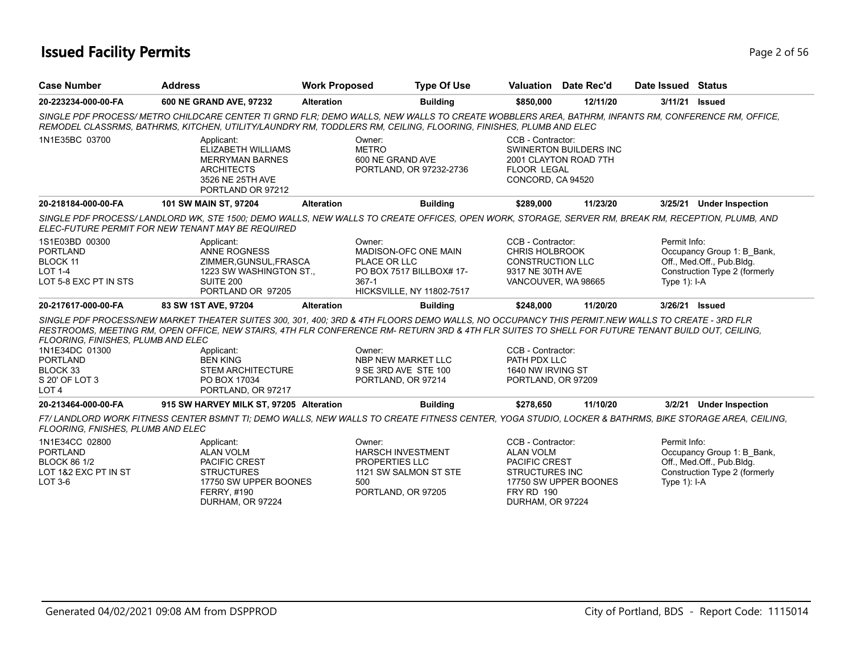## **Issued Facility Permits** Page 2 of 56

| <b>Case Number</b>                                                                                    | <b>Address</b>                                                                                                                                                                                                                                                                                                                                                                    | <b>Work Proposed</b>   | <b>Type Of Use</b>                                                                                   |                                                                                                                          | <b>Valuation</b> Date Rec'd                            | Date Issued Status             |                                                                                          |
|-------------------------------------------------------------------------------------------------------|-----------------------------------------------------------------------------------------------------------------------------------------------------------------------------------------------------------------------------------------------------------------------------------------------------------------------------------------------------------------------------------|------------------------|------------------------------------------------------------------------------------------------------|--------------------------------------------------------------------------------------------------------------------------|--------------------------------------------------------|--------------------------------|------------------------------------------------------------------------------------------|
| 20-223234-000-00-FA                                                                                   | 600 NE GRAND AVE, 97232                                                                                                                                                                                                                                                                                                                                                           | <b>Alteration</b>      | <b>Building</b>                                                                                      | \$850,000                                                                                                                | 12/11/20                                               | 3/11/21                        | <b>Issued</b>                                                                            |
|                                                                                                       | SINGLE PDF PROCESS/ METRO CHILDCARE CENTER TI GRND FLR; DEMO WALLS, NEW WALLS TO CREATE WOBBLERS AREA, BATHRM, INFANTS RM, CONFERENCE RM, OFFICE,<br>REMODEL CLASSRMS, BATHRMS, KITCHEN, UTILITY/LAUNDRY RM, TODDLERS RM, CEILING, FLOORING, FINISHES, PLUMB AND ELEC                                                                                                             |                        |                                                                                                      |                                                                                                                          |                                                        |                                |                                                                                          |
| 1N1E35BC 03700                                                                                        | Applicant:<br>ELIZABETH WILLIAMS<br><b>MERRYMAN BARNES</b><br><b>ARCHITECTS</b><br>3526 NE 25TH AVE<br>PORTLAND OR 97212                                                                                                                                                                                                                                                          | Owner:<br><b>METRO</b> | 600 NE GRAND AVE<br>PORTLAND, OR 97232-2736                                                          | CCB - Contractor:<br><b>FLOOR LEGAL</b><br>CONCORD, CA 94520                                                             | <b>SWINERTON BUILDERS INC</b><br>2001 CLAYTON ROAD 7TH |                                |                                                                                          |
| 20-218184-000-00-FA                                                                                   | 101 SW MAIN ST, 97204                                                                                                                                                                                                                                                                                                                                                             | <b>Alteration</b>      | <b>Building</b>                                                                                      | \$289,000                                                                                                                | 11/23/20                                               | 3/25/21                        | <b>Under Inspection</b>                                                                  |
|                                                                                                       | SINGLE PDF PROCESS/LANDLORD WK, STE 1500; DEMO WALLS, NEW WALLS TO CREATE OFFICES, OPEN WORK, STORAGE, SERVER RM, BREAK RM, RECEPTION, PLUMB, AND<br>ELEC-FUTURE PERMIT FOR NEW TENANT MAY BE REQUIRED                                                                                                                                                                            |                        |                                                                                                      |                                                                                                                          |                                                        |                                |                                                                                          |
| 1S1E03BD 00300<br><b>PORTLAND</b><br><b>BLOCK 11</b><br><b>LOT 1-4</b><br>LOT 5-8 EXC PT IN STS       | Applicant:<br><b>ANNE ROGNESS</b><br>ZIMMER, GUNSUL, FRASCA<br>1223 SW WASHINGTON ST.,<br>SUITE 200<br>PORTLAND OR 97205                                                                                                                                                                                                                                                          | Owner:<br>367-1        | MADISON-OFC ONE MAIN<br>PLACE OR LLC<br>PO BOX 7517 BILLBOX# 17-<br><b>HICKSVILLE, NY 11802-7517</b> | CCB - Contractor:<br><b>CHRIS HOLBROOK</b><br><b>CONSTRUCTION LLC</b><br>9317 NE 30TH AVE<br>VANCOUVER, WA 98665         |                                                        | Permit Info:<br>Type $1$ : I-A | Occupancy Group 1: B Bank,<br>Off., Med.Off., Pub.Bldg.<br>Construction Type 2 (formerly |
| 20-217617-000-00-FA                                                                                   | 83 SW 1ST AVE, 97204                                                                                                                                                                                                                                                                                                                                                              | <b>Alteration</b>      | <b>Building</b>                                                                                      | \$248,000                                                                                                                | 11/20/20                                               | 3/26/21 Issued                 |                                                                                          |
| FLOORING, FINISHES, PLUMB AND ELEC<br>1N1E34DC 01300<br><b>PORTLAND</b><br>BLOCK 33<br>S 20' OF LOT 3 | SINGLE PDF PROCESS/NEW MARKET THEATER SUITES 300, 301, 400; 3RD & 4TH FLOORS DEMO WALLS, NO OCCUPANCY THIS PERMIT.NEW WALLS TO CREATE - 3RD FLR<br>RESTROOMS, MEETING RM, OPEN OFFICE, NEW STAIRS, 4TH FLR CONFERENCE RM- RETURN 3RD & 4TH FLR SUITES TO SHELL FOR FUTURE TENANT BUILD OUT, CEILING,<br>Applicant:<br><b>BEN KING</b><br><b>STEM ARCHITECTURE</b><br>PO BOX 17034 | Owner:                 | NBP NEW MARKET LLC<br>9 SE 3RD AVE STE 100<br>PORTLAND, OR 97214                                     | CCB - Contractor:<br>PATH PDX LLC<br>1640 NW IRVING ST<br>PORTLAND, OR 97209                                             |                                                        |                                |                                                                                          |
| LOT <sub>4</sub>                                                                                      | PORTLAND, OR 97217                                                                                                                                                                                                                                                                                                                                                                |                        |                                                                                                      |                                                                                                                          |                                                        |                                |                                                                                          |
| 20-213464-000-00-FA<br>FLOORING, FNISHES, PLUMB AND ELEC                                              | 915 SW HARVEY MILK ST, 97205 Alteration<br>F7/LANDLORD WORK FITNESS CENTER BSMNT TI; DEMO WALLS, NEW WALLS TO CREATE FITNESS CENTER, YOGA STUDIO, LOCKER & BATHRMS, BIKE STORAGE AREA, CEILING,                                                                                                                                                                                   |                        | <b>Building</b>                                                                                      | \$278,650                                                                                                                | 11/10/20                                               | 3/2/21                         | <b>Under Inspection</b>                                                                  |
| 1N1E34CC 02800<br><b>PORTLAND</b><br><b>BLOCK 86 1/2</b><br>LOT 1&2 EXC PT IN ST<br>LOT 3-6           | Applicant:<br><b>ALAN VOLM</b><br><b>PACIFIC CREST</b><br><b>STRUCTURES</b><br>17750 SW UPPER BOONES<br>FERRY, #190<br>DURHAM, OR 97224                                                                                                                                                                                                                                           | Owner:<br>500          | <b>HARSCH INVESTMENT</b><br><b>PROPERTIES LLC</b><br>1121 SW SALMON ST STE<br>PORTLAND, OR 97205     | CCB - Contractor:<br><b>ALAN VOLM</b><br><b>PACIFIC CREST</b><br>STRUCTURES INC<br><b>FRY RD 190</b><br>DURHAM, OR 97224 | 17750 SW UPPER BOONES                                  | Permit Info:<br>Type $1$ : I-A | Occupancy Group 1: B_Bank,<br>Off., Med.Off., Pub.Bldg.<br>Construction Type 2 (formerly |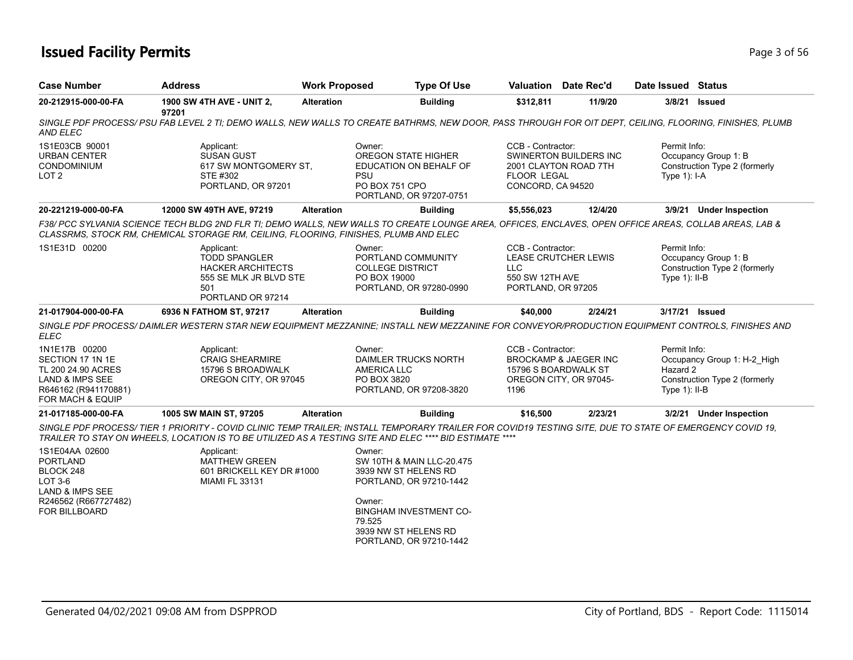## **Issued Facility Permits** Page 1 of 56

| <b>Case Number</b>                                                                                                     | <b>Address</b>                                                                                                                                                                                                                                                     | <b>Work Proposed</b> | <b>Type Of Use</b>                                                                                                                          |                                                                          | Valuation Date Rec'd                                       | Date Issued Status                          |                                                              |
|------------------------------------------------------------------------------------------------------------------------|--------------------------------------------------------------------------------------------------------------------------------------------------------------------------------------------------------------------------------------------------------------------|----------------------|---------------------------------------------------------------------------------------------------------------------------------------------|--------------------------------------------------------------------------|------------------------------------------------------------|---------------------------------------------|--------------------------------------------------------------|
| 20-212915-000-00-FA                                                                                                    | 1900 SW 4TH AVE - UNIT 2,<br>97201                                                                                                                                                                                                                                 | <b>Alteration</b>    | <b>Building</b>                                                                                                                             | \$312,811                                                                | 11/9/20                                                    | 3/8/21                                      | <b>Issued</b>                                                |
| AND ELEC                                                                                                               | SINGLE PDF PROCESS/ PSU FAB LEVEL 2 TI: DEMO WALLS. NEW WALLS TO CREATE BATHRMS. NEW DOOR. PASS THROUGH FOR OIT DEPT. CEILING. FLOORING. FINISHES. PLUMB                                                                                                           |                      |                                                                                                                                             |                                                                          |                                                            |                                             |                                                              |
| 1S1E03CB 90001<br><b>URBAN CENTER</b><br><b>CONDOMINIUM</b><br>LOT <sub>2</sub>                                        | Applicant:<br><b>SUSAN GUST</b><br>617 SW MONTGOMERY ST.<br>STE #302<br>PORTLAND, OR 97201                                                                                                                                                                         |                      | Owner:<br><b>OREGON STATE HIGHER</b><br>EDUCATION ON BEHALF OF<br><b>PSU</b><br>PO BOX 751 CPO<br>PORTLAND, OR 97207-0751                   | CCB - Contractor:<br><b>FLOOR LEGAL</b><br>CONCORD, CA 94520             | SWINERTON BUILDERS INC<br>2001 CLAYTON ROAD 7TH            | Permit Info:<br>Type $1$ : I-A              | Occupancy Group 1: B<br>Construction Type 2 (formerly        |
| 20-221219-000-00-FA                                                                                                    | 12000 SW 49TH AVE, 97219                                                                                                                                                                                                                                           | <b>Alteration</b>    | <b>Building</b>                                                                                                                             | \$5,556,023                                                              | 12/4/20                                                    |                                             | 3/9/21 Under Inspection                                      |
|                                                                                                                        | F38/ PCC SYLVANIA SCIENCE TECH BLDG 2ND FLR TI; DEMO WALLS, NEW WALLS TO CREATE LOUNGE AREA, OFFICES, ENCLAVES, OPEN OFFICE AREAS, COLLAB AREAS, LAB &<br>CLASSRMS, STOCK RM, CHEMICAL STORAGE RM, CEILING, FLOORING, FINISHES, PLUMB AND ELEC                     |                      |                                                                                                                                             |                                                                          |                                                            |                                             |                                                              |
| 1S1E31D 00200                                                                                                          | Applicant:<br><b>TODD SPANGLER</b><br><b>HACKER ARCHITECTS</b><br>555 SE MLK JR BLVD STE<br>501<br>PORTLAND OR 97214                                                                                                                                               |                      | Owner:<br>PORTLAND COMMUNITY<br><b>COLLEGE DISTRICT</b><br>PO BOX 19000<br>PORTLAND, OR 97280-0990                                          | CCB - Contractor:<br><b>LLC</b><br>550 SW 12TH AVE<br>PORTLAND, OR 97205 | <b>LEASE CRUTCHER LEWIS</b>                                | Permit Info:<br>Type $1$ ): II-B            | Occupancy Group 1: B<br>Construction Type 2 (formerly        |
| 21-017904-000-00-FA                                                                                                    | 6936 N FATHOM ST, 97217                                                                                                                                                                                                                                            | <b>Alteration</b>    | <b>Building</b>                                                                                                                             | \$40,000                                                                 | 2/24/21                                                    | 3/17/21 Issued                              |                                                              |
| <b>ELEC</b>                                                                                                            | SINGLE PDF PROCESS/ DAIMLER WESTERN STAR NEW EQUIPMENT MEZZANINE; INSTALL NEW MEZZANINE FOR CONVEYOR/PRODUCTION EQUIPMENT CONTROLS, FINISHES AND                                                                                                                   |                      |                                                                                                                                             |                                                                          |                                                            |                                             |                                                              |
| 1N1E17B 00200<br>SECTION 17 1N 1E<br>TL 200 24.90 ACRES<br>LAND & IMPS SEE<br>R646162 (R941170881)<br>FOR MACH & EQUIP | Applicant:<br><b>CRAIG SHEARMIRE</b><br>15796 S BROADWALK<br>OREGON CITY, OR 97045                                                                                                                                                                                 |                      | Owner:<br>DAIMLER TRUCKS NORTH<br><b>AMERICA LLC</b><br>PO BOX 3820<br>PORTLAND, OR 97208-3820                                              | CCB - Contractor:<br>15796 S BOARDWALK ST<br>1196                        | <b>BROCKAMP &amp; JAEGER INC</b><br>OREGON CITY, OR 97045- | Permit Info:<br>Hazard 2<br>Type $1$ : II-B | Occupancy Group 1: H-2 High<br>Construction Type 2 (formerly |
| 21-017185-000-00-FA                                                                                                    | 1005 SW MAIN ST, 97205                                                                                                                                                                                                                                             | <b>Alteration</b>    | <b>Building</b>                                                                                                                             | \$16,500                                                                 | 2/23/21                                                    |                                             | 3/2/21 Under Inspection                                      |
|                                                                                                                        | SINGLE PDF PROCESS/TIER 1 PRIORITY - COVID CLINIC TEMP TRAILER; INSTALL TEMPORARY TRAILER FOR COVID19 TESTING SITE, DUE TO STATE OF EMERGENCY COVID 19,<br>TRAILER TO STAY ON WHEELS, LOCATION IS TO BE UTILIZED AS A TESTING SITE AND ELEC **** BID ESTIMATE **** |                      |                                                                                                                                             |                                                                          |                                                            |                                             |                                                              |
| 1S1E04AA 02600<br><b>PORTLAND</b><br>BLOCK 248<br>LOT 3-6<br>LAND & IMPS SEE<br>R246562 (R667727482)<br>FOR BILLBOARD  | Applicant:<br><b>MATTHEW GREEN</b><br>601 BRICKELL KEY DR #1000<br><b>MIAMI FL 33131</b>                                                                                                                                                                           |                      | Owner:<br>SW 10TH & MAIN LLC-20.475<br>3939 NW ST HELENS RD<br>PORTLAND, OR 97210-1442<br>Owner:<br><b>BINGHAM INVESTMENT CO-</b><br>79.525 |                                                                          |                                                            |                                             |                                                              |
|                                                                                                                        |                                                                                                                                                                                                                                                                    |                      | 3939 NW ST HELENS RD<br>PORTLAND, OR 97210-1442                                                                                             |                                                                          |                                                            |                                             |                                                              |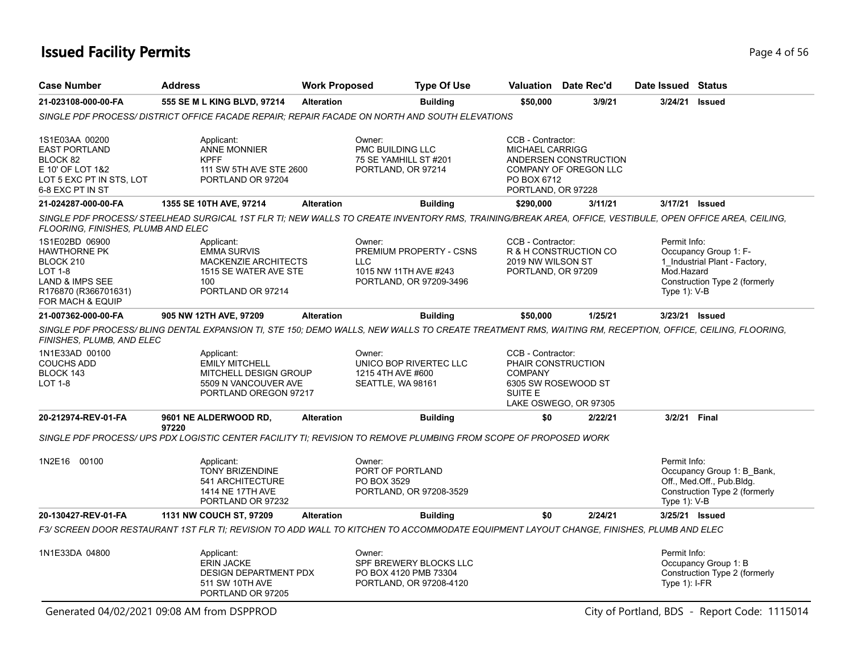## **Issued Facility Permits** Page 4 of 56

| <b>Case Number</b>                                                                                                           | <b>Address</b>                                                                                                                                                                                                                                                           | <b>Work Proposed</b> |                                                                                               | <b>Type Of Use</b> |                                                                                  | <b>Valuation</b> Date Rec'd                    | Date Issued Status                         |                                                                                          |
|------------------------------------------------------------------------------------------------------------------------------|--------------------------------------------------------------------------------------------------------------------------------------------------------------------------------------------------------------------------------------------------------------------------|----------------------|-----------------------------------------------------------------------------------------------|--------------------|----------------------------------------------------------------------------------|------------------------------------------------|--------------------------------------------|------------------------------------------------------------------------------------------|
| 21-023108-000-00-FA                                                                                                          | 555 SE M L KING BLVD, 97214                                                                                                                                                                                                                                              | <b>Alteration</b>    |                                                                                               | <b>Building</b>    | \$50,000                                                                         | 3/9/21                                         | 3/24/21                                    | <b>Issued</b>                                                                            |
|                                                                                                                              | SINGLE PDF PROCESS/DISTRICT OFFICE FACADE REPAIR; REPAIR FACADE ON NORTH AND SOUTH ELEVATIONS                                                                                                                                                                            |                      |                                                                                               |                    |                                                                                  |                                                |                                            |                                                                                          |
| 1S1E03AA 00200<br><b>EAST PORTLAND</b><br>BLOCK 82<br>E 10' OF LOT 1&2<br>LOT 5 EXC PT IN STS, LOT<br>6-8 EXC PT IN ST       | Applicant:<br><b>ANNE MONNIER</b><br><b>KPFF</b><br>111 SW 5TH AVE STE 2600<br>PORTLAND OR 97204                                                                                                                                                                         |                      | Owner:<br>PMC BUILDING LLC<br>75 SE YAMHILL ST #201<br>PORTLAND, OR 97214                     |                    | CCB - Contractor:<br><b>MICHAEL CARRIGG</b><br>PO BOX 6712<br>PORTLAND, OR 97228 | ANDERSEN CONSTRUCTION<br>COMPANY OF OREGON LLC |                                            |                                                                                          |
| 21-024287-000-00-FA                                                                                                          | 1355 SE 10TH AVE, 97214                                                                                                                                                                                                                                                  | <b>Alteration</b>    |                                                                                               | <b>Building</b>    | \$290,000                                                                        | 3/11/21                                        | 3/17/21 Issued                             |                                                                                          |
| FLOORING, FINISHES, PLUMB AND ELEC                                                                                           | SINGLE PDF PROCESS/ STEELHEAD SURGICAL 1ST FLR TI; NEW WALLS TO CREATE INVENTORY RMS, TRAINING/BREAK AREA, OFFICE, VESTIBULE, OPEN OFFICE AREA, CEILING,                                                                                                                 |                      |                                                                                               |                    |                                                                                  |                                                |                                            |                                                                                          |
| 1S1E02BD 06900<br><b>HAWTHORNE PK</b><br>BLOCK 210<br>LOT 1-8<br>LAND & IMPS SEE<br>R176870 (R366701631)<br>FOR MACH & EQUIP | Applicant:<br><b>EMMA SURVIS</b><br><b>MACKENZIE ARCHITECTS</b><br>1515 SE WATER AVE STE<br>100<br>PORTLAND OR 97214                                                                                                                                                     |                      | Owner:<br>PREMIUM PROPERTY - CSNS<br>LLC.<br>1015 NW 11TH AVE #243<br>PORTLAND, OR 97209-3496 |                    | CCB - Contractor:<br>2019 NW WILSON ST<br>PORTLAND, OR 97209                     | R & H CONSTRUCTION CO                          | Permit Info:<br>Mod.Hazard<br>Type 1): V-B | Occupancy Group 1: F-<br>1_Industrial Plant - Factory,<br>Construction Type 2 (formerly  |
| 21-007362-000-00-FA                                                                                                          | 905 NW 12TH AVE, 97209                                                                                                                                                                                                                                                   | <b>Alteration</b>    |                                                                                               | <b>Building</b>    | \$50,000                                                                         | 1/25/21                                        | 3/23/21 Issued                             |                                                                                          |
| FINISHES, PLUMB, AND ELEC<br>1N1E33AD 00100<br><b>COUCHS ADD</b><br>BLOCK 143<br><b>LOT 1-8</b>                              | SINGLE PDF PROCESS/BLING DENTAL EXPANSION TI, STE 150; DEMO WALLS, NEW WALLS TO CREATE TREATMENT RMS, WAITING RM, RECEPTION, OFFICE, CEILING, FLOORING,<br>Applicant:<br><b>EMILY MITCHELL</b><br>MITCHELL DESIGN GROUP<br>5509 N VANCOUVER AVE<br>PORTLAND OREGON 97217 |                      | Owner:<br>UNICO BOP RIVERTEC LLC<br>1215 4TH AVE #600<br>SEATTLE, WA 98161                    |                    | CCB - Contractor:<br>PHAIR CONSTRUCTION<br><b>COMPANY</b><br>SUITE E             | 6305 SW ROSEWOOD ST                            |                                            |                                                                                          |
| 20-212974-REV-01-FA                                                                                                          | 9601 NE ALDERWOOD RD,                                                                                                                                                                                                                                                    | <b>Alteration</b>    |                                                                                               | <b>Building</b>    | \$0                                                                              | LAKE OSWEGO, OR 97305<br>2/22/21               | 3/2/21 Final                               |                                                                                          |
|                                                                                                                              | 97220<br>SINGLE PDF PROCESS/ UPS PDX LOGISTIC CENTER FACILITY TI; REVISION TO REMOVE PLUMBING FROM SCOPE OF PROPOSED WORK                                                                                                                                                |                      |                                                                                               |                    |                                                                                  |                                                |                                            |                                                                                          |
| 1N2E16 00100                                                                                                                 | Applicant:<br><b>TONY BRIZENDINE</b><br>541 ARCHITECTURE<br>1414 NE 17TH AVE<br>PORTLAND OR 97232                                                                                                                                                                        |                      | Owner:<br>PORT OF PORTLAND<br>PO BOX 3529<br>PORTLAND, OR 97208-3529                          |                    |                                                                                  |                                                | Permit Info:<br>Type 1): V-B               | Occupancy Group 1: B_Bank,<br>Off., Med.Off., Pub.Bldg.<br>Construction Type 2 (formerly |
| 20-130427-REV-01-FA                                                                                                          | 1131 NW COUCH ST, 97209                                                                                                                                                                                                                                                  | <b>Alteration</b>    |                                                                                               | <b>Building</b>    | \$0                                                                              | 2/24/21                                        | 3/25/21 Issued                             |                                                                                          |
|                                                                                                                              | F3/ SCREEN DOOR RESTAURANT 1ST FLR TI; REVISION TO ADD WALL TO KITCHEN TO ACCOMMODATE EQUIPMENT LAYOUT CHANGE, FINISHES, PLUMB AND ELEC                                                                                                                                  |                      |                                                                                               |                    |                                                                                  |                                                |                                            |                                                                                          |
| 1N1E33DA 04800                                                                                                               | Applicant:<br><b>ERIN JACKE</b><br><b>DESIGN DEPARTMENT PDX</b><br>511 SW 10TH AVE<br>PORTLAND OR 97205                                                                                                                                                                  |                      | Owner:<br>SPF BREWERY BLOCKS LLC<br>PO BOX 4120 PMB 73304<br>PORTLAND, OR 97208-4120          |                    |                                                                                  |                                                | Permit Info:<br>Type $1$ : I-FR            | Occupancy Group 1: B<br>Construction Type 2 (formerly                                    |
|                                                                                                                              | Generated 04/02/2021 09:08 AM from DSPPROD                                                                                                                                                                                                                               |                      |                                                                                               |                    |                                                                                  |                                                |                                            | City of Portland, BDS - Report Code: 1115014                                             |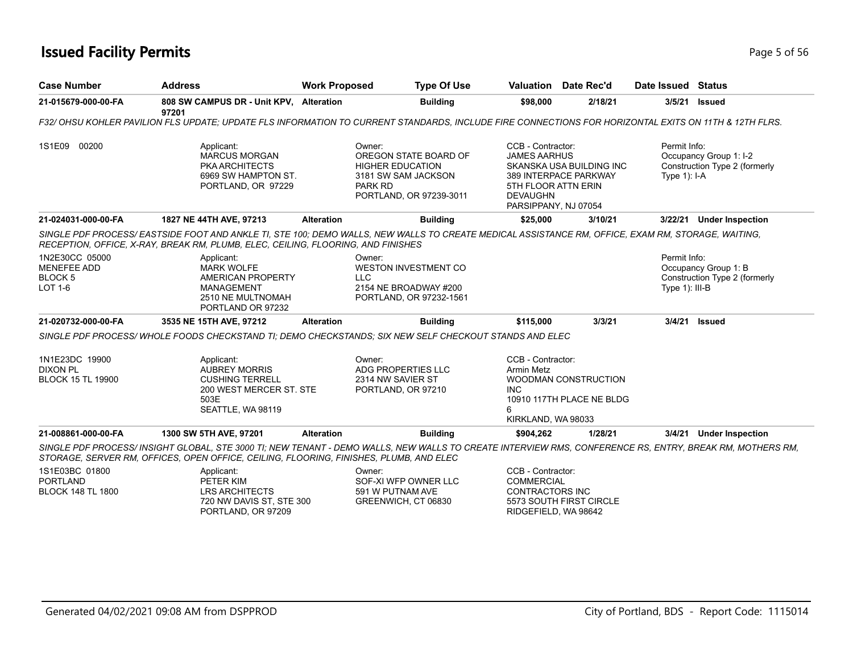## **Issued Facility Permits** Page 1 of 56

| <b>Case Number</b>                                                      | <b>Address</b>                                                                                                                                                                                                                                     | <b>Work Proposed</b> | <b>Type Of Use</b>                                                                                 |                                                                                                            | <b>Valuation</b> Date Rec'd                       | Date Issued Status             |                                                         |
|-------------------------------------------------------------------------|----------------------------------------------------------------------------------------------------------------------------------------------------------------------------------------------------------------------------------------------------|----------------------|----------------------------------------------------------------------------------------------------|------------------------------------------------------------------------------------------------------------|---------------------------------------------------|--------------------------------|---------------------------------------------------------|
| 21-015679-000-00-FA                                                     | 808 SW CAMPUS DR - Unit KPV, Alteration<br>97201                                                                                                                                                                                                   |                      | <b>Building</b>                                                                                    | \$98,000                                                                                                   | 2/18/21                                           | 3/5/21                         | <b>Issued</b>                                           |
|                                                                         | F32/ OHSU KOHLER PAVILION FLS UPDATE: UPDATE FLS INFORMATION TO CURRENT STANDARDS. INCLUDE FIRE CONNECTIONS FOR HORIZONTAL EXITS ON 11TH & 12TH FLRS.                                                                                              |                      |                                                                                                    |                                                                                                            |                                                   |                                |                                                         |
| 1S1E09 00200                                                            | Applicant:<br><b>MARCUS MORGAN</b><br><b>PKA ARCHITECTS</b><br>6969 SW HAMPTON ST.<br>PORTLAND, OR 97229                                                                                                                                           | Owner:<br>PARK RD    | OREGON STATE BOARD OF<br><b>HIGHER EDUCATION</b><br>3181 SW SAM JACKSON<br>PORTLAND, OR 97239-3011 | CCB - Contractor:<br><b>JAMES AARHUS</b><br>5TH FLOOR ATTN ERIN<br><b>DEVAUGHN</b><br>PARSIPPANY, NJ 07054 | SKANSKA USA BUILDING INC<br>389 INTERPACE PARKWAY | Permit Info:<br>Type $1$ : I-A | Occupancy Group 1: I-2<br>Construction Type 2 (formerly |
| 21-024031-000-00-FA                                                     | 1827 NE 44TH AVE, 97213                                                                                                                                                                                                                            | <b>Alteration</b>    | <b>Building</b>                                                                                    | \$25,000                                                                                                   | 3/10/21                                           |                                | 3/22/21 Under Inspection                                |
|                                                                         | SINGLE PDF PROCESS/EASTSIDE FOOT AND ANKLE TI, STE 100; DEMO WALLS, NEW WALLS TO CREATE MEDICAL ASSISTANCE RM, OFFICE, EXAM RM, STORAGE, WAITING,<br>RECEPTION, OFFICE, X-RAY, BREAK RM, PLUMB, ELEC, CEILING, FLOORING, AND FINISHES              |                      |                                                                                                    |                                                                                                            |                                                   |                                |                                                         |
| 1N2E30CC 05000<br><b>MENEFEE ADD</b><br><b>BLOCK5</b><br><b>LOT 1-6</b> | Applicant:<br><b>MARK WOLFE</b><br>AMERICAN PROPERTY<br><b>MANAGEMENT</b><br>2510 NE MULTNOMAH<br>PORTLAND OR 97232                                                                                                                                | Owner:<br><b>LLC</b> | <b>WESTON INVESTMENT CO</b><br>2154 NE BROADWAY #200<br>PORTLAND, OR 97232-1561                    |                                                                                                            |                                                   | Permit Info:<br>Type 1): III-B | Occupancy Group 1: B<br>Construction Type 2 (formerly   |
| 21-020732-000-00-FA                                                     | 3535 NE 15TH AVE, 97212                                                                                                                                                                                                                            | <b>Alteration</b>    | <b>Building</b>                                                                                    | \$115,000                                                                                                  | 3/3/21                                            | 3/4/21                         | <b>Issued</b>                                           |
|                                                                         | SINGLE PDF PROCESS/WHOLE FOODS CHECKSTAND TI: DEMO CHECKSTANDS: SIX NEW SELF CHECKOUT STANDS AND ELEC                                                                                                                                              |                      |                                                                                                    |                                                                                                            |                                                   |                                |                                                         |
| 1N1E23DC 19900<br><b>DIXON PL</b><br><b>BLOCK 15 TL 19900</b>           | Applicant:<br><b>AUBREY MORRIS</b><br><b>CUSHING TERRELL</b><br>200 WEST MERCER ST. STE<br>503E<br>SEATTLE, WA 98119                                                                                                                               | Owner:               | ADG PROPERTIES LLC<br>2314 NW SAVIER ST<br>PORTLAND, OR 97210                                      | CCB - Contractor:<br><b>Armin Metz</b><br><b>INC</b><br>6<br>KIRKLAND, WA 98033                            | WOODMAN CONSTRUCTION<br>10910 117TH PLACE NE BLDG |                                |                                                         |
| 21-008861-000-00-FA                                                     | 1300 SW 5TH AVE, 97201                                                                                                                                                                                                                             | <b>Alteration</b>    | <b>Building</b>                                                                                    | \$904,262                                                                                                  | 1/28/21                                           | 3/4/21                         | <b>Under Inspection</b>                                 |
|                                                                         | SINGLE PDF PROCESS/ INSIGHT GLOBAL, STE 3000 TI; NEW TENANT - DEMO WALLS, NEW WALLS TO CREATE INTERVIEW RMS, CONFERENCE RS, ENTRY, BREAK RM, MOTHERS RM,<br>STORAGE, SERVER RM, OFFICES, OPEN OFFICE, CEILING, FLOORING, FINISHES, PLUMB, AND ELEC |                      |                                                                                                    |                                                                                                            |                                                   |                                |                                                         |
| 1S1E03BC 01800<br><b>PORTLAND</b><br><b>BLOCK 148 TL 1800</b>           | Applicant:<br>PETER KIM<br><b>LRS ARCHITECTS</b>                                                                                                                                                                                                   | Owner:               | SOF-XI WFP OWNER LLC<br>591 W PUTNAM AVE                                                           | CCB - Contractor:<br><b>COMMERCIAL</b><br><b>CONTRACTORS INC</b>                                           |                                                   |                                |                                                         |

GREENWICH, CT 06830

LRS ARCHITECTS 720 NW DAVIS ST, STE 300 PORTLAND, OR 97209

CONTRACTORS INC 5573 SOUTH FIRST CIRCLE RIDGEFIELD, WA 98642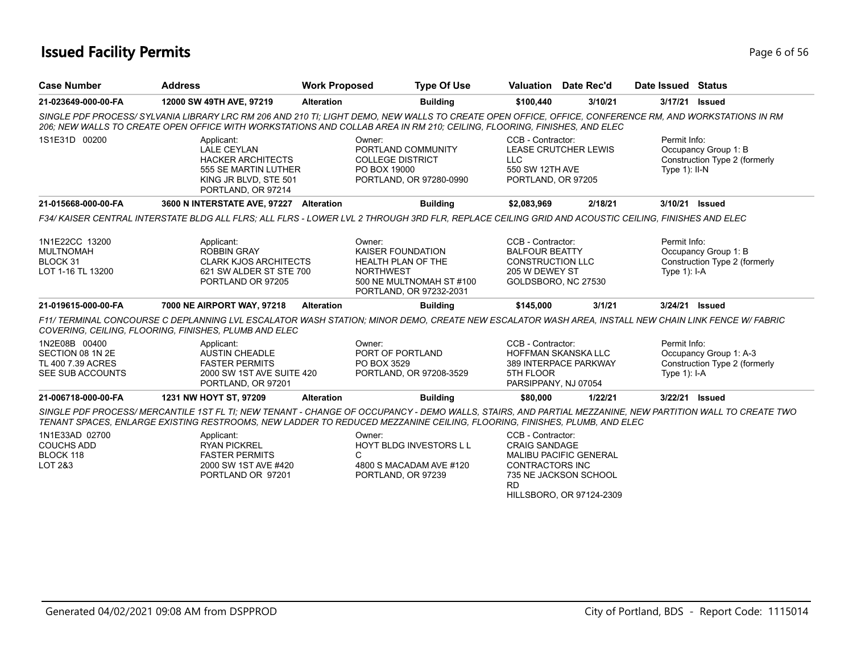## **Issued Facility Permits** Page 6 of 56

| <b>Case Number</b>                                                         | <b>Address</b>                                                                                                                                                                                                                                                                     | <b>Work Proposed</b> | <b>Type Of Use</b>                                                                                                                  | <b>Valuation</b> Date Rec'd                                                                                    |                                                                                    | Date Issued Status               |                                                         |
|----------------------------------------------------------------------------|------------------------------------------------------------------------------------------------------------------------------------------------------------------------------------------------------------------------------------------------------------------------------------|----------------------|-------------------------------------------------------------------------------------------------------------------------------------|----------------------------------------------------------------------------------------------------------------|------------------------------------------------------------------------------------|----------------------------------|---------------------------------------------------------|
| 21-023649-000-00-FA                                                        | 12000 SW 49TH AVE, 97219                                                                                                                                                                                                                                                           | <b>Alteration</b>    | <b>Building</b>                                                                                                                     | \$100,440                                                                                                      | 3/10/21                                                                            | 3/17/21                          | <b>Issued</b>                                           |
|                                                                            | SINGLE PDF PROCESS/ SYLVANIA LIBRARY LRC RM 206 AND 210 TI; LIGHT DEMO, NEW WALLS TO CREATE OPEN OFFICE, OFFICE, CONFERENCE RM, AND WORKSTATIONS IN RM<br>206; NEW WALLS TO CREATE OPEN OFFICE WITH WORKSTATIONS AND COLLAB AREA IN RM 210; CEILING, FLOORING, FINISHES, AND ELEC  |                      |                                                                                                                                     |                                                                                                                |                                                                                    |                                  |                                                         |
| 1S1E31D 00200                                                              | Applicant:<br><b>LALE CEYLAN</b><br><b>HACKER ARCHITECTS</b><br>555 SE MARTIN LUTHER<br>KING JR BLVD, STE 501<br>PORTLAND, OR 97214                                                                                                                                                |                      | Owner:<br>PORTLAND COMMUNITY<br><b>COLLEGE DISTRICT</b><br>PO BOX 19000<br>PORTLAND, OR 97280-0990                                  | CCB - Contractor:<br><b>LEASE CRUTCHER LEWIS</b><br><b>LLC</b><br>550 SW 12TH AVE<br>PORTLAND, OR 97205        |                                                                                    | Permit Info:<br>Type $1$ ): II-N | Occupancy Group 1: B<br>Construction Type 2 (formerly   |
| 21-015668-000-00-FA                                                        | 3600 N INTERSTATE AVE, 97227 Alteration                                                                                                                                                                                                                                            |                      | <b>Building</b>                                                                                                                     | \$2,083,969                                                                                                    | 2/18/21                                                                            | 3/10/21 Issued                   |                                                         |
|                                                                            | F34/ KAISER CENTRAL INTERSTATE BLDG ALL FLRS: ALL FLRS - LOWER LVL 2 THROUGH 3RD FLR, REPLACE CEILING GRID AND ACOUSTIC CEILING, FINISHES AND ELEC                                                                                                                                 |                      |                                                                                                                                     |                                                                                                                |                                                                                    |                                  |                                                         |
| 1N1E22CC 13200<br><b>MULTNOMAH</b><br>BLOCK 31<br>LOT 1-16 TL 13200        | Applicant:<br><b>ROBBIN GRAY</b><br><b>CLARK KJOS ARCHITECTS</b><br>621 SW ALDER ST STE 700<br>PORTLAND OR 97205                                                                                                                                                                   |                      | Owner:<br>KAISER FOUNDATION<br><b>HEALTH PLAN OF THE</b><br><b>NORTHWEST</b><br>500 NE MULTNOMAH ST #100<br>PORTLAND, OR 97232-2031 | CCB - Contractor:<br><b>BALFOUR BEATTY</b><br><b>CONSTRUCTION LLC</b><br>205 W DEWEY ST<br>GOLDSBORO, NC 27530 |                                                                                    | Permit Info:<br>Type 1): I-A     | Occupancy Group 1: B<br>Construction Type 2 (formerly   |
| 21-019615-000-00-FA                                                        | 7000 NE AIRPORT WAY, 97218                                                                                                                                                                                                                                                         | <b>Alteration</b>    | <b>Building</b>                                                                                                                     | \$145,000                                                                                                      | 3/1/21                                                                             | 3/24/21 Issued                   |                                                         |
|                                                                            | F11/ TERMINAL CONCOURSE C DEPLANNING LVL ESCALATOR WASH STATION: MINOR DEMO, CREATE NEW ESCALATOR WASH AREA, INSTALL NEW CHAIN LINK FENCE W/ FABRIC<br>COVERING, CEILING, FLOORING, FINISHES, PLUMB AND ELEC                                                                       |                      |                                                                                                                                     |                                                                                                                |                                                                                    |                                  |                                                         |
| 1N2E08B 00400<br>SECTION 08 1N 2E<br>TL 400 7.39 ACRES<br>SEE SUB ACCOUNTS | Applicant:<br><b>AUSTIN CHEADLE</b><br><b>FASTER PERMITS</b><br>2000 SW 1ST AVE SUITE 420<br>PORTLAND, OR 97201                                                                                                                                                                    |                      | Owner:<br>PORT OF PORTLAND<br>PO BOX 3529<br>PORTLAND, OR 97208-3529                                                                | CCB - Contractor:<br><b>HOFFMAN SKANSKA LLC</b><br>389 INTERPACE PARKWAY<br>5TH FLOOR<br>PARSIPPANY, NJ 07054  |                                                                                    | Permit Info:<br>Type $1$ : I-A   | Occupancy Group 1: A-3<br>Construction Type 2 (formerly |
| 21-006718-000-00-FA                                                        | 1231 NW HOYT ST, 97209                                                                                                                                                                                                                                                             | <b>Alteration</b>    | <b>Building</b>                                                                                                                     | \$80,000                                                                                                       | 1/22/21                                                                            | 3/22/21 Issued                   |                                                         |
|                                                                            | SINGLE PDF PROCESS/MERCANTILE 1ST FL TI: NEW TENANT - CHANGE OF OCCUPANCY - DEMO WALLS, STAIRS, AND PARTIAL MEZZANINE, NEW PARTITION WALL TO CREATE TWO<br>TENANT SPACES, ENLARGE EXISTING RESTROOMS, NEW LADDER TO REDUCED MEZZANINE CEILING, FLOORING, FINISHES, PLUMB, AND ELEC |                      |                                                                                                                                     |                                                                                                                |                                                                                    |                                  |                                                         |
| 1N1E33AD 02700<br><b>COUCHS ADD</b><br>BLOCK 118<br>LOT 2&3                | Applicant:<br><b>RYAN PICKREL</b><br><b>FASTER PERMITS</b><br>2000 SW 1ST AVE #420<br>PORTLAND OR 97201                                                                                                                                                                            | C                    | Owner:<br><b>HOYT BLDG INVESTORS L L</b><br>4800 S MACADAM AVE #120<br>PORTLAND, OR 97239                                           | CCB - Contractor:<br><b>CRAIG SANDAGE</b><br><b>CONTRACTORS INC</b><br><b>RD</b>                               | <b>MALIBU PACIFIC GENERAL</b><br>735 NE JACKSON SCHOOL<br>HILLSBORO, OR 97124-2309 |                                  |                                                         |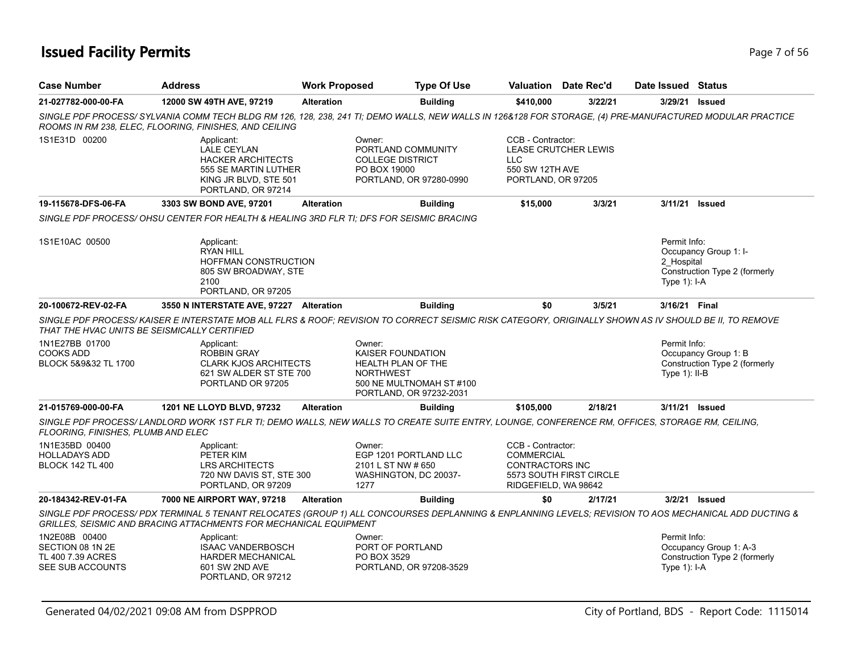## **Issued Facility Permits** Page 7 of 56

| <b>Case Number</b>                                                         | <b>Address</b>                                                                                                                                                                                                            | <b>Work Proposed</b> | <b>Type Of Use</b>                                                                                                                         |                                                                                          | <b>Valuation</b> Date Rec'd | Date Issued Status                           |                                                         |
|----------------------------------------------------------------------------|---------------------------------------------------------------------------------------------------------------------------------------------------------------------------------------------------------------------------|----------------------|--------------------------------------------------------------------------------------------------------------------------------------------|------------------------------------------------------------------------------------------|-----------------------------|----------------------------------------------|---------------------------------------------------------|
| 21-027782-000-00-FA                                                        | 12000 SW 49TH AVE, 97219                                                                                                                                                                                                  | <b>Alteration</b>    | <b>Building</b>                                                                                                                            | \$410,000                                                                                | 3/22/21                     | 3/29/21                                      | Issued                                                  |
|                                                                            | SINGLE PDF PROCESS/ SYLVANIA COMM TECH BLDG RM 126, 128, 238, 241 TI; DEMO WALLS, NEW WALLS IN 126&128 FOR STORAGE, (4) PRE-MANUFACTURED MODULAR PRACTICE<br>ROOMS IN RM 238, ELEC, FLOORING, FINISHES, AND CEILING       |                      |                                                                                                                                            |                                                                                          |                             |                                              |                                                         |
| 1S1E31D 00200                                                              | Applicant:<br><b>LALE CEYLAN</b><br><b>HACKER ARCHITECTS</b><br>555 SE MARTIN LUTHER<br>KING JR BLVD, STE 501<br>PORTLAND, OR 97214                                                                                       |                      | Owner:<br>PORTLAND COMMUNITY<br><b>COLLEGE DISTRICT</b><br>PO BOX 19000<br>PORTLAND, OR 97280-0990                                         | CCB - Contractor:<br><b>LLC</b><br>550 SW 12TH AVE<br>PORTLAND, OR 97205                 | <b>LEASE CRUTCHER LEWIS</b> |                                              |                                                         |
| 19-115678-DFS-06-FA                                                        | 3303 SW BOND AVE, 97201                                                                                                                                                                                                   | <b>Alteration</b>    | <b>Building</b>                                                                                                                            | \$15,000                                                                                 | 3/3/21                      | 3/11/21                                      | <b>Issued</b>                                           |
|                                                                            | SINGLE PDF PROCESS/OHSU CENTER FOR HEALTH & HEALING 3RD FLR TI; DFS FOR SEISMIC BRACING                                                                                                                                   |                      |                                                                                                                                            |                                                                                          |                             |                                              |                                                         |
| 1S1E10AC 00500                                                             | Applicant:<br><b>RYAN HILL</b><br>HOFFMAN CONSTRUCTION<br>805 SW BROADWAY, STE<br>2100<br>PORTLAND, OR 97205                                                                                                              |                      |                                                                                                                                            |                                                                                          |                             | Permit Info:<br>2 Hospital<br>Type $1$ : I-A | Occupancy Group 1: I-<br>Construction Type 2 (formerly  |
| 20-100672-REV-02-FA                                                        | 3550 N INTERSTATE AVE, 97227 Alteration                                                                                                                                                                                   |                      | <b>Building</b>                                                                                                                            | \$0                                                                                      | 3/5/21                      | 3/16/21 Final                                |                                                         |
| THAT THE HVAC UNITS BE SEISMICALLY CERTIFIED                               | SINGLE PDF PROCESS/KAISER E INTERSTATE MOB ALL FLRS & ROOF; REVISION TO CORRECT SEISMIC RISK CATEGORY, ORIGINALLY SHOWN AS IV SHOULD BE II, TO REMOVE                                                                     |                      |                                                                                                                                            |                                                                                          |                             |                                              |                                                         |
| 1N1E27BB 01700<br><b>COOKS ADD</b><br>BLOCK 5&9&32 TL 1700                 | Applicant:<br><b>ROBBIN GRAY</b><br><b>CLARK KJOS ARCHITECTS</b><br>621 SW ALDER ST STE 700<br>PORTLAND OR 97205                                                                                                          |                      | Owner:<br><b>KAISER FOUNDATION</b><br><b>HEALTH PLAN OF THE</b><br><b>NORTHWEST</b><br>500 NE MULTNOMAH ST #100<br>PORTLAND, OR 97232-2031 |                                                                                          |                             | Permit Info:<br>Type $1$ : II-B              | Occupancy Group 1: B<br>Construction Type 2 (formerly   |
| 21-015769-000-00-FA                                                        | 1201 NE LLOYD BLVD, 97232                                                                                                                                                                                                 | <b>Alteration</b>    | <b>Building</b>                                                                                                                            | \$105,000                                                                                | 2/18/21                     |                                              | 3/11/21 Issued                                          |
| FLOORING, FINISHES, PLUMB AND ELEC                                         | SINGLE PDF PROCESS/LANDLORD WORK 1ST FLR TI; DEMO WALLS, NEW WALLS TO CREATE SUITE ENTRY, LOUNGE, CONFERENCE RM, OFFICES, STORAGE RM, CEILING,                                                                            |                      |                                                                                                                                            |                                                                                          |                             |                                              |                                                         |
| 1N1E35BD 00400<br><b>HOLLADAYS ADD</b><br><b>BLOCK 142 TL 400</b>          | Applicant:<br>PETER KIM<br><b>LRS ARCHITECTS</b><br>720 NW DAVIS ST, STE 300<br>PORTLAND, OR 97209                                                                                                                        |                      | Owner:<br>EGP 1201 PORTLAND LLC<br>2101 L ST NW # 650<br>WASHINGTON, DC 20037-<br>1277                                                     | CCB - Contractor:<br><b>COMMERCIAL</b><br><b>CONTRACTORS INC</b><br>RIDGEFIELD, WA 98642 | 5573 SOUTH FIRST CIRCLE     |                                              |                                                         |
| 20-184342-REV-01-FA                                                        | 7000 NE AIRPORT WAY, 97218                                                                                                                                                                                                | <b>Alteration</b>    | <b>Building</b>                                                                                                                            | \$0                                                                                      | 2/17/21                     |                                              | 3/2/21 Issued                                           |
|                                                                            | SINGLE PDF PROCESS/PDX TERMINAL 5 TENANT RELOCATES (GROUP 1) ALL CONCOURSES DEPLANNING & ENPLANNING LEVELS; REVISION TO AOS MECHANICAL ADD DUCTING &<br>GRILLES, SEISMIC AND BRACING ATTACHMENTS FOR MECHANICAL EQUIPMENT |                      |                                                                                                                                            |                                                                                          |                             |                                              |                                                         |
| 1N2E08B 00400<br>SECTION 08 1N 2E<br>TL 400 7.39 ACRES<br>SEE SUB ACCOUNTS | Applicant:<br><b>ISAAC VANDERBOSCH</b><br><b>HARDER MECHANICAL</b><br>601 SW 2ND AVE<br>PORTLAND, OR 97212                                                                                                                |                      | Owner:<br>PORT OF PORTLAND<br>PO BOX 3529<br>PORTLAND, OR 97208-3529                                                                       |                                                                                          |                             | Permit Info:<br>Type $1$ : I-A               | Occupancy Group 1: A-3<br>Construction Type 2 (formerly |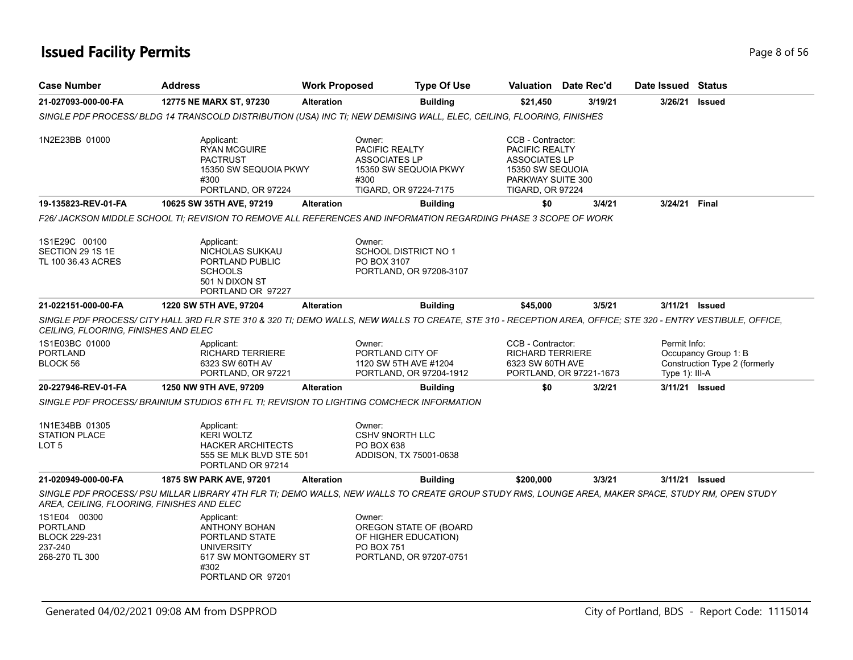## **Issued Facility Permits** Page 8 of 56

| <b>Case Number</b>                                                            | <b>Address</b>                                                                                                                                                | <b>Work Proposed</b> | <b>Type Of Use</b>                                                                                                |                                                                                                                                        | <b>Valuation</b> Date Rec'd | Date Issued Status             |                                                       |
|-------------------------------------------------------------------------------|---------------------------------------------------------------------------------------------------------------------------------------------------------------|----------------------|-------------------------------------------------------------------------------------------------------------------|----------------------------------------------------------------------------------------------------------------------------------------|-----------------------------|--------------------------------|-------------------------------------------------------|
| 21-027093-000-00-FA                                                           | 12775 NE MARX ST, 97230                                                                                                                                       | <b>Alteration</b>    | <b>Building</b>                                                                                                   | \$21,450                                                                                                                               | 3/19/21                     | 3/26/21                        | <b>Issued</b>                                         |
|                                                                               | SINGLE PDF PROCESS/BLDG 14 TRANSCOLD DISTRIBUTION (USA) INC TI; NEW DEMISING WALL, ELEC, CEILING, FLOORING, FINISHES                                          |                      |                                                                                                                   |                                                                                                                                        |                             |                                |                                                       |
| 1N2E23BB 01000                                                                | Applicant:<br><b>RYAN MCGUIRE</b><br><b>PACTRUST</b><br>15350 SW SEQUOIA PKWY<br>#300<br>PORTLAND, OR 97224                                                   |                      | Owner:<br><b>PACIFIC REALTY</b><br><b>ASSOCIATES LP</b><br>15350 SW SEQUOIA PKWY<br>#300<br>TIGARD, OR 97224-7175 | CCB - Contractor:<br><b>PACIFIC REALTY</b><br><b>ASSOCIATES LP</b><br>15350 SW SEQUOIA<br>PARKWAY SUITE 300<br><b>TIGARD, OR 97224</b> |                             |                                |                                                       |
| 19-135823-REV-01-FA                                                           | 10625 SW 35TH AVE, 97219                                                                                                                                      | <b>Alteration</b>    | <b>Building</b>                                                                                                   | \$0                                                                                                                                    | 3/4/21                      | 3/24/21                        | Final                                                 |
|                                                                               | F26/ JACKSON MIDDLE SCHOOL TI: REVISION TO REMOVE ALL REFERENCES AND INFORMATION REGARDING PHASE 3 SCOPE OF WORK                                              |                      |                                                                                                                   |                                                                                                                                        |                             |                                |                                                       |
| 1S1E29C 00100<br>SECTION 29 1S 1E<br>TL 100 36.43 ACRES                       | Applicant:<br>NICHOLAS SUKKAU<br>PORTLAND PUBLIC<br><b>SCHOOLS</b><br>501 N DIXON ST<br>PORTLAND OR 97227                                                     |                      | Owner:<br><b>SCHOOL DISTRICT NO 1</b><br>PO BOX 3107<br>PORTLAND, OR 97208-3107                                   |                                                                                                                                        |                             |                                |                                                       |
| 21-022151-000-00-FA                                                           | 1220 SW 5TH AVE, 97204                                                                                                                                        | <b>Alteration</b>    | <b>Building</b>                                                                                                   | \$45,000                                                                                                                               | 3/5/21                      |                                | 3/11/21 Issued                                        |
| CEILING, FLOORING, FINISHES AND ELEC                                          | SINGLE PDF PROCESS/ CITY HALL 3RD FLR STE 310 & 320 TI; DEMO WALLS, NEW WALLS TO CREATE, STE 310 - RECEPTION AREA, OFFICE; STE 320 - ENTRY VESTIBULE, OFFICE, |                      |                                                                                                                   |                                                                                                                                        |                             |                                |                                                       |
| 1S1E03BC 01000<br><b>PORTLAND</b><br>BLOCK 56                                 | Applicant:<br><b>RICHARD TERRIERE</b><br>6323 SW 60TH AV<br>PORTLAND, OR 97221                                                                                |                      | Owner:<br>PORTLAND CITY OF<br>1120 SW 5TH AVE #1204<br>PORTLAND, OR 97204-1912                                    | CCB - Contractor:<br><b>RICHARD TERRIERE</b><br>6323 SW 60TH AVE                                                                       | PORTLAND, OR 97221-1673     | Permit Info:<br>Type 1): III-A | Occupancy Group 1: B<br>Construction Type 2 (formerly |
| 20-227946-REV-01-FA                                                           | 1250 NW 9TH AVE, 97209                                                                                                                                        | <b>Alteration</b>    | <b>Building</b>                                                                                                   | \$0                                                                                                                                    | 3/2/21                      |                                | 3/11/21 Issued                                        |
|                                                                               | SINGLE PDF PROCESS/ BRAINIUM STUDIOS 6TH FL TI: REVISION TO LIGHTING COMCHECK INFORMATION                                                                     |                      |                                                                                                                   |                                                                                                                                        |                             |                                |                                                       |
| 1N1E34BB 01305<br><b>STATION PLACE</b><br>LOT 5                               | Applicant:<br><b>KERI WOLTZ</b><br><b>HACKER ARCHITECTS</b><br>555 SE MLK BLVD STE 501<br>PORTLAND OR 97214                                                   |                      | Owner:<br><b>CSHV 9NORTH LLC</b><br>PO BOX 638<br>ADDISON, TX 75001-0638                                          |                                                                                                                                        |                             |                                |                                                       |
| 21-020949-000-00-FA                                                           | 1875 SW PARK AVE, 97201                                                                                                                                       | <b>Alteration</b>    | <b>Building</b>                                                                                                   | \$200,000                                                                                                                              | 3/3/21                      |                                | 3/11/21 <b>Issued</b>                                 |
| AREA, CEILING, FLOORING, FINISHES AND ELEC                                    | SINGLE PDF PROCESS/ PSU MILLAR LIBRARY 4TH FLR TI; DEMO WALLS, NEW WALLS TO CREATE GROUP STUDY RMS, LOUNGE AREA, MAKER SPACE, STUDY RM, OPEN STUDY            |                      |                                                                                                                   |                                                                                                                                        |                             |                                |                                                       |
| 1S1E04 00300<br>PORTLAND<br><b>BLOCK 229-231</b><br>237-240<br>268-270 TL 300 | Applicant:<br>ANTHONY BOHAN<br>PORTLAND STATE<br><b>UNIVERSITY</b><br>617 SW MONTGOMERY ST<br>#302<br>PORTLAND OR 97201                                       |                      | Owner:<br>OREGON STATE OF (BOARD<br>OF HIGHER EDUCATION)<br>PO BOX 751<br>PORTLAND, OR 97207-0751                 |                                                                                                                                        |                             |                                |                                                       |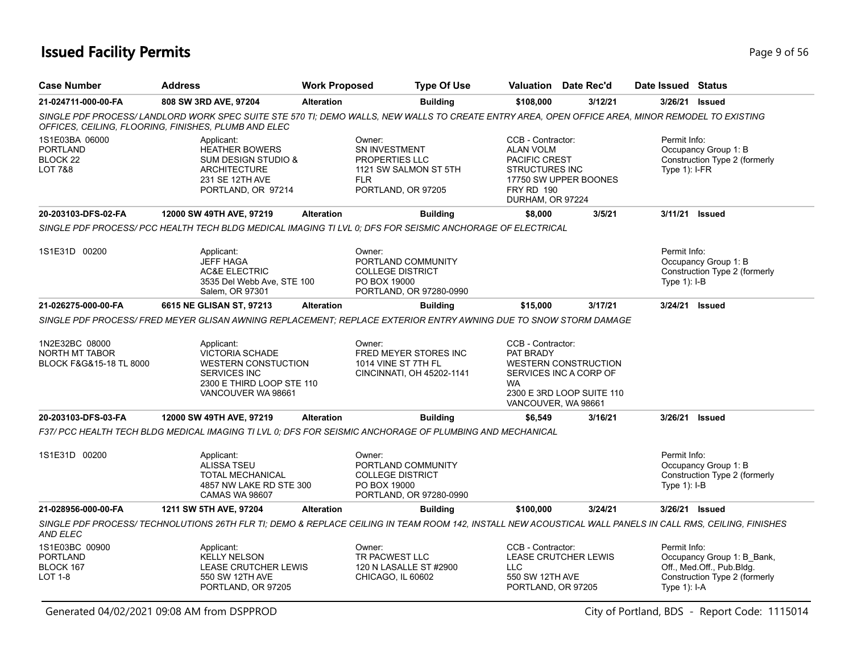## **Issued Facility Permits** Page 9 of 56

| <b>Case Number</b>                                                  | <b>Address</b>                                                                                                                                                                                           | <b>Work Proposed</b> | <b>Type Of Use</b>                                                                                            |                                                                                                                          | Valuation Date Rec'd                                                               | Date Issued                      | <b>Status</b>                                                                            |
|---------------------------------------------------------------------|----------------------------------------------------------------------------------------------------------------------------------------------------------------------------------------------------------|----------------------|---------------------------------------------------------------------------------------------------------------|--------------------------------------------------------------------------------------------------------------------------|------------------------------------------------------------------------------------|----------------------------------|------------------------------------------------------------------------------------------|
| 21-024711-000-00-FA                                                 | 808 SW 3RD AVE, 97204                                                                                                                                                                                    | <b>Alteration</b>    | <b>Building</b>                                                                                               | \$108,000                                                                                                                | 3/12/21                                                                            | 3/26/21 Issued                   |                                                                                          |
|                                                                     | SINGLE PDF PROCESS/ LANDLORD WORK SPEC SUITE STE 570 TI; DEMO WALLS, NEW WALLS TO CREATE ENTRY AREA, OPEN OFFICE AREA, MINOR REMODEL TO EXISTING<br>OFFICES, CEILING, FLOORING, FINISHES, PLUMB AND ELEC |                      |                                                                                                               |                                                                                                                          |                                                                                    |                                  |                                                                                          |
| 1S1E03BA 06000<br><b>PORTLAND</b><br>BLOCK 22<br><b>LOT 7&amp;8</b> | Applicant:<br>HEATHER BOWERS<br><b>SUM DESIGN STUDIO &amp;</b><br><b>ARCHITECTURE</b><br>231 SE 12TH AVE<br>PORTLAND, OR 97214                                                                           |                      | Owner:<br><b>SN INVESTMENT</b><br>PROPERTIES LLC<br>1121 SW SALMON ST 5TH<br><b>FLR</b><br>PORTLAND, OR 97205 | CCB - Contractor:<br><b>ALAN VOLM</b><br>PACIFIC CREST<br><b>STRUCTURES INC</b><br><b>FRY RD 190</b><br>DURHAM, OR 97224 | 17750 SW UPPER BOONES                                                              | Permit Info:<br>Type $1$ ): I-FR | Occupancy Group 1: B<br>Construction Type 2 (formerly                                    |
| 20-203103-DFS-02-FA                                                 | 12000 SW 49TH AVE, 97219                                                                                                                                                                                 | <b>Alteration</b>    | <b>Building</b>                                                                                               | \$8,000                                                                                                                  | 3/5/21                                                                             | 3/11/21 Issued                   |                                                                                          |
|                                                                     | SINGLE PDF PROCESS/ PCC HEALTH TECH BLDG MEDICAL IMAGING TI LVL 0; DFS FOR SEISMIC ANCHORAGE OF ELECTRICAL                                                                                               |                      |                                                                                                               |                                                                                                                          |                                                                                    |                                  |                                                                                          |
| 1S1E31D 00200                                                       | Applicant:<br><b>JEFF HAGA</b><br><b>AC&amp;E ELECTRIC</b><br>3535 Del Webb Ave, STE 100<br>Salem, OR 97301                                                                                              |                      | Owner:<br>PORTLAND COMMUNITY<br><b>COLLEGE DISTRICT</b><br>PO BOX 19000<br>PORTLAND, OR 97280-0990            |                                                                                                                          |                                                                                    | Permit Info:<br>Type 1): I-B     | Occupancy Group 1: B<br>Construction Type 2 (formerly                                    |
| 21-026275-000-00-FA                                                 | 6615 NE GLISAN ST, 97213                                                                                                                                                                                 | <b>Alteration</b>    | <b>Building</b>                                                                                               | \$15,000                                                                                                                 | 3/17/21                                                                            | 3/24/21 Issued                   |                                                                                          |
|                                                                     | SINGLE PDF PROCESS/ FRED MEYER GLISAN AWNING REPLACEMENT; REPLACE EXTERIOR ENTRY AWNING DUE TO SNOW STORM DAMAGE                                                                                         |                      |                                                                                                               |                                                                                                                          |                                                                                    |                                  |                                                                                          |
| 1N2E32BC 08000<br><b>NORTH MT TABOR</b><br>BLOCK F&G&15-18 TL 8000  | Applicant:<br><b>VICTORIA SCHADE</b><br><b>WESTERN CONSTUCTION</b><br><b>SERVICES INC</b><br>2300 E THIRD LOOP STE 110<br>VANCOUVER WA 98661                                                             |                      | Owner:<br>FRED MEYER STORES INC<br>1014 VINE ST 7TH FL<br>CINCINNATI, OH 45202-1141                           | CCB - Contractor:<br>PAT BRADY<br><b>WA</b><br>VANCOUVER, WA 98661                                                       | <b>WESTERN CONSTRUCTION</b><br>SERVICES INC A CORP OF<br>2300 E 3RD LOOP SUITE 110 |                                  |                                                                                          |
| 20-203103-DFS-03-FA                                                 | 12000 SW 49TH AVE, 97219                                                                                                                                                                                 | <b>Alteration</b>    | <b>Building</b>                                                                                               | \$6,549                                                                                                                  | 3/16/21                                                                            | 3/26/21 Issued                   |                                                                                          |
|                                                                     | F37/ PCC HEALTH TECH BLDG MEDICAL IMAGING TI LVL 0; DFS FOR SEISMIC ANCHORAGE OF PLUMBING AND MECHANICAL                                                                                                 |                      |                                                                                                               |                                                                                                                          |                                                                                    |                                  |                                                                                          |
| 1S1E31D 00200                                                       | Applicant:<br><b>ALISSA TSEU</b><br><b>TOTAL MECHANICAL</b><br>4857 NW LAKE RD STE 300<br><b>CAMAS WA 98607</b>                                                                                          |                      | Owner:<br>PORTLAND COMMUNITY<br><b>COLLEGE DISTRICT</b><br>PO BOX 19000<br>PORTLAND, OR 97280-0990            |                                                                                                                          |                                                                                    | Permit Info:<br>Type 1): I-B     | Occupancy Group 1: B<br>Construction Type 2 (formerly                                    |
| 21-028956-000-00-FA                                                 | 1211 SW 5TH AVE, 97204                                                                                                                                                                                   | <b>Alteration</b>    | <b>Building</b>                                                                                               | \$100,000                                                                                                                | 3/24/21                                                                            | 3/26/21 Issued                   |                                                                                          |
| AND ELEC                                                            | SINGLE PDF PROCESS/ TECHNOLUTIONS 26TH FLR TI; DEMO & REPLACE CEILING IN TEAM ROOM 142, INSTALL NEW ACOUSTICAL WALL PANELS IN CALL RMS, CEILING, FINISHES                                                |                      |                                                                                                               |                                                                                                                          |                                                                                    |                                  |                                                                                          |
| 1S1E03BC 00900<br><b>PORTLAND</b><br>BLOCK 167<br><b>LOT 1-8</b>    | Applicant:<br><b>KELLY NELSON</b><br>LEASE CRUTCHER LEWIS<br>550 SW 12TH AVE<br>PORTLAND, OR 97205                                                                                                       |                      | Owner:<br>TR PACWEST LLC<br>120 N LASALLE ST #2900<br>CHICAGO, IL 60602                                       | CCB - Contractor:<br><b>LLC</b><br>550 SW 12TH AVE<br>PORTLAND, OR 97205                                                 | LEASE CRUTCHER LEWIS                                                               | Permit Info:<br>Type $1$ ): I-A  | Occupancy Group 1: B_Bank,<br>Off., Med.Off., Pub.Bldg.<br>Construction Type 2 (formerly |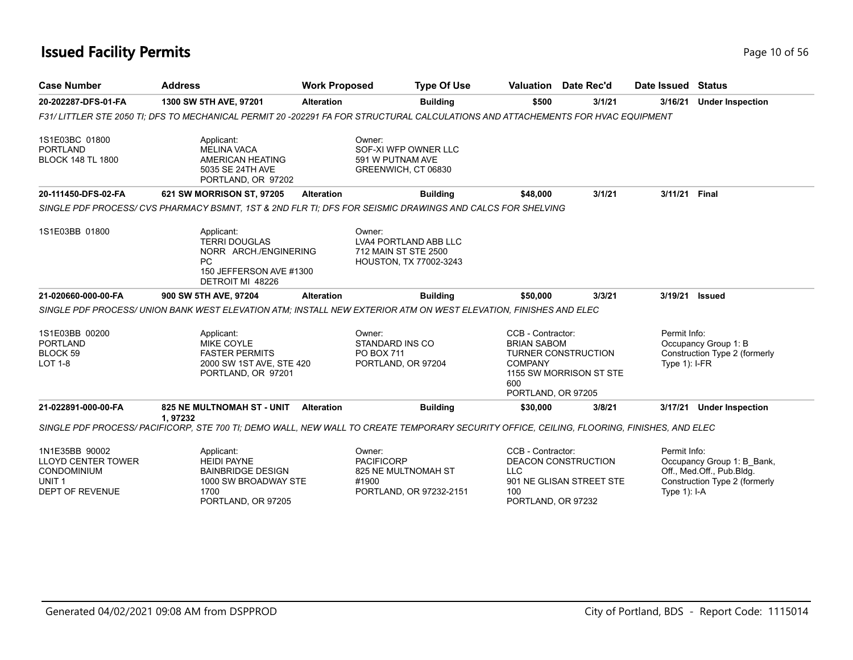## **Issued Facility Permits Page 10 of 56**

| <b>Case Number</b>                                                                                 | <b>Address</b>                                                                                                                            | <b>Work Proposed</b>                 | <b>Type Of Use</b>                                                             |                                                                                        | <b>Valuation</b> Date Rec'd                           | Date Issued Status              |                                                                                          |  |
|----------------------------------------------------------------------------------------------------|-------------------------------------------------------------------------------------------------------------------------------------------|--------------------------------------|--------------------------------------------------------------------------------|----------------------------------------------------------------------------------------|-------------------------------------------------------|---------------------------------|------------------------------------------------------------------------------------------|--|
| 20-202287-DFS-01-FA                                                                                | 1300 SW 5TH AVE, 97201                                                                                                                    | <b>Alteration</b>                    | <b>Building</b>                                                                | \$500                                                                                  | 3/1/21                                                | 3/16/21                         | <b>Under Inspection</b>                                                                  |  |
|                                                                                                    | F31/LITTLER STE 2050 TI; DFS TO MECHANICAL PERMIT 20 -202291 FA FOR STRUCTURAL CALCULATIONS AND ATTACHEMENTS FOR HVAC EQUIPMENT           |                                      |                                                                                |                                                                                        |                                                       |                                 |                                                                                          |  |
| 1S1E03BC 01800<br><b>PORTLAND</b><br><b>BLOCK 148 TL 1800</b>                                      | Applicant:<br><b>MELINA VACA</b><br>AMERICAN HEATING<br>5035 SE 24TH AVE<br>PORTLAND, OR 97202                                            | Owner:                               | SOF-XI WFP OWNER LLC<br>591 W PUTNAM AVE<br>GREENWICH, CT 06830                |                                                                                        |                                                       |                                 |                                                                                          |  |
| 20-111450-DFS-02-FA                                                                                | 621 SW MORRISON ST, 97205                                                                                                                 | <b>Alteration</b>                    | <b>Building</b>                                                                | \$48,000                                                                               | 3/1/21                                                | 3/11/21 Final                   |                                                                                          |  |
|                                                                                                    | SINGLE PDF PROCESS/CVS PHARMACY BSMNT, 1ST & 2ND FLR TI; DFS FOR SEISMIC DRAWINGS AND CALCS FOR SHELVING                                  |                                      |                                                                                |                                                                                        |                                                       |                                 |                                                                                          |  |
| 1S1E03BB 01800                                                                                     | Applicant:<br><b>TERRI DOUGLAS</b><br>NORR ARCH./ENGINERING<br>PC<br>150 JEFFERSON AVE #1300<br>DETROIT MI 48226                          | Owner:                               | LVA4 PORTLAND ABB LLC<br>712 MAIN ST STE 2500<br><b>HOUSTON, TX 77002-3243</b> |                                                                                        |                                                       |                                 |                                                                                          |  |
| 21-020660-000-00-FA                                                                                | 900 SW 5TH AVE, 97204                                                                                                                     | <b>Alteration</b>                    | <b>Building</b>                                                                | \$50,000                                                                               | 3/3/21                                                |                                 | 3/19/21 Issued                                                                           |  |
|                                                                                                    | SINGLE PDF PROCESS/ UNION BANK WEST ELEVATION ATM: INSTALL NEW EXTERIOR ATM ON WEST ELEVATION. FINISHES AND ELEC                          |                                      |                                                                                |                                                                                        |                                                       |                                 |                                                                                          |  |
| 1S1E03BB 00200<br><b>PORTLAND</b><br>BLOCK <sub>59</sub><br><b>LOT 1-8</b>                         | Applicant:<br><b>MIKE COYLE</b><br><b>FASTER PERMITS</b><br>2000 SW 1ST AVE, STE 420<br>PORTLAND, OR 97201                                | Owner:<br>PO BOX 711                 | STANDARD INS CO<br>PORTLAND, OR 97204                                          | CCB - Contractor:<br><b>BRIAN SABOM</b><br><b>COMPANY</b><br>600<br>PORTLAND, OR 97205 | <b>TURNER CONSTRUCTION</b><br>1155 SW MORRISON ST STE | Permit Info:<br>Type $1$ : I-FR | Occupancy Group 1: B<br>Construction Type 2 (formerly                                    |  |
| 21-022891-000-00-FA                                                                                | 825 NE MULTNOMAH ST - UNIT<br>1.97232                                                                                                     | <b>Alteration</b>                    | <b>Building</b>                                                                | \$30,000                                                                               | 3/8/21                                                |                                 | 3/17/21 Under Inspection                                                                 |  |
|                                                                                                    | SINGLE PDF PROCESS/PACIFICORP, STE 700 TI; DEMO WALL, NEW WALL TO CREATE TEMPORARY SECURITY OFFICE, CEILING, FLOORING, FINISHES, AND ELEC |                                      |                                                                                |                                                                                        |                                                       |                                 |                                                                                          |  |
| 1N1E35BB 90002<br><b>LLOYD CENTER TOWER</b><br>CONDOMINIUM<br>UNIT <sub>1</sub><br>DEPT OF REVENUE | Applicant:<br><b>HEIDI PAYNE</b><br><b>BAINBRIDGE DESIGN</b><br>1000 SW BROADWAY STE<br>1700                                              | Owner:<br><b>PACIFICORP</b><br>#1900 | 825 NE MULTNOMAH ST<br>PORTLAND, OR 97232-2151                                 | CCB - Contractor:<br><b>LLC</b><br>100                                                 | DEACON CONSTRUCTION<br>901 NE GLISAN STREET STE       | Permit Info:<br>Type $1$ ): I-A | Occupancy Group 1: B_Bank,<br>Off., Med.Off., Pub.Bldg.<br>Construction Type 2 (formerly |  |

PORTLAND, OR 97205

PORTLAND, OR 97232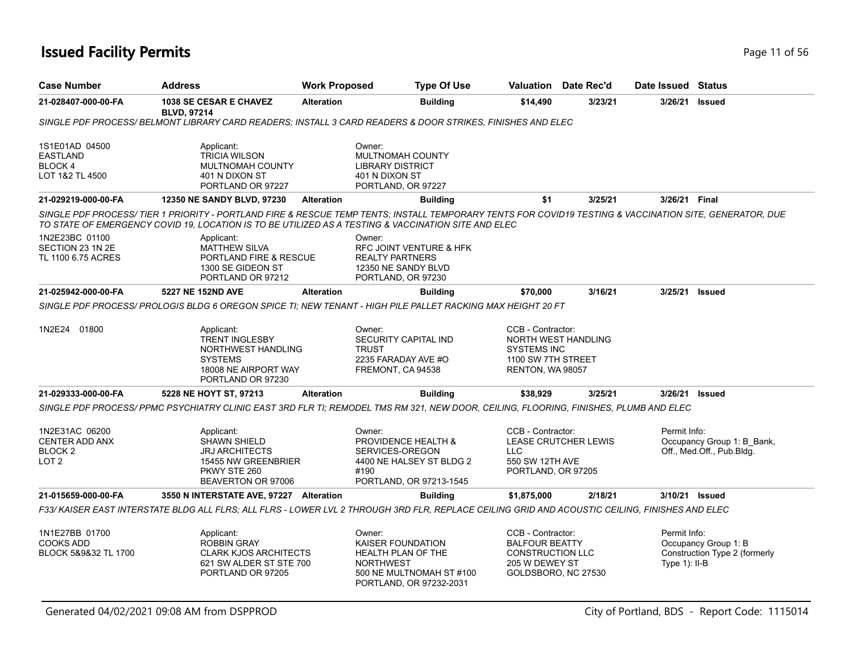| <b>Case Number</b>                                              | <b>Address</b>                                                                                                                                                                                                                                                 | <b>Work Proposed</b> | <b>Type Of Use</b>                                                                                                                  |                                                                                                         | <b>Valuation</b> Date Rec'd | Date Issued Status               |                                                         |
|-----------------------------------------------------------------|----------------------------------------------------------------------------------------------------------------------------------------------------------------------------------------------------------------------------------------------------------------|----------------------|-------------------------------------------------------------------------------------------------------------------------------------|---------------------------------------------------------------------------------------------------------|-----------------------------|----------------------------------|---------------------------------------------------------|
| 21-028407-000-00-FA                                             | 1038 SE CESAR E CHAVEZ<br><b>BLVD, 97214</b>                                                                                                                                                                                                                   | <b>Alteration</b>    | <b>Building</b>                                                                                                                     | \$14,490                                                                                                | 3/23/21                     | 3/26/21                          | <b>Issued</b>                                           |
|                                                                 | SINGLE PDF PROCESS/ BELMONT LIBRARY CARD READERS; INSTALL 3 CARD READERS & DOOR STRIKES, FINISHES AND ELEC                                                                                                                                                     |                      |                                                                                                                                     |                                                                                                         |                             |                                  |                                                         |
| 1S1E01AD 04500<br><b>EASTLAND</b><br>BLOCK 4<br>LOT 1&2 TL 4500 | Applicant:<br><b>TRICIA WILSON</b><br>MULTNOMAH COUNTY<br>401 N DIXON ST<br>PORTLAND OR 97227                                                                                                                                                                  |                      | Owner:<br>MULTNOMAH COUNTY<br><b>LIBRARY DISTRICT</b><br>401 N DIXON ST<br>PORTLAND, OR 97227                                       |                                                                                                         |                             |                                  |                                                         |
| 21-029219-000-00-FA                                             | 12350 NE SANDY BLVD, 97230                                                                                                                                                                                                                                     | <b>Alteration</b>    | <b>Building</b>                                                                                                                     | \$1                                                                                                     | 3/25/21                     | 3/26/21 Final                    |                                                         |
|                                                                 | SINGLE PDF PROCESS/ TIER 1 PRIORITY - PORTLAND FIRE & RESCUE TEMP TENTS; INSTALL TEMPORARY TENTS FOR COVID19 TESTING & VACCINATION SITE, GENERATOR, DUE<br>TO STATE OF EMERGENCY COVID 19, LOCATION IS TO BE UTILIZED AS A TESTING & VACCINATION SITE AND ELEC |                      |                                                                                                                                     |                                                                                                         |                             |                                  |                                                         |
| 1N2E23BC 01100<br>SECTION 23 1N 2E<br>TL 1100 6.75 ACRES        | Applicant:<br><b>MATTHEW SILVA</b><br>PORTLAND FIRE & RESCUE<br>1300 SE GIDEON ST<br>PORTLAND OR 97212                                                                                                                                                         |                      | Owner:<br><b>RFC JOINT VENTURE &amp; HFK</b><br><b>REALTY PARTNERS</b><br>12350 NE SANDY BLVD<br>PORTLAND, OR 97230                 |                                                                                                         |                             |                                  |                                                         |
| 21-025942-000-00-FA                                             | 5227 NE 152ND AVE                                                                                                                                                                                                                                              | <b>Alteration</b>    | <b>Building</b>                                                                                                                     | \$70,000                                                                                                | 3/16/21                     | 3/25/21                          | <b>Issued</b>                                           |
|                                                                 | SINGLE PDF PROCESS/ PROLOGIS BLDG 6 OREGON SPICE TI; NEW TENANT - HIGH PILE PALLET RACKING MAX HEIGHT 20 FT                                                                                                                                                    |                      |                                                                                                                                     |                                                                                                         |                             |                                  |                                                         |
| 1N2E24 01800                                                    | Applicant:<br><b>TRENT INGLESBY</b><br>NORTHWEST HANDLING<br><b>SYSTEMS</b><br>18008 NE AIRPORT WAY<br>PORTLAND OR 97230                                                                                                                                       |                      | Owner:<br>SECURITY CAPITAL IND<br><b>TRUST</b><br>2235 FARADAY AVE #O<br>FREMONT, CA 94538                                          | CCB - Contractor:<br><b>SYSTEMS INC</b><br>1100 SW 7TH STREET<br>RENTON, WA 98057                       | NORTH WEST HANDLING         |                                  |                                                         |
| 21-029333-000-00-FA                                             | 5228 NE HOYT ST, 97213                                                                                                                                                                                                                                         | <b>Alteration</b>    | <b>Building</b>                                                                                                                     | \$38,929                                                                                                | 3/25/21                     | 3/26/21                          | <b>Issued</b>                                           |
|                                                                 | SINGLE PDF PROCESS/ PPMC PSYCHIATRY CLINIC EAST 3RD FLR TI: REMODEL TMS RM 321. NEW DOOR. CEILING. FLOORING. FINISHES. PLUMB AND ELEC                                                                                                                          |                      |                                                                                                                                     |                                                                                                         |                             |                                  |                                                         |
| 1N2E31AC 06200<br><b>CENTER ADD ANX</b><br>BLOCK 2<br>LOT 2     | Applicant:<br><b>SHAWN SHIELD</b><br>JRJ ARCHITECTS<br>15455 NW GREENBRIER<br>PKWY STE 260<br>BEAVERTON OR 97006                                                                                                                                               |                      | Owner:<br><b>PROVIDENCE HEALTH &amp;</b><br>SERVICES-OREGON<br>4400 NE HALSEY ST BLDG 2<br>#190<br>PORTLAND, OR 97213-1545          | CCB - Contractor:<br><b>LLC</b><br>550 SW 12TH AVE<br>PORTLAND, OR 97205                                | <b>LEASE CRUTCHER LEWIS</b> | Permit Info:                     | Occupancy Group 1: B_Bank,<br>Off., Med.Off., Pub.Bldg. |
| 21-015659-000-00-FA                                             | 3550 N INTERSTATE AVE, 97227 Alteration                                                                                                                                                                                                                        |                      | <b>Building</b>                                                                                                                     | \$1,875,000                                                                                             | 2/18/21                     |                                  | 3/10/21 Issued                                          |
|                                                                 | F33/ KAISER EAST INTERSTATE BLDG ALL FLRS: ALL FLRS - LOWER LVL 2 THROUGH 3RD FLR. REPLACE CEILING GRID AND ACOUSTIC CEILING. FINISHES AND ELEC                                                                                                                |                      |                                                                                                                                     |                                                                                                         |                             |                                  |                                                         |
| 1N1E27BB 01700<br><b>COOKS ADD</b><br>BLOCK 5&9&32 TL 1700      | Applicant:<br><b>ROBBIN GRAY</b><br><b>CLARK KJOS ARCHITECTS</b><br>621 SW ALDER ST STE 700<br>PORTLAND OR 97205                                                                                                                                               |                      | Owner:<br>KAISER FOUNDATION<br><b>HEALTH PLAN OF THE</b><br><b>NORTHWEST</b><br>500 NE MULTNOMAH ST #100<br>PORTLAND, OR 97232-2031 | CCB - Contractor:<br><b>BALFOUR BEATTY</b><br>CONSTRUCTION LLC<br>205 W DEWEY ST<br>GOLDSBORO, NC 27530 |                             | Permit Info:<br>Type $1$ ): II-B | Occupancy Group 1: B<br>Construction Type 2 (formerly   |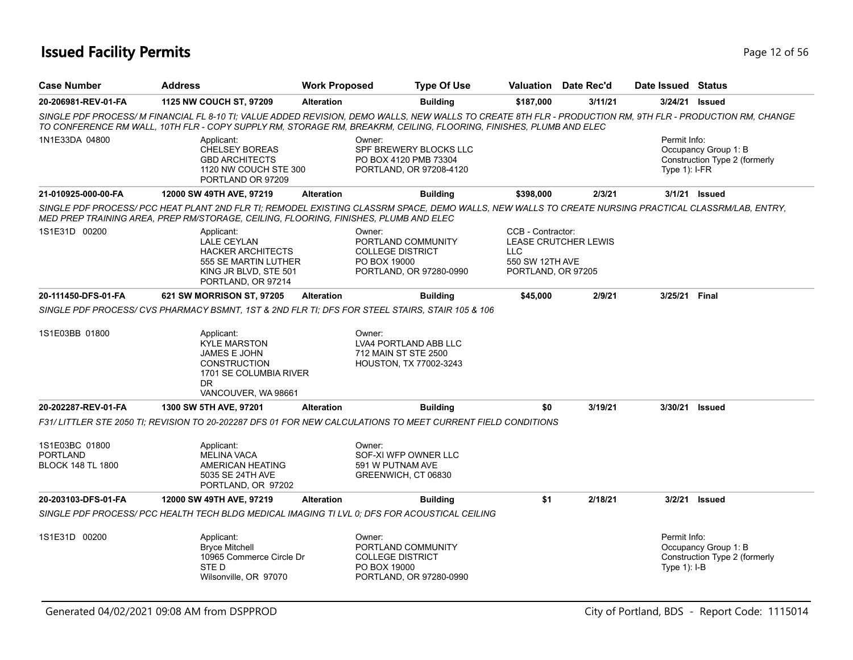## **Issued Facility Permits** Provide the Contract of 56 and 2 of 56 and 2 of 56 and 2 of 56 and 2 of 56 and 2 of 56

| <b>Case Number</b>                                            | <b>Address</b>                                                                                                                          | <b>Work Proposed</b> | <b>Type Of Use</b>                                                                                                                                                                                                                                                               |                                                                    | <b>Valuation</b> Date Rec'd | Date Issued Status              |                                                       |
|---------------------------------------------------------------|-----------------------------------------------------------------------------------------------------------------------------------------|----------------------|----------------------------------------------------------------------------------------------------------------------------------------------------------------------------------------------------------------------------------------------------------------------------------|--------------------------------------------------------------------|-----------------------------|---------------------------------|-------------------------------------------------------|
| 20-206981-REV-01-FA                                           | 1125 NW COUCH ST, 97209                                                                                                                 | <b>Alteration</b>    | <b>Building</b>                                                                                                                                                                                                                                                                  | \$187,000                                                          | 3/11/21                     | 3/24/21 <b>Issued</b>           |                                                       |
|                                                               |                                                                                                                                         |                      | SINGLE PDF PROCESS/ M FINANCIAL FL 8-10 TI: VALUE ADDED REVISION. DEMO WALLS, NEW WALLS TO CREATE 8TH FLR - PRODUCTION RM, 9TH FLR - PRODUCTION RM, CHANGE<br>TO CONFERENCE RM WALL, 10TH FLR - COPY SUPPLY RM, STORAGE RM, BREAKRM, CEILING, FLOORING, FINISHES, PLUMB AND ELEC |                                                                    |                             |                                 |                                                       |
| 1N1E33DA 04800                                                | Applicant:<br><b>CHELSEY BOREAS</b><br><b>GBD ARCHITECTS</b><br>1120 NW COUCH STE 300<br>PORTLAND OR 97209                              |                      | Owner:<br>SPF BREWERY BLOCKS LLC<br>PO BOX 4120 PMB 73304<br>PORTLAND, OR 97208-4120                                                                                                                                                                                             |                                                                    |                             | Permit Info:<br>Type $1$ : I-FR | Occupancy Group 1: B<br>Construction Type 2 (formerly |
| 21-010925-000-00-FA                                           | 12000 SW 49TH AVE, 97219                                                                                                                | <b>Alteration</b>    | <b>Building</b>                                                                                                                                                                                                                                                                  | \$398,000                                                          | 2/3/21                      |                                 | 3/1/21 <b>Issued</b>                                  |
|                                                               | MED PREP TRAINING AREA, PREP RM/STORAGE, CEILING, FLOORING, FINISHES, PLUMB AND ELEC                                                    |                      | SINGLE PDF PROCESS/ PCC HEAT PLANT 2ND FLR TI; REMODEL EXISTING CLASSRM SPACE, DEMO WALLS, NEW WALLS TO CREATE NURSING PRACTICAL CLASSRM/LAB, ENTRY,                                                                                                                             |                                                                    |                             |                                 |                                                       |
| 1S1E31D 00200                                                 | Applicant:<br><b>LALE CEYLAN</b><br><b>HACKER ARCHITECTS</b><br>555 SE MARTIN LUTHER<br>KING JR BLVD, STE 501<br>PORTLAND, OR 97214     |                      | Owner:<br>PORTLAND COMMUNITY<br><b>COLLEGE DISTRICT</b><br>PO BOX 19000<br>PORTLAND, OR 97280-0990                                                                                                                                                                               | CCB - Contractor:<br>LLC.<br>550 SW 12TH AVE<br>PORTLAND, OR 97205 | <b>LEASE CRUTCHER LEWIS</b> |                                 |                                                       |
| 20-111450-DFS-01-FA                                           | 621 SW MORRISON ST, 97205                                                                                                               | <b>Alteration</b>    | <b>Building</b>                                                                                                                                                                                                                                                                  | \$45,000                                                           | 2/9/21                      | 3/25/21 Final                   |                                                       |
|                                                               |                                                                                                                                         |                      | SINGLE PDF PROCESS/ CVS PHARMACY BSMNT, 1ST & 2ND FLR TI; DFS FOR STEEL STAIRS, STAIR 105 & 106                                                                                                                                                                                  |                                                                    |                             |                                 |                                                       |
| 1S1E03BB 01800                                                | Applicant:<br><b>KYLE MARSTON</b><br><b>JAMES E JOHN</b><br><b>CONSTRUCTION</b><br>1701 SE COLUMBIA RIVER<br>DR.<br>VANCOUVER, WA 98661 |                      | Owner:<br>LVA4 PORTLAND ABB LLC<br>712 MAIN ST STE 2500<br>HOUSTON, TX 77002-3243                                                                                                                                                                                                |                                                                    |                             |                                 |                                                       |
| 20-202287-REV-01-FA                                           | 1300 SW 5TH AVE, 97201                                                                                                                  | <b>Alteration</b>    | <b>Building</b>                                                                                                                                                                                                                                                                  | \$0                                                                | 3/19/21                     | 3/30/21                         | <b>Issued</b>                                         |
|                                                               |                                                                                                                                         |                      | F31/LITTLER STE 2050 TI; REVISION TO 20-202287 DFS 01 FOR NEW CALCULATIONS TO MEET CURRENT FIELD CONDITIONS                                                                                                                                                                      |                                                                    |                             |                                 |                                                       |
| 1S1E03BC 01800<br><b>PORTLAND</b><br><b>BLOCK 148 TL 1800</b> | Applicant:<br><b>MELINA VACA</b><br>AMERICAN HEATING<br>5035 SE 24TH AVE<br>PORTLAND, OR 97202                                          |                      | Owner:<br>SOF-XI WFP OWNER LLC<br>591 W PUTNAM AVE<br>GREENWICH, CT 06830                                                                                                                                                                                                        |                                                                    |                             |                                 |                                                       |
| 20-203103-DFS-01-FA                                           | 12000 SW 49TH AVE, 97219                                                                                                                | <b>Alteration</b>    | <b>Building</b>                                                                                                                                                                                                                                                                  | \$1                                                                | 2/18/21                     | 3/2/21                          | Issued                                                |
|                                                               |                                                                                                                                         |                      | SINGLE PDF PROCESS/ PCC HEALTH TECH BLDG MEDICAL IMAGING TI LVL 0: DFS FOR ACOUSTICAL CEILING                                                                                                                                                                                    |                                                                    |                             |                                 |                                                       |
| 1S1E31D 00200                                                 | Applicant:<br><b>Bryce Mitchell</b><br>10965 Commerce Circle Dr<br>STE D<br>Wilsonville, OR 97070                                       |                      | Owner:<br>PORTLAND COMMUNITY<br><b>COLLEGE DISTRICT</b><br>PO BOX 19000<br>PORTLAND, OR 97280-0990                                                                                                                                                                               |                                                                    |                             | Permit Info:<br>Type $1$ : I-B  | Occupancy Group 1: B<br>Construction Type 2 (formerly |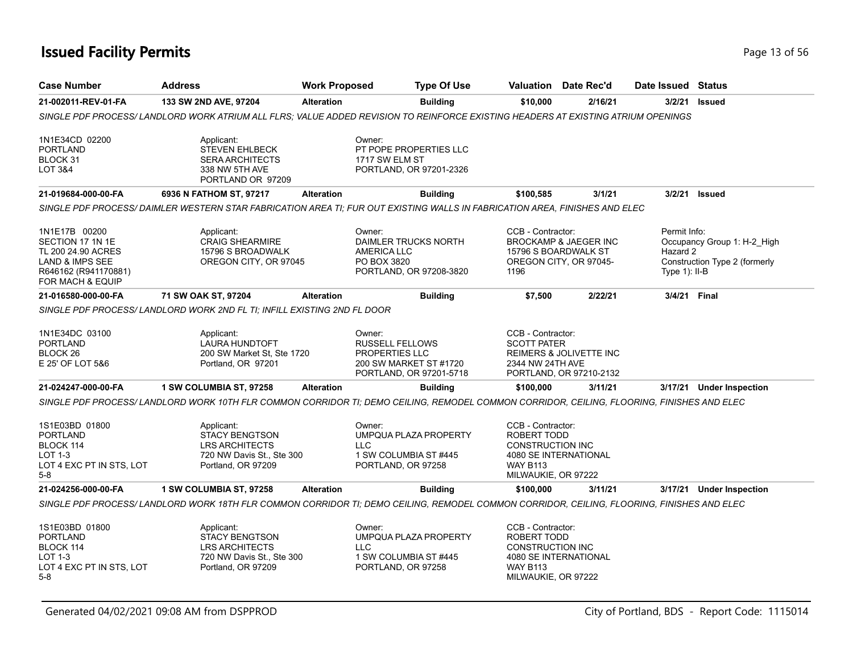## **Issued Facility Permits** Page 13 of 56

| <b>Case Number</b>                                                                                                                | <b>Address</b>                                                                                                                             | <b>Work Proposed</b> | <b>Type Of Use</b>                                                                                      |                                                                                                       | Valuation Date Rec'd                                                    | Date Issued Status                           |                                                              |
|-----------------------------------------------------------------------------------------------------------------------------------|--------------------------------------------------------------------------------------------------------------------------------------------|----------------------|---------------------------------------------------------------------------------------------------------|-------------------------------------------------------------------------------------------------------|-------------------------------------------------------------------------|----------------------------------------------|--------------------------------------------------------------|
| 21-002011-REV-01-FA                                                                                                               | 133 SW 2ND AVE, 97204                                                                                                                      | <b>Alteration</b>    | <b>Building</b>                                                                                         | \$10,000                                                                                              | 2/16/21                                                                 | 3/2/21                                       | Issued                                                       |
|                                                                                                                                   | SINGLE PDF PROCESS/ LANDLORD WORK ATRIUM ALL FLRS; VALUE ADDED REVISION TO REINFORCE EXISTING HEADERS AT EXISTING ATRIUM OPENINGS          |                      |                                                                                                         |                                                                                                       |                                                                         |                                              |                                                              |
| 1N1E34CD 02200<br><b>PORTLAND</b><br>BLOCK 31<br>LOT 3&4                                                                          | Applicant:<br><b>STEVEN EHLBECK</b><br><b>SERA ARCHITECTS</b><br>338 NW 5TH AVE<br>PORTLAND OR 97209                                       |                      | Owner:<br>PT POPE PROPERTIES LLC<br>1717 SW ELM ST<br>PORTLAND, OR 97201-2326                           |                                                                                                       |                                                                         |                                              |                                                              |
| 21-019684-000-00-FA                                                                                                               | 6936 N FATHOM ST, 97217                                                                                                                    | <b>Alteration</b>    | <b>Building</b>                                                                                         | \$100,585                                                                                             | 3/1/21                                                                  | 3/2/21                                       | <b>Issued</b>                                                |
|                                                                                                                                   | SINGLE PDF PROCESS/DAIMLER WESTERN STAR FABRICATION AREA TI; FUR OUT EXISTING WALLS IN FABRICATION AREA, FINISHES AND ELEC                 |                      |                                                                                                         |                                                                                                       |                                                                         |                                              |                                                              |
| 1N1E17B 00200<br>SECTION 17 1N 1E<br>TL 200 24.90 ACRES<br><b>LAND &amp; IMPS SEE</b><br>R646162 (R941170881)<br>FOR MACH & EQUIP | Applicant:<br><b>CRAIG SHEARMIRE</b><br>15796 S BROADWALK<br>OREGON CITY, OR 97045                                                         |                      | Owner:<br><b>DAIMLER TRUCKS NORTH</b><br><b>AMERICA LLC</b><br>PO BOX 3820<br>PORTLAND, OR 97208-3820   | CCB - Contractor:<br>1196                                                                             | BROCKAMP & JAEGER INC<br>15796 S BOARDWALK ST<br>OREGON CITY, OR 97045- | Permit Info:<br>Hazard 2<br>Type $1$ ): II-B | Occupancy Group 1: H-2 High<br>Construction Type 2 (formerly |
| 21-016580-000-00-FA                                                                                                               | 71 SW OAK ST, 97204                                                                                                                        | <b>Alteration</b>    | <b>Building</b>                                                                                         | \$7,500                                                                                               | 2/22/21                                                                 |                                              | 3/4/21 Final                                                 |
|                                                                                                                                   | SINGLE PDF PROCESS/ LANDLORD WORK 2ND FL TI; INFILL EXISTING 2ND FL DOOR                                                                   |                      |                                                                                                         |                                                                                                       |                                                                         |                                              |                                                              |
| 1N1E34DC 03100<br><b>PORTLAND</b><br>BLOCK 26<br>E 25' OF LOT 5&6                                                                 | Applicant:<br>LAURA HUNDTOFT<br>200 SW Market St. Ste 1720<br>Portland, OR 97201                                                           |                      | Owner:<br><b>RUSSELL FELLOWS</b><br>PROPERTIES LLC<br>200 SW MARKET ST #1720<br>PORTLAND, OR 97201-5718 | CCB - Contractor:<br><b>SCOTT PATER</b><br>2344 NW 24TH AVE                                           | REIMERS & JOLIVETTE INC<br>PORTLAND, OR 97210-2132                      |                                              |                                                              |
| 21-024247-000-00-FA                                                                                                               | 1 SW COLUMBIA ST, 97258                                                                                                                    | <b>Alteration</b>    | <b>Building</b>                                                                                         | \$100,000                                                                                             | 3/11/21                                                                 | 3/17/21                                      | <b>Under Inspection</b>                                      |
|                                                                                                                                   | SINGLE PDF PROCESS/ LANDLORD WORK 10TH FLR COMMON CORRIDOR TI: DEMO CEILING, REMODEL COMMON CORRIDOR, CEILING, FLOORING, FINISHES AND ELEC |                      |                                                                                                         |                                                                                                       |                                                                         |                                              |                                                              |
| 1S1E03BD 01800<br><b>PORTLAND</b><br>BLOCK 114<br>LOT 1-3<br>LOT 4 EXC PT IN STS, LOT<br>$5-8$                                    | Applicant:<br><b>STACY BENGTSON</b><br><b>LRS ARCHITECTS</b><br>720 NW Davis St., Ste 300<br>Portland, OR 97209                            |                      | Owner:<br>UMPQUA PLAZA PROPERTY<br><b>LLC</b><br>1 SW COLUMBIA ST #445<br>PORTLAND, OR 97258            | CCB - Contractor:<br>ROBERT TODD<br><b>CONSTRUCTION INC</b><br><b>WAY B113</b><br>MILWAUKIE, OR 97222 | 4080 SE INTERNATIONAL                                                   |                                              |                                                              |
| 21-024256-000-00-FA                                                                                                               | 1 SW COLUMBIA ST, 97258                                                                                                                    | <b>Alteration</b>    | <b>Building</b>                                                                                         | \$100,000                                                                                             | 3/11/21                                                                 |                                              | 3/17/21 Under Inspection                                     |
|                                                                                                                                   | SINGLE PDF PROCESS/ LANDLORD WORK 18TH FLR COMMON CORRIDOR TI; DEMO CEILING, REMODEL COMMON CORRIDOR, CEILING, FLOORING, FINISHES AND ELEC |                      |                                                                                                         |                                                                                                       |                                                                         |                                              |                                                              |
| 1S1E03BD 01800<br><b>PORTLAND</b><br>BLOCK 114<br>LOT 1-3<br>LOT 4 EXC PT IN STS, LOT<br>$5-8$                                    | Applicant:<br><b>STACY BENGTSON</b><br><b>LRS ARCHITECTS</b><br>720 NW Davis St., Ste 300<br>Portland, OR 97209                            |                      | Owner:<br>UMPQUA PLAZA PROPERTY<br>LLC.<br>1 SW COLUMBIA ST #445<br>PORTLAND, OR 97258                  | CCB - Contractor:<br>ROBERT TODD<br>CONSTRUCTION INC<br><b>WAY B113</b><br>MILWAUKIE, OR 97222        | 4080 SE INTERNATIONAL                                                   |                                              |                                                              |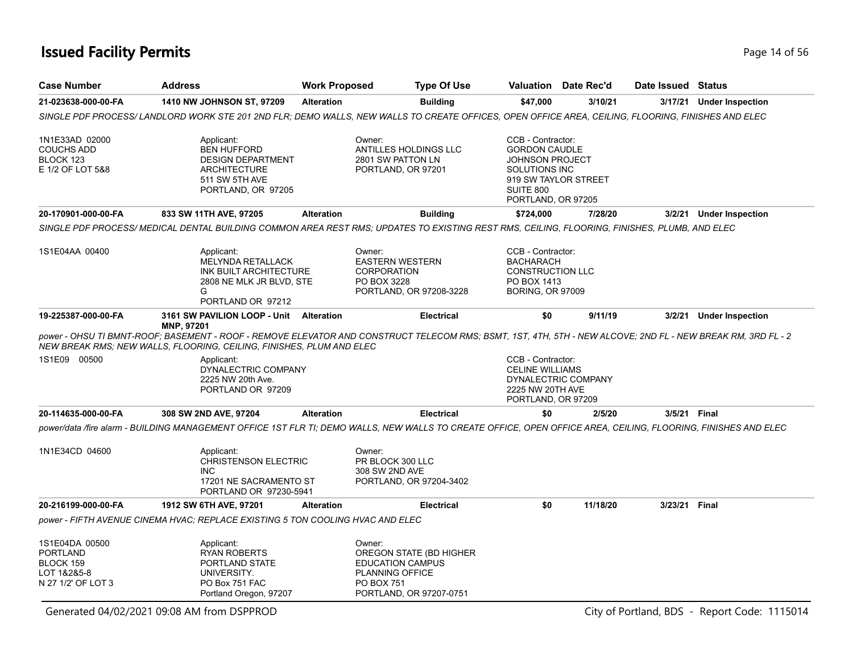# **Issued Facility Permits** Page 14 of 56

| <b>Case Number</b>                                                           | <b>Address</b>                                                                                                                                                                                                                      | <b>Work Proposed</b> | <b>Type Of Use</b>                                                                                                              |                                                                                                                         | Valuation Date Rec'd | Date Issued Status |                                              |
|------------------------------------------------------------------------------|-------------------------------------------------------------------------------------------------------------------------------------------------------------------------------------------------------------------------------------|----------------------|---------------------------------------------------------------------------------------------------------------------------------|-------------------------------------------------------------------------------------------------------------------------|----------------------|--------------------|----------------------------------------------|
| 21-023638-000-00-FA                                                          | 1410 NW JOHNSON ST, 97209                                                                                                                                                                                                           | <b>Alteration</b>    | <b>Building</b>                                                                                                                 | \$47,000                                                                                                                | 3/10/21              | 3/17/21            | <b>Under Inspection</b>                      |
|                                                                              | SINGLE PDF PROCESS/ LANDLORD WORK STE 201 2ND FLR; DEMO WALLS, NEW WALLS TO CREATE OFFICES, OPEN OFFICE AREA, CEILING, FLOORING, FINISHES AND ELEC                                                                                  |                      |                                                                                                                                 |                                                                                                                         |                      |                    |                                              |
| 1N1E33AD 02000<br><b>COUCHS ADD</b><br>BLOCK 123<br>E 1/2 OF LOT 5&8         | Applicant:<br><b>BEN HUFFORD</b><br><b>DESIGN DEPARTMENT</b><br><b>ARCHITECTURE</b><br>511 SW 5TH AVE<br>PORTLAND, OR 97205                                                                                                         |                      | Owner:<br>ANTILLES HOLDINGS LLC<br>2801 SW PATTON LN<br>PORTLAND, OR 97201                                                      | CCB - Contractor:<br><b>GORDON CAUDLE</b><br><b>JOHNSON PROJECT</b><br>SOLUTIONS INC<br>SUITE 800<br>PORTLAND, OR 97205 | 919 SW TAYLOR STREET |                    |                                              |
| 20-170901-000-00-FA                                                          | 833 SW 11TH AVE, 97205                                                                                                                                                                                                              | <b>Alteration</b>    | <b>Building</b>                                                                                                                 | \$724,000                                                                                                               | 7/28/20              |                    | 3/2/21 Under Inspection                      |
|                                                                              | SINGLE PDF PROCESS/ MEDICAL DENTAL BUILDING COMMON AREA REST RMS; UPDATES TO EXISTING REST RMS, CEILING, FLOORING, FINISHES, PLUMB, AND ELEC                                                                                        |                      |                                                                                                                                 |                                                                                                                         |                      |                    |                                              |
| 1S1E04AA 00400                                                               | Applicant:<br><b>MELYNDA RETALLACK</b><br>INK BUILT ARCHITECTURE<br>2808 NE MLK JR BLVD, STE<br>G<br>PORTLAND OR 97212                                                                                                              |                      | Owner:<br><b>EASTERN WESTERN</b><br><b>CORPORATION</b><br>PO BOX 3228<br>PORTLAND, OR 97208-3228                                | CCB - Contractor:<br><b>BACHARACH</b><br><b>CONSTRUCTION LLC</b><br>PO BOX 1413<br><b>BORING, OR 97009</b>              |                      |                    |                                              |
| 19-225387-000-00-FA                                                          | 3161 SW PAVILION LOOP - Unit Alteration<br>MNP, 97201                                                                                                                                                                               |                      | <b>Electrical</b>                                                                                                               | \$0                                                                                                                     | 9/11/19              |                    | 3/2/21 Under Inspection                      |
|                                                                              | power - OHSU TI BMNT-ROOF; BASEMENT - ROOF - REMOVE ELEVATOR AND CONSTRUCT TELECOM RMS; BSMT, 1ST, 4TH, 5TH - NEW ALCOVE; 2ND FL - NEW BREAK RM, 3RD FL - 2<br>NEW BREAK RMS; NEW WALLS, FLOORING, CEILING, FINISHES, PLUM AND ELEC |                      |                                                                                                                                 |                                                                                                                         |                      |                    |                                              |
| 1S1E09 00500                                                                 | Applicant:<br>DYNALECTRIC COMPANY<br>2225 NW 20th Ave.<br>PORTLAND OR 97209                                                                                                                                                         |                      |                                                                                                                                 | CCB - Contractor:<br><b>CELINE WILLIAMS</b><br>2225 NW 20TH AVE<br>PORTLAND, OR 97209                                   | DYNALECTRIC COMPANY  |                    |                                              |
| 20-114635-000-00-FA                                                          | 308 SW 2ND AVE, 97204                                                                                                                                                                                                               | <b>Alteration</b>    | <b>Electrical</b>                                                                                                               | \$0                                                                                                                     | 2/5/20               | 3/5/21 Final       |                                              |
|                                                                              | power/data /fire alarm - BUILDING MANAGEMENT OFFICE 1ST FLR TI; DEMO WALLS, NEW WALLS TO CREATE OFFICE, OPEN OFFICE AREA, CEILING, FLOORING, FINISHES AND ELEC                                                                      |                      |                                                                                                                                 |                                                                                                                         |                      |                    |                                              |
| 1N1E34CD 04600                                                               | Applicant:<br><b>CHRISTENSON ELECTRIC</b><br><b>INC</b><br>17201 NE SACRAMENTO ST<br>PORTLAND OR 97230-5941                                                                                                                         |                      | Owner:<br>PR BLOCK 300 LLC<br>308 SW 2ND AVE<br>PORTLAND, OR 97204-3402                                                         |                                                                                                                         |                      |                    |                                              |
| 20-216199-000-00-FA                                                          | 1912 SW 6TH AVE, 97201                                                                                                                                                                                                              | <b>Alteration</b>    | <b>Electrical</b>                                                                                                               | \$0                                                                                                                     | 11/18/20             | 3/23/21 Final      |                                              |
|                                                                              | power - FIFTH AVENUE CINEMA HVAC; REPLACE EXISTING 5 TON COOLING HVAC AND ELEC                                                                                                                                                      |                      |                                                                                                                                 |                                                                                                                         |                      |                    |                                              |
| 1S1E04DA 00500<br>PORTLAND<br>BLOCK 159<br>LOT 1&2&5-8<br>N 27 1/2' OF LOT 3 | Applicant:<br><b>RYAN ROBERTS</b><br>PORTLAND STATE<br>UNIVERSITY.<br>PO Box 751 FAC<br>Portland Oregon, 97207                                                                                                                      |                      | Owner:<br>OREGON STATE (BD HIGHER<br><b>EDUCATION CAMPUS</b><br><b>PLANNING OFFICE</b><br>PO BOX 751<br>PORTLAND, OR 97207-0751 |                                                                                                                         |                      |                    |                                              |
|                                                                              | Generated 04/02/2021 09:08 AM from DSPPROD                                                                                                                                                                                          |                      |                                                                                                                                 |                                                                                                                         |                      |                    | City of Portland, BDS - Report Code: 1115014 |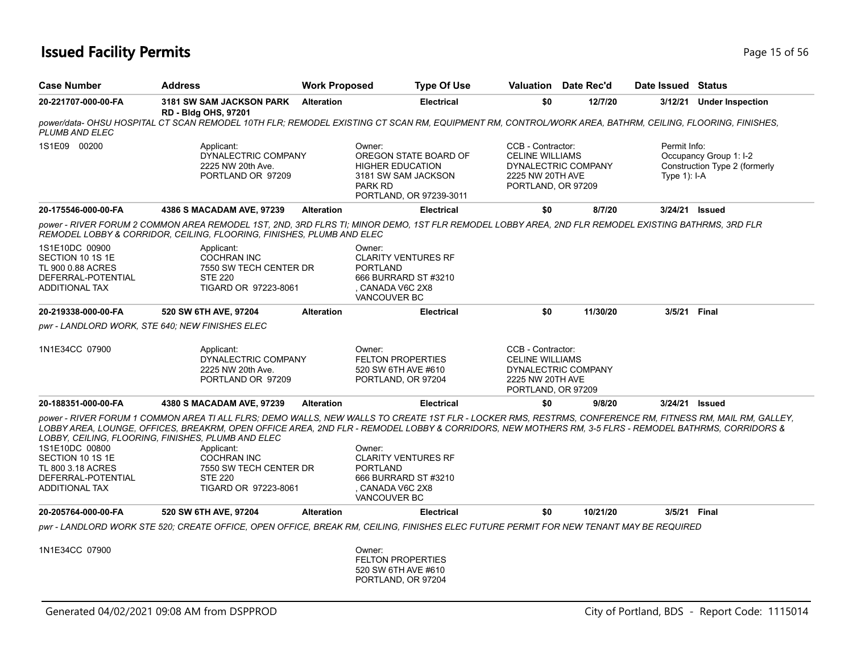## **Issued Facility Permits Page 15 of 56**

| <b>Case Number</b>                                                                                     | <b>Address</b>                                                                                                                                             | <b>Work Proposed</b> | <b>Type Of Use</b>                                                                                                                                                                                                                                                                                                                                                                                                                            |                                                                                       | <b>Valuation</b> Date Rec'd | Date Issued Status             |                                                         |
|--------------------------------------------------------------------------------------------------------|------------------------------------------------------------------------------------------------------------------------------------------------------------|----------------------|-----------------------------------------------------------------------------------------------------------------------------------------------------------------------------------------------------------------------------------------------------------------------------------------------------------------------------------------------------------------------------------------------------------------------------------------------|---------------------------------------------------------------------------------------|-----------------------------|--------------------------------|---------------------------------------------------------|
| 20-221707-000-00-FA                                                                                    | <b>3181 SW SAM JACKSON PARK</b><br><b>RD - Bldg OHS, 97201</b>                                                                                             | <b>Alteration</b>    | <b>Electrical</b>                                                                                                                                                                                                                                                                                                                                                                                                                             | \$0                                                                                   | 12/7/20                     |                                | 3/12/21 Under Inspection                                |
| <b>PLUMB AND ELEC</b>                                                                                  |                                                                                                                                                            |                      | power/data- OHSU HOSPITAL CT SCAN REMODEL 10TH FLR; REMODEL EXISTING CT SCAN RM, EQUIPMENT RM, CONTROL/WORK AREA, BATHRM, CEILING, FLOORING, FINISHES,                                                                                                                                                                                                                                                                                        |                                                                                       |                             |                                |                                                         |
| 1S1E09 00200                                                                                           | Applicant:<br>DYNALECTRIC COMPANY<br>2225 NW 20th Ave.<br>PORTLAND OR 97209                                                                                |                      | Owner:<br>OREGON STATE BOARD OF<br><b>HIGHER EDUCATION</b><br>3181 SW SAM JACKSON<br><b>PARK RD</b><br>PORTLAND, OR 97239-3011                                                                                                                                                                                                                                                                                                                | CCB - Contractor:<br><b>CELINE WILLIAMS</b><br>2225 NW 20TH AVE<br>PORTLAND, OR 97209 | DYNALECTRIC COMPANY         | Permit Info:<br>Type $1$ : I-A | Occupancy Group 1: I-2<br>Construction Type 2 (formerly |
| 20-175546-000-00-FA                                                                                    | 4386 S MACADAM AVE, 97239                                                                                                                                  | <b>Alteration</b>    | <b>Electrical</b>                                                                                                                                                                                                                                                                                                                                                                                                                             | \$0                                                                                   | 8/7/20                      | 3/24/21 Issued                 |                                                         |
|                                                                                                        | REMODEL LOBBY & CORRIDOR, CEILING, FLOORING, FINISHES, PLUMB AND ELEC                                                                                      |                      | power - RIVER FORUM 2 COMMON AREA REMODEL 1ST, 2ND, 3RD FLRS TI; MINOR DEMO, 1ST FLR REMODEL LOBBY AREA, 2ND FLR REMODEL EXISTING BATHRMS, 3RD FLR                                                                                                                                                                                                                                                                                            |                                                                                       |                             |                                |                                                         |
| 1S1E10DC 00900<br>SECTION 10 1S 1E<br><b>TL 900 0.88 ACRES</b><br>DEFERRAL-POTENTIAL<br>ADDITIONAL TAX | Applicant:<br><b>COCHRAN INC</b><br>7550 SW TECH CENTER DR<br><b>STE 220</b><br>TIGARD OR 97223-8061                                                       |                      | Owner:<br><b>CLARITY VENTURES RF</b><br><b>PORTLAND</b><br>666 BURRARD ST #3210<br>CANADA V6C 2X8<br><b>VANCOUVER BC</b>                                                                                                                                                                                                                                                                                                                      |                                                                                       |                             |                                |                                                         |
| 20-219338-000-00-FA                                                                                    | 520 SW 6TH AVE, 97204                                                                                                                                      | <b>Alteration</b>    | <b>Electrical</b>                                                                                                                                                                                                                                                                                                                                                                                                                             | \$0                                                                                   | 11/30/20                    | 3/5/21                         | Final                                                   |
| pwr - LANDLORD WORK, STE 640; NEW FINISHES ELEC                                                        |                                                                                                                                                            |                      |                                                                                                                                                                                                                                                                                                                                                                                                                                               |                                                                                       |                             |                                |                                                         |
| 1N1E34CC 07900                                                                                         | Applicant:<br>DYNALECTRIC COMPANY<br>2225 NW 20th Ave.<br>PORTLAND OR 97209                                                                                |                      | Owner:<br><b>FELTON PROPERTIES</b><br>520 SW 6TH AVE #610<br>PORTLAND, OR 97204                                                                                                                                                                                                                                                                                                                                                               | CCB - Contractor:<br><b>CELINE WILLIAMS</b><br>2225 NW 20TH AVE<br>PORTLAND, OR 97209 | DYNALECTRIC COMPANY         |                                |                                                         |
| 20-188351-000-00-FA                                                                                    | 4380 S MACADAM AVE, 97239                                                                                                                                  | <b>Alteration</b>    | <b>Electrical</b>                                                                                                                                                                                                                                                                                                                                                                                                                             | \$0                                                                                   | 9/8/20                      | 3/24/21 <b>Issued</b>          |                                                         |
| 1S1E10DC 00800<br>SECTION 10 1S 1E<br>TL 800 3.18 ACRES<br>DEFERRAL-POTENTIAL<br><b>ADDITIONAL TAX</b> | LOBBY, CEILING, FLOORING, FINISHES, PLUMB AND ELEC<br>Applicant:<br><b>COCHRAN INC</b><br>7550 SW TECH CENTER DR<br><b>STE 220</b><br>TIGARD OR 97223-8061 |                      | power - RIVER FORUM 1 COMMON AREA TI ALL FLRS; DEMO WALLS, NEW WALLS TO CREATE 1ST FLR - LOCKER RMS, RESTRMS, CONFERENCE RM, FITNESS RM, MAIL RM, GALLEY,<br>LOBBY AREA, LOUNGE, OFFICES, BREAKRM, OPEN OFFICE AREA, 2ND FLR - REMODEL LOBBY & CORRIDORS, NEW MOTHERS RM, 3-5 FLRS - REMODEL BATHRMS, CORRIDORS &<br>Owner:<br><b>CLARITY VENTURES RF</b><br><b>PORTLAND</b><br>666 BURRARD ST #3210<br>CANADA V6C 2X8<br><b>VANCOUVER BC</b> |                                                                                       |                             |                                |                                                         |
| 20-205764-000-00-FA                                                                                    | 520 SW 6TH AVE, 97204                                                                                                                                      | <b>Alteration</b>    | <b>Electrical</b>                                                                                                                                                                                                                                                                                                                                                                                                                             | \$0                                                                                   | 10/21/20                    | 3/5/21 Final                   |                                                         |
|                                                                                                        |                                                                                                                                                            |                      | pwr - LANDLORD WORK STE 520: CREATE OFFICE. OPEN OFFICE. BREAK RM. CEILING. FINISHES ELEC FUTURE PERMIT FOR NEW TENANT MAY BE REQUIRED                                                                                                                                                                                                                                                                                                        |                                                                                       |                             |                                |                                                         |
| 1N1E34CC 07900                                                                                         |                                                                                                                                                            |                      | Owner:<br><b>FELTON PROPERTIES</b><br>520 SW 6TH AVE #610<br>PORTLAND, OR 97204                                                                                                                                                                                                                                                                                                                                                               |                                                                                       |                             |                                |                                                         |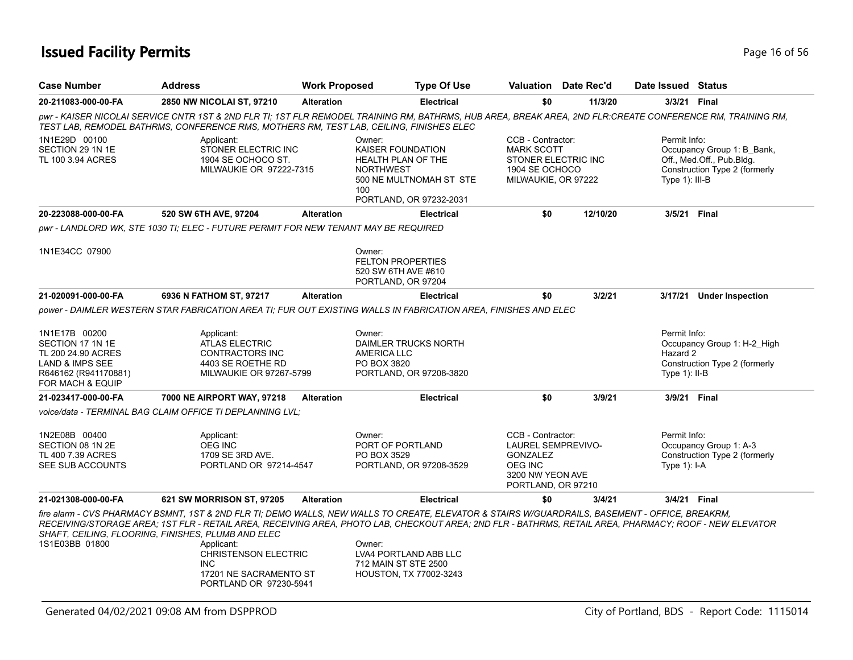## **Issued Facility Permits Page 16 of 56**

| <b>Case Number</b>                                                                                                     | <b>Address</b>                                                                                                                                                                                                                                                                                                                                                                |                   | <b>Work Proposed</b>                                                                                           | <b>Type Of Use</b>      |                                                                                                                               | <b>Valuation</b> Date Rec'd | Date Issued Status                          |                                                                                          |
|------------------------------------------------------------------------------------------------------------------------|-------------------------------------------------------------------------------------------------------------------------------------------------------------------------------------------------------------------------------------------------------------------------------------------------------------------------------------------------------------------------------|-------------------|----------------------------------------------------------------------------------------------------------------|-------------------------|-------------------------------------------------------------------------------------------------------------------------------|-----------------------------|---------------------------------------------|------------------------------------------------------------------------------------------|
| 20-211083-000-00-FA                                                                                                    | 2850 NW NICOLAI ST, 97210                                                                                                                                                                                                                                                                                                                                                     | <b>Alteration</b> |                                                                                                                | <b>Electrical</b>       | \$0                                                                                                                           | 11/3/20                     | 3/3/21 Final                                |                                                                                          |
|                                                                                                                        | pwr - KAISER NICOLAI SERVICE CNTR 1ST & 2ND FLR TI; 1ST FLR REMODEL TRAINING RM, BATHRMS, HUB AREA, BREAK AREA, 2ND FLR:CREATE CONFERENCE RM, TRAINING RM,<br>TEST LAB, REMODEL BATHRMS, CONFERENCE RMS, MOTHERS RM, TEST LAB, CEILING, FINISHES ELEC                                                                                                                         |                   |                                                                                                                |                         |                                                                                                                               |                             |                                             |                                                                                          |
| 1N1E29D 00100<br>SECTION 29 1N 1E<br>TL 100 3.94 ACRES                                                                 | Applicant:<br>STONER ELECTRIC INC<br>1904 SE OCHOCO ST.<br>MILWAUKIE OR 97222-7315                                                                                                                                                                                                                                                                                            |                   | Owner:<br>KAISER FOUNDATION<br><b>HEALTH PLAN OF THE</b><br><b>NORTHWEST</b><br>100<br>PORTLAND, OR 97232-2031 | 500 NE MULTNOMAH ST STE | CCB - Contractor:<br><b>MARK SCOTT</b><br>STONER ELECTRIC INC<br>1904 SE OCHOCO<br>MILWAUKIE, OR 97222                        |                             | Permit Info:<br>Type 1): III-B              | Occupancy Group 1: B_Bank,<br>Off., Med.Off., Pub.Bldg.<br>Construction Type 2 (formerly |
| 20-223088-000-00-FA                                                                                                    | 520 SW 6TH AVE, 97204                                                                                                                                                                                                                                                                                                                                                         | <b>Alteration</b> |                                                                                                                | <b>Electrical</b>       | \$0                                                                                                                           | 12/10/20                    | 3/5/21 Final                                |                                                                                          |
|                                                                                                                        | pwr - LANDLORD WK, STE 1030 TI; ELEC - FUTURE PERMIT FOR NEW TENANT MAY BE REQUIRED                                                                                                                                                                                                                                                                                           |                   |                                                                                                                |                         |                                                                                                                               |                             |                                             |                                                                                          |
| 1N1E34CC 07900                                                                                                         |                                                                                                                                                                                                                                                                                                                                                                               |                   | Owner:<br><b>FELTON PROPERTIES</b><br>520 SW 6TH AVE #610<br>PORTLAND, OR 97204                                |                         |                                                                                                                               |                             |                                             |                                                                                          |
| 21-020091-000-00-FA                                                                                                    | 6936 N FATHOM ST, 97217                                                                                                                                                                                                                                                                                                                                                       | <b>Alteration</b> |                                                                                                                | <b>Electrical</b>       | \$0                                                                                                                           | 3/2/21                      |                                             | 3/17/21 Under Inspection                                                                 |
| 1N1E17B 00200<br>SECTION 17 1N 1E<br>TL 200 24.90 ACRES<br>LAND & IMPS SEE<br>R646162 (R941170881)<br>FOR MACH & EQUIP | power - DAIMLER WESTERN STAR FABRICATION AREA TI; FUR OUT EXISTING WALLS IN FABRICATION AREA, FINISHES AND ELEC<br>Applicant:<br><b>ATLAS ELECTRIC</b><br>CONTRACTORS INC<br>4403 SE ROETHE RD<br><b>MILWAUKIE OR 97267-5799</b>                                                                                                                                              |                   | Owner:<br>DAIMLER TRUCKS NORTH<br><b>AMERICA LLC</b><br>PO BOX 3820                                            | PORTLAND, OR 97208-3820 |                                                                                                                               |                             | Permit Info:<br>Hazard 2<br>Type $1$ : II-B | Occupancy Group 1: H-2 High<br>Construction Type 2 (formerly                             |
| 21-023417-000-00-FA                                                                                                    | 7000 NE AIRPORT WAY, 97218                                                                                                                                                                                                                                                                                                                                                    | <b>Alteration</b> |                                                                                                                | <b>Electrical</b>       | \$0                                                                                                                           | 3/9/21                      | 3/9/21 Final                                |                                                                                          |
|                                                                                                                        | voice/data - TERMINAL BAG CLAIM OFFICE TI DEPLANNING LVL:                                                                                                                                                                                                                                                                                                                     |                   |                                                                                                                |                         |                                                                                                                               |                             |                                             |                                                                                          |
| 1N2E08B 00400<br>SECTION 08 1N 2E<br>TL 400 7.39 ACRES<br>SEE SUB ACCOUNTS                                             | Applicant:<br><b>OEG INC</b><br>1709 SE 3RD AVE.<br>PORTLAND OR 97214-4547                                                                                                                                                                                                                                                                                                    |                   | Owner:<br>PORT OF PORTLAND<br>PO BOX 3529                                                                      | PORTLAND, OR 97208-3529 | CCB - Contractor:<br><b>LAUREL SEMPREVIVO-</b><br><b>GONZALEZ</b><br><b>OEG INC</b><br>3200 NW YEON AVE<br>PORTLAND, OR 97210 |                             | Permit Info:<br>Type $1$ : I-A              | Occupancy Group 1: A-3<br>Construction Type 2 (formerly                                  |
| 21-021308-000-00-FA                                                                                                    | 621 SW MORRISON ST, 97205                                                                                                                                                                                                                                                                                                                                                     | <b>Alteration</b> |                                                                                                                | <b>Electrical</b>       | \$0                                                                                                                           | 3/4/21                      | 3/4/21 Final                                |                                                                                          |
| 1S1E03BB 01800                                                                                                         | fire alarm - CVS PHARMACY BSMNT, 1ST & 2ND FLR TI; DEMO WALLS, NEW WALLS TO CREATE, ELEVATOR & STAIRS W/GUARDRAILS, BASEMENT - OFFICE, BREAKRM,<br>RECEIVING/STORAGE AREA; 1ST FLR - RETAIL AREA, RECEIVING AREA, PHOTO LAB, CHECKOUT AREA; 2ND FLR - BATHRMS, RETAIL AREA, PHARMACY; ROOF - NEW ELEVATOR<br>SHAFT, CEILING, FLOORING, FINISHES, PLUMB AND ELEC<br>Applicant: |                   | Owner:                                                                                                         |                         |                                                                                                                               |                             |                                             |                                                                                          |
|                                                                                                                        | <b>CHRISTENSON ELECTRIC</b><br><b>INC</b><br>17201 NE SACRAMENTO ST<br>PORTLAND OR 97230-5941                                                                                                                                                                                                                                                                                 |                   | LVA4 PORTLAND ABB LLC<br>712 MAIN ST STE 2500<br>HOUSTON, TX 77002-3243                                        |                         |                                                                                                                               |                             |                                             |                                                                                          |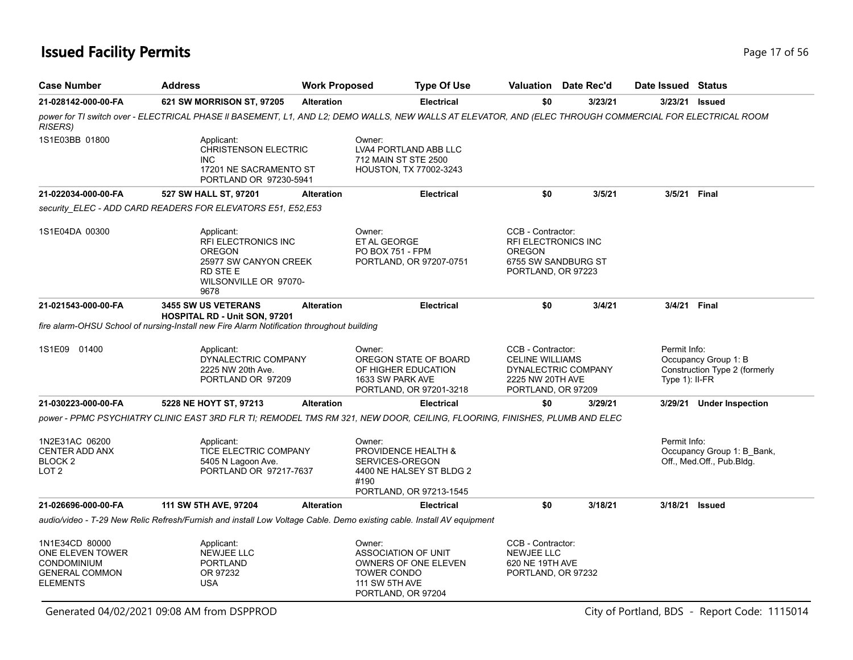| <b>Case Number</b>                                                                                   | <b>Address</b>                                                                                                                                           |                   | <b>Work Proposed</b>                                                                               | <b>Type Of Use</b>                                                         |                                                                                        | <b>Valuation</b> Date Rec'd |                                | Date Issued Status                                      |  |
|------------------------------------------------------------------------------------------------------|----------------------------------------------------------------------------------------------------------------------------------------------------------|-------------------|----------------------------------------------------------------------------------------------------|----------------------------------------------------------------------------|----------------------------------------------------------------------------------------|-----------------------------|--------------------------------|---------------------------------------------------------|--|
| 21-028142-000-00-FA                                                                                  | 621 SW MORRISON ST, 97205                                                                                                                                | <b>Alteration</b> |                                                                                                    | <b>Electrical</b>                                                          | \$0                                                                                    | 3/23/21                     | 3/23/21                        | <b>Issued</b>                                           |  |
| <b>RISERS)</b>                                                                                       | power for TI switch over - ELECTRICAL PHASE II BASEMENT, L1, AND L2; DEMO WALLS, NEW WALLS AT ELEVATOR, AND (ELEC THROUGH COMMERCIAL FOR ELECTRICAL ROOM |                   |                                                                                                    |                                                                            |                                                                                        |                             |                                |                                                         |  |
| 1S1E03BB 01800                                                                                       | Applicant:<br><b>CHRISTENSON ELECTRIC</b><br><b>INC</b><br>17201 NE SACRAMENTO ST<br>PORTLAND OR 97230-5941                                              |                   | Owner:<br>712 MAIN ST STE 2500                                                                     | LVA4 PORTLAND ABB LLC<br><b>HOUSTON, TX 77002-3243</b>                     |                                                                                        |                             |                                |                                                         |  |
| 21-022034-000-00-FA                                                                                  | 527 SW HALL ST, 97201                                                                                                                                    | <b>Alteration</b> |                                                                                                    | <b>Electrical</b>                                                          | \$0                                                                                    | 3/5/21                      | 3/5/21 Final                   |                                                         |  |
|                                                                                                      | security ELEC - ADD CARD READERS FOR ELEVATORS E51, E52, E53                                                                                             |                   |                                                                                                    |                                                                            |                                                                                        |                             |                                |                                                         |  |
| 1S1E04DA 00300                                                                                       | Applicant:<br><b>RFI ELECTRONICS INC</b><br><b>OREGON</b><br>25977 SW CANYON CREEK<br>RD STE E<br>WILSONVILLE OR 97070-<br>9678                          |                   | Owner:<br>ET AL GEORGE<br><b>PO BOX 751 - FPM</b>                                                  | PORTLAND, OR 97207-0751                                                    | CCB - Contractor:<br><b>RFI ELECTRONICS INC</b><br><b>OREGON</b><br>PORTLAND, OR 97223 | 6755 SW SANDBURG ST         |                                |                                                         |  |
| 21-021543-000-00-FA                                                                                  | <b>3455 SW US VETERANS</b>                                                                                                                               | <b>Alteration</b> |                                                                                                    | <b>Electrical</b>                                                          | \$0                                                                                    | 3/4/21                      | 3/4/21 Final                   |                                                         |  |
|                                                                                                      | <b>HOSPITAL RD - Unit SON, 97201</b><br>fire alarm-OHSU School of nursing-Install new Fire Alarm Notification throughout building                        |                   |                                                                                                    |                                                                            |                                                                                        |                             |                                |                                                         |  |
| 1S1E09 01400                                                                                         | Applicant:<br>DYNALECTRIC COMPANY<br>2225 NW 20th Ave.<br>PORTLAND OR 97209                                                                              |                   | Owner:<br>1633 SW PARK AVE                                                                         | OREGON STATE OF BOARD<br>OF HIGHER EDUCATION<br>PORTLAND, OR 97201-3218    | CCB - Contractor:<br><b>CELINE WILLIAMS</b><br>2225 NW 20TH AVE<br>PORTLAND, OR 97209  | DYNALECTRIC COMPANY         | Permit Info:<br>Type 1): II-FR | Occupancy Group 1: B<br>Construction Type 2 (formerly   |  |
| 21-030223-000-00-FA                                                                                  | 5228 NE HOYT ST, 97213                                                                                                                                   | <b>Alteration</b> |                                                                                                    | <b>Electrical</b>                                                          | \$0                                                                                    | 3/29/21                     |                                | 3/29/21 Under Inspection                                |  |
|                                                                                                      | power - PPMC PSYCHIATRY CLINIC EAST 3RD FLR TI; REMODEL TMS RM 321, NEW DOOR, CEILING, FLOORING, FINISHES, PLUMB AND ELEC                                |                   |                                                                                                    |                                                                            |                                                                                        |                             |                                |                                                         |  |
| 1N2E31AC 06200<br><b>CENTER ADD ANX</b><br>BLOCK 2<br>LOT 2                                          | Applicant:<br>TICE ELECTRIC COMPANY<br>5405 N Lagoon Ave.<br>PORTLAND OR 97217-7637                                                                      |                   | Owner:<br>SERVICES-OREGON<br>#190                                                                  | PROVIDENCE HEALTH &<br>4400 NE HALSEY ST BLDG 2<br>PORTLAND, OR 97213-1545 |                                                                                        |                             | Permit Info:                   | Occupancy Group 1: B_Bank,<br>Off., Med.Off., Pub.Bldg. |  |
| 21-026696-000-00-FA                                                                                  | 111 SW 5TH AVE, 97204                                                                                                                                    | <b>Alteration</b> |                                                                                                    | <b>Electrical</b>                                                          | \$0                                                                                    | 3/18/21                     | 3/18/21 Issued                 |                                                         |  |
|                                                                                                      | audio/video - T-29 New Relic Refresh/Furnish and install Low Voltage Cable. Demo existing cable. Install AV equipment                                    |                   |                                                                                                    |                                                                            |                                                                                        |                             |                                |                                                         |  |
| 1N1E34CD 80000<br>ONE ELEVEN TOWER<br><b>CONDOMINIUM</b><br><b>GENERAL COMMON</b><br><b>ELEMENTS</b> | Applicant:<br><b>NEWJEE LLC</b><br><b>PORTLAND</b><br>OR 97232<br><b>USA</b>                                                                             |                   | Owner:<br>ASSOCIATION OF UNIT<br><b>TOWER CONDO</b><br><b>111 SW 5TH AVE</b><br>PORTLAND, OR 97204 | OWNERS OF ONE ELEVEN                                                       | CCB - Contractor:<br><b>NEWJEE LLC</b><br>620 NE 19TH AVE<br>PORTLAND, OR 97232        |                             |                                |                                                         |  |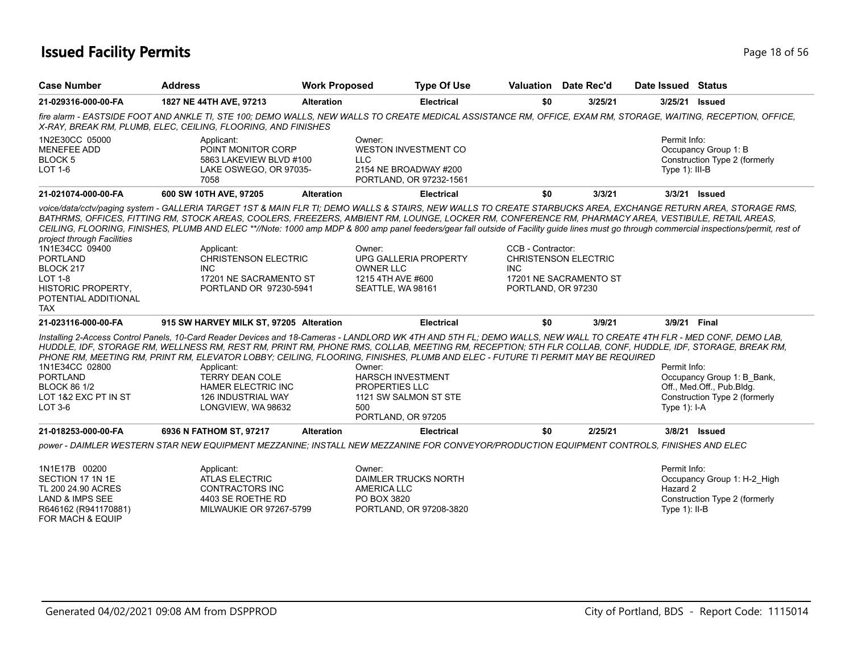## **Issued Facility Permits Page 18 of 56**

| <b>Case Number</b>                                                                                                                                                | <b>Address</b>                                                                                                                                                                                                                                                                                                                                                                                                                                                                                                                                                                                                                      | <b>Work Proposed</b> | <b>Type Of Use</b>                                                                                         |                                                 | Valuation Date Rec'd                                  | Date Issued Status                          |                                                                                          |
|-------------------------------------------------------------------------------------------------------------------------------------------------------------------|-------------------------------------------------------------------------------------------------------------------------------------------------------------------------------------------------------------------------------------------------------------------------------------------------------------------------------------------------------------------------------------------------------------------------------------------------------------------------------------------------------------------------------------------------------------------------------------------------------------------------------------|----------------------|------------------------------------------------------------------------------------------------------------|-------------------------------------------------|-------------------------------------------------------|---------------------------------------------|------------------------------------------------------------------------------------------|
| 21-029316-000-00-FA                                                                                                                                               | 1827 NE 44TH AVE, 97213                                                                                                                                                                                                                                                                                                                                                                                                                                                                                                                                                                                                             | <b>Alteration</b>    | <b>Electrical</b>                                                                                          | \$0                                             | 3/25/21                                               | 3/25/21                                     | Issued                                                                                   |
|                                                                                                                                                                   | fire alarm - EASTSIDE FOOT AND ANKLE TI, STE 100; DEMO WALLS, NEW WALLS TO CREATE MEDICAL ASSISTANCE RM, OFFICE, EXAM RM, STORAGE, WAITING, RECEPTION, OFFICE,<br>X-RAY, BREAK RM, PLUMB, ELEC, CEILING, FLOORING, AND FINISHES                                                                                                                                                                                                                                                                                                                                                                                                     |                      |                                                                                                            |                                                 |                                                       |                                             |                                                                                          |
| 1N2E30CC 05000<br><b>MENEFEE ADD</b><br>BLOCK 5<br>LOT 1-6                                                                                                        | Applicant:<br>POINT MONITOR CORP<br>5863 LAKEVIEW BLVD #100<br>LAKE OSWEGO, OR 97035-<br>7058                                                                                                                                                                                                                                                                                                                                                                                                                                                                                                                                       |                      | Owner:<br><b>WESTON INVESTMENT CO</b><br>LLC.<br>2154 NE BROADWAY #200<br>PORTLAND, OR 97232-1561          |                                                 |                                                       | Permit Info:<br>Type 1): III-B              | Occupancy Group 1: B<br>Construction Type 2 (formerly                                    |
| 21-021074-000-00-FA                                                                                                                                               | 600 SW 10TH AVE, 97205                                                                                                                                                                                                                                                                                                                                                                                                                                                                                                                                                                                                              | <b>Alteration</b>    | <b>Electrical</b>                                                                                          | \$0                                             | 3/3/21                                                |                                             | 3/3/21 <b>Issued</b>                                                                     |
| project through Facilities<br>1N1E34CC 09400<br><b>PORTLAND</b><br>BLOCK 217<br><b>LOT 1-8</b><br><b>HISTORIC PROPERTY,</b><br>POTENTIAL ADDITIONAL<br><b>TAX</b> | voice/data/cctv/paqinq system - GALLERIA TARGET 1ST & MAIN FLR TI; DEMO WALLS & STAIRS, NEW WALLS TO CREATE STARBUCKS AREA, EXCHANGE RETURN AREA, STORAGE RMS,<br>BATHRMS, OFFICES, FITTING RM, STOCK AREAS, COOLERS, FREEZERS, AMBIENT RM, LOUNGE, LOCKER RM, CONFERENCE RM, PHARMACY AREA, VESTIBULE, RETAIL AREAS,<br>CEILING, FLOORING, FINISHES, PLUMB AND ELEC **//Note: 1000 amp MDP & 800 amp panel feeders/gear fall outside of Facility guide lines must go through commercial inspections/permit, rest of<br>Applicant:<br><b>CHRISTENSON ELECTRIC</b><br><b>INC</b><br>17201 NE SACRAMENTO ST<br>PORTLAND OR 97230-5941 |                      | Owner:<br><b>UPG GALLERIA PROPERTY</b><br><b>OWNER LLC</b><br>1215 4TH AVE #600<br>SEATTLE, WA 98161       | CCB - Contractor:<br>INC.<br>PORTLAND, OR 97230 | <b>CHRISTENSON ELECTRIC</b><br>17201 NE SACRAMENTO ST |                                             |                                                                                          |
| 21-023116-000-00-FA                                                                                                                                               | 915 SW HARVEY MILK ST, 97205 Alteration                                                                                                                                                                                                                                                                                                                                                                                                                                                                                                                                                                                             |                      | <b>Electrical</b>                                                                                          | \$0                                             | 3/9/21                                                | 3/9/21 Final                                |                                                                                          |
| 1N1E34CC 02800<br><b>PORTLAND</b><br><b>BLOCK 86 1/2</b><br>LOT 1&2 EXC PT IN ST<br>$LOT3-6$                                                                      | Installing 2-Access Control Panels, 10-Card Reader Devices and 18-Cameras - LANDLORD WK 4TH AND 5TH FL; DEMO WALLS, NEW WALL TO CREATE 4TH FLR - MED CONF, DEMO LAB,<br>HUDDLE, IDF, STORAGE RM, WELLNESS RM, REST RM, PRINT RM, PHONE RMS, COLLAB, MEETING RM, RECEPTION; 5TH FLR COLLAB, CONF, HUDDLE, IDF, STORAGE, BREAK RM,<br>PHONE RM, MEETING RM, PRINT RM, ELEVATOR LOBBY; CEILING, FLOORING, FINISHES, PLUMB AND ELEC - FUTURE TI PERMIT MAY BE REQUIRED<br>Applicant:<br><b>TERRY DEAN COLE</b><br><b>HAMER ELECTRIC INC</b><br><b>126 INDUSTRIAL WAY</b><br>LONGVIEW, WA 98632                                          |                      | Owner:<br><b>HARSCH INVESTMENT</b><br>PROPERTIES LLC<br>1121 SW SALMON ST STE<br>500<br>PORTLAND, OR 97205 |                                                 |                                                       | Permit Info:<br>Type $1$ ): I-A             | Occupancy Group 1: B Bank,<br>Off., Med.Off., Pub.Bldg.<br>Construction Type 2 (formerly |
| 21-018253-000-00-FA                                                                                                                                               | 6936 N FATHOM ST, 97217                                                                                                                                                                                                                                                                                                                                                                                                                                                                                                                                                                                                             | <b>Alteration</b>    | <b>Electrical</b>                                                                                          | \$0                                             | 2/25/21                                               |                                             | 3/8/21 Issued                                                                            |
|                                                                                                                                                                   | power - DAIMLER WESTERN STAR NEW EQUIPMENT MEZZANINE; INSTALL NEW MEZZANINE FOR CONVEYOR/PRODUCTION EQUIPMENT CONTROLS, FINISHES AND ELEC                                                                                                                                                                                                                                                                                                                                                                                                                                                                                           |                      |                                                                                                            |                                                 |                                                       |                                             |                                                                                          |
| 1N1E17B 00200<br>SECTION 17 1N 1E<br>TL 200 24.90 ACRES<br><b>LAND &amp; IMPS SEE</b><br>R646162 (R941170881)                                                     | Applicant:<br><b>ATLAS ELECTRIC</b><br><b>CONTRACTORS INC</b><br>4403 SE ROETHE RD<br>MILWAUKIE OR 97267-5799                                                                                                                                                                                                                                                                                                                                                                                                                                                                                                                       |                      | Owner:<br><b>DAIMLER TRUCKS NORTH</b><br>AMERICA LLC<br>PO BOX 3820<br>PORTLAND, OR 97208-3820             |                                                 |                                                       | Permit Info:<br>Hazard 2<br>Type $1$ : II-B | Occupancy Group 1: H-2_High<br>Construction Type 2 (formerly                             |

FOR MACH & EQUIP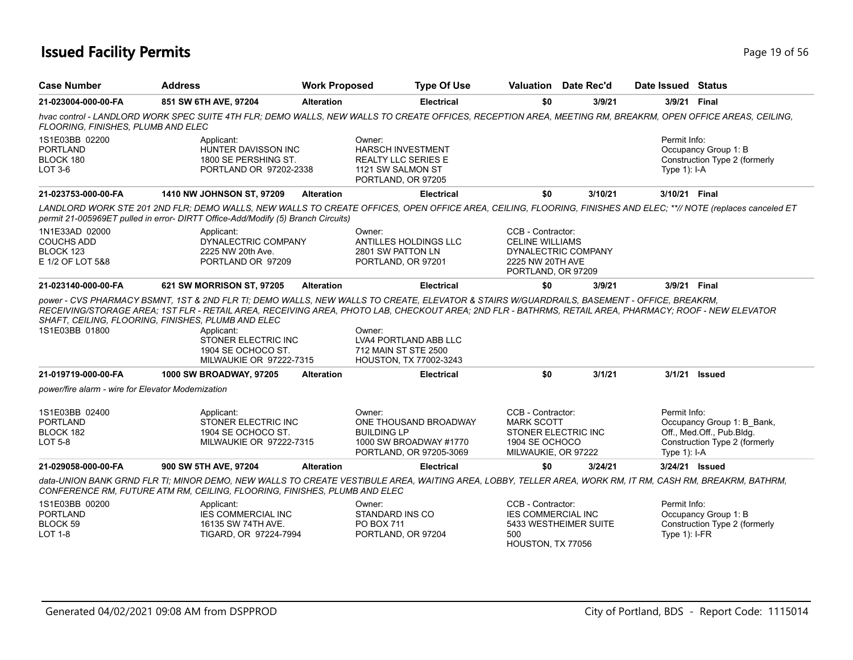## **Issued Facility Permits Page 19 of 56**

| <b>Case Number</b>                                                   | <b>Address</b>                                                                                                                                                                                                                                                                                     | <b>Work Proposed</b> | <b>Type Of Use</b>                                                                                          |                                                                                       | <b>Valuation</b> Date Rec'd | Date Issued Status              |                                                                                          |
|----------------------------------------------------------------------|----------------------------------------------------------------------------------------------------------------------------------------------------------------------------------------------------------------------------------------------------------------------------------------------------|----------------------|-------------------------------------------------------------------------------------------------------------|---------------------------------------------------------------------------------------|-----------------------------|---------------------------------|------------------------------------------------------------------------------------------|
| 21-023004-000-00-FA                                                  | 851 SW 6TH AVE, 97204                                                                                                                                                                                                                                                                              | <b>Alteration</b>    | Electrical                                                                                                  | \$0                                                                                   | 3/9/21                      | 3/9/21 Final                    |                                                                                          |
| FLOORING, FINISHES, PLUMB AND ELEC                                   | hvac control - LANDLORD WORK SPEC SUITE 4TH FLR; DEMO WALLS, NEW WALLS TO CREATE OFFICES, RECEPTION AREA, MEETING RM, BREAKRM, OPEN OFFICE AREAS, CEILING,                                                                                                                                         |                      |                                                                                                             |                                                                                       |                             |                                 |                                                                                          |
| 1S1E03BB 02200<br><b>PORTLAND</b><br>BLOCK 180<br>LOT 3-6            | Applicant:<br>HUNTER DAVISSON INC<br>1800 SE PERSHING ST.<br>PORTLAND OR 97202-2338                                                                                                                                                                                                                |                      | Owner:<br><b>HARSCH INVESTMENT</b><br><b>REALTY LLC SERIES E</b><br>1121 SW SALMON ST<br>PORTLAND, OR 97205 |                                                                                       |                             | Permit Info:<br>Type $1$ : I-A  | Occupancy Group 1: B<br>Construction Type 2 (formerly                                    |
| 21-023753-000-00-FA                                                  | <b>1410 NW JOHNSON ST, 97209</b>                                                                                                                                                                                                                                                                   | <b>Alteration</b>    | <b>Electrical</b>                                                                                           | \$0                                                                                   | 3/10/21                     | 3/10/21 Final                   |                                                                                          |
|                                                                      | LANDLORD WORK STE 201 2ND FLR; DEMO WALLS, NEW WALLS TO CREATE OFFICES, OPEN OFFICE AREA, CEILING, FLOORING, FINISHES AND ELEC; **// NOTE (replaces canceled ET<br>permit 21-005969ET pulled in error- DIRTT Office-Add/Modify (5) Branch Circuits)                                                |                      |                                                                                                             |                                                                                       |                             |                                 |                                                                                          |
| 1N1E33AD 02000<br><b>COUCHS ADD</b><br>BLOCK 123<br>E 1/2 OF LOT 5&8 | Applicant:<br>DYNALECTRIC COMPANY<br>2225 NW 20th Ave.<br>PORTLAND OR 97209                                                                                                                                                                                                                        |                      | Owner:<br>ANTILLES HOLDINGS LLC<br>2801 SW PATTON LN<br>PORTLAND, OR 97201                                  | CCB - Contractor:<br><b>CELINE WILLIAMS</b><br>2225 NW 20TH AVE<br>PORTLAND, OR 97209 | DYNALECTRIC COMPANY         |                                 |                                                                                          |
| 21-023140-000-00-FA                                                  | 621 SW MORRISON ST, 97205                                                                                                                                                                                                                                                                          | <b>Alteration</b>    | <b>Electrical</b>                                                                                           | \$0                                                                                   | 3/9/21                      | 3/9/21 Final                    |                                                                                          |
| 1S1E03BB 01800                                                       | RECEIVING/STORAGE AREA: 1ST FLR - RETAIL AREA. RECEIVING AREA. PHOTO LAB. CHECKOUT AREA: 2ND FLR - BATHRMS, RETAIL AREA, PHARMACY: ROOF - NEW ELEVATOR<br>SHAFT, CEILING, FLOORING, FINISHES, PLUMB AND ELEC<br>Applicant:<br>STONER ELECTRIC INC<br>1904 SE OCHOCO ST.<br>MILWAUKIE OR 97222-7315 |                      | Owner:<br>LVA4 PORTLAND ABB LLC<br>712 MAIN ST STE 2500<br>HOUSTON, TX 77002-3243                           |                                                                                       |                             |                                 |                                                                                          |
| 21-019719-000-00-FA                                                  | <b>1000 SW BROADWAY, 97205</b>                                                                                                                                                                                                                                                                     | <b>Alteration</b>    | <b>Electrical</b>                                                                                           | \$0                                                                                   | 3/1/21                      | 3/1/21                          | <b>Issued</b>                                                                            |
| power/fire alarm - wire for Elevator Modernization                   |                                                                                                                                                                                                                                                                                                    |                      |                                                                                                             |                                                                                       |                             |                                 |                                                                                          |
| 1S1E03BB 02400<br><b>PORTLAND</b><br>BLOCK 182<br><b>LOT 5-8</b>     | Applicant:<br>STONER ELECTRIC INC<br>1904 SE OCHOCO ST.<br>MILWAUKIE OR 97222-7315                                                                                                                                                                                                                 |                      | Owner:<br>ONE THOUSAND BROADWAY<br><b>BUILDING LP</b><br>1000 SW BROADWAY #1770<br>PORTLAND, OR 97205-3069  | CCB - Contractor:<br><b>MARK SCOTT</b><br>1904 SE OCHOCO<br>MILWAUKIE, OR 97222       | STONER ELECTRIC INC         | Permit Info:<br>Type $1$ : I-A  | Occupancy Group 1: B Bank,<br>Off., Med.Off., Pub.Bldg.<br>Construction Type 2 (formerly |
| 21-029058-000-00-FA                                                  | 900 SW 5TH AVE, 97204                                                                                                                                                                                                                                                                              | <b>Alteration</b>    | <b>Electrical</b>                                                                                           | \$0                                                                                   | 3/24/21                     | 3/24/21 Issued                  |                                                                                          |
|                                                                      | data-UNION BANK GRND FLR TI; MINOR DEMO, NEW WALLS TO CREATE VESTIBULE AREA, WAITING AREA, LOBBY, TELLER AREA, WORK RM, IT RM, CASH RM, BREAKRM, BATHRM,<br>CONFERENCE RM, FUTURE ATM RM, CEILING, FLOORING, FINISHES, PLUMB AND ELEC                                                              |                      |                                                                                                             |                                                                                       |                             |                                 |                                                                                          |
| 1S1E03BB 00200<br><b>PORTLAND</b><br>BLOCK 59<br>LOT 1-8             | Applicant:<br><b>IES COMMERCIAL INC</b><br>16135 SW 74TH AVE.<br>TIGARD, OR 97224-7994                                                                                                                                                                                                             |                      | Owner:<br>STANDARD INS CO<br>PO BOX 711<br>PORTLAND, OR 97204                                               | CCB - Contractor:<br><b>IES COMMERCIAL INC</b><br>500                                 | 5433 WESTHEIMER SUITE       | Permit Info:<br>Type $1$ : I-FR | Occupancy Group 1: B<br>Construction Type 2 (formerly                                    |

HOUSTON, TX 77056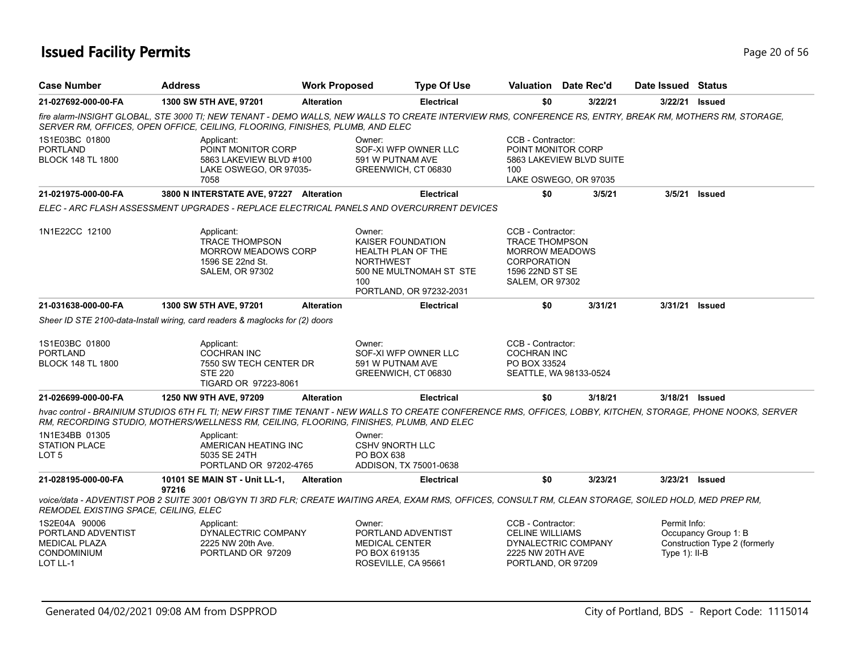## **Issued Facility Permits** Page 20 of 56

| <b>Case Number</b>                                                                            | <b>Address</b>                                                                                                                                                                                                                                          | <b>Work Proposed</b> |                                                                              | <b>Type Of Use</b>                                 | <b>Valuation</b> Date Rec'd                                                                                                            |         | Date Issued Status               |                                                       |
|-----------------------------------------------------------------------------------------------|---------------------------------------------------------------------------------------------------------------------------------------------------------------------------------------------------------------------------------------------------------|----------------------|------------------------------------------------------------------------------|----------------------------------------------------|----------------------------------------------------------------------------------------------------------------------------------------|---------|----------------------------------|-------------------------------------------------------|
| 21-027692-000-00-FA                                                                           | 1300 SW 5TH AVE, 97201                                                                                                                                                                                                                                  | <b>Alteration</b>    |                                                                              | <b>Electrical</b>                                  | \$0                                                                                                                                    | 3/22/21 | 3/22/21 <b>Issued</b>            |                                                       |
|                                                                                               | fire alarm-INSIGHT GLOBAL, STE 3000 TI; NEW TENANT - DEMO WALLS, NEW WALLS TO CREATE INTERVIEW RMS, CONFERENCE RS, ENTRY, BREAK RM, MOTHERS RM, STORAGE,<br>SERVER RM, OFFICES, OPEN OFFICE, CEILING, FLOORING, FINISHES, PLUMB, AND ELEC               |                      |                                                                              |                                                    |                                                                                                                                        |         |                                  |                                                       |
| 1S1E03BC 01800<br><b>PORTLAND</b><br><b>BLOCK 148 TL 1800</b>                                 | Applicant:<br>POINT MONITOR CORP<br>5863 LAKEVIEW BLVD #100<br>LAKE OSWEGO, OR 97035-<br>7058                                                                                                                                                           |                      | Owner:<br>591 W PUTNAM AVE<br>GREENWICH, CT 06830                            | SOF-XI WFP OWNER LLC                               | CCB - Contractor:<br>POINT MONITOR CORP<br>5863 LAKEVIEW BLVD SUITE<br>100<br>LAKE OSWEGO, OR 97035                                    |         |                                  |                                                       |
| 21-021975-000-00-FA                                                                           | 3800 N INTERSTATE AVE, 97227 Alteration                                                                                                                                                                                                                 |                      |                                                                              | <b>Electrical</b>                                  | \$0                                                                                                                                    | 3/5/21  | 3/5/21                           | Issued                                                |
|                                                                                               | ELEC - ARC FLASH ASSESSMENT UPGRADES - REPLACE ELECTRICAL PANELS AND OVERCURRENT DEVICES                                                                                                                                                                |                      |                                                                              |                                                    |                                                                                                                                        |         |                                  |                                                       |
| 1N1E22CC 12100                                                                                | Applicant:<br><b>TRACE THOMPSON</b><br><b>MORROW MEADOWS CORP</b><br>1596 SE 22nd St.<br><b>SALEM, OR 97302</b>                                                                                                                                         |                      | Owner:<br>KAISER FOUNDATION<br>HEALTH PLAN OF THE<br><b>NORTHWEST</b><br>100 | 500 NE MULTNOMAH ST STE<br>PORTLAND, OR 97232-2031 | CCB - Contractor:<br><b>TRACE THOMPSON</b><br><b>MORROW MEADOWS</b><br><b>CORPORATION</b><br>1596 22ND ST SE<br><b>SALEM, OR 97302</b> |         |                                  |                                                       |
| 21-031638-000-00-FA                                                                           | 1300 SW 5TH AVE, 97201                                                                                                                                                                                                                                  | <b>Alteration</b>    |                                                                              | <b>Electrical</b>                                  | \$0                                                                                                                                    | 3/31/21 | 3/31/21                          | <b>Issued</b>                                         |
|                                                                                               | Sheer ID STE 2100-data-Install wiring, card readers & maglocks for (2) doors                                                                                                                                                                            |                      |                                                                              |                                                    |                                                                                                                                        |         |                                  |                                                       |
| 1S1E03BC 01800<br><b>PORTLAND</b><br><b>BLOCK 148 TL 1800</b>                                 | Applicant:<br><b>COCHRAN INC</b><br>7550 SW TECH CENTER DR<br><b>STE 220</b><br>TIGARD OR 97223-8061                                                                                                                                                    |                      | Owner:<br>591 W PUTNAM AVE<br>GREENWICH, CT 06830                            | SOF-XI WFP OWNER LLC                               | CCB - Contractor:<br><b>COCHRAN INC</b><br>PO BOX 33524<br>SEATTLE, WA 98133-0524                                                      |         |                                  |                                                       |
| 21-026699-000-00-FA                                                                           | 1250 NW 9TH AVE, 97209                                                                                                                                                                                                                                  | <b>Alteration</b>    |                                                                              | <b>Electrical</b>                                  | \$0                                                                                                                                    | 3/18/21 | 3/18/21                          | <b>Issued</b>                                         |
|                                                                                               | hvac control - BRAINIUM STUDIOS 6TH FL TI; NEW FIRST TIME TENANT - NEW WALLS TO CREATE CONFERENCE RMS, OFFICES, LOBBY, KITCHEN, STORAGE, PHONE NOOKS, SERVER<br>RM, RECORDING STUDIO, MOTHERS/WELLNESS RM, CEILING, FLOORING, FINISHES, PLUMB, AND ELEC |                      |                                                                              |                                                    |                                                                                                                                        |         |                                  |                                                       |
| 1N1E34BB 01305<br><b>STATION PLACE</b><br>LOT 5                                               | Applicant:<br>AMERICAN HEATING INC<br>5035 SE 24TH<br>PORTLAND OR 97202-4765                                                                                                                                                                            |                      | Owner:<br><b>CSHV 9NORTH LLC</b><br><b>PO BOX 638</b>                        | ADDISON, TX 75001-0638                             |                                                                                                                                        |         |                                  |                                                       |
| 21-028195-000-00-FA                                                                           | 10101 SE MAIN ST - Unit LL-1.                                                                                                                                                                                                                           | <b>Alteration</b>    |                                                                              | <b>Electrical</b>                                  | \$0                                                                                                                                    | 3/23/21 | 3/23/21                          | Issued                                                |
| REMODEL EXISTING SPACE, CEILING, ELEC                                                         | 97216<br>voice/data - ADVENTIST POB 2 SUITE 3001 OB/GYN TI 3RD FLR; CREATE WAITING AREA, EXAM RMS, OFFICES, CONSULT RM, CLEAN STORAGE, SOILED HOLD, MED PREP RM,                                                                                        |                      |                                                                              |                                                    |                                                                                                                                        |         |                                  |                                                       |
| 1S2E04A 90006<br>PORTLAND ADVENTIST<br><b>MEDICAL PLAZA</b><br><b>CONDOMINIUM</b><br>LOT LL-1 | Applicant:<br>DYNALECTRIC COMPANY<br>2225 NW 20th Ave.<br>PORTLAND OR 97209                                                                                                                                                                             |                      | Owner:<br><b>MEDICAL CENTER</b><br>PO BOX 619135<br>ROSEVILLE, CA 95661      | PORTLAND ADVENTIST                                 | CCB - Contractor:<br><b>CELINE WILLIAMS</b><br>DYNALECTRIC COMPANY<br>2225 NW 20TH AVE<br>PORTLAND, OR 97209                           |         | Permit Info:<br>Type $1$ ): II-B | Occupancy Group 1: B<br>Construction Type 2 (formerly |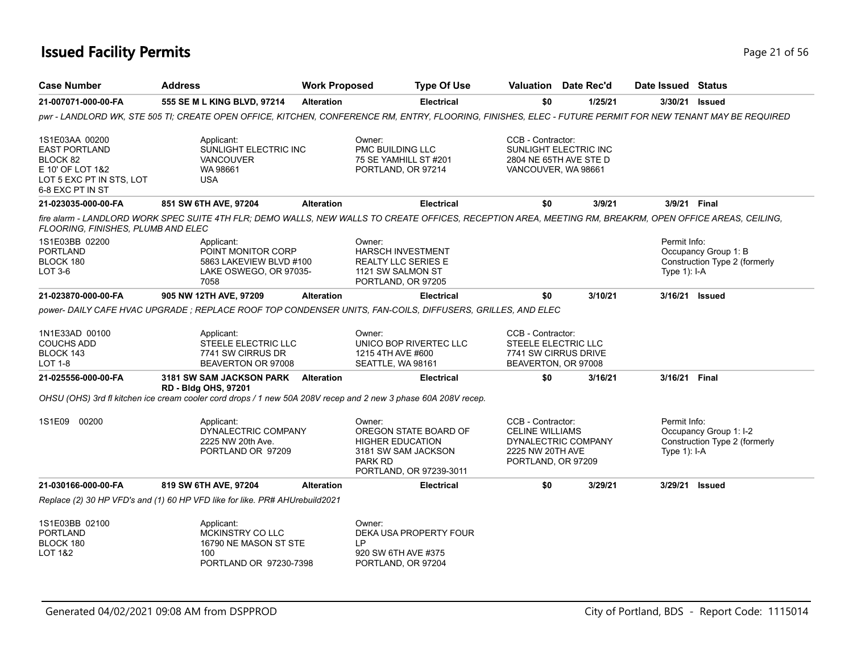## **Issued Facility Permits** Provide the Contract of 56 and 21 of 56 and 21 of 56 and 21 of 56 and 21 of 56 and 21 of 56

| <b>Case Number</b>                                                                                                     | <b>Address</b>                                                                                                                                                                             | <b>Work Proposed</b> |                                                                                                             | <b>Type Of Use</b>                                                      | Valuation Date Rec'd                                                                                         |         | Date Issued Status             |                                                         |
|------------------------------------------------------------------------------------------------------------------------|--------------------------------------------------------------------------------------------------------------------------------------------------------------------------------------------|----------------------|-------------------------------------------------------------------------------------------------------------|-------------------------------------------------------------------------|--------------------------------------------------------------------------------------------------------------|---------|--------------------------------|---------------------------------------------------------|
| 21-007071-000-00-FA                                                                                                    | 555 SE M L KING BLVD, 97214                                                                                                                                                                | <b>Alteration</b>    |                                                                                                             | <b>Electrical</b>                                                       | \$0                                                                                                          | 1/25/21 |                                | 3/30/21 Issued                                          |
|                                                                                                                        | pwr - LANDLORD WK, STE 505 TI; CREATE OPEN OFFICE, KITCHEN, CONFERENCE RM, ENTRY, FLOORING, FINISHES, ELEC - FUTURE PERMIT FOR NEW TENANT MAY BE REQUIRED                                  |                      |                                                                                                             |                                                                         |                                                                                                              |         |                                |                                                         |
| 1S1E03AA 00200<br><b>EAST PORTLAND</b><br>BLOCK 82<br>E 10' OF LOT 1&2<br>LOT 5 EXC PT IN STS, LOT<br>6-8 EXC PT IN ST | Applicant:<br>SUNLIGHT ELECTRIC INC<br><b>VANCOUVER</b><br>WA 98661<br><b>USA</b>                                                                                                          |                      | Owner:<br>PMC BUILDING LLC<br>75 SE YAMHILL ST #201<br>PORTLAND, OR 97214                                   |                                                                         | CCB - Contractor:<br>SUNLIGHT ELECTRIC INC<br>2804 NE 65TH AVE STE D<br>VANCOUVER, WA 98661                  |         |                                |                                                         |
| 21-023035-000-00-FA                                                                                                    | 851 SW 6TH AVE, 97204                                                                                                                                                                      | <b>Alteration</b>    |                                                                                                             | <b>Electrical</b>                                                       | \$0                                                                                                          | 3/9/21  |                                | 3/9/21 Final                                            |
| FLOORING, FINISHES, PLUMB AND ELEC                                                                                     | fire alarm - LANDLORD WORK SPEC SUITE 4TH FLR; DEMO WALLS, NEW WALLS TO CREATE OFFICES, RECEPTION AREA, MEETING RM, BREAKRM, OPEN OFFICE AREAS, CEILING,                                   |                      |                                                                                                             |                                                                         |                                                                                                              |         |                                |                                                         |
| 1S1E03BB 02200<br><b>PORTLAND</b><br>BLOCK 180<br>LOT 3-6                                                              | Applicant:<br>POINT MONITOR CORP<br>5863 LAKEVIEW BLVD #100<br>LAKE OSWEGO, OR 97035-<br>7058                                                                                              |                      | Owner:<br><b>HARSCH INVESTMENT</b><br><b>REALTY LLC SERIES E</b><br>1121 SW SALMON ST<br>PORTLAND, OR 97205 |                                                                         |                                                                                                              |         | Permit Info:<br>Type $1$ : I-A | Occupancy Group 1: B<br>Construction Type 2 (formerly   |
| 21-023870-000-00-FA                                                                                                    | 905 NW 12TH AVE, 97209                                                                                                                                                                     | <b>Alteration</b>    |                                                                                                             | <b>Electrical</b>                                                       | \$0                                                                                                          | 3/10/21 |                                | 3/16/21 Issued                                          |
| 1N1E33AD 00100<br><b>COUCHS ADD</b><br>BLOCK 143<br>LOT 1-8                                                            | power- DAILY CAFE HVAC UPGRADE : REPLACE ROOF TOP CONDENSER UNITS, FAN-COILS, DIFFUSERS, GRILLES, AND ELEC<br>Applicant:<br>STEELE ELECTRIC LLC<br>7741 SW CIRRUS DR<br>BEAVERTON OR 97008 |                      | Owner:<br>1215 4TH AVE #600<br>SEATTLE, WA 98161                                                            | UNICO BOP RIVERTEC LLC                                                  | CCB - Contractor:<br>STEELE ELECTRIC LLC<br>7741 SW CIRRUS DRIVE<br>BEAVERTON, OR 97008                      |         |                                |                                                         |
| 21-025556-000-00-FA                                                                                                    | 3181 SW SAM JACKSON PARK Alteration<br><b>RD - Bldg OHS, 97201</b>                                                                                                                         |                      |                                                                                                             | <b>Electrical</b>                                                       | \$0                                                                                                          | 3/16/21 | 3/16/21 Final                  |                                                         |
|                                                                                                                        | OHSU (OHS) 3rd fl kitchen ice cream cooler cord drops / 1 new 50A 208V recep and 2 new 3 phase 60A 208V recep.                                                                             |                      |                                                                                                             |                                                                         |                                                                                                              |         |                                |                                                         |
| 1S1E09 00200                                                                                                           | Applicant:<br>DYNALECTRIC COMPANY<br>2225 NW 20th Ave.<br>PORTLAND OR 97209                                                                                                                |                      | Owner:<br><b>HIGHER EDUCATION</b><br><b>PARK RD</b>                                                         | OREGON STATE BOARD OF<br>3181 SW SAM JACKSON<br>PORTLAND, OR 97239-3011 | CCB - Contractor:<br><b>CELINE WILLIAMS</b><br>DYNALECTRIC COMPANY<br>2225 NW 20TH AVE<br>PORTLAND, OR 97209 |         | Permit Info:<br>Type $1$ : I-A | Occupancy Group 1: I-2<br>Construction Type 2 (formerly |
| 21-030166-000-00-FA                                                                                                    | 819 SW 6TH AVE, 97204                                                                                                                                                                      | <b>Alteration</b>    |                                                                                                             | <b>Electrical</b>                                                       | \$0                                                                                                          | 3/29/21 |                                | 3/29/21 Issued                                          |
|                                                                                                                        | Replace (2) 30 HP VFD's and (1) 60 HP VFD like for like. PR# AHUrebuild2021                                                                                                                |                      |                                                                                                             |                                                                         |                                                                                                              |         |                                |                                                         |
| 1S1E03BB 02100<br><b>PORTLAND</b><br>BLOCK 180<br>LOT 1&2                                                              | Applicant:<br>MCKINSTRY CO LLC<br>16790 NE MASON ST STE<br>100<br>PORTLAND OR 97230-7398                                                                                                   |                      | Owner:<br>I P<br>920 SW 6TH AVE #375<br>PORTLAND, OR 97204                                                  | DEKA USA PROPERTY FOUR                                                  |                                                                                                              |         |                                |                                                         |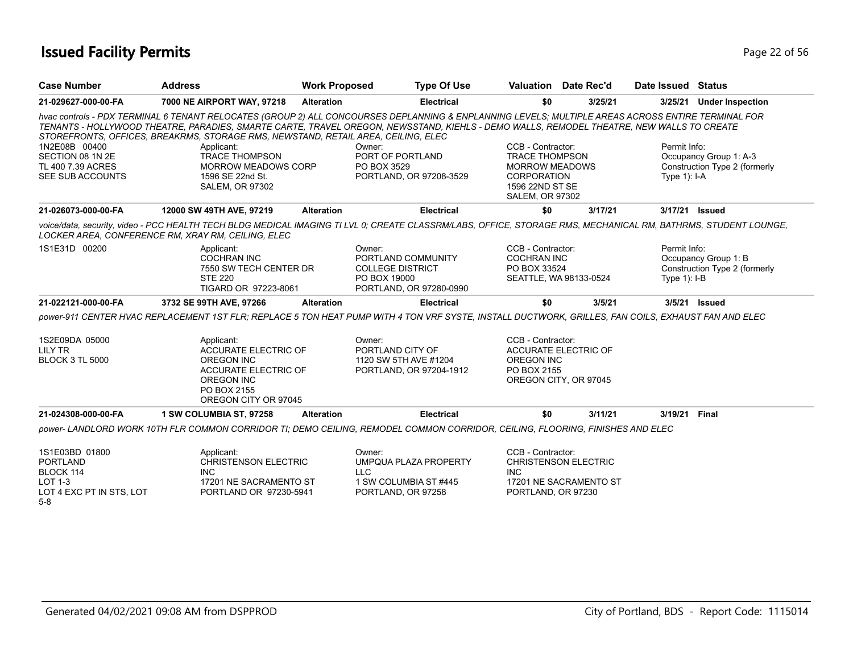## **Issued Facility Permits** Provide the Contract of 56 and 22 of 56 and 22 of 56 and 22 of 56 and 22 of 56 and 22 of 56 and 22 of 56 and 22 of 56 and 22 of 56 and 22 of 56 and 22 of 56 and 22 of 56 and 22 of 56 and 22 of 56

| <b>Case Number</b>                                                                    | <b>Address</b>                                                                                                                                                                                                                                                                                                                                                                      | <b>Work Proposed</b>  | <b>Type Of Use</b>                                                                       | <b>Valuation</b> Date Rec'd                                                                                                     |         | Date Issued Status              |                                                         |
|---------------------------------------------------------------------------------------|-------------------------------------------------------------------------------------------------------------------------------------------------------------------------------------------------------------------------------------------------------------------------------------------------------------------------------------------------------------------------------------|-----------------------|------------------------------------------------------------------------------------------|---------------------------------------------------------------------------------------------------------------------------------|---------|---------------------------------|---------------------------------------------------------|
| 21-029627-000-00-FA                                                                   | 7000 NE AIRPORT WAY, 97218                                                                                                                                                                                                                                                                                                                                                          | <b>Alteration</b>     | <b>Electrical</b>                                                                        | \$0                                                                                                                             | 3/25/21 | 3/25/21                         | <b>Under Inspection</b>                                 |
|                                                                                       | hvac controls - PDX TERMINAL 6 TENANT RELOCATES (GROUP 2) ALL CONCOURSES DEPLANNING & ENPLANNING LEVELS; MULTIPLE AREAS ACROSS ENTIRE TERMINAL FOR<br>TENANTS - HOLLYWOOD THEATRE, PARADIES, SMARTE CARTE, TRAVEL OREGON, NEWSSTAND, KIEHLS - DEMO WALLS, REMODEL THEATRE, NEW WALLS TO CREATE<br>STOREFRONTS, OFFICES, BREAKRMS, STORAGE RMS, NEWSTAND, RETAIL AREA, CEILING, ELEC |                       |                                                                                          |                                                                                                                                 |         |                                 |                                                         |
| 1N2E08B 00400<br>SECTION 08 1N 2E<br>TL 400 7.39 ACRES<br>SEE SUB ACCOUNTS            | Applicant:<br><b>TRACE THOMPSON</b><br><b>MORROW MEADOWS CORP</b><br>1596 SE 22nd St.<br><b>SALEM, OR 97302</b>                                                                                                                                                                                                                                                                     | Owner:<br>PO BOX 3529 | PORT OF PORTLAND<br>PORTLAND, OR 97208-3529                                              | CCB - Contractor:<br><b>TRACE THOMPSON</b><br><b>MORROW MEADOWS</b><br>CORPORATION<br>1596 22ND ST SE<br><b>SALEM, OR 97302</b> |         | Permit Info:<br>Type $1$ ): I-A | Occupancy Group 1: A-3<br>Construction Type 2 (formerly |
| 21-026073-000-00-FA                                                                   | 12000 SW 49TH AVE, 97219                                                                                                                                                                                                                                                                                                                                                            | <b>Alteration</b>     | <b>Electrical</b>                                                                        | \$0                                                                                                                             | 3/17/21 | 3/17/21 Issued                  |                                                         |
|                                                                                       | voice/data, security, video - PCC HEALTH TECH BLDG MEDICAL IMAGING TI LVL 0; CREATE CLASSRM/LABS, OFFICE, STORAGE RMS, MECHANICAL RM, BATHRMS, STUDENT LOUNGE,<br>LOCKER AREA, CONFERENCE RM, XRAY RM, CEILING, ELEC                                                                                                                                                                |                       |                                                                                          |                                                                                                                                 |         |                                 |                                                         |
| 1S1E31D 00200                                                                         | Applicant:<br><b>COCHRAN INC</b><br>7550 SW TECH CENTER DR<br><b>STE 220</b><br>TIGARD OR 97223-8061                                                                                                                                                                                                                                                                                | Owner:                | PORTLAND COMMUNITY<br><b>COLLEGE DISTRICT</b><br>PO BOX 19000<br>PORTLAND, OR 97280-0990 | CCB - Contractor:<br><b>COCHRAN INC</b><br>PO BOX 33524<br>SEATTLE, WA 98133-0524                                               |         | Permit Info:<br>Type $1$ : I-B  | Occupancy Group 1: B<br>Construction Type 2 (formerly   |
| 21-022121-000-00-FA                                                                   | 3732 SE 99TH AVE, 97266                                                                                                                                                                                                                                                                                                                                                             | <b>Alteration</b>     | <b>Electrical</b>                                                                        | \$0                                                                                                                             | 3/5/21  | 3/5/21 Issued                   |                                                         |
|                                                                                       | power-911 CENTER HVAC REPLACEMENT 1ST FLR; REPLACE 5 TON HEAT PUMP WITH 4 TON VRF SYSTE, INSTALL DUCTWORK, GRILLES, FAN COILS, EXHAUST FAN AND ELEC                                                                                                                                                                                                                                 |                       |                                                                                          |                                                                                                                                 |         |                                 |                                                         |
| 1S2E09DA 05000<br><b>LILY TR</b><br><b>BLOCK 3 TL 5000</b>                            | Applicant:<br><b>ACCURATE ELECTRIC OF</b><br><b>OREGON INC</b><br>ACCURATE ELECTRIC OF<br><b>OREGON INC</b><br>PO BOX 2155<br>OREGON CITY OR 97045                                                                                                                                                                                                                                  | Owner:                | PORTLAND CITY OF<br>1120 SW 5TH AVE #1204<br>PORTLAND, OR 97204-1912                     | CCB - Contractor:<br><b>ACCURATE ELECTRIC OF</b><br><b>OREGON INC</b><br>PO BOX 2155<br>OREGON CITY, OR 97045                   |         |                                 |                                                         |
| 21-024308-000-00-FA                                                                   | 1 SW COLUMBIA ST, 97258                                                                                                                                                                                                                                                                                                                                                             | <b>Alteration</b>     | <b>Electrical</b>                                                                        | \$0                                                                                                                             | 3/11/21 | 3/19/21                         | Final                                                   |
|                                                                                       | power- LANDLORD WORK 10TH FLR COMMON CORRIDOR TI; DEMO CEILING, REMODEL COMMON CORRIDOR, CEILING, FLOORING, FINISHES AND ELEC                                                                                                                                                                                                                                                       |                       |                                                                                          |                                                                                                                                 |         |                                 |                                                         |
| 1S1E03BD 01800<br><b>PORTLAND</b><br>BLOCK 114<br>LOT 1-3<br>LOT 4 EXC PT IN STS, LOT | Applicant:<br><b>CHRISTENSON ELECTRIC</b><br>INC.<br>17201 NE SACRAMENTO ST<br>PORTLAND OR 97230-5941                                                                                                                                                                                                                                                                               | Owner:<br><b>LLC</b>  | <b>UMPQUA PLAZA PROPERTY</b><br>1 SW COLUMBIA ST #445<br>PORTLAND, OR 97258              | CCB - Contractor:<br><b>CHRISTENSON ELECTRIC</b><br><b>INC</b><br>17201 NE SACRAMENTO ST<br>PORTLAND, OR 97230                  |         |                                 |                                                         |
| $5 - 8$                                                                               |                                                                                                                                                                                                                                                                                                                                                                                     |                       |                                                                                          |                                                                                                                                 |         |                                 |                                                         |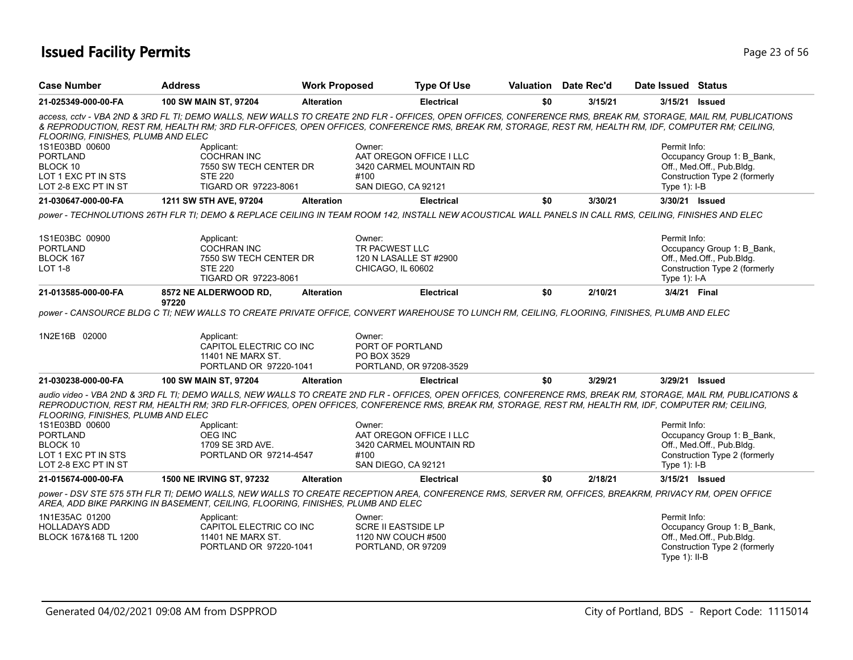## **Issued Facility Permits** Provide a strategies of 56 and 23 of 56 and 23 of 56 and 23 of 56 and 23 of 56 and 23 of 56 and 23 of 56 and 23 of 56 and 23 of 56 and 23 of 56 and 23 of 56 and 23 of 56 and 23 of 56 and 23 of 56

| <b>Case Number</b>                 | <b>Address</b>                                                                  | <b>Work Proposed</b> | <b>Type Of Use</b>                                                                                                                                                                                                                                                                                                    | Valuation Date Rec'd |         | Date Issued Status |                               |
|------------------------------------|---------------------------------------------------------------------------------|----------------------|-----------------------------------------------------------------------------------------------------------------------------------------------------------------------------------------------------------------------------------------------------------------------------------------------------------------------|----------------------|---------|--------------------|-------------------------------|
| 21-025349-000-00-FA                | 100 SW MAIN ST, 97204                                                           | <b>Alteration</b>    | <b>Electrical</b>                                                                                                                                                                                                                                                                                                     | \$0                  | 3/15/21 | 3/15/21 Issued     |                               |
| FLOORING, FINISHES, PLUMB AND ELEC |                                                                                 |                      | access, cctv - VBA 2ND & 3RD FL TI; DEMO WALLS, NEW WALLS TO CREATE 2ND FLR - OFFICES, OPEN OFFICES, CONFERENCE RMS, BREAK RM, STORAGE, MAIL RM, PUBLICATIONS<br>& REPRODUCTION, REST RM, HEALTH RM; 3RD FLR-OFFICES, OPEN OFFICES, CONFERENCE RMS, BREAK RM, STORAGE, REST RM, HEALTH RM, IDF, COMPUTER RM; CEILING, |                      |         |                    |                               |
| 1S1E03BD 00600                     | Applicant:                                                                      |                      | Owner:                                                                                                                                                                                                                                                                                                                |                      |         | Permit Info:       |                               |
| <b>PORTLAND</b>                    | <b>COCHRAN INC</b>                                                              |                      | AAT OREGON OFFICE I LLC                                                                                                                                                                                                                                                                                               |                      |         |                    | Occupancy Group 1: B_Bank,    |
| BLOCK 10                           | 7550 SW TECH CENTER DR                                                          |                      | 3420 CARMEL MOUNTAIN RD                                                                                                                                                                                                                                                                                               |                      |         |                    | Off., Med.Off., Pub.Bldg.     |
| LOT 1 EXC PT IN STS                | <b>STE 220</b>                                                                  |                      | #100                                                                                                                                                                                                                                                                                                                  |                      |         |                    | Construction Type 2 (formerly |
| LOT 2-8 EXC PT IN ST               | TIGARD OR 97223-8061                                                            |                      | SAN DIEGO, CA 92121                                                                                                                                                                                                                                                                                                   |                      |         | Type $1$ : I-B     |                               |
| 21-030647-000-00-FA                | 1211 SW 5TH AVE, 97204                                                          | <b>Alteration</b>    | <b>Electrical</b>                                                                                                                                                                                                                                                                                                     | \$0                  | 3/30/21 |                    | 3/30/21 Issued                |
|                                    |                                                                                 |                      | power - TECHNOLUTIONS 26TH FLR TI; DEMO & REPLACE CEILING IN TEAM ROOM 142, INSTALL NEW ACOUSTICAL WALL PANELS IN CALL RMS, CEILING, FINISHES AND ELEC                                                                                                                                                                |                      |         |                    |                               |
| 1S1E03BC 00900                     | Applicant:                                                                      |                      | Owner:                                                                                                                                                                                                                                                                                                                |                      |         | Permit Info:       |                               |
| <b>PORTLAND</b>                    | <b>COCHRAN INC</b>                                                              |                      | TR PACWEST LLC                                                                                                                                                                                                                                                                                                        |                      |         |                    | Occupancy Group 1: B_Bank,    |
| BLOCK 167                          | 7550 SW TECH CENTER DR                                                          |                      | 120 N LASALLE ST #2900                                                                                                                                                                                                                                                                                                |                      |         |                    | Off., Med.Off., Pub.Bldg.     |
| <b>LOT 1-8</b>                     | <b>STE 220</b>                                                                  |                      | CHICAGO, IL 60602                                                                                                                                                                                                                                                                                                     |                      |         |                    | Construction Type 2 (formerly |
|                                    | TIGARD OR 97223-8061                                                            |                      |                                                                                                                                                                                                                                                                                                                       |                      |         | Type 1): I-A       |                               |
| 21-013585-000-00-FA                | 8572 NE ALDERWOOD RD,                                                           | <b>Alteration</b>    | <b>Electrical</b>                                                                                                                                                                                                                                                                                                     | \$0                  | 2/10/21 | 3/4/21 Final       |                               |
|                                    | 97220                                                                           |                      |                                                                                                                                                                                                                                                                                                                       |                      |         |                    |                               |
|                                    |                                                                                 |                      | power - CANSOURCE BLDG C TI; NEW WALLS TO CREATE PRIVATE OFFICE, CONVERT WAREHOUSE TO LUNCH RM, CEILING, FLOORING, FINISHES, PLUMB AND ELEC                                                                                                                                                                           |                      |         |                    |                               |
| 1N2E16B 02000                      | Applicant:                                                                      |                      | Owner:                                                                                                                                                                                                                                                                                                                |                      |         |                    |                               |
|                                    | CAPITOL ELECTRIC CO INC                                                         |                      | PORT OF PORTLAND                                                                                                                                                                                                                                                                                                      |                      |         |                    |                               |
|                                    | <b>11401 NE MARX ST.</b>                                                        |                      | PO BOX 3529                                                                                                                                                                                                                                                                                                           |                      |         |                    |                               |
|                                    | PORTLAND OR 97220-1041                                                          |                      | PORTLAND, OR 97208-3529                                                                                                                                                                                                                                                                                               |                      |         |                    |                               |
| 21-030238-000-00-FA                | 100 SW MAIN ST, 97204                                                           | <b>Alteration</b>    | <b>Electrical</b>                                                                                                                                                                                                                                                                                                     | \$0                  | 3/29/21 |                    | 3/29/21 Issued                |
| FLOORING, FINISHES, PLUMB AND ELEC |                                                                                 |                      | audio video - VBA 2ND & 3RD FL TI; DEMO WALLS, NEW WALLS TO CREATE 2ND FLR - OFFICES, OPEN OFFICES, CONFERENCE RMS, BREAK RM, STORAGE, MAIL RM, PUBLICATIONS &<br>REPRODUCTION, REST RM, HEALTH RM; 3RD FLR-OFFICES, OPEN OFFICES, CONFERENCE RMS, BREAK RM, STORAGE, REST RM, HEALTH RM, IDF, COMPUTER RM; CEILING,  |                      |         |                    |                               |
| 1S1E03BD 00600                     | Applicant:                                                                      |                      | Owner:                                                                                                                                                                                                                                                                                                                |                      |         | Permit Info:       |                               |
| <b>PORTLAND</b>                    | <b>OEG INC</b>                                                                  |                      | AAT OREGON OFFICE I LLC                                                                                                                                                                                                                                                                                               |                      |         |                    | Occupancy Group 1: B_Bank,    |
| BLOCK 10                           | 1709 SE 3RD AVE.                                                                |                      | 3420 CARMEL MOUNTAIN RD                                                                                                                                                                                                                                                                                               |                      |         |                    | Off., Med.Off., Pub.Bldg.     |
| LOT 1 EXC PT IN STS                | PORTLAND OR 97214-4547                                                          |                      | #100                                                                                                                                                                                                                                                                                                                  |                      |         |                    | Construction Type 2 (formerly |
| LOT 2-8 EXC PT IN ST               |                                                                                 |                      | SAN DIEGO, CA 92121                                                                                                                                                                                                                                                                                                   |                      |         | Type $1$ : I-B     |                               |
| 21-015674-000-00-FA                | 1500 NE IRVING ST, 97232                                                        | <b>Alteration</b>    | <b>Electrical</b>                                                                                                                                                                                                                                                                                                     | \$0                  | 2/18/21 |                    | 3/15/21 Issued                |
|                                    | AREA, ADD BIKE PARKING IN BASEMENT, CEILING, FLOORING, FINISHES, PLUMB AND ELEC |                      | power - DSV STE 575 5TH FLR TI; DEMO WALLS, NEW WALLS TO CREATE RECEPTION AREA, CONFERENCE RMS, SERVER RM, OFFICES, BREAKRM, PRIVACY RM, OPEN OFFICE                                                                                                                                                                  |                      |         |                    |                               |
| 1N1E35AC 01200                     | Applicant:                                                                      |                      | Owner:                                                                                                                                                                                                                                                                                                                |                      |         | Permit Info:       |                               |
| <b>HOLLADAYS ADD</b>               | CAPITOL ELECTRIC CO INC                                                         |                      | <b>SCRE II EASTSIDE LP</b>                                                                                                                                                                                                                                                                                            |                      |         |                    | Occupancy Group 1: B Bank,    |
| BLOCK 167&168 TL 1200              | 11401 NE MARX ST.                                                               |                      | 1120 NW COUCH #500                                                                                                                                                                                                                                                                                                    |                      |         |                    | Off., Med.Off., Pub.Bldg.     |
|                                    | PORTLAND OR 97220-1041                                                          |                      | PORTLAND, OR 97209                                                                                                                                                                                                                                                                                                    |                      |         |                    | Construction Type 2 (formerly |
|                                    |                                                                                 |                      |                                                                                                                                                                                                                                                                                                                       |                      |         | Type $1$ ): II-B   |                               |
|                                    |                                                                                 |                      |                                                                                                                                                                                                                                                                                                                       |                      |         |                    |                               |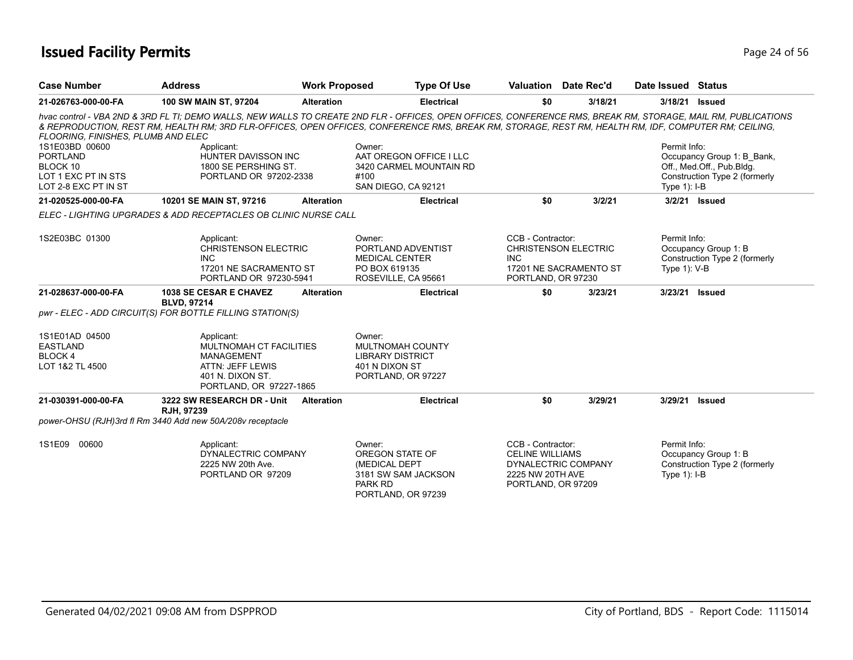## **Issued Facility Permits** Provide the Contract of 56 and 24 of 56 and 24 of 56 and 24 of 56 and 24 of 56 and 24 of 56 and 24 of 56 and 24 of 56 and 24 of 56 and 24 of 56 and 25 and 25 and 25 and 25 and 25 and 25 and 25 and

| <b>Case Number</b>                                                                                         | <b>Address</b>                                                                                                                | <b>Work Proposed</b> | <b>Type Of Use</b>                                                                                                                                                                                                                                                                                                                                                                            |                                                                                       | Valuation Date Rec'd                                  | Date Issued Status           |                                                                                          |
|------------------------------------------------------------------------------------------------------------|-------------------------------------------------------------------------------------------------------------------------------|----------------------|-----------------------------------------------------------------------------------------------------------------------------------------------------------------------------------------------------------------------------------------------------------------------------------------------------------------------------------------------------------------------------------------------|---------------------------------------------------------------------------------------|-------------------------------------------------------|------------------------------|------------------------------------------------------------------------------------------|
| 21-026763-000-00-FA                                                                                        | 100 SW MAIN ST, 97204                                                                                                         | <b>Alteration</b>    | <b>Electrical</b>                                                                                                                                                                                                                                                                                                                                                                             | \$0                                                                                   | 3/18/21                                               | 3/18/21                      | <b>Issued</b>                                                                            |
| FLOORING, FINISHES, PLUMB AND ELEC<br>1S1E03BD 00600<br><b>PORTLAND</b><br>BLOCK 10<br>LOT 1 EXC PT IN STS | Applicant:<br>HUNTER DAVISSON INC<br>1800 SE PERSHING ST.<br>PORTLAND OR 97202-2338                                           |                      | hvac control - VBA 2ND & 3RD FL TI; DEMO WALLS, NEW WALLS TO CREATE 2ND FLR - OFFICES, OPEN OFFICES, CONFERENCE RMS, BREAK RM, STORAGE, MAIL RM, PUBLICATIONS<br>& REPRODUCTION, REST RM, HEALTH RM; 3RD FLR-OFFICES, OPEN OFFICES, CONFERENCE RMS, BREAK RM, STORAGE, REST RM, HEALTH RM, IDF, COMPUTER RM; CEILING,<br>Owner:<br>AAT OREGON OFFICE I LLC<br>3420 CARMEL MOUNTAIN RD<br>#100 |                                                                                       |                                                       | Permit Info:                 | Occupancy Group 1: B_Bank,<br>Off., Med.Off., Pub.Bldg.<br>Construction Type 2 (formerly |
| LOT 2-8 EXC PT IN ST                                                                                       |                                                                                                                               |                      | SAN DIEGO, CA 92121                                                                                                                                                                                                                                                                                                                                                                           |                                                                                       |                                                       | Type $1$ : I-B               |                                                                                          |
| 21-020525-000-00-FA                                                                                        | 10201 SE MAIN ST, 97216                                                                                                       | <b>Alteration</b>    | <b>Electrical</b>                                                                                                                                                                                                                                                                                                                                                                             | \$0                                                                                   | 3/2/21                                                | 3/2/21 Issued                |                                                                                          |
|                                                                                                            | ELEC - LIGHTING UPGRADES & ADD RECEPTACLES OB CLINIC NURSE CALL                                                               |                      |                                                                                                                                                                                                                                                                                                                                                                                               |                                                                                       |                                                       |                              |                                                                                          |
| 1S2E03BC 01300                                                                                             | Applicant:<br><b>CHRISTENSON ELECTRIC</b><br><b>INC</b><br>17201 NE SACRAMENTO ST<br>PORTLAND OR 97230-5941                   |                      | Owner:<br>PORTLAND ADVENTIST<br><b>MEDICAL CENTER</b><br>PO BOX 619135<br>ROSEVILLE, CA 95661                                                                                                                                                                                                                                                                                                 | CCB - Contractor:<br><b>INC</b><br>PORTLAND, OR 97230                                 | <b>CHRISTENSON ELECTRIC</b><br>17201 NE SACRAMENTO ST | Permit Info:<br>Type 1): V-B | Occupancy Group 1: B<br>Construction Type 2 (formerly                                    |
| 21-028637-000-00-FA                                                                                        | <b>1038 SE CESAR E CHAVEZ</b><br><b>BLVD, 97214</b>                                                                           | <b>Alteration</b>    | <b>Electrical</b>                                                                                                                                                                                                                                                                                                                                                                             | \$0                                                                                   | 3/23/21                                               | 3/23/21                      | <b>Issued</b>                                                                            |
|                                                                                                            | pwr - ELEC - ADD CIRCUIT(S) FOR BOTTLE FILLING STATION(S)                                                                     |                      |                                                                                                                                                                                                                                                                                                                                                                                               |                                                                                       |                                                       |                              |                                                                                          |
| 1S1E01AD 04500<br><b>EASTLAND</b><br><b>BLOCK4</b><br>LOT 1&2 TL 4500                                      | Applicant:<br>MULTNOMAH CT FACILITIES<br><b>MANAGEMENT</b><br>ATTN: JEFF LEWIS<br>401 N. DIXON ST.<br>PORTLAND, OR 97227-1865 |                      | Owner:<br>MULTNOMAH COUNTY<br><b>LIBRARY DISTRICT</b><br>401 N DIXON ST<br>PORTLAND, OR 97227                                                                                                                                                                                                                                                                                                 |                                                                                       |                                                       |                              |                                                                                          |
| 21-030391-000-00-FA                                                                                        | 3222 SW RESEARCH DR - Unit<br>RJH, 97239                                                                                      | <b>Alteration</b>    | <b>Electrical</b>                                                                                                                                                                                                                                                                                                                                                                             | \$0                                                                                   | 3/29/21                                               | 3/29/21                      | <b>Issued</b>                                                                            |
|                                                                                                            | power-OHSU (RJH)3rd fl Rm 3440 Add new 50A/208v receptacle                                                                    |                      |                                                                                                                                                                                                                                                                                                                                                                                               |                                                                                       |                                                       |                              |                                                                                          |
| 1S1E09<br>00600                                                                                            | Applicant:<br>DYNALECTRIC COMPANY<br>2225 NW 20th Ave.<br>PORTLAND OR 97209                                                   |                      | Owner:<br>OREGON STATE OF<br>(MEDICAL DEPT<br>3181 SW SAM JACKSON<br>PARK RD<br>PORTLAND, OR 97239                                                                                                                                                                                                                                                                                            | CCB - Contractor:<br><b>CELINE WILLIAMS</b><br>2225 NW 20TH AVE<br>PORTLAND, OR 97209 | DYNALECTRIC COMPANY                                   | Permit Info:<br>Type 1): I-B | Occupancy Group 1: B<br>Construction Type 2 (formerly                                    |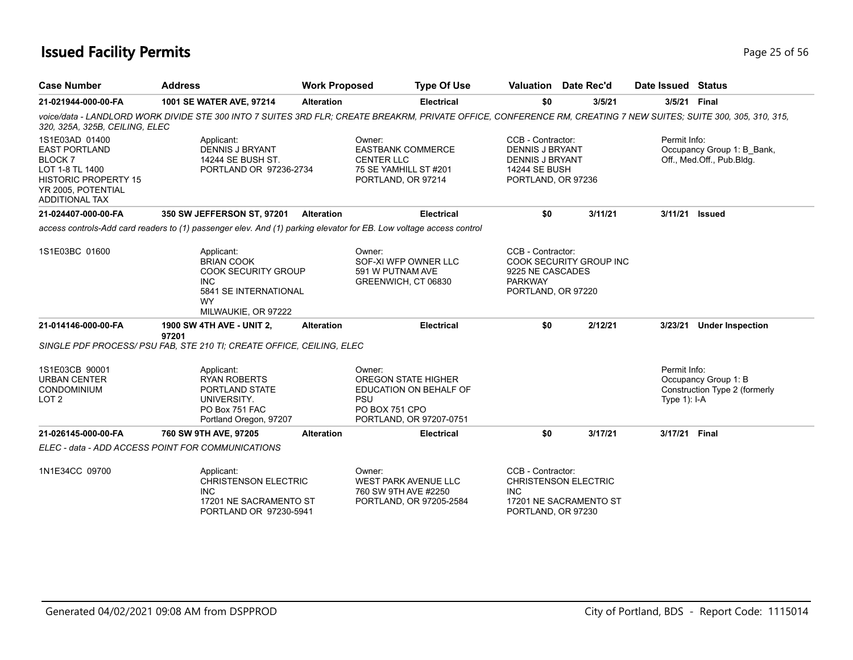## **Issued Facility Permits** Page 25 of 56

| <b>Case Number</b>                                                                                                                                       | <b>Address</b>                                                                                                                                                   | <b>Work Proposed</b> |                                                                                                        | <b>Type Of Use</b>                                |                                                                                                              | Valuation Date Rec'd                                  | Date Issued Status             |                                                         |
|----------------------------------------------------------------------------------------------------------------------------------------------------------|------------------------------------------------------------------------------------------------------------------------------------------------------------------|----------------------|--------------------------------------------------------------------------------------------------------|---------------------------------------------------|--------------------------------------------------------------------------------------------------------------|-------------------------------------------------------|--------------------------------|---------------------------------------------------------|
| 21-021944-000-00-FA                                                                                                                                      | 1001 SE WATER AVE, 97214                                                                                                                                         | <b>Alteration</b>    |                                                                                                        | Electrical                                        | \$0                                                                                                          | 3/5/21                                                |                                | 3/5/21 Final                                            |
| 320, 325A, 325B, CEILING, ELEC                                                                                                                           | voice/data - LANDLORD WORK DIVIDE STE 300 INTO 7 SUITES 3RD FLR; CREATE BREAKRM, PRIVATE OFFICE, CONFERENCE RM, CREATING 7 NEW SUITES; SUITE 300, 305, 310, 315, |                      |                                                                                                        |                                                   |                                                                                                              |                                                       |                                |                                                         |
| 1S1E03AD 01400<br><b>EAST PORTLAND</b><br><b>BLOCK7</b><br>LOT 1-8 TL 1400<br><b>HISTORIC PROPERTY 15</b><br>YR 2005, POTENTIAL<br><b>ADDITIONAL TAX</b> | Applicant:<br>DENNIS J BRYANT<br>14244 SE BUSH ST.<br>PORTLAND OR 97236-2734                                                                                     |                      | Owner:<br><b>EASTBANK COMMERCE</b><br><b>CENTER LLC</b><br>75 SE YAMHILL ST #201<br>PORTLAND, OR 97214 |                                                   | CCB - Contractor:<br><b>DENNIS J BRYANT</b><br><b>DENNIS J BRYANT</b><br>14244 SE BUSH<br>PORTLAND, OR 97236 |                                                       | Permit Info:                   | Occupancy Group 1: B Bank,<br>Off., Med.Off., Pub.Bldg. |
| 21-024407-000-00-FA                                                                                                                                      | 350 SW JEFFERSON ST, 97201                                                                                                                                       | <b>Alteration</b>    |                                                                                                        | <b>Electrical</b>                                 | \$0                                                                                                          | 3/11/21                                               | 3/11/21                        | <b>Issued</b>                                           |
|                                                                                                                                                          | access controls-Add card readers to (1) passenger elev. And (1) parking elevator for EB. Low voltage access control                                              |                      |                                                                                                        |                                                   |                                                                                                              |                                                       |                                |                                                         |
| 1S1E03BC 01600                                                                                                                                           | Applicant:<br><b>BRIAN COOK</b><br><b>COOK SECURITY GROUP</b><br><b>INC</b><br>5841 SE INTERNATIONAL<br><b>WY</b><br>MILWAUKIE, OR 97222                         |                      | Owner:<br>SOF-XI WFP OWNER LLC<br>591 W PUTNAM AVE<br>GREENWICH, CT 06830                              |                                                   | CCB - Contractor:<br>9225 NE CASCADES<br><b>PARKWAY</b><br>PORTLAND, OR 97220                                | COOK SECURITY GROUP INC                               |                                |                                                         |
| 21-014146-000-00-FA                                                                                                                                      | <b>1900 SW 4TH AVE - UNIT 2,</b><br>97201                                                                                                                        | <b>Alteration</b>    |                                                                                                        | <b>Electrical</b>                                 | \$0                                                                                                          | 2/12/21                                               | 3/23/21                        | <b>Under Inspection</b>                                 |
|                                                                                                                                                          | SINGLE PDF PROCESS/ PSU FAB. STE 210 TI: CREATE OFFICE, CEILING, ELEC                                                                                            |                      |                                                                                                        |                                                   |                                                                                                              |                                                       |                                |                                                         |
| 1S1E03CB 90001<br><b>URBAN CENTER</b><br><b>CONDOMINIUM</b><br>LOT <sub>2</sub>                                                                          | Applicant:<br><b>RYAN ROBERTS</b><br>PORTLAND STATE<br>UNIVERSITY.<br>PO Box 751 FAC<br>Portland Oregon, 97207                                                   |                      | Owner:<br><b>OREGON STATE HIGHER</b><br><b>PSU</b><br>PO BOX 751 CPO                                   | EDUCATION ON BEHALF OF<br>PORTLAND, OR 97207-0751 |                                                                                                              |                                                       | Permit Info:<br>Type $1$ : I-A | Occupancy Group 1: B<br>Construction Type 2 (formerly   |
| 21-026145-000-00-FA                                                                                                                                      | 760 SW 9TH AVE, 97205                                                                                                                                            | <b>Alteration</b>    |                                                                                                        | <b>Electrical</b>                                 | \$0                                                                                                          | 3/17/21                                               | 3/17/21 Final                  |                                                         |
|                                                                                                                                                          | ELEC - data - ADD ACCESS POINT FOR COMMUNICATIONS                                                                                                                |                      |                                                                                                        |                                                   |                                                                                                              |                                                       |                                |                                                         |
| 1N1E34CC 09700                                                                                                                                           | Applicant:<br><b>CHRISTENSON ELECTRIC</b><br><b>INC</b><br>17201 NE SACRAMENTO ST<br>PORTLAND OR 97230-5941                                                      |                      | Owner:<br><b>WEST PARK AVENUE LLC</b><br>760 SW 9TH AVE #2250                                          | PORTLAND, OR 97205-2584                           | CCB - Contractor:<br><b>INC</b><br>PORTLAND, OR 97230                                                        | <b>CHRISTENSON ELECTRIC</b><br>17201 NE SACRAMENTO ST |                                |                                                         |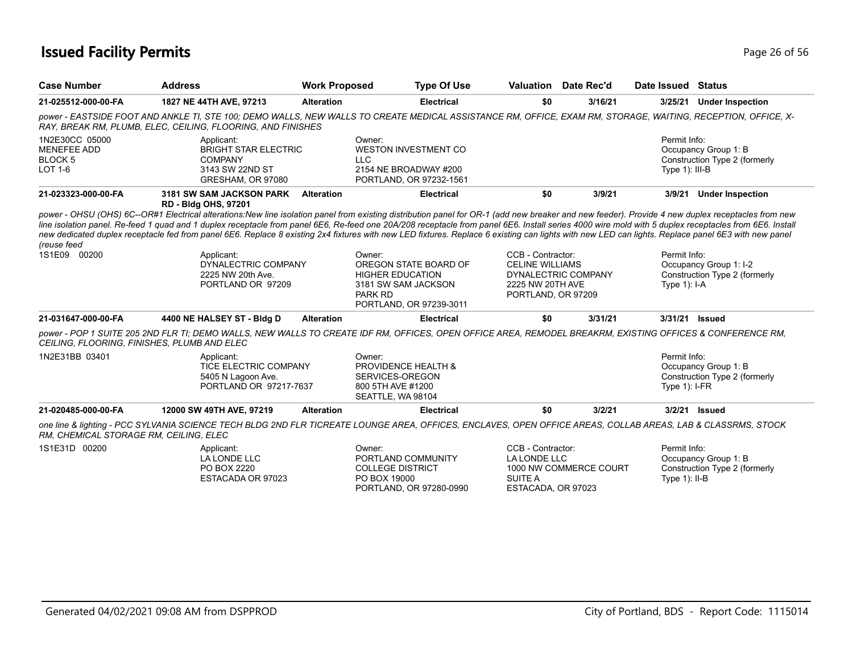## **Issued Facility Permits** Provide the Contract of 56 and 26 of 56 and 26 of 56 and 26 of 56 and 26 of 56 and 26 of 56 and 26 of 56 and 26 of 56 and 20 of 56 and 20 of 56 and 20 of 56 and 20 of 56 and 20 of 56 and 20 of 56

| <b>Case Number</b>                                                       | <b>Address</b>                                                                                      | <b>Work Proposed</b> | <b>Type Of Use</b>                                                                                                                                                                                                                                                                                                                                                                                                                                                                                                                                                                                                                                                                                                                          | Valuation                                                                             | Date Rec'd             | Date Issued Status               |                                                         |
|--------------------------------------------------------------------------|-----------------------------------------------------------------------------------------------------|----------------------|---------------------------------------------------------------------------------------------------------------------------------------------------------------------------------------------------------------------------------------------------------------------------------------------------------------------------------------------------------------------------------------------------------------------------------------------------------------------------------------------------------------------------------------------------------------------------------------------------------------------------------------------------------------------------------------------------------------------------------------------|---------------------------------------------------------------------------------------|------------------------|----------------------------------|---------------------------------------------------------|
| 21-025512-000-00-FA                                                      | 1827 NE 44TH AVE, 97213                                                                             | <b>Alteration</b>    | <b>Electrical</b>                                                                                                                                                                                                                                                                                                                                                                                                                                                                                                                                                                                                                                                                                                                           | \$0                                                                                   | 3/16/21                | 3/25/21                          | <b>Under Inspection</b>                                 |
|                                                                          | RAY, BREAK RM, PLUMB, ELEC, CEILING, FLOORING, AND FINISHES                                         |                      | power - EASTSIDE FOOT AND ANKLE TI, STE 100; DEMO WALLS, NEW WALLS TO CREATE MEDICAL ASSISTANCE RM, OFFICE, EXAM RM, STORAGE, WAITING, RECEPTION, OFFICE, X-                                                                                                                                                                                                                                                                                                                                                                                                                                                                                                                                                                                |                                                                                       |                        |                                  |                                                         |
| 1N2E30CC 05000<br><b>MENEFEE ADD</b><br><b>BLOCK 5</b><br><b>LOT 1-6</b> | Applicant:<br><b>BRIGHT STAR ELECTRIC</b><br><b>COMPANY</b><br>3143 SW 22ND ST<br>GRESHAM, OR 97080 |                      | Owner:<br><b>WESTON INVESTMENT CO</b><br><b>LLC</b><br>2154 NE BROADWAY #200<br>PORTLAND, OR 97232-1561                                                                                                                                                                                                                                                                                                                                                                                                                                                                                                                                                                                                                                     |                                                                                       |                        | Permit Info:<br>Type 1): III-B   | Occupancy Group 1: B<br>Construction Type 2 (formerly   |
| 21-023323-000-00-FA                                                      | 3181 SW SAM JACKSON PARK<br><b>RD - Bldg OHS, 97201</b>                                             | <b>Alteration</b>    | <b>Electrical</b>                                                                                                                                                                                                                                                                                                                                                                                                                                                                                                                                                                                                                                                                                                                           | \$0                                                                                   | 3/9/21                 | 3/9/21                           | <b>Under Inspection</b>                                 |
| (reuse feed<br>1S1E09 00200                                              | Applicant:<br>DYNALECTRIC COMPANY<br>2225 NW 20th Ave.<br>PORTLAND OR 97209                         |                      | power - OHSU (OHS) 6C--OR#1 Electrical alterations:New line isolation panel from existing distribution panel for OR-1 (add new breaker and new feeder). Provide 4 new duplex receptacles from new<br>line isolation panel. Re-feed 1 quad and 1 duplex receptacle from panel 6E6, Re-feed one 20A/208 receptacle from panel 6E6. Install series 4000 wire mold with 5 duplex receptacles from 6E6. Install<br>new dedicated duplex receptacle fed from panel 6E6. Replace 8 existing 2x4 fixtures with new LED fixtures. Replace 6 existing can lights with new LED can lights. Replace panel 6E3 with new panel<br>Owner:<br>OREGON STATE BOARD OF<br><b>HIGHER EDUCATION</b><br>3181 SW SAM JACKSON<br>PARK RD<br>PORTLAND, OR 97239-3011 | CCB - Contractor:<br><b>CELINE WILLIAMS</b><br>2225 NW 20TH AVE<br>PORTLAND, OR 97209 | DYNALECTRIC COMPANY    | Permit Info:<br>Type $1$ : I-A   | Occupancy Group 1: I-2<br>Construction Type 2 (formerly |
| 21-031647-000-00-FA                                                      | 4400 NE HALSEY ST - Bldg D                                                                          | <b>Alteration</b>    | <b>Electrical</b>                                                                                                                                                                                                                                                                                                                                                                                                                                                                                                                                                                                                                                                                                                                           | \$0                                                                                   | 3/31/21                | 3/31/21 Issued                   |                                                         |
| CEILING, FLOORING, FINISHES, PLUMB AND ELEC                              |                                                                                                     |                      | power - POP 1 SUITE 205 2ND FLR TI; DEMO WALLS, NEW WALLS TO CREATE IDF RM, OFFICES, OPEN OFFICE AREA, REMODEL BREAKRM, EXISTING OFFICES & CONFERENCE RM,                                                                                                                                                                                                                                                                                                                                                                                                                                                                                                                                                                                   |                                                                                       |                        |                                  |                                                         |
| 1N2E31BB 03401                                                           | Applicant:<br>TICE ELECTRIC COMPANY<br>5405 N Lagoon Ave.<br>PORTLAND OR 97217-7637                 |                      | Owner:<br><b>PROVIDENCE HEALTH &amp;</b><br>SERVICES-OREGON<br>800 5TH AVE #1200<br>SEATTLE, WA 98104                                                                                                                                                                                                                                                                                                                                                                                                                                                                                                                                                                                                                                       |                                                                                       |                        | Permit Info:<br>Type $1$ : I-FR  | Occupancy Group 1: B<br>Construction Type 2 (formerly   |
| 21-020485-000-00-FA                                                      | 12000 SW 49TH AVE, 97219                                                                            | <b>Alteration</b>    | <b>Electrical</b>                                                                                                                                                                                                                                                                                                                                                                                                                                                                                                                                                                                                                                                                                                                           | \$0                                                                                   | 3/2/21                 |                                  | 3/2/21 Issued                                           |
| RM, CHEMICAL STORAGE RM, CEILING, ELEC                                   |                                                                                                     |                      | one line & lighting - PCC SYLVANIA SCIENCE TECH BLDG 2ND FLR TICREATE LOUNGE AREA, OFFICES, ENCLAVES, OPEN OFFICE AREAS, COLLAB AREAS, LAB & CLASSRMS, STOCK                                                                                                                                                                                                                                                                                                                                                                                                                                                                                                                                                                                |                                                                                       |                        |                                  |                                                         |
| 1S1E31D 00200                                                            | Applicant:<br>LA LONDE LLC<br>PO BOX 2220<br>ESTACADA OR 97023                                      |                      | Owner:<br>PORTLAND COMMUNITY<br><b>COLLEGE DISTRICT</b><br>PO BOX 19000<br>PORTLAND, OR 97280-0990                                                                                                                                                                                                                                                                                                                                                                                                                                                                                                                                                                                                                                          | CCB - Contractor:<br>LA LONDE LLC<br><b>SUITE A</b><br>ESTACADA, OR 97023             | 1000 NW COMMERCE COURT | Permit Info:<br>Type $1$ ): II-B | Occupancy Group 1: B<br>Construction Type 2 (formerly   |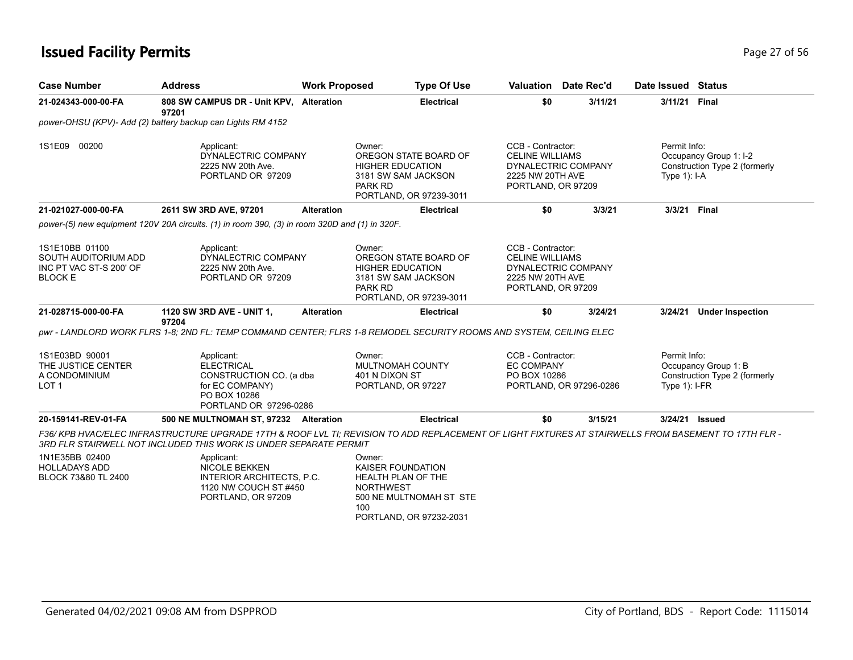## **Issued Facility Permits** Provide the Contract of 56 and 27 of 56 and 27 of 56 and 27 of 56

| <b>Case Number</b>                                                                  | <b>Address</b>                                                                                                                                                                                                            | <b>Work Proposed</b> | <b>Type Of Use</b>                                                                                                                        |                                                                                       | <b>Valuation</b> Date Rec'd | Date Issued Status              |                                                         |
|-------------------------------------------------------------------------------------|---------------------------------------------------------------------------------------------------------------------------------------------------------------------------------------------------------------------------|----------------------|-------------------------------------------------------------------------------------------------------------------------------------------|---------------------------------------------------------------------------------------|-----------------------------|---------------------------------|---------------------------------------------------------|
| 21-024343-000-00-FA                                                                 | 808 SW CAMPUS DR - Unit KPV, Alteration<br>97201                                                                                                                                                                          |                      | <b>Electrical</b>                                                                                                                         | \$0                                                                                   | 3/11/21                     | 3/11/21 Final                   |                                                         |
|                                                                                     | power-OHSU (KPV)- Add (2) battery backup can Lights RM 4152                                                                                                                                                               |                      |                                                                                                                                           |                                                                                       |                             |                                 |                                                         |
| 1S1E09 00200                                                                        | Applicant:<br>DYNALECTRIC COMPANY<br>2225 NW 20th Ave.<br>PORTLAND OR 97209                                                                                                                                               |                      | Owner:<br>OREGON STATE BOARD OF<br><b>HIGHER EDUCATION</b><br>3181 SW SAM JACKSON<br><b>PARK RD</b><br>PORTLAND, OR 97239-3011            | CCB - Contractor:<br><b>CELINE WILLIAMS</b><br>2225 NW 20TH AVE<br>PORTLAND, OR 97209 | DYNALECTRIC COMPANY         | Permit Info:<br>Type $1$ : I-A  | Occupancy Group 1: I-2<br>Construction Type 2 (formerly |
| 21-021027-000-00-FA                                                                 | 2611 SW 3RD AVE, 97201                                                                                                                                                                                                    | <b>Alteration</b>    | <b>Electrical</b>                                                                                                                         | \$0                                                                                   | 3/3/21                      | 3/3/21 Final                    |                                                         |
|                                                                                     | power-(5) new equipment 120V 20A circuits. (1) in room 390, (3) in room 320D and (1) in 320F.                                                                                                                             |                      |                                                                                                                                           |                                                                                       |                             |                                 |                                                         |
| 1S1E10BB 01100<br>SOUTH AUDITORIUM ADD<br>INC PT VAC ST-S 200' OF<br><b>BLOCK E</b> | Applicant:<br>DYNALECTRIC COMPANY<br>2225 NW 20th Ave.<br>PORTLAND OR 97209                                                                                                                                               |                      | Owner:<br>OREGON STATE BOARD OF<br><b>HIGHER EDUCATION</b><br>3181 SW SAM JACKSON<br>PARK RD<br>PORTLAND, OR 97239-3011                   | CCB - Contractor:<br><b>CELINE WILLIAMS</b><br>2225 NW 20TH AVE<br>PORTLAND, OR 97209 | DYNALECTRIC COMPANY         |                                 |                                                         |
| 21-028715-000-00-FA                                                                 | 1120 SW 3RD AVE - UNIT 1,<br>97204                                                                                                                                                                                        | <b>Alteration</b>    | <b>Electrical</b>                                                                                                                         | \$0                                                                                   | 3/24/21                     | 3/24/21                         | <b>Under Inspection</b>                                 |
|                                                                                     | pwr - LANDLORD WORK FLRS 1-8; 2ND FL: TEMP COMMAND CENTER; FLRS 1-8 REMODEL SECURITY ROOMS AND SYSTEM, CEILING ELEC                                                                                                       |                      |                                                                                                                                           |                                                                                       |                             |                                 |                                                         |
| 1S1E03BD 90001<br>THE JUSTICE CENTER<br>A CONDOMINIUM<br>LOT <sub>1</sub>           | Applicant:<br><b>ELECTRICAL</b><br>CONSTRUCTION CO. (a dba<br>for EC COMPANY)<br>PO BOX 10286<br>PORTLAND OR 97296-0286                                                                                                   |                      | Owner:<br>MULTNOMAH COUNTY<br>401 N DIXON ST<br>PORTLAND, OR 97227                                                                        | CCB - Contractor:<br><b>EC COMPANY</b><br>PO BOX 10286                                | PORTLAND, OR 97296-0286     | Permit Info:<br>Type $1$ : I-FR | Occupancy Group 1: B<br>Construction Type 2 (formerly   |
| 20-159141-REV-01-FA                                                                 | 500 NE MULTNOMAH ST, 97232 Alteration                                                                                                                                                                                     |                      | <b>Electrical</b>                                                                                                                         | \$0                                                                                   | 3/15/21                     | 3/24/21 Issued                  |                                                         |
|                                                                                     | F36/KPB HVAC/ELEC INFRASTRUCTURE UPGRADE 17TH & ROOF LVL TI; REVISION TO ADD REPLACEMENT OF LIGHT FIXTURES AT STAIRWELLS FROM BASEMENT TO 17TH FLR -<br>3RD FLR STAIRWELL NOT INCLUDED THIS WORK IS UNDER SEPARATE PERMIT |                      |                                                                                                                                           |                                                                                       |                             |                                 |                                                         |
| 1N1E35BB 02400<br><b>HOLLADAYS ADD</b><br>BLOCK 73&80 TL 2400                       | Applicant:<br><b>NICOLE BEKKEN</b><br>INTERIOR ARCHITECTS, P.C.<br>1120 NW COUCH ST #450<br>PORTLAND, OR 97209                                                                                                            |                      | Owner:<br><b>KAISER FOUNDATION</b><br>HEALTH PLAN OF THE<br><b>NORTHWEST</b><br>500 NE MULTNOMAH ST STE<br>100<br>PORTLAND, OR 97232-2031 |                                                                                       |                             |                                 |                                                         |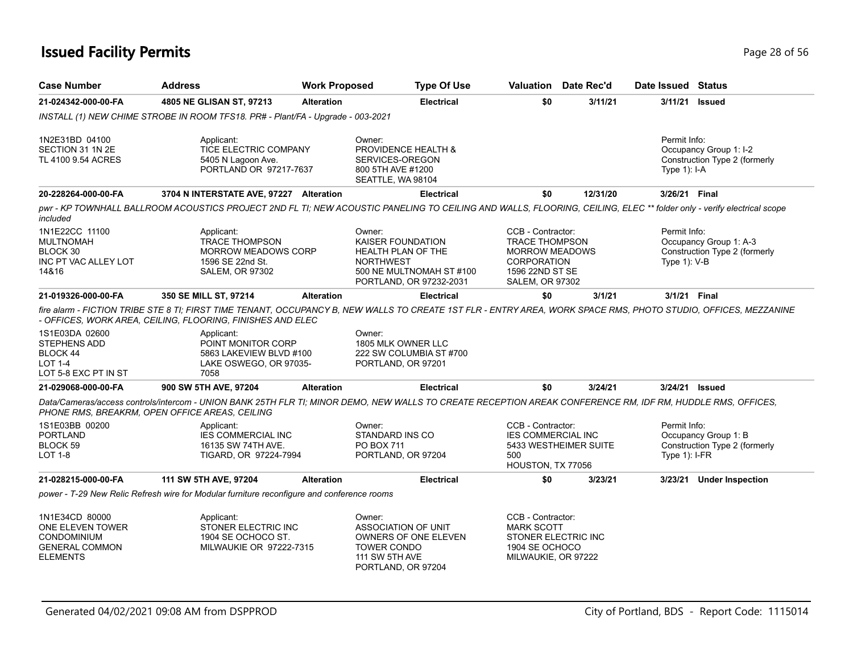## **Issued Facility Permits** Provide the Contract of the Contract of Tagge 28 of 56

| <b>Case Number</b>                                                                                   | <b>Address</b>                                                                                                                                                                                                                                                                                                                 | <b>Work Proposed</b> |                                                                                                                                   | <b>Type Of Use</b> | <b>Valuation</b> Date Rec'd                                                                                                            |          | Date Issued Status              |                                                         |
|------------------------------------------------------------------------------------------------------|--------------------------------------------------------------------------------------------------------------------------------------------------------------------------------------------------------------------------------------------------------------------------------------------------------------------------------|----------------------|-----------------------------------------------------------------------------------------------------------------------------------|--------------------|----------------------------------------------------------------------------------------------------------------------------------------|----------|---------------------------------|---------------------------------------------------------|
| 21-024342-000-00-FA                                                                                  | 4805 NE GLISAN ST, 97213                                                                                                                                                                                                                                                                                                       | <b>Alteration</b>    |                                                                                                                                   | <b>Electrical</b>  | \$0                                                                                                                                    | 3/11/21  | 3/11/21                         | Issued                                                  |
|                                                                                                      | INSTALL (1) NEW CHIME STROBE IN ROOM TFS18. PR# - Plant/FA - Upgrade - 003-2021                                                                                                                                                                                                                                                |                      |                                                                                                                                   |                    |                                                                                                                                        |          |                                 |                                                         |
| 1N2E31BD 04100<br>SECTION 31 1N 2E<br>TL 4100 9.54 ACRES                                             | Applicant:<br>TICE ELECTRIC COMPANY<br>5405 N Lagoon Ave.<br>PORTLAND OR 97217-7637                                                                                                                                                                                                                                            |                      | Owner:<br>PROVIDENCE HEALTH &<br>SERVICES-OREGON<br>800 5TH AVE #1200<br>SEATTLE, WA 98104                                        |                    |                                                                                                                                        |          | Permit Info:<br>Type 1): I-A    | Occupancy Group 1: I-2<br>Construction Type 2 (formerly |
| 20-228264-000-00-FA                                                                                  | 3704 N INTERSTATE AVE, 97227 Alteration                                                                                                                                                                                                                                                                                        |                      |                                                                                                                                   | <b>Electrical</b>  | \$0                                                                                                                                    | 12/31/20 | 3/26/21 Final                   |                                                         |
| included                                                                                             | pwr - KP TOWNHALL BALLROOM ACOUSTICS PROJECT 2ND FL TI; NEW ACOUSTIC PANELING TO CEILING AND WALLS, FLOORING, CEILING, ELEC ** folder only - verify electrical scope                                                                                                                                                           |                      |                                                                                                                                   |                    |                                                                                                                                        |          |                                 |                                                         |
| 1N1E22CC 11100<br><b>MULTNOMAH</b><br>BLOCK 30<br>INC PT VAC ALLEY LOT<br>14&16                      | Applicant:<br><b>TRACE THOMPSON</b><br><b>MORROW MEADOWS CORP</b><br>1596 SE 22nd St.<br><b>SALEM, OR 97302</b>                                                                                                                                                                                                                |                      | Owner:<br>KAISER FOUNDATION<br>HEALTH PLAN OF THE<br><b>NORTHWEST</b><br>500 NE MULTNOMAH ST #100<br>PORTLAND, OR 97232-2031      |                    | CCB - Contractor:<br><b>TRACE THOMPSON</b><br><b>MORROW MEADOWS</b><br><b>CORPORATION</b><br>1596 22ND ST SE<br><b>SALEM, OR 97302</b> |          | Permit Info:<br>Type 1): V-B    | Occupancy Group 1: A-3<br>Construction Type 2 (formerly |
| 21-019326-000-00-FA                                                                                  | 350 SE MILL ST, 97214                                                                                                                                                                                                                                                                                                          | <b>Alteration</b>    |                                                                                                                                   | <b>Electrical</b>  | \$0                                                                                                                                    | 3/1/21   |                                 | 3/1/21 Final                                            |
| 1S1E03DA 02600<br><b>STEPHENS ADD</b><br>BLOCK 44<br><b>LOT 1-4</b><br>LOT 5-8 EXC PT IN ST          | fire alarm - FICTION TRIBE STE 8 TI; FIRST TIME TENANT, OCCUPANCY B, NEW WALLS TO CREATE 1ST FLR - ENTRY AREA, WORK SPACE RMS, PHOTO STUDIO, OFFICES, MEZZANINE<br>- OFFICES, WORK AREA, CEILING, FLOORING, FINISHES AND ELEC<br>Applicant:<br>POINT MONITOR CORP<br>5863 LAKEVIEW BLVD #100<br>LAKE OSWEGO, OR 97035-<br>7058 |                      | Owner:<br>1805 MLK OWNER LLC<br>222 SW COLUMBIA ST #700<br>PORTLAND, OR 97201                                                     |                    |                                                                                                                                        |          |                                 |                                                         |
| 21-029068-000-00-FA                                                                                  | 900 SW 5TH AVE, 97204                                                                                                                                                                                                                                                                                                          | <b>Alteration</b>    |                                                                                                                                   | <b>Electrical</b>  | \$0                                                                                                                                    | 3/24/21  |                                 | 3/24/21 Issued                                          |
|                                                                                                      | Data/Cameras/access controls/intercom - UNION BANK 25TH FLR TI; MINOR DEMO, NEW WALLS TO CREATE RECEPTION AREAK CONFERENCE RM, IDF RM, HUDDLE RMS, OFFICES,<br>PHONE RMS, BREAKRM, OPEN OFFICE AREAS, CEILING                                                                                                                  |                      |                                                                                                                                   |                    |                                                                                                                                        |          |                                 |                                                         |
| 1S1E03BB 00200<br>PORTLAND<br>BLOCK 59<br>LOT 1-8                                                    | Applicant:<br><b>IES COMMERCIAL INC</b><br>16135 SW 74TH AVE.<br>TIGARD, OR 97224-7994                                                                                                                                                                                                                                         |                      | Owner:<br>STANDARD INS CO<br>PO BOX 711<br>PORTLAND, OR 97204                                                                     |                    | CCB - Contractor:<br><b>IES COMMERCIAL INC</b><br>5433 WESTHEIMER SUITE<br>500<br>HOUSTON, TX 77056                                    |          | Permit Info:<br>Type $1$ : I-FR | Occupancy Group 1: B<br>Construction Type 2 (formerly   |
| 21-028215-000-00-FA                                                                                  | 111 SW 5TH AVE, 97204                                                                                                                                                                                                                                                                                                          | <b>Alteration</b>    |                                                                                                                                   | <b>Electrical</b>  | \$0                                                                                                                                    | 3/23/21  | 3/23/21                         | <b>Under Inspection</b>                                 |
|                                                                                                      | power - T-29 New Relic Refresh wire for Modular furniture reconfigure and conference rooms                                                                                                                                                                                                                                     |                      |                                                                                                                                   |                    |                                                                                                                                        |          |                                 |                                                         |
| 1N1E34CD 80000<br>ONE ELEVEN TOWER<br><b>CONDOMINIUM</b><br><b>GENERAL COMMON</b><br><b>ELEMENTS</b> | Applicant:<br>STONER ELECTRIC INC<br>1904 SE OCHOCO ST.<br>MILWAUKIE OR 97222-7315                                                                                                                                                                                                                                             |                      | Owner:<br><b>ASSOCIATION OF UNIT</b><br>OWNERS OF ONE ELEVEN<br><b>TOWER CONDO</b><br><b>111 SW 5TH AVE</b><br>PORTLAND, OR 97204 |                    | CCB - Contractor:<br><b>MARK SCOTT</b><br>STONER ELECTRIC INC<br>1904 SE OCHOCO<br>MILWAUKIE, OR 97222                                 |          |                                 |                                                         |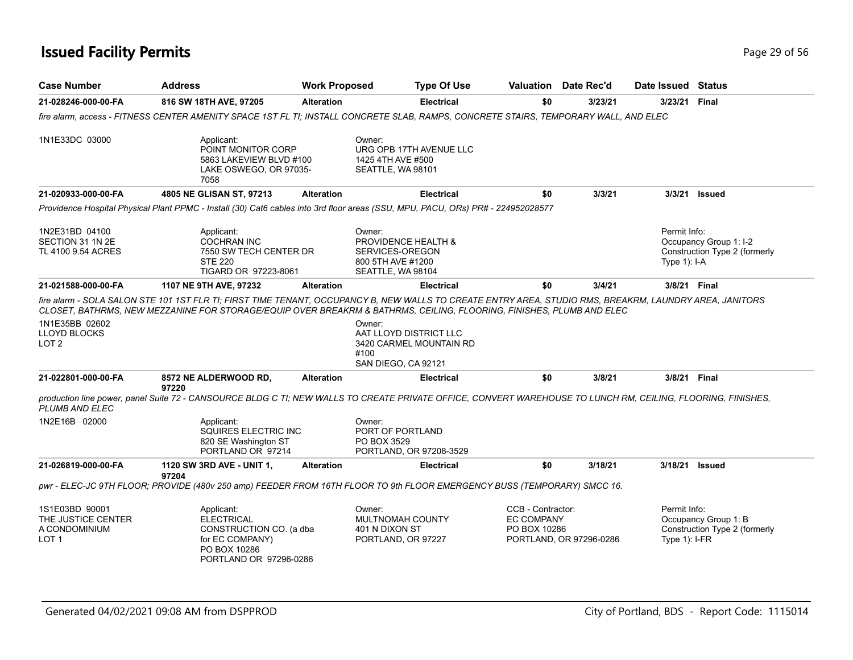## **Issued Facility Permits** Page 29 of 56

| <b>Case Number</b>                                                        | <b>Address</b>                                                                                                                                                                                                                                                                  | <b>Work Proposed</b> |                                                                                            | <b>Type Of Use</b>                                |                                                        |     | Valuation Date Rec'd    |                                  | Date Issued Status                                      |
|---------------------------------------------------------------------------|---------------------------------------------------------------------------------------------------------------------------------------------------------------------------------------------------------------------------------------------------------------------------------|----------------------|--------------------------------------------------------------------------------------------|---------------------------------------------------|--------------------------------------------------------|-----|-------------------------|----------------------------------|---------------------------------------------------------|
| 21-028246-000-00-FA                                                       | 816 SW 18TH AVE, 97205                                                                                                                                                                                                                                                          | <b>Alteration</b>    |                                                                                            | <b>Electrical</b>                                 |                                                        | \$0 | 3/23/21                 | 3/23/21                          | Final                                                   |
|                                                                           | fire alarm, access - FITNESS CENTER AMENITY SPACE 1ST FL TI; INSTALL CONCRETE SLAB, RAMPS, CONCRETE STAIRS, TEMPORARY WALL, AND ELEC                                                                                                                                            |                      |                                                                                            |                                                   |                                                        |     |                         |                                  |                                                         |
| 1N1E33DC 03000                                                            | Applicant:<br>POINT MONITOR CORP<br>5863 LAKEVIEW BLVD #100<br>LAKE OSWEGO, OR 97035-<br>7058                                                                                                                                                                                   |                      | Owner:<br>1425 4TH AVE #500<br>SEATTLE, WA 98101                                           | URG OPB 17TH AVENUE LLC                           |                                                        |     |                         |                                  |                                                         |
| 21-020933-000-00-FA                                                       | 4805 NE GLISAN ST, 97213                                                                                                                                                                                                                                                        | <b>Alteration</b>    |                                                                                            | <b>Electrical</b>                                 |                                                        | \$0 | 3/3/21                  |                                  | 3/3/21 Issued                                           |
|                                                                           | Providence Hospital Physical Plant PPMC - Install (30) Cat6 cables into 3rd floor areas (SSU, MPU, PACU, ORs) PR# - 224952028577                                                                                                                                                |                      |                                                                                            |                                                   |                                                        |     |                         |                                  |                                                         |
| 1N2E31BD 04100<br>SECTION 31 1N 2E<br>TL 4100 9.54 ACRES                  | Applicant:<br><b>COCHRAN INC</b><br>7550 SW TECH CENTER DR<br><b>STE 220</b><br>TIGARD OR 97223-8061                                                                                                                                                                            |                      | Owner:<br>PROVIDENCE HEALTH &<br>SERVICES-OREGON<br>800 5TH AVE #1200<br>SEATTLE, WA 98104 |                                                   |                                                        |     |                         | Permit Info:<br>Type $1$ : I-A   | Occupancy Group 1: I-2<br>Construction Type 2 (formerly |
| 21-021588-000-00-FA                                                       | 1107 NE 9TH AVE, 97232                                                                                                                                                                                                                                                          | <b>Alteration</b>    |                                                                                            | <b>Electrical</b>                                 |                                                        | \$0 | 3/4/21                  |                                  | 3/8/21 Final                                            |
| 1N1E35BB 02602<br>LLOYD BLOCKS<br>LOT <sub>2</sub>                        | fire alarm - SOLA SALON STE 101 1ST FLR TI; FIRST TIME TENANT, OCCUPANCY B, NEW WALLS TO CREATE ENTRY AREA, STUDIO RMS, BREAKRM, LAUNDRY AREA, JANITORS<br>CLOSET, BATHRMS, NEW MEZZANINE FOR STORAGE/EQUIP OVER BREAKRM & BATHRMS, CEILING, FLOORING, FINISHES, PLUMB AND ELEC |                      | Owner:                                                                                     | AAT LLOYD DISTRICT LLC<br>3420 CARMEL MOUNTAIN RD |                                                        |     |                         |                                  |                                                         |
|                                                                           |                                                                                                                                                                                                                                                                                 |                      | #100<br>SAN DIEGO, CA 92121                                                                |                                                   |                                                        |     |                         |                                  |                                                         |
| 21-022801-000-00-FA                                                       | 8572 NE ALDERWOOD RD,<br>97220                                                                                                                                                                                                                                                  | <b>Alteration</b>    |                                                                                            | <b>Electrical</b>                                 |                                                        | \$0 | 3/8/21                  |                                  | 3/8/21 Final                                            |
| PLUMB AND ELEC                                                            | production line power, panel Suite 72 - CANSOURCE BLDG C TI; NEW WALLS TO CREATE PRIVATE OFFICE, CONVERT WAREHOUSE TO LUNCH RM, CEILING, FLOORING, FINISHES,                                                                                                                    |                      |                                                                                            |                                                   |                                                        |     |                         |                                  |                                                         |
| 1N2E16B 02000                                                             | Applicant:<br>SQUIRES ELECTRIC INC<br>820 SE Washington ST<br>PORTLAND OR 97214                                                                                                                                                                                                 |                      | Owner:<br>PORT OF PORTLAND<br>PO BOX 3529                                                  | PORTLAND, OR 97208-3529                           |                                                        |     |                         |                                  |                                                         |
| 21-026819-000-00-FA                                                       | 1120 SW 3RD AVE - UNIT 1,                                                                                                                                                                                                                                                       | <b>Alteration</b>    |                                                                                            | <b>Electrical</b>                                 |                                                        | \$0 | 3/18/21                 |                                  | 3/18/21 Issued                                          |
|                                                                           | 97204<br>pwr - ELEC-JC 9TH FLOOR; PROVIDE (480v 250 amp) FEEDER FROM 16TH FLOOR TO 9th FLOOR EMERGENCY BUSS (TEMPORARY) SMCC 16.                                                                                                                                                |                      |                                                                                            |                                                   |                                                        |     |                         |                                  |                                                         |
| 1S1E03BD 90001<br>THE JUSTICE CENTER<br>A CONDOMINIUM<br>LOT <sub>1</sub> | Applicant:<br><b>ELECTRICAL</b><br>CONSTRUCTION CO. (a dba<br>for EC COMPANY)<br>PO BOX 10286<br>PORTLAND OR 97296-0286                                                                                                                                                         |                      | Owner:<br>MULTNOMAH COUNTY<br>401 N DIXON ST<br>PORTLAND, OR 97227                         |                                                   | CCB - Contractor:<br><b>EC COMPANY</b><br>PO BOX 10286 |     | PORTLAND, OR 97296-0286 | Permit Info:<br>Type $1$ ): I-FR | Occupancy Group 1: B<br>Construction Type 2 (formerly   |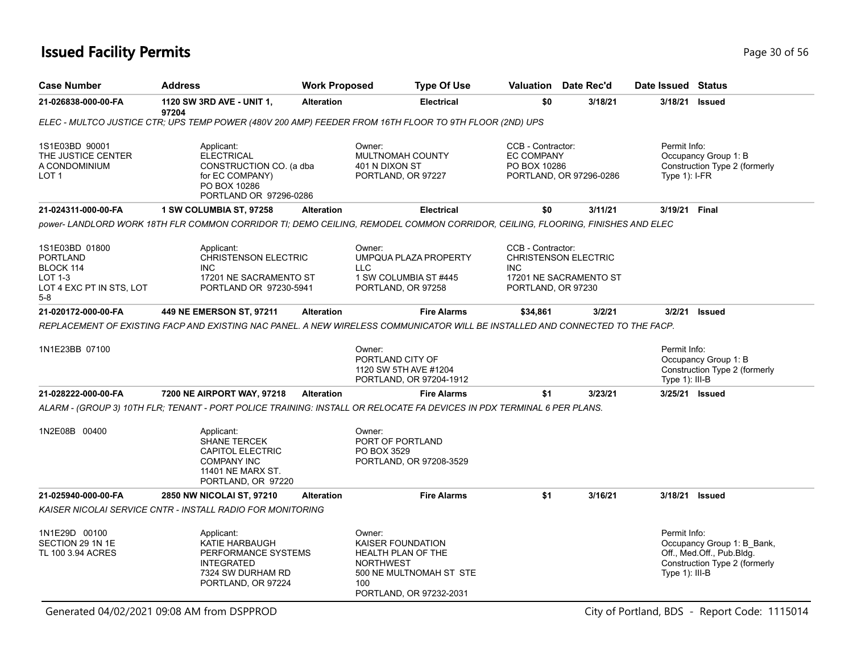## **Issued Facility Permits** Provide the Contract of the Contract of Tagge 30 of 56

| Case Number                                                                                  | <b>Address</b>                                                                                                                | <b>Work Proposed</b> | <b>Type Of Use</b>                                                                                                                                                                                              |                                                        | Valuation Date Rec'd                                  | Date Issued Status                |                                                                                          |
|----------------------------------------------------------------------------------------------|-------------------------------------------------------------------------------------------------------------------------------|----------------------|-----------------------------------------------------------------------------------------------------------------------------------------------------------------------------------------------------------------|--------------------------------------------------------|-------------------------------------------------------|-----------------------------------|------------------------------------------------------------------------------------------|
| 21-026838-000-00-FA                                                                          | 1120 SW 3RD AVE - UNIT 1,<br>97204                                                                                            | <b>Alteration</b>    | <b>Electrical</b>                                                                                                                                                                                               | \$0                                                    | 3/18/21                                               | 3/18/21                           | <b>Issued</b>                                                                            |
|                                                                                              |                                                                                                                               |                      | ELEC - MULTCO JUSTICE CTR; UPS TEMP POWER (480V 200 AMP) FEEDER FROM 16TH FLOOR TO 9TH FLOOR (2ND) UPS                                                                                                          |                                                        |                                                       |                                   |                                                                                          |
| 1S1E03BD 90001<br>THE JUSTICE CENTER<br>A CONDOMINIUM<br>LOT 1                               | Applicant:<br><b>ELECTRICAL</b><br>CONSTRUCTION CO. (a dba<br>for EC COMPANY)<br>PO BOX 10286<br>PORTLAND OR 97296-0286       |                      | Owner:<br>MULTNOMAH COUNTY<br>401 N DIXON ST<br>PORTLAND, OR 97227                                                                                                                                              | CCB - Contractor:<br><b>EC COMPANY</b><br>PO BOX 10286 | PORTLAND, OR 97296-0286                               | Permit Info:<br>Type $1$ : I-FR   | Occupancy Group 1: B<br>Construction Type 2 (formerly                                    |
| 21-024311-000-00-FA                                                                          | 1 SW COLUMBIA ST, 97258                                                                                                       | <b>Alteration</b>    | <b>Electrical</b>                                                                                                                                                                                               | \$0                                                    | 3/11/21                                               | 3/19/21 Final                     |                                                                                          |
|                                                                                              |                                                                                                                               |                      | power- LANDLORD WORK 18TH FLR COMMON CORRIDOR TI: DEMO CEILING. REMODEL COMMON CORRIDOR. CEILING. FLOORING. FINISHES AND ELEC                                                                                   |                                                        |                                                       |                                   |                                                                                          |
| 1S1E03BD 01800<br><b>PORTLAND</b><br>BLOCK 114<br>LOT 1-3<br>LOT 4 EXC PT IN STS, LOT<br>5-8 | Applicant:<br><b>CHRISTENSON ELECTRIC</b><br><b>INC</b><br>17201 NE SACRAMENTO ST<br>PORTLAND OR 97230-5941                   |                      | Owner:<br>UMPQUA PLAZA PROPERTY<br><b>LLC</b><br>1 SW COLUMBIA ST #445<br>PORTLAND, OR 97258                                                                                                                    | CCB - Contractor:<br><b>INC</b><br>PORTLAND, OR 97230  | <b>CHRISTENSON ELECTRIC</b><br>17201 NE SACRAMENTO ST |                                   |                                                                                          |
| 21-020172-000-00-FA                                                                          | 449 NE EMERSON ST, 97211                                                                                                      | <b>Alteration</b>    | <b>Fire Alarms</b>                                                                                                                                                                                              | \$34,861                                               | 3/2/21                                                |                                   | 3/2/21 Issued                                                                            |
| 1N1E23BB 07100                                                                               |                                                                                                                               |                      | REPLACEMENT OF EXISTING FACP AND EXISTING NAC PANEL. A NEW WIRELESS COMMUNICATOR WILL BE INSTALLED AND CONNECTED TO THE FACP.<br>Owner:<br>PORTLAND CITY OF<br>1120 SW 5TH AVE #1204<br>PORTLAND, OR 97204-1912 |                                                        |                                                       | Permit Info:<br>Type 1): III-B    | Occupancy Group 1: B<br>Construction Type 2 (formerly                                    |
| 21-028222-000-00-FA                                                                          | 7200 NE AIRPORT WAY, 97218                                                                                                    | <b>Alteration</b>    | <b>Fire Alarms</b>                                                                                                                                                                                              | \$1                                                    | 3/23/21                                               | 3/25/21 Issued                    |                                                                                          |
|                                                                                              |                                                                                                                               |                      | ALARM - (GROUP 3) 10TH FLR; TENANT - PORT POLICE TRAINING: INSTALL OR RELOCATE FA DEVICES IN PDX TERMINAL 6 PER PLANS.                                                                                          |                                                        |                                                       |                                   |                                                                                          |
| 1N2E08B 00400                                                                                | Applicant:<br><b>SHANE TERCEK</b><br><b>CAPITOL ELECTRIC</b><br><b>COMPANY INC</b><br>11401 NE MARX ST.<br>PORTLAND, OR 97220 |                      | Owner:<br>PORT OF PORTLAND<br>PO BOX 3529<br>PORTLAND, OR 97208-3529                                                                                                                                            |                                                        |                                                       |                                   |                                                                                          |
| 21-025940-000-00-FA                                                                          | 2850 NW NICOLAI ST, 97210                                                                                                     | <b>Alteration</b>    | <b>Fire Alarms</b>                                                                                                                                                                                              | \$1                                                    | 3/16/21                                               | 3/18/21                           | <b>Issued</b>                                                                            |
|                                                                                              | KAISER NICOLAI SERVICE CNTR - INSTALL RADIO FOR MONITORING                                                                    |                      |                                                                                                                                                                                                                 |                                                        |                                                       |                                   |                                                                                          |
| 1N1E29D 00100<br>SECTION 29 1N 1E<br>TL 100 3.94 ACRES                                       | Applicant:<br>KATIE HARBAUGH<br>PERFORMANCE SYSTEMS<br><b>INTEGRATED</b><br>7324 SW DURHAM RD<br>PORTLAND, OR 97224           |                      | Owner:<br>KAISER FOUNDATION<br><b>HEALTH PLAN OF THE</b><br><b>NORTHWEST</b><br>500 NE MULTNOMAH ST STE<br>100<br>PORTLAND, OR 97232-2031                                                                       |                                                        |                                                       | Permit Info:<br>Type $1$ ): III-B | Occupancy Group 1: B Bank,<br>Off., Med.Off., Pub.Bldg.<br>Construction Type 2 (formerly |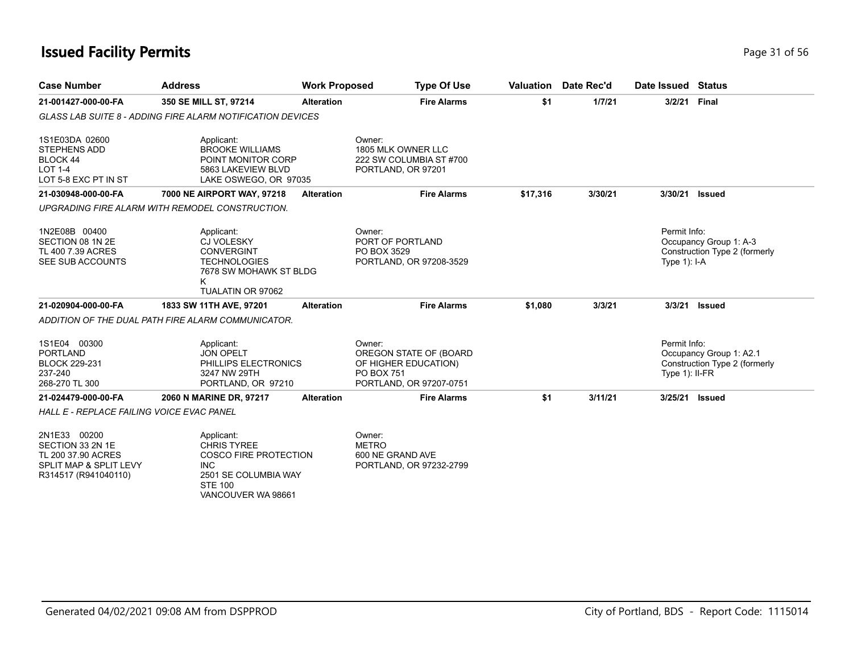| <b>Case Number</b>                                                                          | <b>Address</b>                                                                                                             | <b>Work Proposed</b> | <b>Type Of Use</b>                                                                                       | Valuation | Date Rec'd | Date Issued                      | <b>Status</b>                                            |
|---------------------------------------------------------------------------------------------|----------------------------------------------------------------------------------------------------------------------------|----------------------|----------------------------------------------------------------------------------------------------------|-----------|------------|----------------------------------|----------------------------------------------------------|
| 21-001427-000-00-FA                                                                         | 350 SE MILL ST, 97214                                                                                                      | <b>Alteration</b>    | <b>Fire Alarms</b>                                                                                       | \$1       | 1/7/21     | 3/2/21                           | Final                                                    |
|                                                                                             | <b>GLASS LAB SUITE 8 - ADDING FIRE ALARM NOTIFICATION DEVICES</b>                                                          |                      |                                                                                                          |           |            |                                  |                                                          |
| 1S1E03DA 02600<br><b>STEPHENS ADD</b><br>BLOCK 44<br><b>LOT 1-4</b><br>LOT 5-8 EXC PT IN ST | Applicant:<br><b>BROOKE WILLIAMS</b><br>POINT MONITOR CORP<br>5863 LAKEVIEW BLVD<br>LAKE OSWEGO, OR 97035                  |                      | Owner:<br>1805 MLK OWNER LLC<br>222 SW COLUMBIA ST #700<br>PORTLAND, OR 97201                            |           |            |                                  |                                                          |
| 21-030948-000-00-FA                                                                         | 7000 NE AIRPORT WAY, 97218                                                                                                 | <b>Alteration</b>    | <b>Fire Alarms</b>                                                                                       | \$17,316  | 3/30/21    | 3/30/21                          | <b>Issued</b>                                            |
|                                                                                             | UPGRADING FIRE ALARM WITH REMODEL CONSTRUCTION.                                                                            |                      |                                                                                                          |           |            |                                  |                                                          |
| 1N2E08B 00400<br>SECTION 08 1N 2E<br>TL 400 7.39 ACRES<br>SEE SUB ACCOUNTS                  | Applicant:<br><b>CJ VOLESKY</b><br><b>CONVERGINT</b><br><b>TECHNOLOGIES</b><br>7678 SW MOHAWK ST BLDG<br>TUALATIN OR 97062 |                      | Owner:<br>PORT OF PORTLAND<br>PO BOX 3529<br>PORTLAND, OR 97208-3529                                     |           |            | Permit Info:<br>Type $1$ : I-A   | Occupancy Group 1: A-3<br>Construction Type 2 (formerly  |
| 21-020904-000-00-FA                                                                         | 1833 SW 11TH AVE, 97201                                                                                                    | <b>Alteration</b>    | <b>Fire Alarms</b>                                                                                       | \$1,080   | 3/3/21     | 3/3/21                           | <b>Issued</b>                                            |
|                                                                                             | ADDITION OF THE DUAL PATH FIRE ALARM COMMUNICATOR.                                                                         |                      |                                                                                                          |           |            |                                  |                                                          |
| 1S1E04 00300<br><b>PORTLAND</b><br><b>BLOCK 229-231</b><br>237-240<br>268-270 TL 300        | Applicant:<br><b>JON OPELT</b><br>PHILLIPS ELECTRONICS<br>3247 NW 29TH<br>PORTLAND, OR 97210                               |                      | Owner:<br>OREGON STATE OF (BOARD<br>OF HIGHER EDUCATION)<br><b>PO BOX 751</b><br>PORTLAND, OR 97207-0751 |           |            | Permit Info:<br>Type $1$ : II-FR | Occupancy Group 1: A2.1<br>Construction Type 2 (formerly |
| 21-024479-000-00-FA                                                                         | 2060 N MARINE DR. 97217                                                                                                    | <b>Alteration</b>    | <b>Fire Alarms</b>                                                                                       | \$1       | 3/11/21    | 3/25/21                          | <b>Issued</b>                                            |
| <b>HALL E - REPLACE FAILING VOICE EVAC PANEL</b>                                            |                                                                                                                            |                      |                                                                                                          |           |            |                                  |                                                          |
| 2N1E33 00200<br>SECTION 33 2N 1F                                                            | Applicant:<br><b>CHRIS TYRFF</b>                                                                                           |                      | Owner:<br><b>MFTRO</b>                                                                                   |           |            |                                  |                                                          |

| <b><i>LIVILJJ UULUU</i></b> | Applicatit.           | UWIEI.                  |
|-----------------------------|-----------------------|-------------------------|
| SECTION 33 2N 1E            | <b>CHRIS TYREE</b>    | METRO                   |
| TL 200 37.90 ACRES          | COSCO FIRE PROTECTION | 600 NE GRAND AVE        |
| SPLIT MAP & SPLIT LEVY      | <b>INC</b>            | PORTLAND, OR 97232-2799 |
| R314517 (R941040110)        | 2501 SE COLUMBIA WAY  |                         |
|                             | STE 100               |                         |
|                             | VANCOUVER WA 98661    |                         |
|                             |                       |                         |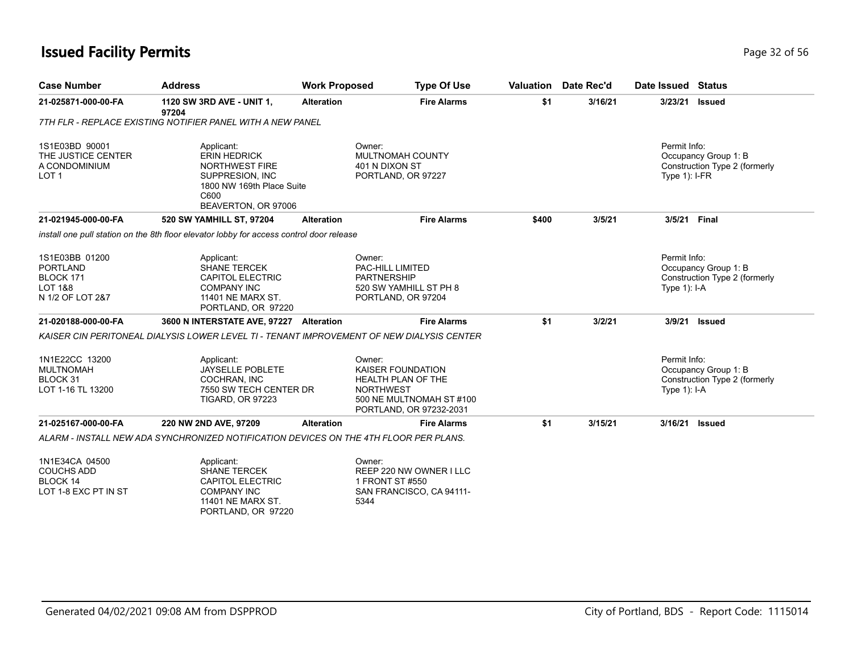## **Issued Facility Permits** Provide the Contract of 56 and 2012 of 56 and 2012 of 56 and 2012 of 56 and 2013 of 56 and 2013 of 56 and 2013 of 56 and 2013 of 56 and 2013 of 56 and 2013 of 56 and 2013 of 56 and 2013 of 56 and

| <b>Fire Alarms</b><br>\$1<br>3/16/21<br>3/23/21<br>21-025871-000-00-FA<br>1120 SW 3RD AVE - UNIT 1,<br><b>Alteration</b><br><b>Issued</b><br>97204<br>7TH FLR - REPLACE EXISTING NOTIFIER PANEL WITH A NEW PANEL<br>Permit Info:<br>1S1E03BD 90001<br>Applicant:<br>Owner:<br>THE JUSTICE CENTER<br><b>ERIN HEDRICK</b><br>MULTNOMAH COUNTY<br>Occupancy Group 1: B<br>NORTHWEST FIRE<br>401 N DIXON ST<br>A CONDOMINIUM<br>LOT <sub>1</sub><br>SUPPRESION, INC<br>PORTLAND, OR 97227<br>Type $1$ : I-FR<br>1800 NW 169th Place Suite<br>C600<br>BEAVERTON, OR 97006<br><b>Fire Alarms</b><br>21-021945-000-00-FA<br>520 SW YAMHILL ST, 97204<br>\$400<br>3/5/21<br>3/5/21<br><b>Final</b><br><b>Alteration</b><br>install one pull station on the 8th floor elevator lobby for access control door release<br>Permit Info:<br>1S1E03BB 01200<br>Applicant:<br>Owner:<br><b>PORTLAND</b><br><b>SHANE TERCEK</b><br>PAC-HILL LIMITED<br>Occupancy Group 1: B<br>BLOCK 171<br><b>CAPITOL ELECTRIC</b><br><b>PARTNERSHIP</b><br><b>LOT 1&amp;8</b><br><b>COMPANY INC</b><br>520 SW YAMHILL ST PH 8<br>Type $1$ : I-A<br>N 1/2 OF LOT 2&7<br>11401 NE MARX ST.<br>PORTLAND, OR 97204<br>PORTLAND, OR 97220<br>21-020188-000-00-FA<br>3600 N INTERSTATE AVE, 97227 Alteration<br><b>Fire Alarms</b><br>\$1<br>3/2/21<br>3/9/21<br>Issued<br>KAISER CIN PERITONEAL DIALYSIS LOWER LEVEL TI - TENANT IMPROVEMENT OF NEW DIALYSIS CENTER<br>Permit Info:<br>1N1E22CC 13200<br>Applicant:<br>Owner:<br><b>MULTNOMAH</b><br><b>JAYSELLE POBLETE</b><br><b>KAISER FOUNDATION</b><br>Occupancy Group 1: B<br>BLOCK 31<br>COCHRAN, INC<br><b>HEALTH PLAN OF THE</b><br>LOT 1-16 TL 13200<br><b>NORTHWEST</b><br>7550 SW TECH CENTER DR<br>Type $1$ : I-A<br><b>TIGARD, OR 97223</b><br>500 NE MULTNOMAH ST #100<br>PORTLAND, OR 97232-2031 | <b>Case Number</b> | <b>Address</b> | <b>Work Proposed</b> | <b>Type Of Use</b> | Valuation | Date Rec'd | Date Issued Status |                               |
|-------------------------------------------------------------------------------------------------------------------------------------------------------------------------------------------------------------------------------------------------------------------------------------------------------------------------------------------------------------------------------------------------------------------------------------------------------------------------------------------------------------------------------------------------------------------------------------------------------------------------------------------------------------------------------------------------------------------------------------------------------------------------------------------------------------------------------------------------------------------------------------------------------------------------------------------------------------------------------------------------------------------------------------------------------------------------------------------------------------------------------------------------------------------------------------------------------------------------------------------------------------------------------------------------------------------------------------------------------------------------------------------------------------------------------------------------------------------------------------------------------------------------------------------------------------------------------------------------------------------------------------------------------------------------------------------------------------------------------------------------------------------------------------------------------------------------------|--------------------|----------------|----------------------|--------------------|-----------|------------|--------------------|-------------------------------|
|                                                                                                                                                                                                                                                                                                                                                                                                                                                                                                                                                                                                                                                                                                                                                                                                                                                                                                                                                                                                                                                                                                                                                                                                                                                                                                                                                                                                                                                                                                                                                                                                                                                                                                                                                                                                                               |                    |                |                      |                    |           |            |                    |                               |
|                                                                                                                                                                                                                                                                                                                                                                                                                                                                                                                                                                                                                                                                                                                                                                                                                                                                                                                                                                                                                                                                                                                                                                                                                                                                                                                                                                                                                                                                                                                                                                                                                                                                                                                                                                                                                               |                    |                |                      |                    |           |            |                    |                               |
|                                                                                                                                                                                                                                                                                                                                                                                                                                                                                                                                                                                                                                                                                                                                                                                                                                                                                                                                                                                                                                                                                                                                                                                                                                                                                                                                                                                                                                                                                                                                                                                                                                                                                                                                                                                                                               |                    |                |                      |                    |           |            |                    | Construction Type 2 (formerly |
|                                                                                                                                                                                                                                                                                                                                                                                                                                                                                                                                                                                                                                                                                                                                                                                                                                                                                                                                                                                                                                                                                                                                                                                                                                                                                                                                                                                                                                                                                                                                                                                                                                                                                                                                                                                                                               |                    |                |                      |                    |           |            |                    |                               |
|                                                                                                                                                                                                                                                                                                                                                                                                                                                                                                                                                                                                                                                                                                                                                                                                                                                                                                                                                                                                                                                                                                                                                                                                                                                                                                                                                                                                                                                                                                                                                                                                                                                                                                                                                                                                                               |                    |                |                      |                    |           |            |                    |                               |
|                                                                                                                                                                                                                                                                                                                                                                                                                                                                                                                                                                                                                                                                                                                                                                                                                                                                                                                                                                                                                                                                                                                                                                                                                                                                                                                                                                                                                                                                                                                                                                                                                                                                                                                                                                                                                               |                    |                |                      |                    |           |            |                    | Construction Type 2 (formerly |
|                                                                                                                                                                                                                                                                                                                                                                                                                                                                                                                                                                                                                                                                                                                                                                                                                                                                                                                                                                                                                                                                                                                                                                                                                                                                                                                                                                                                                                                                                                                                                                                                                                                                                                                                                                                                                               |                    |                |                      |                    |           |            |                    |                               |
|                                                                                                                                                                                                                                                                                                                                                                                                                                                                                                                                                                                                                                                                                                                                                                                                                                                                                                                                                                                                                                                                                                                                                                                                                                                                                                                                                                                                                                                                                                                                                                                                                                                                                                                                                                                                                               |                    |                |                      |                    |           |            |                    |                               |
|                                                                                                                                                                                                                                                                                                                                                                                                                                                                                                                                                                                                                                                                                                                                                                                                                                                                                                                                                                                                                                                                                                                                                                                                                                                                                                                                                                                                                                                                                                                                                                                                                                                                                                                                                                                                                               |                    |                |                      |                    |           |            |                    | Construction Type 2 (formerly |
| \$1<br>21-025167-000-00-FA<br>220 NW 2ND AVE, 97209<br><b>Fire Alarms</b><br>3/15/21<br>3/16/21<br><b>Alteration</b><br><b>Issued</b>                                                                                                                                                                                                                                                                                                                                                                                                                                                                                                                                                                                                                                                                                                                                                                                                                                                                                                                                                                                                                                                                                                                                                                                                                                                                                                                                                                                                                                                                                                                                                                                                                                                                                         |                    |                |                      |                    |           |            |                    |                               |
| ALARM - INSTALL NEW ADA SYNCHRONIZED NOTIFICATION DEVICES ON THE 4TH FLOOR PER PLANS.                                                                                                                                                                                                                                                                                                                                                                                                                                                                                                                                                                                                                                                                                                                                                                                                                                                                                                                                                                                                                                                                                                                                                                                                                                                                                                                                                                                                                                                                                                                                                                                                                                                                                                                                         |                    |                |                      |                    |           |            |                    |                               |

| 1N1E34CA 04500       | Applicant:          | Owner:                   |
|----------------------|---------------------|--------------------------|
| COUCHS ADD           | <b>SHANE TERCEK</b> | REEP 220 NW OWNER I LLC  |
| BLOCK 14             | CAPITOL ELECTRIC    | 1 FRONT ST #550          |
| LOT 1-8 EXC PT IN ST | COMPANY INC         | SAN FRANCISCO, CA 94111- |
|                      | 11401 NE MARX ST.   | 5344                     |
|                      | PORTLAND, OR 97220  |                          |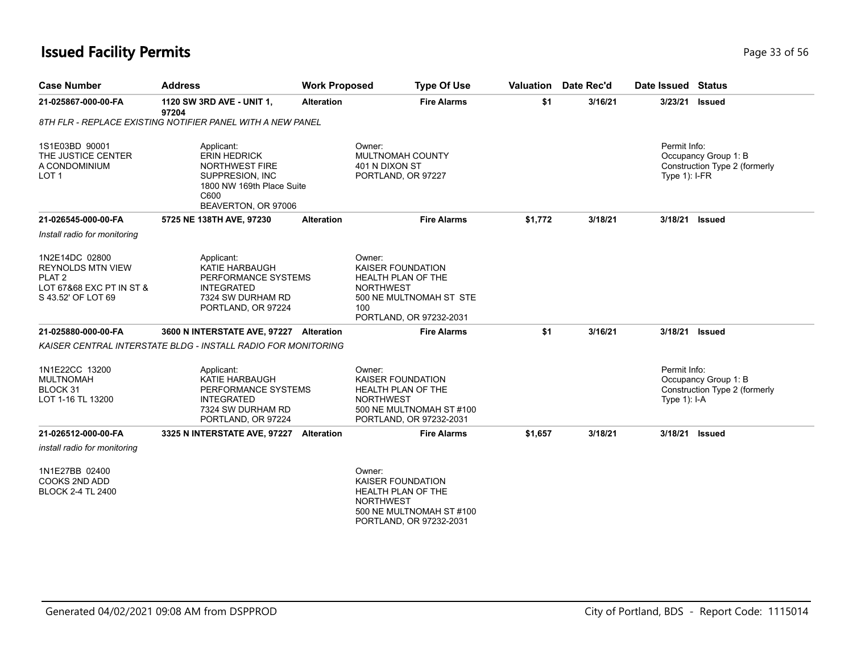#### **Issued Facility Permits** Page 13 of 56

| <b>Case Number</b>                                                                                                | <b>Address</b>                                                                                                                            | <b>Work Proposed</b> | <b>Type Of Use</b>                                                                                                               | Valuation | Date Rec'd | Date Issued Status               |                                                       |
|-------------------------------------------------------------------------------------------------------------------|-------------------------------------------------------------------------------------------------------------------------------------------|----------------------|----------------------------------------------------------------------------------------------------------------------------------|-----------|------------|----------------------------------|-------------------------------------------------------|
| 21-025867-000-00-FA                                                                                               | 1120 SW 3RD AVE - UNIT 1,<br>97204                                                                                                        | <b>Alteration</b>    | <b>Fire Alarms</b>                                                                                                               | \$1       | 3/16/21    |                                  | 3/23/21 Issued                                        |
|                                                                                                                   | 8TH FLR - REPLACE EXISTING NOTIFIER PANEL WITH A NEW PANEL                                                                                |                      |                                                                                                                                  |           |            |                                  |                                                       |
| 1S1E03BD 90001<br>THE JUSTICE CENTER<br>A CONDOMINIUM<br>LOT <sub>1</sub>                                         | Applicant:<br><b>ERIN HEDRICK</b><br><b>NORTHWEST FIRE</b><br>SUPPRESION, INC<br>1800 NW 169th Place Suite<br>C600<br>BEAVERTON, OR 97006 | Owner:               | <b>MULTNOMAH COUNTY</b><br>401 N DIXON ST<br>PORTLAND, OR 97227                                                                  |           |            | Permit Info:<br>Type $1$ ): I-FR | Occupancy Group 1: B<br>Construction Type 2 (formerly |
| 21-026545-000-00-FA                                                                                               | 5725 NE 138TH AVE, 97230                                                                                                                  | <b>Alteration</b>    | <b>Fire Alarms</b>                                                                                                               | \$1,772   | 3/18/21    | 3/18/21 Issued                   |                                                       |
| Install radio for monitoring                                                                                      |                                                                                                                                           |                      |                                                                                                                                  |           |            |                                  |                                                       |
| 1N2E14DC 02800<br><b>REYNOLDS MTN VIEW</b><br>PLAT <sub>2</sub><br>LOT 67&68 EXC PT IN ST &<br>S 43.52' OF LOT 69 | Applicant:<br>KATIE HARBAUGH<br>PERFORMANCE SYSTEMS<br><b>INTEGRATED</b><br>7324 SW DURHAM RD<br>PORTLAND, OR 97224                       | Owner:<br>100        | <b>KAISER FOUNDATION</b><br><b>HEALTH PLAN OF THE</b><br><b>NORTHWEST</b><br>500 NE MULTNOMAH ST STE<br>PORTLAND, OR 97232-2031  |           |            |                                  |                                                       |
| 21-025880-000-00-FA                                                                                               | 3600 N INTERSTATE AVE, 97227                                                                                                              | <b>Alteration</b>    | <b>Fire Alarms</b>                                                                                                               | \$1       | 3/16/21    |                                  | 3/18/21 Issued                                        |
|                                                                                                                   | KAISER CENTRAL INTERSTATE BLDG - INSTALL RADIO FOR MONITORING                                                                             |                      |                                                                                                                                  |           |            |                                  |                                                       |
| 1N1E22CC 13200<br><b>MULTNOMAH</b><br>BLOCK 31<br>LOT 1-16 TL 13200                                               | Applicant:<br><b>KATIE HARBAUGH</b><br>PERFORMANCE SYSTEMS<br><b>INTEGRATED</b><br>7324 SW DURHAM RD<br>PORTLAND, OR 97224                | Owner:               | <b>KAISER FOUNDATION</b><br><b>HEALTH PLAN OF THE</b><br><b>NORTHWEST</b><br>500 NE MULTNOMAH ST #100<br>PORTLAND, OR 97232-2031 |           |            | Permit Info:<br>Type $1$ : I-A   | Occupancy Group 1: B<br>Construction Type 2 (formerly |

*install radio for monitoring*

1N1E27BB 02400 COOKS 2ND ADD BLOCK 2-4 TL 2400

> Owner: KAISER FOUNDATION HEALTH PLAN OF THE NORTHWEST 500 NE MULTNOMAH ST #100 PORTLAND, OR 97232-2031

**21-026512-000-00-FA 3325 N INTERSTATE AVE, 97227 Alteration Fire Alarms \$1,657 3/18/21 3/18/21 Issued**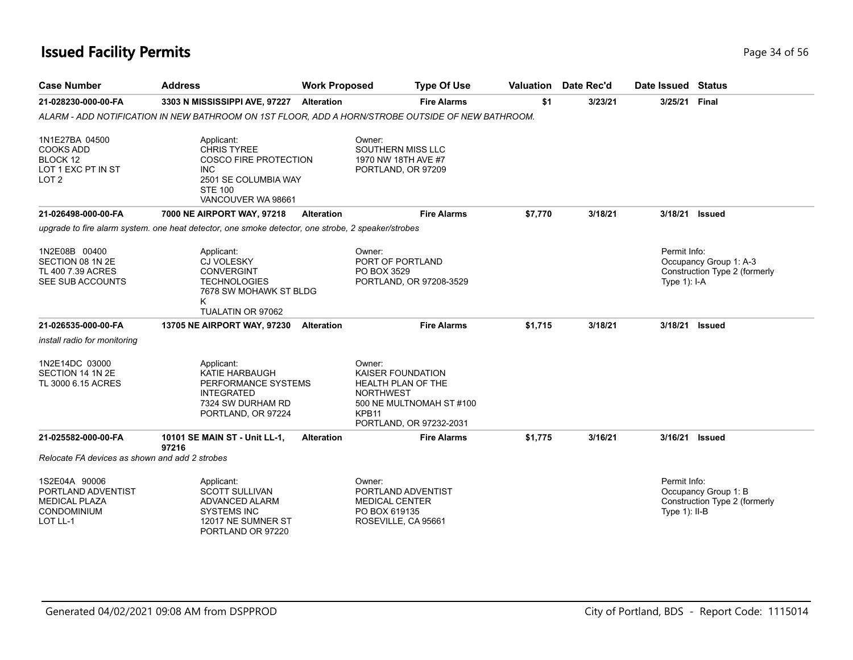| <b>Case Number</b>                                                                       | <b>Address</b>                                                                                                                                 | <b>Work Proposed</b> | <b>Type Of Use</b>                                                                                                                                       |         | <b>Valuation</b> Date Rec'd | Date Issued Status               |                                                         |
|------------------------------------------------------------------------------------------|------------------------------------------------------------------------------------------------------------------------------------------------|----------------------|----------------------------------------------------------------------------------------------------------------------------------------------------------|---------|-----------------------------|----------------------------------|---------------------------------------------------------|
| 21-028230-000-00-FA                                                                      | 3303 N MISSISSIPPI AVE, 97227                                                                                                                  | <b>Alteration</b>    | <b>Fire Alarms</b>                                                                                                                                       | \$1     | 3/23/21                     | 3/25/21                          | Final                                                   |
|                                                                                          | ALARM - ADD NOTIFICATION IN NEW BATHROOM ON 1ST FLOOR, ADD A HORN/STROBE OUTSIDE OF NEW BATHROOM.                                              |                      |                                                                                                                                                          |         |                             |                                  |                                                         |
| 1N1E27BA 04500<br><b>COOKS ADD</b><br>BLOCK 12<br>LOT 1 EXC PT IN ST<br>LOT <sub>2</sub> | Applicant:<br><b>CHRIS TYREE</b><br><b>COSCO FIRE PROTECTION</b><br><b>INC</b><br>2501 SE COLUMBIA WAY<br><b>STE 100</b><br>VANCOUVER WA 98661 |                      | Owner:<br>SOUTHERN MISS LLC<br>1970 NW 18TH AVE #7<br>PORTLAND, OR 97209                                                                                 |         |                             |                                  |                                                         |
| 21-026498-000-00-FA                                                                      | 7000 NE AIRPORT WAY, 97218                                                                                                                     | <b>Alteration</b>    | <b>Fire Alarms</b>                                                                                                                                       | \$7,770 | 3/18/21                     | 3/18/21                          | <b>Issued</b>                                           |
|                                                                                          | upgrade to fire alarm system, one heat detector, one smoke detector, one strobe, 2 speaker/strobes                                             |                      |                                                                                                                                                          |         |                             |                                  |                                                         |
| 1N2E08B 00400<br>SECTION 08 1N 2E<br>TL 400 7.39 ACRES<br>SEE SUB ACCOUNTS               | Applicant:<br><b>CJ VOLESKY</b><br><b>CONVERGINT</b><br><b>TECHNOLOGIES</b><br>7678 SW MOHAWK ST BLDG<br>Κ<br>TUALATIN OR 97062                |                      | Owner:<br>PORT OF PORTLAND<br>PO BOX 3529<br>PORTLAND, OR 97208-3529                                                                                     |         |                             | Permit Info:<br>Type $1$ : I-A   | Occupancy Group 1: A-3<br>Construction Type 2 (formerly |
| 21-026535-000-00-FA                                                                      | 13705 NE AIRPORT WAY, 97230                                                                                                                    | <b>Alteration</b>    | <b>Fire Alarms</b>                                                                                                                                       | \$1,715 | 3/18/21                     | 3/18/21                          | <b>Issued</b>                                           |
| install radio for monitoring                                                             |                                                                                                                                                |                      |                                                                                                                                                          |         |                             |                                  |                                                         |
| 1N2E14DC 03000<br>SECTION 14 1N 2E<br>TL 3000 6.15 ACRES                                 | Applicant:<br><b>KATIE HARBAUGH</b><br>PERFORMANCE SYSTEMS<br><b>INTEGRATED</b><br>7324 SW DURHAM RD<br>PORTLAND, OR 97224                     |                      | Owner:<br><b>KAISER FOUNDATION</b><br>HEALTH PLAN OF THE<br><b>NORTHWEST</b><br>500 NE MULTNOMAH ST #100<br>KPB <sub>11</sub><br>PORTLAND, OR 97232-2031 |         |                             |                                  |                                                         |
| 21-025582-000-00-FA                                                                      | 10101 SE MAIN ST - Unit LL-1,<br>97216                                                                                                         | <b>Alteration</b>    | <b>Fire Alarms</b>                                                                                                                                       | \$1,775 | 3/16/21                     | 3/16/21 Issued                   |                                                         |
| Relocate FA devices as shown and add 2 strobes                                           |                                                                                                                                                |                      |                                                                                                                                                          |         |                             |                                  |                                                         |
| 1S2E04A 90006<br>PORTLAND ADVENTIST<br><b>MEDICAL PLAZA</b><br>CONDOMINIUM<br>LOT LL-1   | Applicant:<br><b>SCOTT SULLIVAN</b><br>ADVANCED ALARM<br><b>SYSTEMS INC</b><br>12017 NE SUMNER ST<br>PORTLAND OR 97220                         |                      | Owner:<br>PORTLAND ADVENTIST<br><b>MEDICAL CENTER</b><br>PO BOX 619135<br>ROSEVILLE, CA 95661                                                            |         |                             | Permit Info:<br>Type $1$ ): II-B | Occupancy Group 1: B<br>Construction Type 2 (formerly   |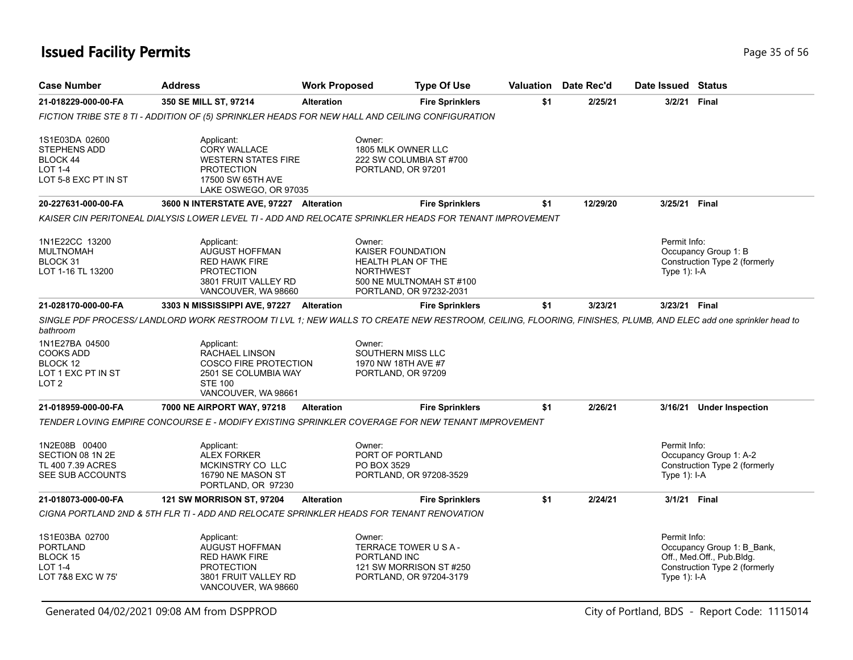| <b>Case Number</b>                                                                                   | <b>Address</b>                                                                                                                                                                                                                                                                                       | <b>Work Proposed</b> | <b>Type Of Use</b>                                                                                                               |     | <b>Valuation</b> Date Rec'd | Date Issued Status           |                                                                                          |
|------------------------------------------------------------------------------------------------------|------------------------------------------------------------------------------------------------------------------------------------------------------------------------------------------------------------------------------------------------------------------------------------------------------|----------------------|----------------------------------------------------------------------------------------------------------------------------------|-----|-----------------------------|------------------------------|------------------------------------------------------------------------------------------|
| 21-018229-000-00-FA                                                                                  | 350 SE MILL ST, 97214                                                                                                                                                                                                                                                                                | <b>Alteration</b>    | <b>Fire Sprinklers</b>                                                                                                           | \$1 | 2/25/21                     | 3/2/21 Final                 |                                                                                          |
|                                                                                                      | FICTION TRIBE STE 8 TI - ADDITION OF (5) SPRINKLER HEADS FOR NEW HALL AND CEILING CONFIGURATION                                                                                                                                                                                                      |                      |                                                                                                                                  |     |                             |                              |                                                                                          |
| 1S1E03DA 02600<br><b>STEPHENS ADD</b><br>BLOCK 44<br><b>LOT 1-4</b><br>LOT 5-8 EXC PT IN ST          | Applicant:<br><b>CORY WALLACE</b><br><b>WESTERN STATES FIRE</b><br><b>PROTECTION</b><br>17500 SW 65TH AVE<br>LAKE OSWEGO, OR 97035                                                                                                                                                                   | Owner:               | 1805 MLK OWNER LLC<br>222 SW COLUMBIA ST #700<br>PORTLAND, OR 97201                                                              |     |                             |                              |                                                                                          |
| 20-227631-000-00-FA                                                                                  | 3600 N INTERSTATE AVE, 97227 Alteration                                                                                                                                                                                                                                                              |                      | <b>Fire Sprinklers</b>                                                                                                           | \$1 | 12/29/20                    | 3/25/21 Final                |                                                                                          |
|                                                                                                      | KAISER CIN PERITONEAL DIALYSIS LOWER LEVEL TI - ADD AND RELOCATE SPRINKLER HEADS FOR TENANT IMPROVEMENT                                                                                                                                                                                              |                      |                                                                                                                                  |     |                             |                              |                                                                                          |
| 1N1E22CC 13200<br><b>MULTNOMAH</b><br>BLOCK 31<br>LOT 1-16 TL 13200                                  | Applicant:<br><b>AUGUST HOFFMAN</b><br><b>RED HAWK FIRE</b><br><b>PROTECTION</b><br>3801 FRUIT VALLEY RD<br>VANCOUVER, WA 98660                                                                                                                                                                      | Owner:               | <b>KAISER FOUNDATION</b><br><b>HEALTH PLAN OF THE</b><br><b>NORTHWEST</b><br>500 NE MULTNOMAH ST #100<br>PORTLAND, OR 97232-2031 |     |                             | Permit Info:<br>Type 1): I-A | Occupancy Group 1: B<br>Construction Type 2 (formerly                                    |
| 21-028170-000-00-FA                                                                                  | 3303 N MISSISSIPPI AVE, 97227 Alteration                                                                                                                                                                                                                                                             |                      | <b>Fire Sprinklers</b>                                                                                                           | \$1 | 3/23/21                     | 3/23/21 Final                |                                                                                          |
| bathroom<br>1N1E27BA 04500<br><b>COOKS ADD</b><br>BLOCK 12<br>LOT 1 EXC PT IN ST<br>LOT <sub>2</sub> | SINGLE PDF PROCESS/LANDLORD WORK RESTROOM TI LVL 1; NEW WALLS TO CREATE NEW RESTROOM, CEILING, FLOORING, FINISHES, PLUMB, AND ELEC add one sprinkler head to<br>Applicant:<br><b>RACHAEL LINSON</b><br><b>COSCO FIRE PROTECTION</b><br>2501 SE COLUMBIA WAY<br><b>STE 100</b><br>VANCOUVER, WA 98661 | Owner:               | SOUTHERN MISS LLC<br>1970 NW 18TH AVE #7<br>PORTLAND, OR 97209                                                                   |     |                             |                              |                                                                                          |
| 21-018959-000-00-FA                                                                                  | 7000 NE AIRPORT WAY, 97218                                                                                                                                                                                                                                                                           | Alteration           | <b>Fire Sprinklers</b>                                                                                                           | \$1 | 2/26/21                     |                              | 3/16/21 Under Inspection                                                                 |
| 1N2E08B 00400<br>SECTION 08 1N 2E<br>TL 400 7.39 ACRES                                               | TENDER LOVING EMPIRE CONCOURSE E - MODIFY EXISTING SPRINKLER COVERAGE FOR NEW TENANT IMPROVEMENT<br>Applicant:<br><b>ALEX FORKER</b><br><b>MCKINSTRY CO LLC</b>                                                                                                                                      | Owner:               | PORT OF PORTLAND<br>PO BOX 3529                                                                                                  |     |                             | Permit Info:                 | Occupancy Group 1: A-2<br>Construction Type 2 (formerly                                  |
| SEE SUB ACCOUNTS                                                                                     | 16790 NE MASON ST<br>PORTLAND, OR 97230                                                                                                                                                                                                                                                              |                      | PORTLAND, OR 97208-3529                                                                                                          |     |                             | Type 1): I-A                 |                                                                                          |
| 21-018073-000-00-FA                                                                                  | <b>121 SW MORRISON ST, 97204</b>                                                                                                                                                                                                                                                                     | <b>Alteration</b>    | <b>Fire Sprinklers</b>                                                                                                           | \$1 | 2/24/21                     | 3/1/21 Final                 |                                                                                          |
|                                                                                                      | CIGNA PORTLAND 2ND & 5TH FLR TI - ADD AND RELOCATE SPRINKLER HEADS FOR TENANT RENOVATION                                                                                                                                                                                                             |                      |                                                                                                                                  |     |                             |                              |                                                                                          |
| 1S1E03BA 02700<br><b>PORTLAND</b><br>BLOCK 15<br><b>LOT 1-4</b><br>LOT 7&8 EXC W 75'                 | Applicant:<br>AUGUST HOFFMAN<br><b>RED HAWK FIRE</b><br><b>PROTECTION</b><br>3801 FRUIT VALLEY RD<br>VANCOUVER, WA 98660                                                                                                                                                                             | Owner:               | TERRACE TOWER U S A -<br>PORTLAND INC<br>121 SW MORRISON ST #250<br>PORTLAND, OR 97204-3179                                      |     |                             | Permit Info:<br>Type 1): I-A | Occupancy Group 1: B_Bank,<br>Off., Med.Off., Pub.Bldg.<br>Construction Type 2 (formerly |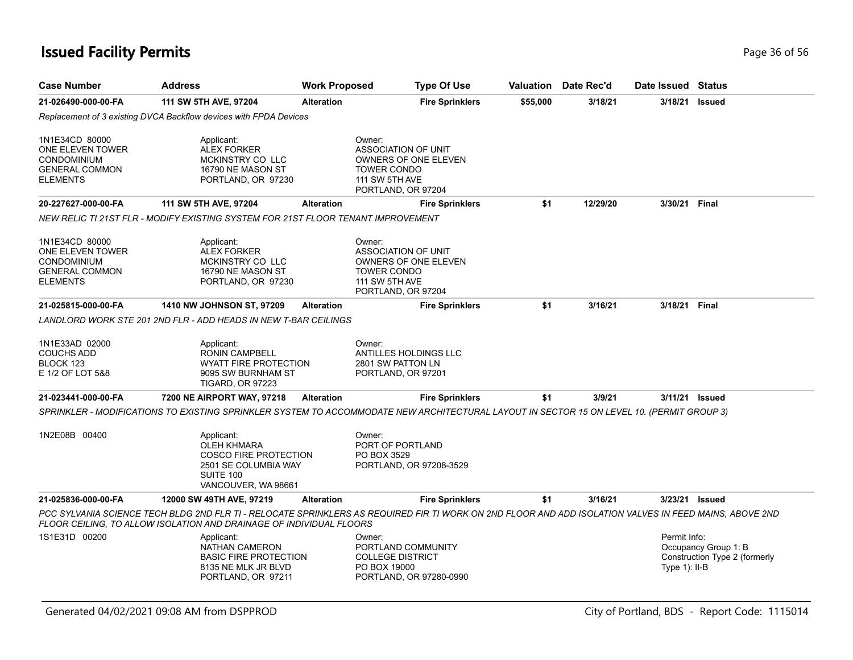| <b>Case Number</b>                                                                            | <b>Address</b>                                                                                                               | <b>Work Proposed</b> | <b>Type Of Use</b>                                                                                                                                     |          | <b>Valuation</b> Date Rec'd | Date Issued Status              |                                                       |
|-----------------------------------------------------------------------------------------------|------------------------------------------------------------------------------------------------------------------------------|----------------------|--------------------------------------------------------------------------------------------------------------------------------------------------------|----------|-----------------------------|---------------------------------|-------------------------------------------------------|
| 21-026490-000-00-FA                                                                           | 111 SW 5TH AVE, 97204                                                                                                        | <b>Alteration</b>    | <b>Fire Sprinklers</b>                                                                                                                                 | \$55,000 | 3/18/21                     | 3/18/21                         | <b>Issued</b>                                         |
|                                                                                               | Replacement of 3 existing DVCA Backflow devices with FPDA Devices                                                            |                      |                                                                                                                                                        |          |                             |                                 |                                                       |
| 1N1E34CD 80000<br>ONE ELEVEN TOWER<br><b>CONDOMINIUM</b><br><b>GENERAL COMMON</b><br>ELEMENTS | Applicant:<br><b>ALEX FORKER</b><br>MCKINSTRY CO LLC<br>16790 NE MASON ST<br>PORTLAND, OR 97230                              |                      | Owner:<br>ASSOCIATION OF UNIT<br>OWNERS OF ONE ELEVEN<br><b>TOWER CONDO</b><br><b>111 SW 5TH AVE</b><br>PORTLAND, OR 97204                             |          |                             |                                 |                                                       |
| 20-227627-000-00-FA                                                                           | 111 SW 5TH AVE, 97204                                                                                                        | <b>Alteration</b>    | <b>Fire Sprinklers</b>                                                                                                                                 | \$1      | 12/29/20                    | 3/30/21                         | Final                                                 |
|                                                                                               | NEW RELIC TI 21ST FLR - MODIFY EXISTING SYSTEM FOR 21ST FLOOR TENANT IMPROVEMENT                                             |                      |                                                                                                                                                        |          |                             |                                 |                                                       |
| 1N1E34CD 80000<br>ONE ELEVEN TOWER<br>CONDOMINIUM<br><b>GENERAL COMMON</b><br><b>ELEMENTS</b> | Applicant:<br><b>ALEX FORKER</b><br>MCKINSTRY CO LLC<br>16790 NE MASON ST<br>PORTLAND, OR 97230                              |                      | Owner:<br>ASSOCIATION OF UNIT<br>OWNERS OF ONE ELEVEN<br><b>TOWER CONDO</b><br><b>111 SW 5TH AVE</b><br>PORTLAND, OR 97204                             |          |                             |                                 |                                                       |
| 21-025815-000-00-FA                                                                           | 1410 NW JOHNSON ST, 97209                                                                                                    | <b>Alteration</b>    | <b>Fire Sprinklers</b>                                                                                                                                 | \$1      | 3/16/21                     | 3/18/21                         | <b>Final</b>                                          |
|                                                                                               | LANDLORD WORK STE 201 2ND FLR - ADD HEADS IN NEW T-BAR CEILINGS                                                              |                      |                                                                                                                                                        |          |                             |                                 |                                                       |
| 1N1E33AD 02000<br><b>COUCHS ADD</b><br>BLOCK 123<br>E 1/2 OF LOT 5&8                          | Applicant:<br><b>RONIN CAMPBELL</b><br><b>WYATT FIRE PROTECTION</b><br>9095 SW BURNHAM ST<br><b>TIGARD, OR 97223</b>         |                      | Owner:<br><b>ANTILLES HOLDINGS LLC</b><br>2801 SW PATTON LN<br>PORTLAND, OR 97201                                                                      |          |                             |                                 |                                                       |
| 21-023441-000-00-FA                                                                           | 7200 NE AIRPORT WAY, 97218                                                                                                   | <b>Alteration</b>    | <b>Fire Sprinklers</b>                                                                                                                                 | \$1      | 3/9/21                      |                                 | 3/11/21 <b>Issued</b>                                 |
|                                                                                               |                                                                                                                              |                      | SPRINKLER - MODIFICATIONS TO EXISTING SPRINKLER SYSTEM TO ACCOMMODATE NEW ARCHITECTURAL LAYOUT IN SECTOR 15 ON LEVEL 10. (PERMIT GROUP 3)              |          |                             |                                 |                                                       |
| 1N2E08B 00400                                                                                 | Applicant:<br><b>OLEH KHMARA</b><br><b>COSCO FIRE PROTECTION</b><br>2501 SE COLUMBIA WAY<br>SUITE 100<br>VANCOUVER, WA 98661 |                      | Owner:<br>PORT OF PORTLAND<br>PO BOX 3529<br>PORTLAND, OR 97208-3529                                                                                   |          |                             |                                 |                                                       |
| 21-025836-000-00-FA                                                                           | 12000 SW 49TH AVE, 97219                                                                                                     | <b>Alteration</b>    | <b>Fire Sprinklers</b>                                                                                                                                 | \$1      | 3/16/21                     | 3/23/21 Issued                  |                                                       |
|                                                                                               | FLOOR CEILING, TO ALLOW ISOLATION AND DRAINAGE OF INDIVIDUAL FLOORS                                                          |                      | PCC SYLVANIA SCIENCE TECH BLDG 2ND FLR TI - RELOCATE SPRINKLERS AS REQUIRED FIR TI WORK ON 2ND FLOOR AND ADD ISOLATION VALVES IN FEED MAINS, ABOVE 2ND |          |                             |                                 |                                                       |
| 1S1E31D 00200                                                                                 | Applicant:<br><b>NATHAN CAMERON</b><br><b>BASIC FIRE PROTECTION</b><br>8135 NE MLK JR BLVD<br>PORTLAND, OR 97211             |                      | Owner:<br>PORTLAND COMMUNITY<br><b>COLLEGE DISTRICT</b><br>PO BOX 19000<br>PORTLAND, OR 97280-0990                                                     |          |                             | Permit Info:<br>Type $1$ : II-B | Occupancy Group 1: B<br>Construction Type 2 (formerly |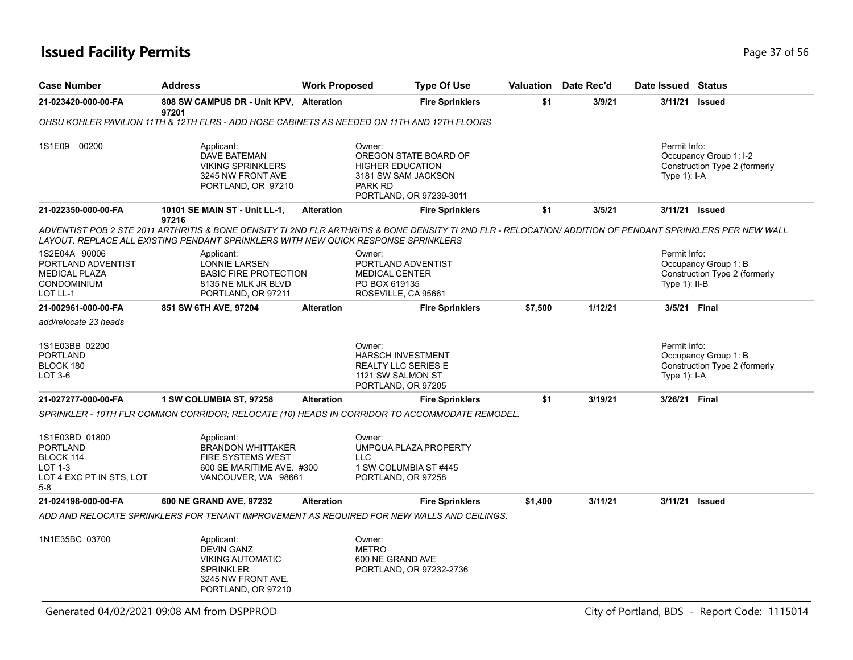| <b>Case Number</b>                                                                                      | <b>Address</b>                                                                                                             | <b>Work Proposed</b> | <b>Type Of Use</b>                                                                                                                                         | Valuation | Date Rec'd | Date Issued Status               |                                                         |
|---------------------------------------------------------------------------------------------------------|----------------------------------------------------------------------------------------------------------------------------|----------------------|------------------------------------------------------------------------------------------------------------------------------------------------------------|-----------|------------|----------------------------------|---------------------------------------------------------|
| 21-023420-000-00-FA                                                                                     | 808 SW CAMPUS DR - Unit KPV, Alteration<br>97201                                                                           |                      | <b>Fire Sprinklers</b>                                                                                                                                     | \$1       | 3/9/21     | 3/11/21                          | <b>Issued</b>                                           |
|                                                                                                         | OHSU KOHLER PAVILION 11TH & 12TH FLRS - ADD HOSE CABINETS AS NEEDED ON 11TH AND 12TH FLOORS                                |                      |                                                                                                                                                            |           |            |                                  |                                                         |
| 1S1E09 00200                                                                                            | Applicant:<br>DAVE BATEMAN<br><b>VIKING SPRINKLERS</b><br>3245 NW FRONT AVE<br>PORTLAND, OR 97210                          |                      | Owner:<br>OREGON STATE BOARD OF<br><b>HIGHER EDUCATION</b><br>3181 SW SAM JACKSON<br>PARK RD<br>PORTLAND, OR 97239-3011                                    |           |            | Permit Info:<br>Type $1$ ): I-A  | Occupancy Group 1: I-2<br>Construction Type 2 (formerly |
| 21-022350-000-00-FA                                                                                     | 10101 SE MAIN ST - Unit LL-1,                                                                                              | <b>Alteration</b>    | <b>Fire Sprinklers</b>                                                                                                                                     | \$1       | 3/5/21     | 3/11/21                          | <b>Issued</b>                                           |
|                                                                                                         | 97216<br>LAYOUT. REPLACE ALL EXISTING PENDANT SPRINKLERS WITH NEW QUICK RESPONSE SPRINKLERS                                |                      | ADVENTIST POB 2 STE 2011 ARTHRITIS & BONE DENSITY TI 2ND FLR ARTHRITIS & BONE DENSITY TI 2ND FLR - RELOCATION/ ADDITION OF PENDANT SPRINKLERS PER NEW WALL |           |            |                                  |                                                         |
| 1S2E04A 90006<br>PORTLAND ADVENTIST<br><b>MEDICAL PLAZA</b><br><b>CONDOMINIUM</b><br>LOT LL-1           | Applicant:<br><b>LONNIE LARSEN</b><br><b>BASIC FIRE PROTECTION</b><br>8135 NE MLK JR BLVD<br>PORTLAND, OR 97211            |                      | Owner:<br>PORTLAND ADVENTIST<br><b>MEDICAL CENTER</b><br>PO BOX 619135<br>ROSEVILLE, CA 95661                                                              |           |            | Permit Info:<br>Type $1$ ): II-B | Occupancy Group 1: B<br>Construction Type 2 (formerly   |
| 21-002961-000-00-FA                                                                                     | 851 SW 6TH AVE, 97204                                                                                                      | <b>Alteration</b>    | <b>Fire Sprinklers</b>                                                                                                                                     | \$7,500   | 1/12/21    | 3/5/21 Final                     |                                                         |
| add/relocate 23 heads                                                                                   |                                                                                                                            |                      |                                                                                                                                                            |           |            |                                  |                                                         |
| 1S1E03BB 02200<br><b>PORTLAND</b><br>BLOCK 180<br>LOT 3-6                                               |                                                                                                                            |                      | Owner:<br><b>HARSCH INVESTMENT</b><br><b>REALTY LLC SERIES E</b><br>1121 SW SALMON ST<br>PORTLAND, OR 97205                                                |           |            | Permit Info:<br>Type 1): I-A     | Occupancy Group 1: B<br>Construction Type 2 (formerly   |
| 21-027277-000-00-FA                                                                                     | 1 SW COLUMBIA ST, 97258                                                                                                    | <b>Alteration</b>    | <b>Fire Sprinklers</b>                                                                                                                                     | \$1       | 3/19/21    | 3/26/21 Final                    |                                                         |
|                                                                                                         |                                                                                                                            |                      | SPRINKLER - 10TH FLR COMMON CORRIDOR: RELOCATE (10) HEADS IN CORRIDOR TO ACCOMMODATE REMODEL.                                                              |           |            |                                  |                                                         |
| 1S1E03BD 01800<br><b>PORTLAND</b><br>BLOCK 114<br><b>LOT 1-3</b><br>LOT 4 EXC PT IN STS, LOT<br>$5 - 8$ | Applicant:<br><b>BRANDON WHITTAKER</b><br>FIRE SYSTEMS WEST<br>600 SE MARITIME AVE. #300<br>VANCOUVER, WA 98661            |                      | Owner:<br>UMPQUA PLAZA PROPERTY<br><b>LLC</b><br>1 SW COLUMBIA ST #445<br>PORTLAND, OR 97258                                                               |           |            |                                  |                                                         |
| 21-024198-000-00-FA                                                                                     | 600 NE GRAND AVE, 97232                                                                                                    | <b>Alteration</b>    | <b>Fire Sprinklers</b>                                                                                                                                     | \$1,400   | 3/11/21    | 3/11/21                          | Issued                                                  |
|                                                                                                         |                                                                                                                            |                      | ADD AND RELOCATE SPRINKLERS FOR TENANT IMPROVEMENT AS REQUIRED FOR NEW WALLS AND CEILINGS.                                                                 |           |            |                                  |                                                         |
| 1N1E35BC 03700                                                                                          | Applicant:<br><b>DEVIN GANZ</b><br><b>VIKING AUTOMATIC</b><br><b>SPRINKLER</b><br>3245 NW FRONT AVE.<br>PORTLAND, OR 97210 |                      | Owner:<br><b>METRO</b><br>600 NE GRAND AVE<br>PORTLAND, OR 97232-2736                                                                                      |           |            |                                  |                                                         |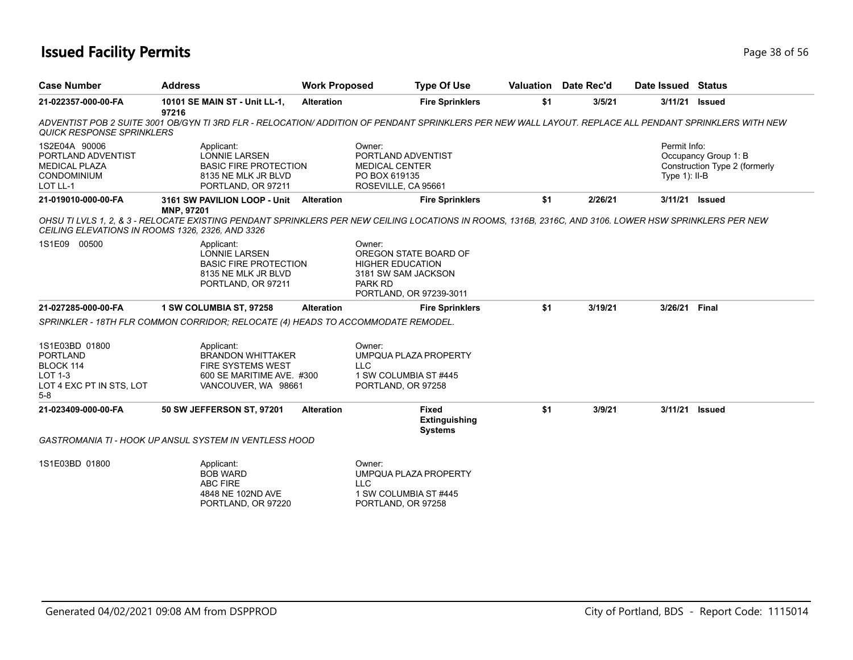## **Issued Facility Permits** Provide the Contract of the Contract of Taggle 38 of 56

| <b>Case Number</b>                                                                                    | <b>Address</b>                                                                                                         | <b>Work Proposed</b> | <b>Type Of Use</b>                                                                                                                                     | Valuation | Date Rec'd | Date Issued Status               |                                                       |
|-------------------------------------------------------------------------------------------------------|------------------------------------------------------------------------------------------------------------------------|----------------------|--------------------------------------------------------------------------------------------------------------------------------------------------------|-----------|------------|----------------------------------|-------------------------------------------------------|
| 21-022357-000-00-FA                                                                                   | 10101 SE MAIN ST - Unit LL-1,<br>97216                                                                                 | <b>Alteration</b>    | <b>Fire Sprinklers</b>                                                                                                                                 | \$1       | 3/5/21     | 3/11/21                          | Issued                                                |
| <b>QUICK RESPONSE SPRINKLERS</b>                                                                      |                                                                                                                        |                      | ADVENTIST POB 2 SUITE 3001 OB/GYN TI 3RD FLR - RELOCATION/ ADDITION OF PENDANT SPRINKLERS PER NEW WALL LAYOUT. REPLACE ALL PENDANT SPRINKLERS WITH NEW |           |            |                                  |                                                       |
| 1S2E04A 90006<br>PORTLAND ADVENTIST<br><b>MEDICAL PLAZA</b><br><b>CONDOMINIUM</b><br>LOT LL-1         | Applicant:<br><b>LONNIE LARSEN</b><br><b>BASIC FIRE PROTECTION</b><br>8135 NE MLK JR BLVD<br>PORTLAND, OR 97211        |                      | Owner:<br>PORTLAND ADVENTIST<br>MEDICAL CENTER<br>PO BOX 619135<br>ROSEVILLE, CA 95661                                                                 |           |            | Permit Info:<br>Type $1$ ): II-B | Occupancy Group 1: B<br>Construction Type 2 (formerly |
| 21-019010-000-00-FA                                                                                   | 3161 SW PAVILION LOOP - Unit Alteration<br>MNP, 97201                                                                  |                      | <b>Fire Sprinklers</b>                                                                                                                                 | \$1       | 2/26/21    | 3/11/21 Issued                   |                                                       |
| CEILING ELEVATIONS IN ROOMS 1326, 2326, AND 3326                                                      |                                                                                                                        |                      | OHSU TI LVLS 1, 2, & 3 - RELOCATE EXISTING PENDANT SPRINKLERS PER NEW CEILING LOCATIONS IN ROOMS, 1316B, 2316C, AND 3106. LOWER HSW SPRINKLERS PER NEW |           |            |                                  |                                                       |
| 1S1E09 00500                                                                                          | Applicant:<br><b>LONNIE LARSEN</b><br><b>BASIC FIRE PROTECTION</b><br>8135 NE MLK JR BLVD<br>PORTLAND, OR 97211        |                      | Owner:<br>OREGON STATE BOARD OF<br><b>HIGHER EDUCATION</b><br>3181 SW SAM JACKSON<br><b>PARK RD</b><br>PORTLAND, OR 97239-3011                         |           |            |                                  |                                                       |
| 21-027285-000-00-FA                                                                                   | 1 SW COLUMBIA ST, 97258                                                                                                | <b>Alteration</b>    | <b>Fire Sprinklers</b>                                                                                                                                 | \$1       | 3/19/21    | 3/26/21 Final                    |                                                       |
|                                                                                                       | SPRINKLER - 18TH FLR COMMON CORRIDOR; RELOCATE (4) HEADS TO ACCOMMODATE REMODEL.                                       |                      |                                                                                                                                                        |           |            |                                  |                                                       |
| 1S1E03BD 01800<br><b>PORTLAND</b><br>BLOCK 114<br><b>LOT 1-3</b><br>LOT 4 EXC PT IN STS, LOT<br>$5-8$ | Applicant:<br><b>BRANDON WHITTAKER</b><br><b>FIRE SYSTEMS WEST</b><br>600 SE MARITIME AVE. #300<br>VANCOUVER, WA 98661 |                      | Owner:<br>UMPQUA PLAZA PROPERTY<br>LLC<br>1 SW COLUMBIA ST #445<br>PORTLAND, OR 97258                                                                  |           |            |                                  |                                                       |
| 21-023409-000-00-FA                                                                                   | 50 SW JEFFERSON ST, 97201                                                                                              | <b>Alteration</b>    | <b>Fixed</b><br>Extinguishing<br><b>Systems</b>                                                                                                        | \$1       | 3/9/21     | 3/11/21                          | Issued                                                |
|                                                                                                       | <b>GASTROMANIA TI - HOOK UP ANSUL SYSTEM IN VENTLESS HOOD</b>                                                          |                      |                                                                                                                                                        |           |            |                                  |                                                       |
| 1S1E03BD 01800                                                                                        | Applicant:<br><b>BOB WARD</b><br><b>ABC FIRE</b><br>4848 NE 102ND AVE<br>PORTLAND, OR 97220                            |                      | Owner:<br>UMPQUA PLAZA PROPERTY<br><b>LLC</b><br>1 SW COLUMBIA ST #445<br>PORTLAND, OR 97258                                                           |           |            |                                  |                                                       |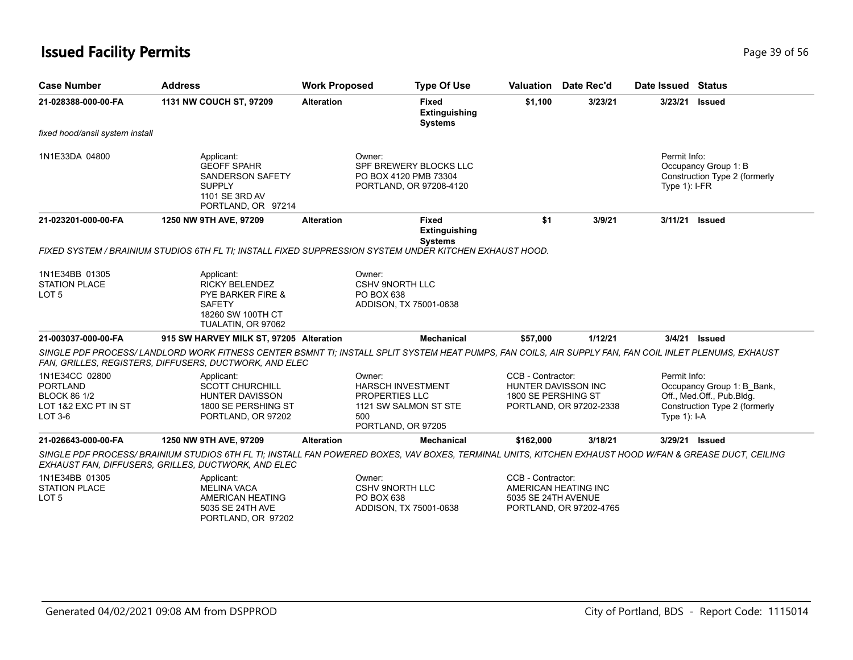## **Issued Facility Permits Page 39 of 56 Page 39 of 56**

| <b>Case Number</b>                                                                           | <b>Address</b>                                                                                                                                                                                                   | <b>Work Proposed</b> | <b>Type Of Use</b>                                                                                                |                                                                 | <b>Valuation</b> Date Rec'd                     | Date Issued Status              |                                                                                          |
|----------------------------------------------------------------------------------------------|------------------------------------------------------------------------------------------------------------------------------------------------------------------------------------------------------------------|----------------------|-------------------------------------------------------------------------------------------------------------------|-----------------------------------------------------------------|-------------------------------------------------|---------------------------------|------------------------------------------------------------------------------------------|
| 21-028388-000-00-FA                                                                          | 1131 NW COUCH ST, 97209                                                                                                                                                                                          | <b>Alteration</b>    | <b>Fixed</b><br><b>Extinguishing</b><br><b>Systems</b>                                                            | \$1,100                                                         | 3/23/21                                         | 3/23/21                         | <b>Issued</b>                                                                            |
| fixed hood/ansil system install                                                              |                                                                                                                                                                                                                  |                      |                                                                                                                   |                                                                 |                                                 |                                 |                                                                                          |
| 1N1E33DA 04800                                                                               | Applicant:<br><b>GEOFF SPAHR</b><br><b>SANDERSON SAFETY</b><br><b>SUPPLY</b><br>1101 SE 3RD AV<br>PORTLAND, OR 97214                                                                                             |                      | Owner:<br>SPF BREWERY BLOCKS LLC<br>PO BOX 4120 PMB 73304<br>PORTLAND, OR 97208-4120                              |                                                                 |                                                 | Permit Info:<br>Type $1$ : I-FR | Occupancy Group 1: B<br>Construction Type 2 (formerly                                    |
| 21-023201-000-00-FA                                                                          | 1250 NW 9TH AVE, 97209                                                                                                                                                                                           | <b>Alteration</b>    | <b>Fixed</b><br><b>Extinguishing</b>                                                                              | \$1                                                             | 3/9/21                                          | 3/11/21                         | <b>Issued</b>                                                                            |
|                                                                                              | FIXED SYSTEM / BRAINIUM STUDIOS 6TH FL TI; INSTALL FIXED SUPPRESSION SYSTEM UNDER KITCHEN EXHAUST HOOD.                                                                                                          |                      | <b>Systems</b>                                                                                                    |                                                                 |                                                 |                                 |                                                                                          |
| 1N1E34BB 01305<br>STATION PLACE<br>LOT <sub>5</sub>                                          | Applicant:<br><b>RICKY BELENDEZ</b><br><b>PYE BARKER FIRE &amp;</b><br><b>SAFETY</b><br>18260 SW 100TH CT<br>TUALATIN, OR 97062                                                                                  |                      | Owner:<br><b>CSHV 9NORTH LLC</b><br>PO BOX 638<br>ADDISON, TX 75001-0638                                          |                                                                 |                                                 |                                 |                                                                                          |
| 21-003037-000-00-FA                                                                          | 915 SW HARVEY MILK ST, 97205 Alteration                                                                                                                                                                          |                      | <b>Mechanical</b>                                                                                                 | \$57,000                                                        | 1/12/21                                         |                                 | 3/4/21 <b>Issued</b>                                                                     |
|                                                                                              | SINGLE PDF PROCESS/ LANDLORD WORK FITNESS CENTER BSMNT TI: INSTALL SPLIT SYSTEM HEAT PUMPS, FAN COILS, AIR SUPPLY FAN, FAN COIL INLET PLENUMS, EXHAUST<br>FAN, GRILLES, REGISTERS, DIFFUSERS, DUCTWORK, AND ELEC |                      |                                                                                                                   |                                                                 |                                                 |                                 |                                                                                          |
| 1N1E34CC 02800<br><b>PORTLAND</b><br><b>BLOCK 86 1/2</b><br>LOT 1&2 EXC PT IN ST<br>$LOT3-6$ | Applicant:<br><b>SCOTT CHURCHILL</b><br><b>HUNTER DAVISSON</b><br>1800 SE PERSHING ST<br>PORTLAND, OR 97202                                                                                                      |                      | Owner:<br><b>HARSCH INVESTMENT</b><br><b>PROPERTIES LLC</b><br>1121 SW SALMON ST STE<br>500<br>PORTLAND, OR 97205 | CCB - Contractor:<br>HUNTER DAVISSON INC<br>1800 SE PERSHING ST | PORTLAND, OR 97202-2338                         | Permit Info:<br>Type $1$ : I-A  | Occupancy Group 1: B_Bank,<br>Off., Med.Off., Pub.Bldg.<br>Construction Type 2 (formerly |
| 21-026643-000-00-FA                                                                          | 1250 NW 9TH AVE, 97209                                                                                                                                                                                           | <b>Alteration</b>    | <b>Mechanical</b>                                                                                                 | \$162,000                                                       | 3/18/21                                         |                                 | 3/29/21 Issued                                                                           |
|                                                                                              | SINGLE PDF PROCESS/ BRAINIUM STUDIOS 6TH FL TI; INSTALL FAN POWERED BOXES, VAV BOXES, TERMINAL UNITS, KITCHEN EXHAUST HOOD W/FAN & GREASE DUCT, CEILING<br>EXHAUST FAN, DIFFUSERS, GRILLES, DUCTWORK, AND ELEC   |                      |                                                                                                                   |                                                                 |                                                 |                                 |                                                                                          |
| 1N1E34BB 01305<br><b>STATION PLACE</b><br>LOT <sub>5</sub>                                   | Applicant:<br><b>MELINA VACA</b><br>AMERICAN HEATING<br>5035 SE 24TH AVE                                                                                                                                         |                      | Owner:<br><b>CSHV 9NORTH LLC</b><br>PO BOX 638<br>ADDISON, TX 75001-0638                                          | CCB - Contractor:<br>5035 SE 24TH AVENUE                        | AMERICAN HEATING INC<br>PORTLAND, OR 97202-4765 |                                 |                                                                                          |

PORTLAND, OR 97202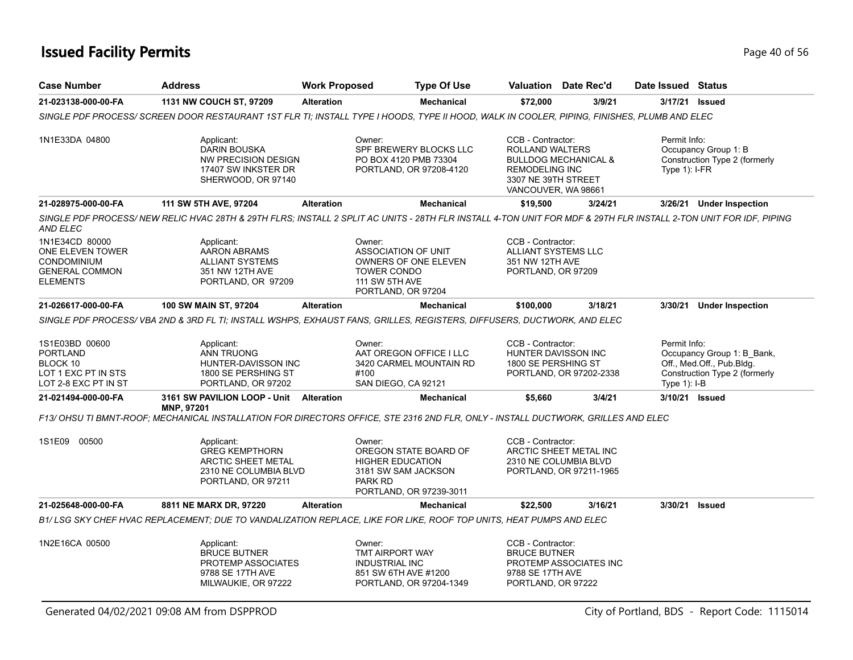## **Issued Facility Permits** Provide the Contract of 56 and 200 of 56 and 200 of 56 and 200 of 56 and 200 of 56 and 200 of 56 and 200 of 56 and 200 of 56 and 200 of 56 and 200 of 56 and 200 of 56 and 200 of 56 and 200 of 56 a

| <b>Case Number</b>                                                                                   | <b>Address</b>                                                                                                                                                    | <b>Work Proposed</b> |                                                                                                    | <b>Type Of Use</b>                                 |                                                                                                                    | <b>Valuation</b> Date Rec'd                                                | Date Issued Status               |                                                                                          |
|------------------------------------------------------------------------------------------------------|-------------------------------------------------------------------------------------------------------------------------------------------------------------------|----------------------|----------------------------------------------------------------------------------------------------|----------------------------------------------------|--------------------------------------------------------------------------------------------------------------------|----------------------------------------------------------------------------|----------------------------------|------------------------------------------------------------------------------------------|
| 21-023138-000-00-FA                                                                                  | 1131 NW COUCH ST, 97209                                                                                                                                           | <b>Alteration</b>    |                                                                                                    | Mechanical                                         | \$72,000                                                                                                           | 3/9/21                                                                     | 3/17/21                          | <b>Issued</b>                                                                            |
|                                                                                                      | SINGLE PDF PROCESS/ SCREEN DOOR RESTAURANT 1ST FLR TI; INSTALL TYPE I HOODS, TYPE II HOOD, WALK IN COOLER, PIPING, FINISHES, PLUMB AND ELEC                       |                      |                                                                                                    |                                                    |                                                                                                                    |                                                                            |                                  |                                                                                          |
| 1N1E33DA 04800                                                                                       | Applicant:<br><b>DARIN BOUSKA</b><br><b>NW PRECISION DESIGN</b><br>17407 SW INKSTER DR<br>SHERWOOD, OR 97140                                                      |                      | Owner:<br>PO BOX 4120 PMB 73304                                                                    | SPF BREWERY BLOCKS LLC<br>PORTLAND, OR 97208-4120  | CCB - Contractor:<br><b>ROLLAND WALTERS</b><br><b>REMODELING INC</b><br>3307 NE 39TH STREET<br>VANCOUVER, WA 98661 | <b>BULLDOG MECHANICAL &amp;</b>                                            | Permit Info:<br>Type $1$ ): I-FR | Occupancy Group 1: B<br>Construction Type 2 (formerly                                    |
| 21-028975-000-00-FA                                                                                  | 111 SW 5TH AVE, 97204                                                                                                                                             | <b>Alteration</b>    |                                                                                                    | <b>Mechanical</b>                                  | \$19,500                                                                                                           | 3/24/21                                                                    | 3/26/21                          | <b>Under Inspection</b>                                                                  |
| AND ELEC                                                                                             | SINGLE PDF PROCESS/ NEW RELIC HVAC 28TH & 29TH FLRS; INSTALL 2 SPLIT AC UNITS - 28TH FLR INSTALL 4-TON UNIT FOR MDF & 29TH FLR INSTALL 2-TON UNIT FOR IDF, PIPING |                      |                                                                                                    |                                                    |                                                                                                                    |                                                                            |                                  |                                                                                          |
| 1N1E34CD 80000<br>ONE ELEVEN TOWER<br><b>CONDOMINIUM</b><br><b>GENERAL COMMON</b><br><b>ELEMENTS</b> | Applicant:<br>AARON ABRAMS<br><b>ALLIANT SYSTEMS</b><br>351 NW 12TH AVE<br>PORTLAND, OR 97209                                                                     |                      | Owner:<br><b>ASSOCIATION OF UNIT</b><br><b>TOWER CONDO</b><br>111 SW 5TH AVE<br>PORTLAND, OR 97204 | <b>OWNERS OF ONE ELEVEN</b>                        | CCB - Contractor:<br>ALLIANT SYSTEMS LLC<br>351 NW 12TH AVE<br>PORTLAND, OR 97209                                  |                                                                            |                                  |                                                                                          |
| 21-026617-000-00-FA                                                                                  | 100 SW MAIN ST, 97204                                                                                                                                             | <b>Alteration</b>    |                                                                                                    | <b>Mechanical</b>                                  | \$100,000                                                                                                          | 3/18/21                                                                    |                                  | 3/30/21 Under Inspection                                                                 |
|                                                                                                      | SINGLE PDF PROCESS/VBA 2ND & 3RD FL TI; INSTALL WSHPS, EXHAUST FANS, GRILLES, REGISTERS, DIFFUSERS, DUCTWORK, AND ELEC                                            |                      |                                                                                                    |                                                    |                                                                                                                    |                                                                            |                                  |                                                                                          |
| 1S1E03BD 00600<br><b>PORTLAND</b><br>BLOCK 10<br>LOT 1 EXC PT IN STS<br>LOT 2-8 EXC PT IN ST         | Applicant:<br>ANN TRUONG<br>HUNTER-DAVISSON INC<br>1800 SE PERSHING ST<br>PORTLAND, OR 97202                                                                      |                      | Owner:<br>#100<br>SAN DIEGO, CA 92121                                                              | AAT OREGON OFFICE I LLC<br>3420 CARMEL MOUNTAIN RD | CCB - Contractor:<br>HUNTER DAVISSON INC<br>1800 SE PERSHING ST                                                    | PORTLAND, OR 97202-2338                                                    | Permit Info:<br>Type $1$ ): I-B  | Occupancy Group 1: B_Bank,<br>Off., Med.Off., Pub.Bldg.<br>Construction Type 2 (formerly |
| 21-021494-000-00-FA                                                                                  | 3161 SW PAVILION LOOP - Unit<br>MNP, 97201                                                                                                                        | Alteration           |                                                                                                    | <b>Mechanical</b>                                  | \$5,660                                                                                                            | 3/4/21                                                                     | 3/10/21 Issued                   |                                                                                          |
|                                                                                                      | F13/ OHSU TI BMNT-ROOF; MECHANICAL INSTALLATION FOR DIRECTORS OFFICE, STE 2316 2ND FLR, ONLY - INSTALL DUCTWORK, GRILLES AND ELEC                                 |                      |                                                                                                    |                                                    |                                                                                                                    |                                                                            |                                  |                                                                                          |
| 1S1E09 00500                                                                                         | Applicant:<br><b>GREG KEMPTHORN</b><br>ARCTIC SHEET METAL<br>2310 NE COLUMBIA BLVD<br>PORTLAND, OR 97211                                                          |                      | Owner:<br><b>HIGHER EDUCATION</b><br>3181 SW SAM JACKSON<br>PARK RD                                | OREGON STATE BOARD OF<br>PORTLAND, OR 97239-3011   | CCB - Contractor:                                                                                                  | ARCTIC SHEET METAL INC<br>2310 NE COLUMBIA BLVD<br>PORTLAND, OR 97211-1965 |                                  |                                                                                          |
| 21-025648-000-00-FA                                                                                  | 8811 NE MARX DR, 97220                                                                                                                                            | <b>Alteration</b>    |                                                                                                    | <b>Mechanical</b>                                  | \$22,500                                                                                                           | 3/16/21                                                                    | 3/30/21                          | <b>Issued</b>                                                                            |
|                                                                                                      | B1/LSG SKY CHEF HVAC REPLACEMENT: DUE TO VANDALIZATION REPLACE, LIKE FOR LIKE, ROOF TOP UNITS, HEAT PUMPS AND ELEC                                                |                      |                                                                                                    |                                                    |                                                                                                                    |                                                                            |                                  |                                                                                          |
| 1N2E16CA 00500                                                                                       | Applicant:<br><b>BRUCE BUTNER</b><br>PROTEMP ASSOCIATES<br>9788 SE 17TH AVE<br>MILWAUKIE, OR 97222                                                                |                      | Owner:<br><b>TMT AIRPORT WAY</b><br><b>INDUSTRIAL INC</b><br>851 SW 6TH AVE #1200                  | PORTLAND, OR 97204-1349                            | CCB - Contractor:<br><b>BRUCE BUTNER</b><br>9788 SE 17TH AVE<br>PORTLAND, OR 97222                                 | PROTEMP ASSOCIATES INC                                                     |                                  |                                                                                          |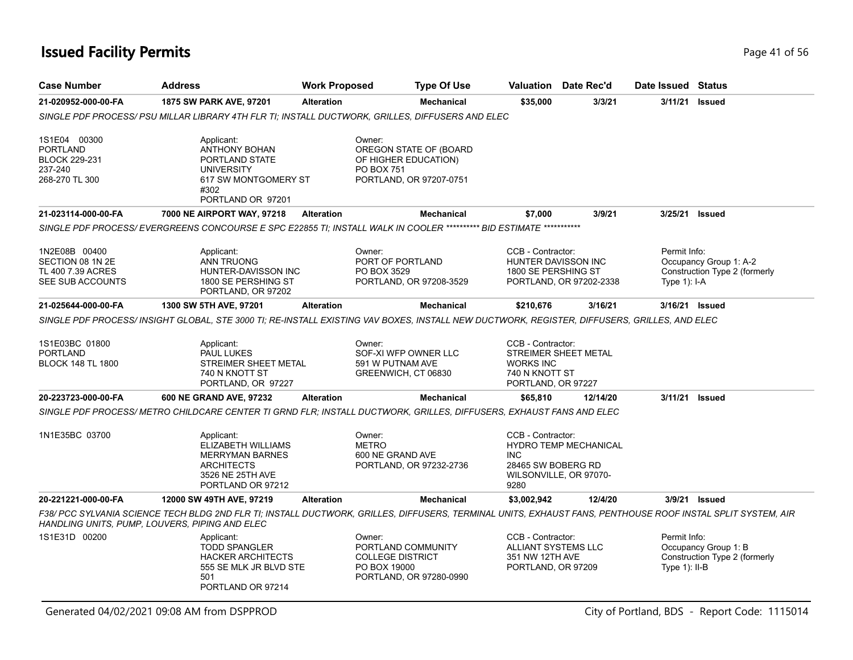| <b>Case Number</b>                                                                   | <b>Address</b>                                                                                                                 | <b>Work Proposed</b> | <b>Type Of Use</b>                                                                                                                                          |                                                                                   | <b>Valuation</b> Date Rec'd                     | Date Issued Status              |                                                         |
|--------------------------------------------------------------------------------------|--------------------------------------------------------------------------------------------------------------------------------|----------------------|-------------------------------------------------------------------------------------------------------------------------------------------------------------|-----------------------------------------------------------------------------------|-------------------------------------------------|---------------------------------|---------------------------------------------------------|
| 21-020952-000-00-FA                                                                  | 1875 SW PARK AVE, 97201                                                                                                        | <b>Alteration</b>    | <b>Mechanical</b>                                                                                                                                           | \$35,000                                                                          | 3/3/21                                          | 3/11/21                         | Issued                                                  |
|                                                                                      |                                                                                                                                |                      | SINGLE PDF PROCESS/ PSU MILLAR LIBRARY 4TH FLR TI; INSTALL DUCTWORK, GRILLES, DIFFUSERS AND ELEC                                                            |                                                                                   |                                                 |                                 |                                                         |
| 1S1E04 00300<br><b>PORTLAND</b><br><b>BLOCK 229-231</b><br>237-240<br>268-270 TL 300 | Applicant:<br><b>ANTHONY BOHAN</b><br>PORTLAND STATE<br><b>UNIVERSITY</b><br>617 SW MONTGOMERY ST<br>#302<br>PORTLAND OR 97201 |                      | Owner:<br>OREGON STATE OF (BOARD<br>OF HIGHER EDUCATION)<br><b>PO BOX 751</b><br>PORTLAND, OR 97207-0751                                                    |                                                                                   |                                                 |                                 |                                                         |
| 21-023114-000-00-FA                                                                  | 7000 NE AIRPORT WAY, 97218                                                                                                     | <b>Alteration</b>    | <b>Mechanical</b>                                                                                                                                           | \$7,000                                                                           | 3/9/21                                          | 3/25/21 Issued                  |                                                         |
|                                                                                      |                                                                                                                                |                      | SINGLE PDF PROCESS/ EVERGREENS CONCOURSE E SPC E22855 TI; INSTALL WALK IN COOLER ********** BID ESTIMATE ***********                                        |                                                                                   |                                                 |                                 |                                                         |
| 1N2E08B 00400<br>SECTION 08 1N 2E<br>TL 400 7.39 ACRES<br>SEE SUB ACCOUNTS           | Applicant:<br><b>ANN TRUONG</b><br>HUNTER-DAVISSON INC<br>1800 SE PERSHING ST<br>PORTLAND, OR 97202                            |                      | Owner:<br>PORT OF PORTLAND<br>PO BOX 3529<br>PORTLAND, OR 97208-3529                                                                                        | CCB - Contractor:<br>HUNTER DAVISSON INC<br>1800 SE PERSHING ST                   | PORTLAND, OR 97202-2338                         | Permit Info:<br>Type $1$ : I-A  | Occupancy Group 1: A-2<br>Construction Type 2 (formerly |
| 21-025644-000-00-FA                                                                  | 1300 SW 5TH AVE, 97201                                                                                                         | <b>Alteration</b>    | <b>Mechanical</b>                                                                                                                                           | \$210,676                                                                         | 3/16/21                                         | 3/16/21 Issued                  |                                                         |
|                                                                                      |                                                                                                                                |                      | SINGLE PDF PROCESS/ INSIGHT GLOBAL, STE 3000 TI; RE-INSTALL EXISTING VAV BOXES, INSTALL NEW DUCTWORK, REGISTER, DIFFUSERS, GRILLES, AND ELEC                |                                                                                   |                                                 |                                 |                                                         |
| 1S1E03BC 01800<br><b>PORTLAND</b><br><b>BLOCK 148 TL 1800</b>                        | Applicant:<br><b>PAUL LUKES</b><br>STREIMER SHEET METAL<br>740 N KNOTT ST<br>PORTLAND, OR 97227                                |                      | Owner:<br>SOF-XI WFP OWNER LLC<br>591 W PUTNAM AVE<br>GREENWICH, CT 06830                                                                                   | CCB - Contractor:<br><b>WORKS INC</b><br>740 N KNOTT ST<br>PORTLAND, OR 97227     | STREIMER SHEET METAL                            |                                 |                                                         |
| 20-223723-000-00-FA                                                                  | 600 NE GRAND AVE, 97232                                                                                                        | <b>Alteration</b>    | <b>Mechanical</b>                                                                                                                                           | \$65,810                                                                          | 12/14/20                                        | 3/11/21                         | <b>Issued</b>                                           |
|                                                                                      |                                                                                                                                |                      | SINGLE PDF PROCESS/ METRO CHILDCARE CENTER TI GRND FLR; INSTALL DUCTWORK, GRILLES, DIFFUSERS, EXHAUST FANS AND ELEC                                         |                                                                                   |                                                 |                                 |                                                         |
| 1N1E35BC 03700                                                                       | Applicant:<br>ELIZABETH WILLIAMS<br><b>MERRYMAN BARNES</b><br><b>ARCHITECTS</b><br>3526 NE 25TH AVE<br>PORTLAND OR 97212       |                      | Owner:<br><b>METRO</b><br>600 NE GRAND AVE<br>PORTLAND, OR 97232-2736                                                                                       | CCB - Contractor:<br><b>INC</b><br>28465 SW BOBERG RD<br>9280                     | HYDRO TEMP MECHANICAL<br>WILSONVILLE, OR 97070- |                                 |                                                         |
| 20-221221-000-00-FA                                                                  | 12000 SW 49TH AVE, 97219                                                                                                       | <b>Alteration</b>    | <b>Mechanical</b>                                                                                                                                           | \$3,002,942                                                                       | 12/4/20                                         |                                 | 3/9/21 Issued                                           |
|                                                                                      | HANDLING UNITS, PUMP, LOUVERS, PIPING AND ELEC                                                                                 |                      | F38/ PCC SYLVANIA SCIENCE TECH BLDG 2ND FLR TI; INSTALL DUCTWORK, GRILLES, DIFFUSERS, TERMINAL UNITS, EXHAUST FANS, PENTHOUSE ROOF INSTAL SPLIT SYSTEM, AIR |                                                                                   |                                                 |                                 |                                                         |
| 1S1E31D 00200                                                                        | Applicant:<br><b>TODD SPANGLER</b><br><b>HACKER ARCHITECTS</b><br>555 SE MLK JR BLVD STE<br>501<br>PORTLAND OR 97214           |                      | Owner:<br>PORTLAND COMMUNITY<br><b>COLLEGE DISTRICT</b><br>PO BOX 19000<br>PORTLAND, OR 97280-0990                                                          | CCB - Contractor:<br>ALLIANT SYSTEMS LLC<br>351 NW 12TH AVE<br>PORTLAND, OR 97209 |                                                 | Permit Info:<br>Type $1$ : II-B | Occupancy Group 1: B<br>Construction Type 2 (formerly   |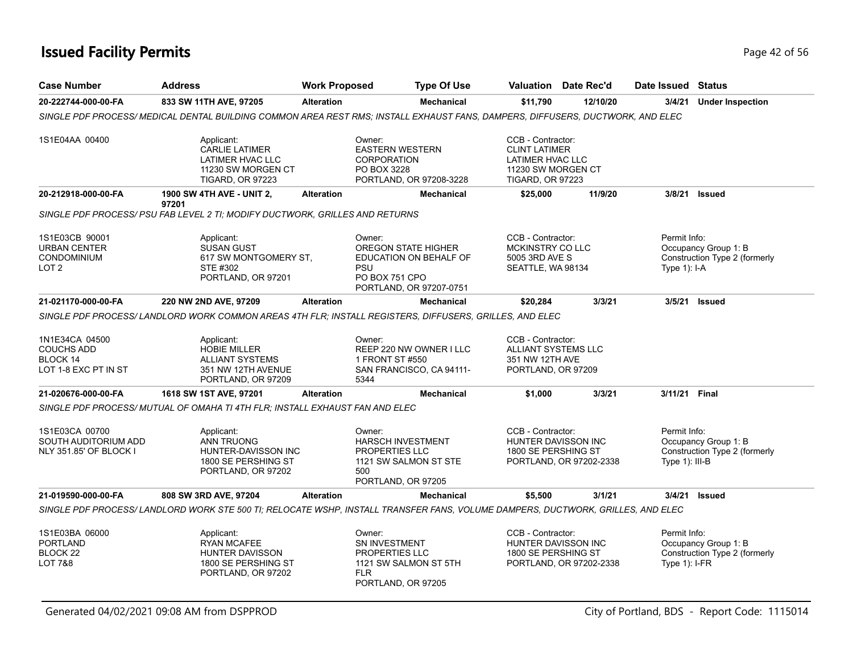## **Issued Facility Permits** Provide the Contract of 56 and 2011 and 2012 of 56 and 2012 of 56 and 2012 of 56 and 2012 of 56 and 2013 of 56 and 2013 of 56 and 2013 of 56 and 2013 of 56 and 2013 of 56 and 2013 of 56 and 2013 o

| <b>Case Number</b>                                                              | <b>Address</b>                                                                                                                  | <b>Work Proposed</b> |                                                                                          | <b>Type Of Use</b>                                  |                                                                                          | <b>Valuation</b> Date Rec'd                                           |          | Date Issued Status              |                                                       |
|---------------------------------------------------------------------------------|---------------------------------------------------------------------------------------------------------------------------------|----------------------|------------------------------------------------------------------------------------------|-----------------------------------------------------|------------------------------------------------------------------------------------------|-----------------------------------------------------------------------|----------|---------------------------------|-------------------------------------------------------|
| 20-222744-000-00-FA                                                             | 833 SW 11TH AVE, 97205                                                                                                          | <b>Alteration</b>    |                                                                                          | <b>Mechanical</b>                                   | \$11,790                                                                                 |                                                                       | 12/10/20 | 3/4/21                          | <b>Under Inspection</b>                               |
|                                                                                 | SINGLE PDF PROCESS/ MEDICAL DENTAL BUILDING COMMON AREA REST RMS; INSTALL EXHAUST FANS, DAMPERS, DIFFUSERS, DUCTWORK, AND ELEC  |                      |                                                                                          |                                                     |                                                                                          |                                                                       |          |                                 |                                                       |
| 1S1E04AA 00400                                                                  | Applicant:<br><b>CARLIE LATIMER</b><br>LATIMER HVAC LLC<br>11230 SW MORGEN CT<br><b>TIGARD, OR 97223</b>                        |                      | Owner:<br><b>EASTERN WESTERN</b><br><b>CORPORATION</b><br>PO BOX 3228                    | PORTLAND, OR 97208-3228                             | CCB - Contractor:<br><b>CLINT LATIMER</b><br>LATIMER HVAC LLC<br><b>TIGARD, OR 97223</b> | 11230 SW MORGEN CT                                                    |          |                                 |                                                       |
| 20-212918-000-00-FA                                                             | <b>1900 SW 4TH AVE - UNIT 2,</b><br>97201                                                                                       | <b>Alteration</b>    |                                                                                          | <b>Mechanical</b>                                   | \$25,000                                                                                 |                                                                       | 11/9/20  | 3/8/21                          | Issued                                                |
|                                                                                 | SINGLE PDF PROCESS/ PSU FAB LEVEL 2 TI; MODIFY DUCTWORK, GRILLES AND RETURNS                                                    |                      |                                                                                          |                                                     |                                                                                          |                                                                       |          |                                 |                                                       |
| 1S1E03CB 90001<br><b>URBAN CENTER</b><br><b>CONDOMINIUM</b><br>LOT <sub>2</sub> | Applicant:<br><b>SUSAN GUST</b><br>617 SW MONTGOMERY ST.<br>STE #302<br>PORTLAND, OR 97201                                      |                      | Owner:<br><b>OREGON STATE HIGHER</b><br><b>PSU</b><br>PO BOX 751 CPO                     | EDUCATION ON BEHALF OF<br>PORTLAND, OR 97207-0751   | CCB - Contractor:<br>MCKINSTRY CO LLC<br>5005 3RD AVE S<br>SEATTLE, WA 98134             |                                                                       |          | Permit Info:<br>Type $1$ : I-A  | Occupancy Group 1: B<br>Construction Type 2 (formerly |
| 21-021170-000-00-FA                                                             | 220 NW 2ND AVE, 97209                                                                                                           | <b>Alteration</b>    |                                                                                          | <b>Mechanical</b>                                   | \$20,284                                                                                 |                                                                       | 3/3/21   |                                 | 3/5/21 Issued                                         |
|                                                                                 | SINGLE PDF PROCESS/ LANDLORD WORK COMMON AREAS 4TH FLR; INSTALL REGISTERS, DIFFUSERS, GRILLES, AND ELEC                         |                      |                                                                                          |                                                     |                                                                                          |                                                                       |          |                                 |                                                       |
| 1N1E34CA 04500<br><b>COUCHS ADD</b><br>BLOCK 14<br>LOT 1-8 EXC PT IN ST         | Applicant:<br><b>HOBIE MILLER</b><br><b>ALLIANT SYSTEMS</b><br>351 NW 12TH AVENUE<br>PORTLAND, OR 97209                         |                      | Owner:<br>1 FRONT ST #550<br>5344                                                        | REEP 220 NW OWNER I LLC<br>SAN FRANCISCO, CA 94111- | CCB - Contractor:<br>351 NW 12TH AVE<br>PORTLAND, OR 97209                               | ALLIANT SYSTEMS LLC                                                   |          |                                 |                                                       |
| 21-020676-000-00-FA                                                             | 1618 SW 1ST AVE, 97201                                                                                                          | <b>Alteration</b>    |                                                                                          | <b>Mechanical</b>                                   | \$1,000                                                                                  |                                                                       | 3/3/21   | 3/11/21 Final                   |                                                       |
|                                                                                 | SINGLE PDF PROCESS/MUTUAL OF OMAHA TI 4TH FLR; INSTALL EXHAUST FAN AND ELEC                                                     |                      |                                                                                          |                                                     |                                                                                          |                                                                       |          |                                 |                                                       |
| 1S1E03CA 00700<br>SOUTH AUDITORIUM ADD<br><b>NLY 351.85' OF BLOCK I</b>         | Applicant:<br><b>ANN TRUONG</b><br>HUNTER-DAVISSON INC<br>1800 SE PERSHING ST<br>PORTLAND, OR 97202                             |                      | Owner:<br><b>HARSCH INVESTMENT</b><br><b>PROPERTIES LLC</b><br>500<br>PORTLAND, OR 97205 | 1121 SW SALMON ST STE                               | CCB - Contractor:                                                                        | HUNTER DAVISSON INC<br>1800 SE PERSHING ST<br>PORTLAND, OR 97202-2338 |          | Permit Info:<br>Type 1): III-B  | Occupancy Group 1: B<br>Construction Type 2 (formerly |
| 21-019590-000-00-FA                                                             | 808 SW 3RD AVE, 97204                                                                                                           | <b>Alteration</b>    |                                                                                          | <b>Mechanical</b>                                   | \$5,500                                                                                  |                                                                       | 3/1/21   | 3/4/21                          | <b>Issued</b>                                         |
|                                                                                 | SINGLE PDF PROCESS/ LANDLORD WORK STE 500 TI; RELOCATE WSHP, INSTALL TRANSFER FANS, VOLUME DAMPERS, DUCTWORK, GRILLES, AND ELEC |                      |                                                                                          |                                                     |                                                                                          |                                                                       |          |                                 |                                                       |
| 1S1E03BA 06000<br><b>PORTLAND</b><br>BLOCK <sub>22</sub><br>LOT 7&8             | Applicant:<br><b>RYAN MCAFEE</b><br>HUNTER DAVISSON<br>1800 SE PERSHING ST<br>PORTLAND, OR 97202                                |                      | Owner:<br>SN INVESTMENT<br>PROPERTIES LLC<br><b>FLR</b><br>PORTLAND, OR 97205            | 1121 SW SALMON ST 5TH                               | CCB - Contractor:                                                                        | HUNTER DAVISSON INC<br>1800 SE PERSHING ST<br>PORTLAND, OR 97202-2338 |          | Permit Info:<br>Type $1$ : I-FR | Occupancy Group 1: B<br>Construction Type 2 (formerly |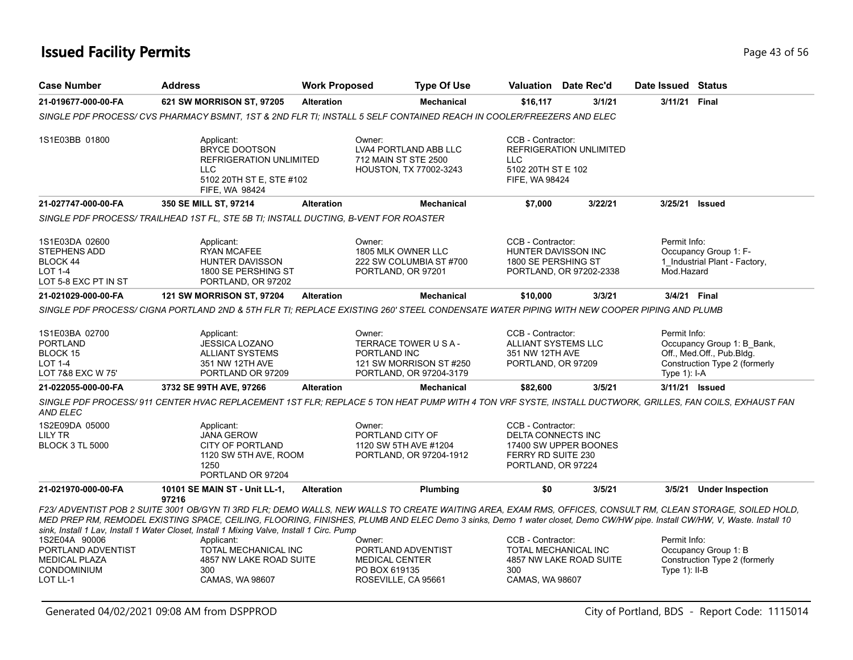| <b>Case Number</b>                                                                            | <b>Address</b>                                                                                                                                                                                                                                                                                                                                                                                                                       | <b>Work Proposed</b> | <b>Type Of Use</b>                                                                                    |                                                                                            | <b>Valuation</b> Date Rec'd | Date Issued Status              |                                                                                          |
|-----------------------------------------------------------------------------------------------|--------------------------------------------------------------------------------------------------------------------------------------------------------------------------------------------------------------------------------------------------------------------------------------------------------------------------------------------------------------------------------------------------------------------------------------|----------------------|-------------------------------------------------------------------------------------------------------|--------------------------------------------------------------------------------------------|-----------------------------|---------------------------------|------------------------------------------------------------------------------------------|
| 21-019677-000-00-FA                                                                           | 621 SW MORRISON ST, 97205                                                                                                                                                                                                                                                                                                                                                                                                            | <b>Alteration</b>    | <b>Mechanical</b>                                                                                     | \$16,117                                                                                   | 3/1/21                      | 3/11/21                         | Final                                                                                    |
|                                                                                               | SINGLE PDF PROCESS/ CVS PHARMACY BSMNT. 1ST & 2ND FLR TI: INSTALL 5 SELF CONTAINED REACH IN COOLER/FREEZERS AND ELEC                                                                                                                                                                                                                                                                                                                 |                      |                                                                                                       |                                                                                            |                             |                                 |                                                                                          |
| 1S1E03BB 01800                                                                                | Applicant:<br><b>BRYCE DOOTSON</b><br>REFRIGERATION UNLIMITED<br>LLC.<br>5102 20TH ST E, STE #102<br>FIFE, WA 98424                                                                                                                                                                                                                                                                                                                  |                      | Owner:<br>LVA4 PORTLAND ABB LLC<br>712 MAIN ST STE 2500<br>HOUSTON, TX 77002-3243                     | CCB - Contractor:<br><b>LLC</b><br>5102 20TH ST E 102<br>FIFE, WA 98424                    | REFRIGERATION UNLIMITED     |                                 |                                                                                          |
| 21-027747-000-00-FA                                                                           | 350 SE MILL ST, 97214                                                                                                                                                                                                                                                                                                                                                                                                                | <b>Alteration</b>    | Mechanical                                                                                            | \$7,000                                                                                    | 3/22/21                     | 3/25/21                         | <b>Issued</b>                                                                            |
|                                                                                               | SINGLE PDF PROCESS/ TRAILHEAD 1ST FL. STE 5B TI: INSTALL DUCTING. B-VENT FOR ROASTER                                                                                                                                                                                                                                                                                                                                                 |                      |                                                                                                       |                                                                                            |                             |                                 |                                                                                          |
| 1S1E03DA 02600<br>STEPHENS ADD<br>BLOCK 44<br><b>LOT 1-4</b><br>LOT 5-8 EXC PT IN ST          | Applicant:<br><b>RYAN MCAFEE</b><br>HUNTER DAVISSON<br>1800 SE PERSHING ST<br>PORTLAND, OR 97202                                                                                                                                                                                                                                                                                                                                     |                      | Owner:<br>1805 MLK OWNER LLC<br>222 SW COLUMBIA ST #700<br>PORTLAND, OR 97201                         | CCB - Contractor:<br>HUNTER DAVISSON INC<br>1800 SE PERSHING ST                            | PORTLAND, OR 97202-2338     | Permit Info:<br>Mod.Hazard      | Occupancy Group 1: F-<br>1_Industrial Plant - Factory,                                   |
| 21-021029-000-00-FA                                                                           | <b>121 SW MORRISON ST, 97204</b>                                                                                                                                                                                                                                                                                                                                                                                                     | <b>Alteration</b>    | <b>Mechanical</b>                                                                                     | \$10,000                                                                                   | 3/3/21                      | 3/4/21 Final                    |                                                                                          |
| 1S1E03BA 02700<br><b>PORTLAND</b><br>BLOCK 15<br><b>LOT 1-4</b><br>LOT 7&8 EXC W 75'          | SINGLE PDF PROCESS/ CIGNA PORTLAND 2ND & 5TH FLR TI; REPLACE EXISTING 260' STEEL CONDENSATE WATER PIPING WITH NEW COOPER PIPING AND PLUMB<br>Applicant:<br>JESSICA LOZANO<br><b>ALLIANT SYSTEMS</b><br>351 NW 12TH AVE<br>PORTLAND OR 97209                                                                                                                                                                                          |                      | Owner:<br>TERRACE TOWER U S A -<br>PORTLAND INC<br>121 SW MORRISON ST #250<br>PORTLAND, OR 97204-3179 | CCB - Contractor:<br><b>ALLIANT SYSTEMS LLC</b><br>351 NW 12TH AVE<br>PORTLAND, OR 97209   |                             | Permit Info:<br>Type 1): I-A    | Occupancy Group 1: B_Bank,<br>Off., Med.Off., Pub.Bldg.<br>Construction Type 2 (formerly |
| 21-022055-000-00-FA                                                                           | 3732 SE 99TH AVE, 97266                                                                                                                                                                                                                                                                                                                                                                                                              | <b>Alteration</b>    | <b>Mechanical</b>                                                                                     | \$82,600                                                                                   | 3/5/21                      |                                 | 3/11/21 Issued                                                                           |
| AND ELEC                                                                                      | SINGLE PDF PROCESS/911 CENTER HVAC REPLACEMENT 1ST FLR; REPLACE 5 TON HEAT PUMP WITH 4 TON VRF SYSTE, INSTALL DUCTWORK, GRILLES, FAN COILS, EXHAUST FAN                                                                                                                                                                                                                                                                              |                      |                                                                                                       |                                                                                            |                             |                                 |                                                                                          |
| 1S2E09DA 05000<br><b>LILY TR</b><br><b>BLOCK 3 TL 5000</b>                                    | Applicant:<br><b>JANA GEROW</b><br><b>CITY OF PORTLAND</b><br>1120 SW 5TH AVE, ROOM<br>1250<br>PORTLAND OR 97204                                                                                                                                                                                                                                                                                                                     |                      | Owner:<br>PORTLAND CITY OF<br>1120 SW 5TH AVE #1204<br>PORTLAND, OR 97204-1912                        | CCB - Contractor:<br><b>DELTA CONNECTS INC</b><br>FERRY RD SUITE 230<br>PORTLAND, OR 97224 | 17400 SW UPPER BOONES       |                                 |                                                                                          |
| 21-021970-000-00-FA                                                                           | 10101 SE MAIN ST - Unit LL-1,<br>97216                                                                                                                                                                                                                                                                                                                                                                                               | <b>Alteration</b>    | Plumbing                                                                                              | \$0                                                                                        | 3/5/21                      | 3/5/21                          | <b>Under Inspection</b>                                                                  |
|                                                                                               | F23/ ADVENTIST POB 2 SUITE 3001 OB/GYN TI 3RD FLR; DEMO WALLS, NEW WALLS TO CREATE WAITING AREA, EXAM RMS, OFFICES, CONSULT RM, CLEAN STORAGE, SOILED HOLD,<br>MED PREP RM, REMODEL EXISTING SPACE, CEILING, FLOORING, FINISHES, PLUMB AND ELEC Demo 3 sinks, Demo 1 water closet, Demo CW/HW pipe. Install CW/HW, V, Waste. Install 10<br>sink, Install 1 Lav, Install 1 Water Closet, Install 1 Mixing Valve, Install 1 Circ. Pump |                      |                                                                                                       |                                                                                            |                             |                                 |                                                                                          |
| 1S2E04A 90006<br>PORTLAND ADVENTIST<br><b>MEDICAL PLAZA</b><br><b>CONDOMINIUM</b><br>LOT LL-1 | Applicant:<br>TOTAL MECHANICAL INC<br>4857 NW LAKE ROAD SUITE<br>300<br>CAMAS, WA 98607                                                                                                                                                                                                                                                                                                                                              |                      | Owner:<br>PORTLAND ADVENTIST<br><b>MEDICAL CENTER</b><br>PO BOX 619135<br>ROSEVILLE, CA 95661         | CCB - Contractor:<br>TOTAL MECHANICAL INC<br>300<br>CAMAS, WA 98607                        | 4857 NW LAKE ROAD SUITE     | Permit Info:<br>Type $1$ : II-B | Occupancy Group 1: B<br>Construction Type 2 (formerly                                    |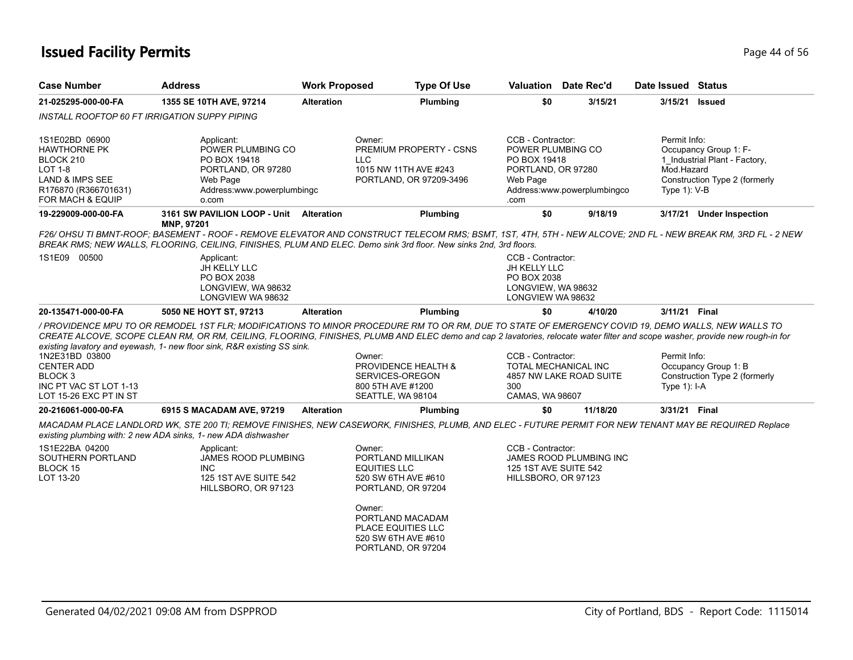| <b>Case Number</b>                                                                                                    | <b>Address</b>                                                                                                                                                                                                                                                                                                                                                                                                 | <b>Work Proposed</b> | <b>Type Of Use</b>                                                                                                                                                           |                                                                                                  | <b>Valuation</b> Date Rec'd | Date Issued Status                            |                                                                                         |
|-----------------------------------------------------------------------------------------------------------------------|----------------------------------------------------------------------------------------------------------------------------------------------------------------------------------------------------------------------------------------------------------------------------------------------------------------------------------------------------------------------------------------------------------------|----------------------|------------------------------------------------------------------------------------------------------------------------------------------------------------------------------|--------------------------------------------------------------------------------------------------|-----------------------------|-----------------------------------------------|-----------------------------------------------------------------------------------------|
| 21-025295-000-00-FA                                                                                                   | 1355 SE 10TH AVE, 97214                                                                                                                                                                                                                                                                                                                                                                                        | <b>Alteration</b>    | Plumbing                                                                                                                                                                     | \$0                                                                                              | 3/15/21                     | 3/15/21                                       | Issued                                                                                  |
| INSTALL ROOFTOP 60 FT IRRIGATION SUPPY PIPING                                                                         |                                                                                                                                                                                                                                                                                                                                                                                                                |                      |                                                                                                                                                                              |                                                                                                  |                             |                                               |                                                                                         |
| 1S1E02BD 06900<br>HAWTHORNE PK<br>BLOCK 210<br>LOT 1-8<br>LAND & IMPS SEE<br>R176870 (R366701631)<br>FOR MACH & EQUIP | Applicant:<br>POWER PLUMBING CO<br>PO BOX 19418<br>PORTLAND, OR 97280<br>Web Page<br>Address:www.powerplumbingc<br>o.com                                                                                                                                                                                                                                                                                       | Owner:<br>LLC.       | PREMIUM PROPERTY - CSNS<br>1015 NW 11TH AVE #243<br>PORTLAND, OR 97209-3496                                                                                                  | CCB - Contractor:<br>POWER PLUMBING CO<br>PO BOX 19418<br>PORTLAND, OR 97280<br>Web Page<br>.com | Address:www.powerplumbingco | Permit Info:<br>Mod.Hazard<br>Type $1$ ): V-B | Occupancy Group 1: F-<br>1_Industrial Plant - Factory,<br>Construction Type 2 (formerly |
| 19-229009-000-00-FA                                                                                                   | 3161 SW PAVILION LOOP - Unit<br>MNP, 97201                                                                                                                                                                                                                                                                                                                                                                     | <b>Alteration</b>    | Plumbing                                                                                                                                                                     | \$0                                                                                              | 9/18/19                     |                                               | 3/17/21 Under Inspection                                                                |
|                                                                                                                       | F26/ OHSU TI BMNT-ROOF; BASEMENT - ROOF - REMOVE ELEVATOR AND CONSTRUCT TELECOM RMS; BSMT, 1ST, 4TH, 5TH - NEW ALCOVE; 2ND FL - NEW BREAK RM, 3RD FL - 2 NEW<br>BREAK RMS; NEW WALLS, FLOORING, CEILING, FINISHES, PLUM AND ELEC. Demo sink 3rd floor. New sinks 2nd, 3rd floors.                                                                                                                              |                      |                                                                                                                                                                              |                                                                                                  |                             |                                               |                                                                                         |
| 1S1E09 00500                                                                                                          | Applicant:<br>JH KELLY LLC<br>PO BOX 2038<br>LONGVIEW, WA 98632<br>LONGVIEW WA 98632                                                                                                                                                                                                                                                                                                                           |                      |                                                                                                                                                                              | CCB - Contractor:<br>JH KELLY LLC<br>PO BOX 2038<br>LONGVIEW, WA 98632<br>LONGVIEW WA 98632      |                             |                                               |                                                                                         |
| 20-135471-000-00-FA                                                                                                   | 5050 NE HOYT ST, 97213                                                                                                                                                                                                                                                                                                                                                                                         | <b>Alteration</b>    | Plumbing                                                                                                                                                                     | \$0                                                                                              | 4/10/20                     | 3/11/21 Final                                 |                                                                                         |
| 1N2E31BD 03800<br><b>CENTER ADD</b><br>BLOCK <sub>3</sub><br>INC PT VAC ST LOT 1-13<br>LOT 15-26 EXC PT IN ST         | / PROVIDENCE MPU TO OR REMODEL 1ST FLR: MODIFICATIONS TO MINOR PROCEDURE RM TO OR RM. DUE TO STATE OF EMERGENCY COVID 19. DEMO WALLS, NEW WALLS TO<br>CREATE ALCOVE, SCOPE CLEAN RM, OR RM, CEILING, FLOORING, FINISHES, PLUMB AND ELEC demo and cap 2 lavatories, relocate water filter and scope washer, provide new rough-in for<br>existing lavatory and eyewash, 1- new floor sink, R&R existing SS sink. | Owner:               | <b>PROVIDENCE HEALTH &amp;</b><br>SERVICES-OREGON<br>800 5TH AVE #1200<br>SEATTLE, WA 98104                                                                                  | CCB - Contractor:<br><b>TOTAL MECHANICAL INC</b><br>300<br><b>CAMAS, WA 98607</b>                | 4857 NW LAKE ROAD SUITE     | Permit Info:<br>Type $1$ : I-A                | Occupancy Group 1: B<br>Construction Type 2 (formerly                                   |
| 20-216061-000-00-FA                                                                                                   | 6915 S MACADAM AVE, 97219                                                                                                                                                                                                                                                                                                                                                                                      | <b>Alteration</b>    | Plumbing                                                                                                                                                                     | \$0                                                                                              | 11/18/20                    | 3/31/21 Final                                 |                                                                                         |
| 1S1E22BA 04200<br>SOUTHERN PORTLAND<br>BLOCK 15<br>LOT 13-20                                                          | MACADAM PLACE LANDLORD WK, STE 200 TI; REMOVE FINISHES, NEW CASEWORK, FINISHES, PLUMB, AND ELEC - FUTURE PERMIT FOR NEW TENANT MAY BE REQUIRED Replace<br>existing plumbing with: 2 new ADA sinks, 1- new ADA dishwasher<br>Applicant:<br><b>JAMES ROOD PLUMBING</b><br><b>INC</b><br>125 1ST AVE SUITE 542<br>HILLSBORO, OR 97123                                                                             | Owner:<br>Owner:     | PORTLAND MILLIKAN<br><b>EQUITIES LLC</b><br>520 SW 6TH AVE #610<br>PORTLAND, OR 97204<br>PORTLAND MACADAM<br>PLACE EQUITIES LLC<br>520 SW 6TH AVE #610<br>PORTLAND, OR 97204 | CCB - Contractor:<br>125 1ST AVE SUITE 542<br>HILLSBORO, OR 97123                                | JAMES ROOD PLUMBING INC     |                                               |                                                                                         |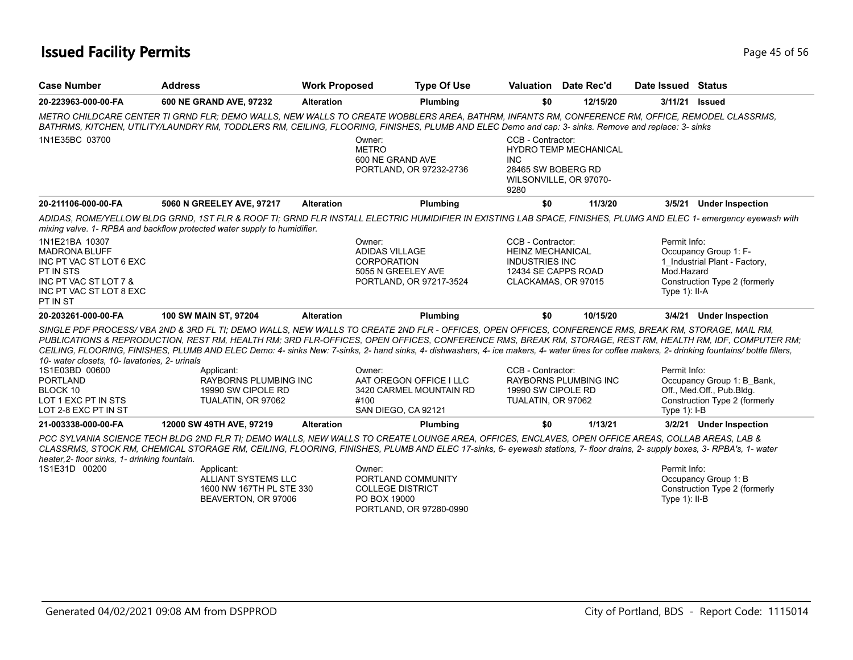| <b>Case Number</b>                                                                                                                             | <b>Address</b>                                                                              | <b>Work Proposed</b> | <b>Type Of Use</b>                                                                                                                                                                                                                                                                                                                                                                                                                                                                                                                                                                                                 |                                                                                                                     | <b>Valuation</b> Date Rec'd                            | Date Issued Status                            |                                                                                          |
|------------------------------------------------------------------------------------------------------------------------------------------------|---------------------------------------------------------------------------------------------|----------------------|--------------------------------------------------------------------------------------------------------------------------------------------------------------------------------------------------------------------------------------------------------------------------------------------------------------------------------------------------------------------------------------------------------------------------------------------------------------------------------------------------------------------------------------------------------------------------------------------------------------------|---------------------------------------------------------------------------------------------------------------------|--------------------------------------------------------|-----------------------------------------------|------------------------------------------------------------------------------------------|
| 20-223963-000-00-FA                                                                                                                            | 600 NE GRAND AVE, 97232                                                                     | <b>Alteration</b>    | Plumbing                                                                                                                                                                                                                                                                                                                                                                                                                                                                                                                                                                                                           | \$0                                                                                                                 | 12/15/20                                               | 3/11/21                                       | <b>Issued</b>                                                                            |
|                                                                                                                                                |                                                                                             |                      | METRO CHILDCARE CENTER TI GRND FLR: DEMO WALLS, NEW WALLS TO CREATE WOBBLERS AREA, BATHRM, INFANTS RM, CONFERENCE RM, OFFICE, REMODEL CLASSRMS,<br>BATHRMS, KITCHEN, UTILITY/LAUNDRY RM, TODDLERS RM, CEILING, FLOORING, FINISHES, PLUMB AND ELEC Demo and cap: 3- sinks. Remove and replace: 3- sinks                                                                                                                                                                                                                                                                                                             |                                                                                                                     |                                                        |                                               |                                                                                          |
| 1N1E35BC 03700                                                                                                                                 |                                                                                             |                      | Owner:<br><b>METRO</b><br>600 NE GRAND AVE<br>PORTLAND, OR 97232-2736                                                                                                                                                                                                                                                                                                                                                                                                                                                                                                                                              | CCB - Contractor:<br><b>INC</b><br>28465 SW BOBERG RD<br>9280                                                       | <b>HYDRO TEMP MECHANICAL</b><br>WILSONVILLE, OR 97070- |                                               |                                                                                          |
| 20-211106-000-00-FA                                                                                                                            | 5060 N GREELEY AVE, 97217                                                                   | <b>Alteration</b>    | Plumbing                                                                                                                                                                                                                                                                                                                                                                                                                                                                                                                                                                                                           | \$0                                                                                                                 | 11/3/20                                                | 3/5/21                                        | <b>Under Inspection</b>                                                                  |
|                                                                                                                                                | mixing valve. 1- RPBA and backflow protected water supply to humidifier.                    |                      | ADIDAS, ROME/YELLOW BLDG GRND, 1ST FLR & ROOF TI; GRND FLR INSTALL ELECTRIC HUMIDIFIER IN EXISTING LAB SPACE, FINISHES, PLUMG AND ELEC 1- emergency eyewash with                                                                                                                                                                                                                                                                                                                                                                                                                                                   |                                                                                                                     |                                                        |                                               |                                                                                          |
| 1N1E21BA 10307<br><b>MADRONA BLUFF</b><br>INC PT VAC ST LOT 6 EXC<br>PT IN STS<br>INC PT VAC ST LOT 7 &<br>INC PT VAC ST LOT 8 EXC<br>PT IN ST |                                                                                             |                      | Owner:<br><b>ADIDAS VILLAGE</b><br><b>CORPORATION</b><br>5055 N GREELEY AVE<br>PORTLAND, OR 97217-3524                                                                                                                                                                                                                                                                                                                                                                                                                                                                                                             | CCB - Contractor:<br><b>HEINZ MECHANICAL</b><br><b>INDUSTRIES INC</b><br>12434 SE CAPPS ROAD<br>CLACKAMAS, OR 97015 |                                                        | Permit Info:<br>Mod.Hazard<br>Type $1$ : II-A | Occupancy Group 1: F-<br>1_Industrial Plant - Factory,<br>Construction Type 2 (formerly  |
| 20-203261-000-00-FA                                                                                                                            | 100 SW MAIN ST, 97204                                                                       | <b>Alteration</b>    | Plumbing                                                                                                                                                                                                                                                                                                                                                                                                                                                                                                                                                                                                           | \$0                                                                                                                 | 10/15/20                                               | 3/4/21                                        | <b>Under Inspection</b>                                                                  |
| 10- water closets, 10- lavatories, 2- urinals<br>1S1E03BD 00600<br><b>PORTLAND</b><br>BLOCK 10<br>LOT 1 EXC PT IN STS<br>LOT 2-8 EXC PT IN ST  | Applicant:<br><b>RAYBORNS PLUMBING INC</b><br>19990 SW CIPOLE RD<br>TUALATIN, OR 97062      |                      | SINGLE PDF PROCESS/VBA 2ND & 3RD FL TI; DEMO WALLS, NEW WALLS TO CREATE 2ND FLR - OFFICES, OPEN OFFICES, CONFERENCE RMS, BREAK RM, STORAGE, MAIL RM,<br>PUBLICATIONS & REPRODUCTION, REST RM, HEALTH RM; 3RD FLR-OFFICES, OPEN OFFICES, CONFERENCE RMS, BREAK RM, STORAGE, REST RM, HEALTH RM, IDF, COMPUTER RM;<br>CEILING, FLOORING, FINISHES, PLUMB AND ELEC Demo: 4- sinks New: 7-sinks, 2- hand sinks, 4- dishwashers, 4- ice makers, 4- water lines for coffee makers, 2- drinking fountains/ bottle fillers,<br>Owner:<br>AAT OREGON OFFICE I LLC<br>3420 CARMEL MOUNTAIN RD<br>#100<br>SAN DIEGO, CA 92121 | CCB - Contractor:<br>19990 SW CIPOLE RD<br>TUALATIN, OR 97062                                                       | <b>RAYBORNS PLUMBING INC</b>                           | Permit Info:<br>Type $1$ : I-B                | Occupancy Group 1: B_Bank,<br>Off., Med.Off., Pub.Bldg.<br>Construction Type 2 (formerly |
| 21-003338-000-00-FA                                                                                                                            | 12000 SW 49TH AVE, 97219                                                                    | <b>Alteration</b>    | Plumbing                                                                                                                                                                                                                                                                                                                                                                                                                                                                                                                                                                                                           | \$0                                                                                                                 | 1/13/21                                                |                                               | 3/2/21 Under Inspection                                                                  |
| heater, 2- floor sinks, 1- drinking fountain.                                                                                                  |                                                                                             |                      | PCC SYLVANIA SCIENCE TECH BLDG 2ND FLR TI; DEMO WALLS, NEW WALLS TO CREATE LOUNGE AREA, OFFICES, ENCLAVES, OPEN OFFICE AREAS, COLLAB AREAS, LAB &<br>CLASSRMS, STOCK RM, CHEMICAL STORAGE RM, CEILING, FLOORING, FINISHES, PLUMB AND ELEC 17-sinks, 6- eyewash stations, 7- floor drains, 2- supply boxes, 3- RPBA's, 1- water                                                                                                                                                                                                                                                                                     |                                                                                                                     |                                                        |                                               |                                                                                          |
| 1S1E31D 00200                                                                                                                                  | Applicant:<br><b>ALLIANT SYSTEMS LLC</b><br>1600 NW 167TH PL STE 330<br>BEAVERTON, OR 97006 |                      | Owner:<br>PORTLAND COMMUNITY<br><b>COLLEGE DISTRICT</b><br>PO BOX 19000                                                                                                                                                                                                                                                                                                                                                                                                                                                                                                                                            |                                                                                                                     |                                                        | Permit Info:<br>Type $1$ ): II-B              | Occupancy Group 1: B<br>Construction Type 2 (formerly                                    |

PORTLAND, OR 97280-0990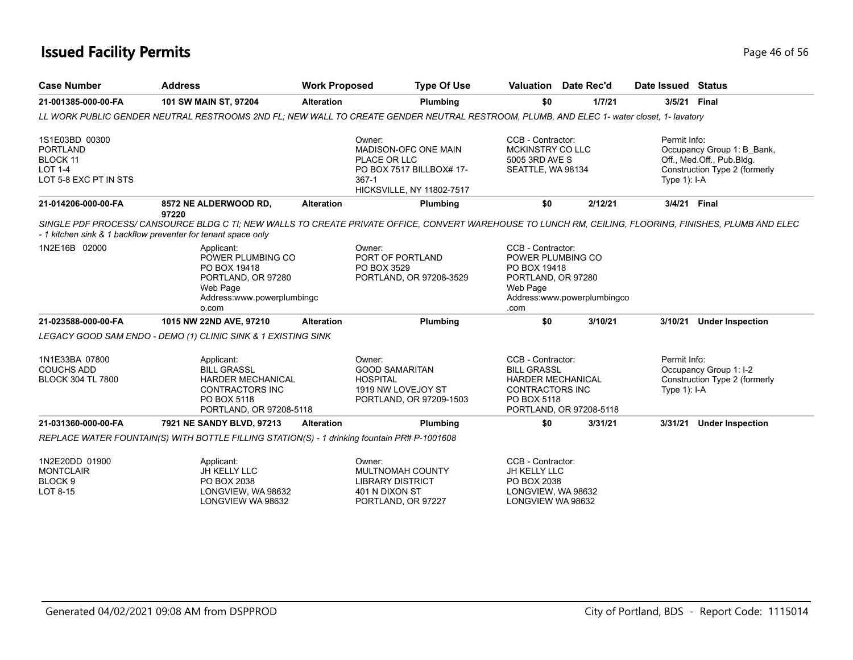| <b>Case Number</b>                                                                       | <b>Address</b>                                                                                                                                                                                                                    | <b>Work Proposed</b> | <b>Type Of Use</b>                                                                                             |                                                                                                       | <b>Valuation</b> Date Rec'd | Date Issued Status             |                                                                                          |
|------------------------------------------------------------------------------------------|-----------------------------------------------------------------------------------------------------------------------------------------------------------------------------------------------------------------------------------|----------------------|----------------------------------------------------------------------------------------------------------------|-------------------------------------------------------------------------------------------------------|-----------------------------|--------------------------------|------------------------------------------------------------------------------------------|
| 21-001385-000-00-FA                                                                      | 101 SW MAIN ST, 97204                                                                                                                                                                                                             | <b>Alteration</b>    | Plumbing                                                                                                       | \$0                                                                                                   | 1/7/21                      | 3/5/21 Final                   |                                                                                          |
|                                                                                          | LL WORK PUBLIC GENDER NEUTRAL RESTROOMS 2ND FL; NEW WALL TO CREATE GENDER NEUTRAL RESTROOM, PLUMB, AND ELEC 1- water closet, 1- lavatory                                                                                          |                      |                                                                                                                |                                                                                                       |                             |                                |                                                                                          |
| 1S1E03BD 00300<br><b>PORTLAND</b><br>BLOCK 11<br><b>LOT 1-4</b><br>LOT 5-8 EXC PT IN STS |                                                                                                                                                                                                                                   | $367-1$              | Owner:<br>MADISON-OFC ONE MAIN<br>PLACE OR LLC<br>PO BOX 7517 BILLBOX# 17-<br><b>HICKSVILLE, NY 11802-7517</b> | CCB - Contractor:<br>MCKINSTRY CO LLC<br>5005 3RD AVE S<br>SEATTLE, WA 98134                          |                             | Permit Info:<br>Type $1$ : I-A | Occupancy Group 1: B Bank,<br>Off., Med.Off., Pub.Bldg.<br>Construction Type 2 (formerly |
| 21-014206-000-00-FA                                                                      | 8572 NE ALDERWOOD RD,                                                                                                                                                                                                             | <b>Alteration</b>    | Plumbing                                                                                                       | \$0                                                                                                   | 2/12/21                     | 3/4/21 Final                   |                                                                                          |
|                                                                                          | 97220<br>SINGLE PDF PROCESS/ CANSOURCE BLDG C TI; NEW WALLS TO CREATE PRIVATE OFFICE, CONVERT WAREHOUSE TO LUNCH RM, CEILING, FLOORING, FINISHES, PLUMB AND ELEC<br>- 1 kitchen sink & 1 backflow preventer for tenant space only |                      |                                                                                                                |                                                                                                       |                             |                                |                                                                                          |
| 1N2E16B 02000                                                                            | Applicant:<br>POWER PLUMBING CO<br>PO BOX 19418<br>PORTLAND, OR 97280<br>Web Page<br>Address:www.powerplumbingc<br>o.com                                                                                                          |                      | Owner:<br>PORT OF PORTLAND<br>PO BOX 3529<br>PORTLAND, OR 97208-3529                                           | CCB - Contractor:<br>POWER PLUMBING CO<br>PO BOX 19418<br>PORTLAND, OR 97280<br>Web Page<br>.com      | Address:www.powerplumbingco |                                |                                                                                          |
| 21-023588-000-00-FA                                                                      | 1015 NW 22ND AVE, 97210                                                                                                                                                                                                           | <b>Alteration</b>    | Plumbing                                                                                                       | \$0                                                                                                   | 3/10/21                     | 3/10/21                        | <b>Under Inspection</b>                                                                  |
|                                                                                          | LEGACY GOOD SAM ENDO - DEMO (1) CLINIC SINK & 1 EXISTING SINK                                                                                                                                                                     |                      |                                                                                                                |                                                                                                       |                             |                                |                                                                                          |
| 1N1E33BA 07800<br><b>COUCHS ADD</b><br><b>BLOCK 304 TL 7800</b>                          | Applicant:<br><b>BILL GRASSL</b><br>HARDER MECHANICAL<br>CONTRACTORS INC<br>PO BOX 5118<br>PORTLAND, OR 97208-5118                                                                                                                |                      | Owner:<br><b>GOOD SAMARITAN</b><br><b>HOSPITAL</b><br>1919 NW LOVEJOY ST<br>PORTLAND, OR 97209-1503            | CCB - Contractor:<br><b>BILL GRASSL</b><br>HARDER MECHANICAL<br><b>CONTRACTORS INC</b><br>PO BOX 5118 | PORTLAND, OR 97208-5118     | Permit Info:<br>Type $1$ : I-A | Occupancy Group 1: I-2<br>Construction Type 2 (formerly                                  |
| 21-031360-000-00-FA                                                                      | 7921 NE SANDY BLVD, 97213                                                                                                                                                                                                         | <b>Alteration</b>    | Plumbing                                                                                                       | \$0                                                                                                   | 3/31/21                     | 3/31/21                        | <b>Under Inspection</b>                                                                  |
|                                                                                          | REPLACE WATER FOUNTAIN(S) WITH BOTTLE FILLING STATION(S) - 1 drinking fountain PR# P-1001608                                                                                                                                      |                      |                                                                                                                |                                                                                                       |                             |                                |                                                                                          |
| 1N2E20DD 01900<br><b>MONTCLAIR</b><br>BLOCK <sub>9</sub><br>LOT 8-15                     | Applicant:<br>JH KELLY LLC<br>PO BOX 2038<br>LONGVIEW, WA 98632                                                                                                                                                                   |                      | Owner:<br>MULTNOMAH COUNTY<br><b>LIBRARY DISTRICT</b><br>401 N DIXON ST                                        | CCB - Contractor:<br>JH KELLY LLC<br>PO BOX 2038<br>LONGVIEW, WA 98632                                |                             |                                |                                                                                          |

PORTLAND, OR 97227

LONGVIEW WA 98632

LONGVIEW WA 98632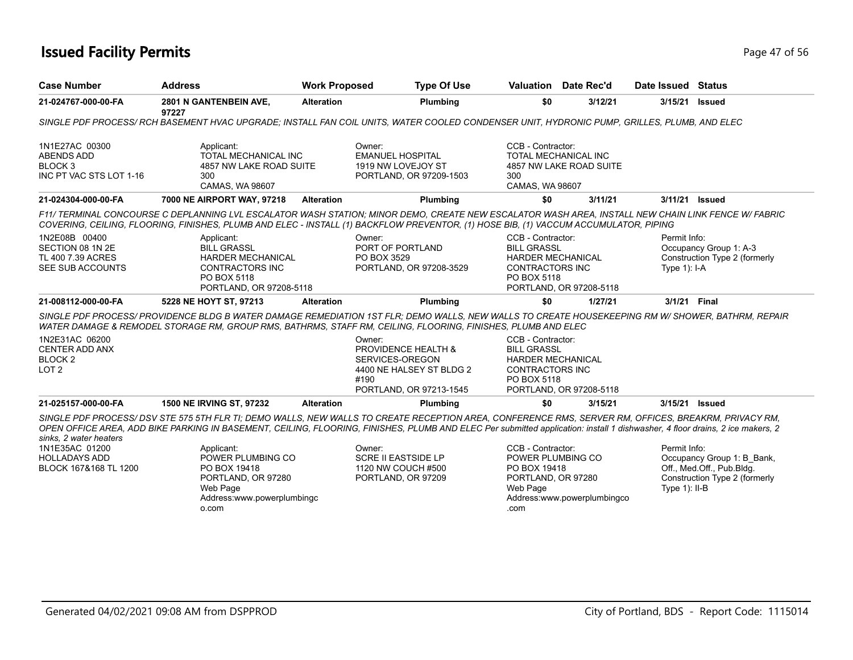| <b>Case Number</b>                                                                   | <b>Address</b>                                                                                                                                                                                                                                                                              | <b>Work Proposed</b> | <b>Type Of Use</b>                                                                                                                                                                                                                                                                                                                   | Valuation                                                                                                    | Date Rec'd                  | Date Issued Status              |                                                                                          |  |  |  |
|--------------------------------------------------------------------------------------|---------------------------------------------------------------------------------------------------------------------------------------------------------------------------------------------------------------------------------------------------------------------------------------------|----------------------|--------------------------------------------------------------------------------------------------------------------------------------------------------------------------------------------------------------------------------------------------------------------------------------------------------------------------------------|--------------------------------------------------------------------------------------------------------------|-----------------------------|---------------------------------|------------------------------------------------------------------------------------------|--|--|--|
| 21-024767-000-00-FA                                                                  | 2801 N GANTENBEIN AVE,<br>97227                                                                                                                                                                                                                                                             | <b>Alteration</b>    | Plumbing                                                                                                                                                                                                                                                                                                                             | \$0                                                                                                          | 3/12/21                     | 3/15/21                         | <b>Issued</b>                                                                            |  |  |  |
|                                                                                      | SINGLE PDF PROCESS/RCH BASEMENT HVAC UPGRADE; INSTALL FAN COIL UNITS, WATER COOLED CONDENSER UNIT, HYDRONIC PUMP, GRILLES, PLUMB, AND ELEC                                                                                                                                                  |                      |                                                                                                                                                                                                                                                                                                                                      |                                                                                                              |                             |                                 |                                                                                          |  |  |  |
| 1N1E27AC 00300<br><b>ABENDS ADD</b><br>BLOCK <sub>3</sub><br>INC PT VAC STS LOT 1-16 | Applicant:<br><b>TOTAL MECHANICAL INC</b><br>4857 NW LAKE ROAD SUITE<br>300<br>CAMAS, WA 98607                                                                                                                                                                                              |                      | Owner:<br><b>EMANUEL HOSPITAL</b><br>1919 NW LOVEJOY ST<br>PORTLAND, OR 97209-1503                                                                                                                                                                                                                                                   | CCB - Contractor:<br>TOTAL MECHANICAL INC<br>300<br>CAMAS, WA 98607                                          | 4857 NW LAKE ROAD SUITE     |                                 |                                                                                          |  |  |  |
| 21-024304-000-00-FA                                                                  | 7000 NE AIRPORT WAY, 97218                                                                                                                                                                                                                                                                  | <b>Alteration</b>    | Plumbing                                                                                                                                                                                                                                                                                                                             | \$0                                                                                                          | 3/11/21                     | 3/11/21 Issued                  |                                                                                          |  |  |  |
|                                                                                      | F11/ TERMINAL CONCOURSE C DEPLANNING LVL ESCALATOR WASH STATION: MINOR DEMO, CREATE NEW ESCALATOR WASH AREA, INSTALL NEW CHAIN LINK FENCE W/ FABRIC<br>COVERING, CEILING, FLOORING, FINISHES, PLUMB AND ELEC - INSTALL (1) BACKFLOW PREVENTOR, (1) HOSE BIB, (1) VACCUM ACCUMULATOR, PIPING |                      |                                                                                                                                                                                                                                                                                                                                      |                                                                                                              |                             |                                 |                                                                                          |  |  |  |
| 1N2E08B 00400<br>SECTION 08 1N 2E<br>TL 400 7.39 ACRES<br>SEE SUB ACCOUNTS           | Applicant:<br><b>BILL GRASSL</b><br><b>HARDER MECHANICAL</b><br><b>CONTRACTORS INC</b><br>PO BOX 5118<br>PORTLAND, OR 97208-5118                                                                                                                                                            |                      | Owner:<br>PORT OF PORTLAND<br>PO BOX 3529<br>PORTLAND, OR 97208-3529                                                                                                                                                                                                                                                                 | CCB - Contractor:<br><b>BILL GRASSL</b><br><b>HARDER MECHANICAL</b><br><b>CONTRACTORS INC</b><br>PO BOX 5118 | PORTLAND, OR 97208-5118     | Permit Info:<br>Type $1$ : I-A  | Occupancy Group 1: A-3<br>Construction Type 2 (formerly                                  |  |  |  |
| 21-008112-000-00-FA                                                                  | 5228 NE HOYT ST, 97213                                                                                                                                                                                                                                                                      | <b>Alteration</b>    | Plumbing                                                                                                                                                                                                                                                                                                                             | \$0                                                                                                          | 1/27/21                     | 3/1/21 Final                    |                                                                                          |  |  |  |
|                                                                                      |                                                                                                                                                                                                                                                                                             |                      | SINGLE PDF PROCESS/ PROVIDENCE BLDG B WATER DAMAGE REMEDIATION 1ST FLR; DEMO WALLS, NEW WALLS TO CREATE HOUSEKEEPING RM W/ SHOWER, BATHRM, REPAIR<br>WATER DAMAGE & REMODEL STORAGE RM, GROUP RMS, BATHRMS, STAFF RM, CEILING, FLOORING, FINISHES, PLUMB AND ELEC                                                                    |                                                                                                              |                             |                                 |                                                                                          |  |  |  |
| 1N2E31AC 06200<br>CENTER ADD ANX<br>BLOCK <sub>2</sub><br>LOT <sub>2</sub>           |                                                                                                                                                                                                                                                                                             |                      | Owner:<br><b>PROVIDENCE HEALTH &amp;</b><br>SERVICES-OREGON<br>4400 NE HALSEY ST BLDG 2<br>#190<br>PORTLAND, OR 97213-1545                                                                                                                                                                                                           | CCB - Contractor:<br><b>BILL GRASSL</b><br><b>HARDER MECHANICAL</b><br><b>CONTRACTORS INC</b><br>PO BOX 5118 | PORTLAND, OR 97208-5118     |                                 |                                                                                          |  |  |  |
| 21-025157-000-00-FA                                                                  | <b>1500 NE IRVING ST, 97232</b>                                                                                                                                                                                                                                                             | <b>Alteration</b>    | Plumbing                                                                                                                                                                                                                                                                                                                             | \$0                                                                                                          | 3/15/21                     | 3/15/21 Issued                  |                                                                                          |  |  |  |
| sinks, 2 water heaters                                                               |                                                                                                                                                                                                                                                                                             |                      | SINGLE PDF PROCESS/ DSV STE 575 5TH FLR TI: DEMO WALLS. NEW WALLS TO CREATE RECEPTION AREA. CONFERENCE RMS. SERVER RM. OFFICES. BREAKRM. PRIVACY RM.<br>OPEN OFFICE AREA, ADD BIKE PARKING IN BASEMENT, CEILING, FLOORING, FINISHES, PLUMB AND ELEC Per submitted application: install 1 dishwasher, 4 floor drains, 2 ice makers, 2 |                                                                                                              |                             |                                 |                                                                                          |  |  |  |
| 1N1E35AC 01200<br><b>HOLLADAYS ADD</b><br>BLOCK 167&168 TL 1200                      | Applicant:<br>POWER PLUMBING CO<br>PO BOX 19418<br>PORTLAND, OR 97280<br>Web Page<br>Address:www.powerplumbingc<br>o.com                                                                                                                                                                    |                      | Owner:<br><b>SCRE II EASTSIDE LP</b><br>1120 NW COUCH #500<br>PORTLAND, OR 97209                                                                                                                                                                                                                                                     | CCB - Contractor:<br>POWER PLUMBING CO<br>PO BOX 19418<br>PORTLAND, OR 97280<br>Web Page<br>.com             | Address:www.powerplumbingco | Permit Info:<br>Type $1$ : II-B | Occupancy Group 1: B Bank,<br>Off., Med.Off., Pub.Bldg.<br>Construction Type 2 (formerly |  |  |  |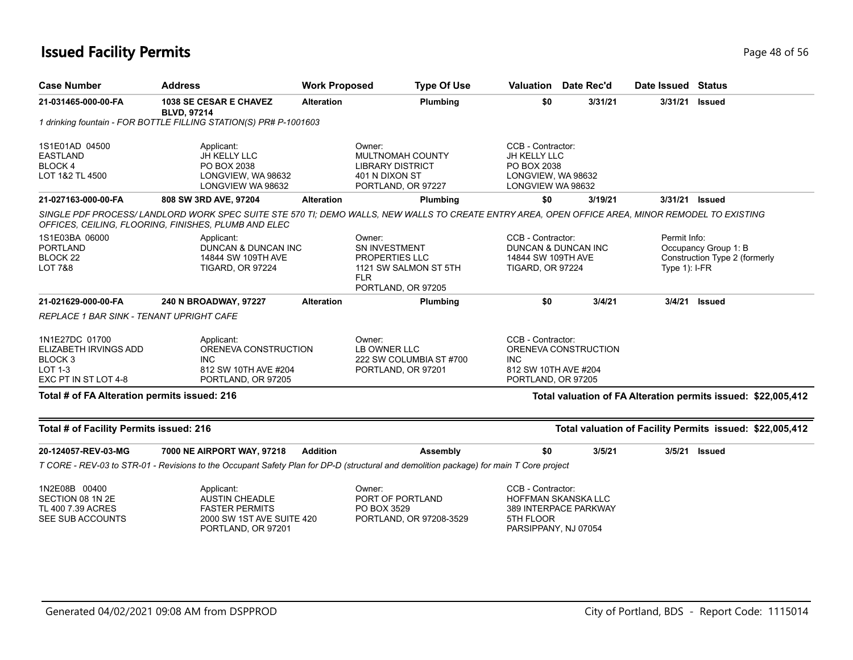| <b>Case Number</b>                                                                                      | <b>Address</b>                                                                                                                                                                                           | <b>Work Proposed</b> |                                                                                                        | <b>Type Of Use</b> |                                                                                             | Valuation Date Rec'd                                                                    | Date Issued Status              |                                                               |
|---------------------------------------------------------------------------------------------------------|----------------------------------------------------------------------------------------------------------------------------------------------------------------------------------------------------------|----------------------|--------------------------------------------------------------------------------------------------------|--------------------|---------------------------------------------------------------------------------------------|-----------------------------------------------------------------------------------------|---------------------------------|---------------------------------------------------------------|
| 21-031465-000-00-FA                                                                                     | 1038 SE CESAR E CHAVEZ<br><b>BLVD, 97214</b>                                                                                                                                                             | <b>Alteration</b>    |                                                                                                        | Plumbing           | \$0                                                                                         | 3/31/21                                                                                 | 3/31/21                         | <b>Issued</b>                                                 |
|                                                                                                         | 1 drinking fountain - FOR BOTTLE FILLING STATION(S) PR# P-1001603                                                                                                                                        |                      |                                                                                                        |                    |                                                                                             |                                                                                         |                                 |                                                               |
| 1S1E01AD 04500<br><b>EASTLAND</b><br>BLOCK 4<br>LOT 1&2 TL 4500                                         | Applicant:<br>JH KELLY LLC<br>PO BOX 2038<br>LONGVIEW, WA 98632<br>LONGVIEW WA 98632                                                                                                                     |                      | Owner:<br>MULTNOMAH COUNTY<br><b>LIBRARY DISTRICT</b><br>401 N DIXON ST<br>PORTLAND, OR 97227          |                    | CCB - Contractor:<br>JH KELLY LLC<br>PO BOX 2038<br>LONGVIEW, WA 98632<br>LONGVIEW WA 98632 |                                                                                         |                                 |                                                               |
| 21-027163-000-00-FA                                                                                     | 808 SW 3RD AVE, 97204                                                                                                                                                                                    | <b>Alteration</b>    |                                                                                                        | Plumbing           | \$0                                                                                         | 3/19/21                                                                                 |                                 | 3/31/21 Issued                                                |
|                                                                                                         | SINGLE PDF PROCESS/ LANDLORD WORK SPEC SUITE STE 570 TI; DEMO WALLS, NEW WALLS TO CREATE ENTRY AREA, OPEN OFFICE AREA, MINOR REMODEL TO EXISTING<br>OFFICES, CEILING, FLOORING, FINISHES, PLUMB AND ELEC |                      |                                                                                                        |                    |                                                                                             |                                                                                         |                                 |                                                               |
| 1S1E03BA 06000<br><b>PORTLAND</b><br>BLOCK <sub>22</sub><br><b>LOT 7&amp;8</b>                          | Applicant:<br>DUNCAN & DUNCAN INC<br>14844 SW 109TH AVE<br><b>TIGARD, OR 97224</b>                                                                                                                       |                      | Owner:<br>SN INVESTMENT<br>PROPERTIES LLC<br>1121 SW SALMON ST 5TH<br><b>FLR</b><br>PORTLAND, OR 97205 |                    | CCB - Contractor:<br>DUNCAN & DUNCAN INC<br>14844 SW 109TH AVE<br><b>TIGARD, OR 97224</b>   |                                                                                         | Permit Info:<br>Type $1$ : I-FR | Occupancy Group 1: B<br>Construction Type 2 (formerly         |
| 21-021629-000-00-FA                                                                                     | 240 N BROADWAY, 97227                                                                                                                                                                                    | <b>Alteration</b>    |                                                                                                        | Plumbing           | \$0                                                                                         | 3/4/21                                                                                  | 3/4/21                          | <b>Issued</b>                                                 |
| REPLACE 1 BAR SINK - TENANT UPRIGHT CAFE                                                                |                                                                                                                                                                                                          |                      |                                                                                                        |                    |                                                                                             |                                                                                         |                                 |                                                               |
| 1N1E27DC 01700<br>ELIZABETH IRVINGS ADD<br>BLOCK <sub>3</sub><br><b>LOT 1-3</b><br>EXC PT IN ST LOT 4-8 | Applicant:<br>ORENEVA CONSTRUCTION<br><b>INC</b><br>812 SW 10TH AVE #204<br>PORTLAND, OR 97205                                                                                                           |                      | Owner:<br>LB OWNER LLC<br>222 SW COLUMBIA ST #700<br>PORTLAND, OR 97201                                |                    | <b>INC</b>                                                                                  | CCB - Contractor:<br>ORENEVA CONSTRUCTION<br>812 SW 10TH AVE #204<br>PORTLAND, OR 97205 |                                 |                                                               |
| Total # of FA Alteration permits issued: 216                                                            |                                                                                                                                                                                                          |                      |                                                                                                        |                    |                                                                                             |                                                                                         |                                 | Total valuation of FA Alteration permits issued: \$22,005,412 |
| Total # of Facility Permits issued: 216                                                                 |                                                                                                                                                                                                          |                      |                                                                                                        |                    |                                                                                             |                                                                                         |                                 | Total valuation of Facility Permits issued: \$22,005,412      |
| 20-124057-REV-03-MG                                                                                     | 7000 NE AIRPORT WAY, 97218                                                                                                                                                                               | <b>Addition</b>      |                                                                                                        | Assembly           | \$0                                                                                         | 3/5/21                                                                                  | 3/5/21                          | Issued                                                        |
|                                                                                                         | T CORE - REV-03 to STR-01 - Revisions to the Occupant Safety Plan for DP-D (structural and demolition package) for main T Core project                                                                   |                      |                                                                                                        |                    |                                                                                             |                                                                                         |                                 |                                                               |
| 1N2E08B 00400<br>SECTION 08 1N 2E<br>TL 400 7.39 ACRES<br>SEE SUB ACCOUNTS                              | Applicant:<br><b>AUSTIN CHEADLE</b><br><b>FASTER PERMITS</b><br>2000 SW 1ST AVE SUITE 420<br>PORTLAND, OR 97201                                                                                          |                      | Owner:<br>PORT OF PORTLAND<br>PO BOX 3529<br>PORTLAND, OR 97208-3529                                   |                    | CCB - Contractor:<br>5TH FLOOR<br>PARSIPPANY, NJ 07054                                      | HOFFMAN SKANSKA LLC<br>389 INTERPACE PARKWAY                                            |                                 |                                                               |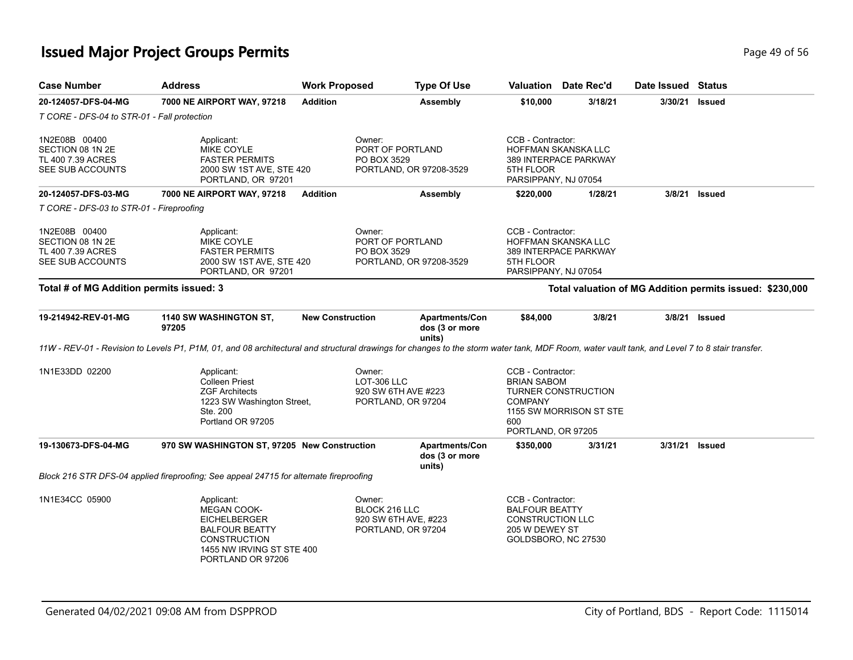## **Issued Major Project Groups Permits Page 19 of 56** and **Page 49 of 56** and **Page 49 of 56**

| T CORE - DFS-04 to STR-01 - Fall protection                                |                                                                                                                                                                                               |                                                                       |                                                   |                                                                                                                                                 |         |         |                                                          |  |
|----------------------------------------------------------------------------|-----------------------------------------------------------------------------------------------------------------------------------------------------------------------------------------------|-----------------------------------------------------------------------|---------------------------------------------------|-------------------------------------------------------------------------------------------------------------------------------------------------|---------|---------|----------------------------------------------------------|--|
| 1N2E08B 00400<br>SECTION 08 1N 2E<br>TL 400 7.39 ACRES<br>SEE SUB ACCOUNTS | Owner:<br>Applicant:<br><b>MIKE COYLE</b><br>PO BOX 3529<br><b>FASTER PERMITS</b><br>2000 SW 1ST AVE, STE 420<br>PORTLAND, OR 97201                                                           |                                                                       | PORT OF PORTLAND<br>PORTLAND, OR 97208-3529       | CCB - Contractor:<br><b>HOFFMAN SKANSKA LLC</b><br>389 INTERPACE PARKWAY<br>5TH FLOOR<br>PARSIPPANY, NJ 07054                                   |         |         |                                                          |  |
| 20-124057-DFS-03-MG                                                        | 7000 NE AIRPORT WAY, 97218                                                                                                                                                                    | <b>Addition</b>                                                       | <b>Assembly</b>                                   | \$220,000                                                                                                                                       | 1/28/21 |         | 3/8/21 Issued                                            |  |
| T CORE - DFS-03 to STR-01 - Fireproofing                                   |                                                                                                                                                                                               |                                                                       |                                                   |                                                                                                                                                 |         |         |                                                          |  |
| 1N2E08B 00400<br>SECTION 08 1N 2E<br>TL 400 7.39 ACRES<br>SEE SUB ACCOUNTS | Applicant:<br>Owner:<br><b>MIKE COYLE</b><br>PORT OF PORTLAND<br><b>FASTER PERMITS</b><br>PO BOX 3529<br>PORTLAND, OR 97208-3529<br>2000 SW 1ST AVE, STE 420<br>PORTLAND, OR 97201            |                                                                       |                                                   | CCB - Contractor:<br><b>HOFFMAN SKANSKA LLC</b><br>389 INTERPACE PARKWAY<br>5TH FLOOR<br>PARSIPPANY, NJ 07054                                   |         |         |                                                          |  |
| Total # of MG Addition permits issued: 3                                   |                                                                                                                                                                                               |                                                                       |                                                   |                                                                                                                                                 |         |         | Total valuation of MG Addition permits issued: \$230,000 |  |
| 19-214942-REV-01-MG                                                        | 1140 SW WASHINGTON ST,<br>97205                                                                                                                                                               | <b>New Construction</b>                                               | <b>Apartments/Con</b><br>dos (3 or more           | \$84,000                                                                                                                                        | 3/8/21  | 3/8/21  | <b>Issued</b>                                            |  |
|                                                                            | 11W - REV-01 - Revision to Levels P1, P1M, 01, and 08 architectural and structural drawings for changes to the storm water tank, MDF Room, water vault tank, and Level 7 to 8 stair transfer. |                                                                       | units)                                            |                                                                                                                                                 |         |         |                                                          |  |
| 1N1E33DD 02200                                                             | Applicant:<br><b>Colleen Priest</b><br><b>ZGF Architects</b><br>1223 SW Washington Street,<br>Ste. 200<br>Portland OR 97205                                                                   | Owner:<br>LOT-306 LLC<br>920 SW 6TH AVE #223<br>PORTLAND, OR 97204    |                                                   | CCB - Contractor:<br><b>BRIAN SABOM</b><br><b>TURNER CONSTRUCTION</b><br><b>COMPANY</b><br>1155 SW MORRISON ST STE<br>600<br>PORTLAND, OR 97205 |         |         |                                                          |  |
| 19-130673-DFS-04-MG                                                        | 970 SW WASHINGTON ST, 97205 New Construction                                                                                                                                                  |                                                                       | <b>Apartments/Con</b><br>dos (3 or more<br>units) | \$350,000                                                                                                                                       | 3/31/21 | 3/31/21 | <b>Issued</b>                                            |  |
|                                                                            | Block 216 STR DFS-04 applied fireproofing; See appeal 24715 for alternate fireproofing                                                                                                        |                                                                       |                                                   |                                                                                                                                                 |         |         |                                                          |  |
| 1N1E34CC 05900                                                             | Applicant:<br><b>MEGAN COOK-</b><br><b>EICHELBERGER</b><br><b>BALFOUR BEATTY</b><br><b>CONSTRUCTION</b><br>1455 NW IRVING ST STE 400<br>PORTLAND OR 97206                                     | Owner:<br>BLOCK 216 LLC<br>920 SW 6TH AVE, #223<br>PORTLAND, OR 97204 |                                                   | CCB - Contractor:<br><b>BALFOUR BEATTY</b><br><b>CONSTRUCTION LLC</b><br>205 W DEWEY ST<br>GOLDSBORO, NC 27530                                  |         |         |                                                          |  |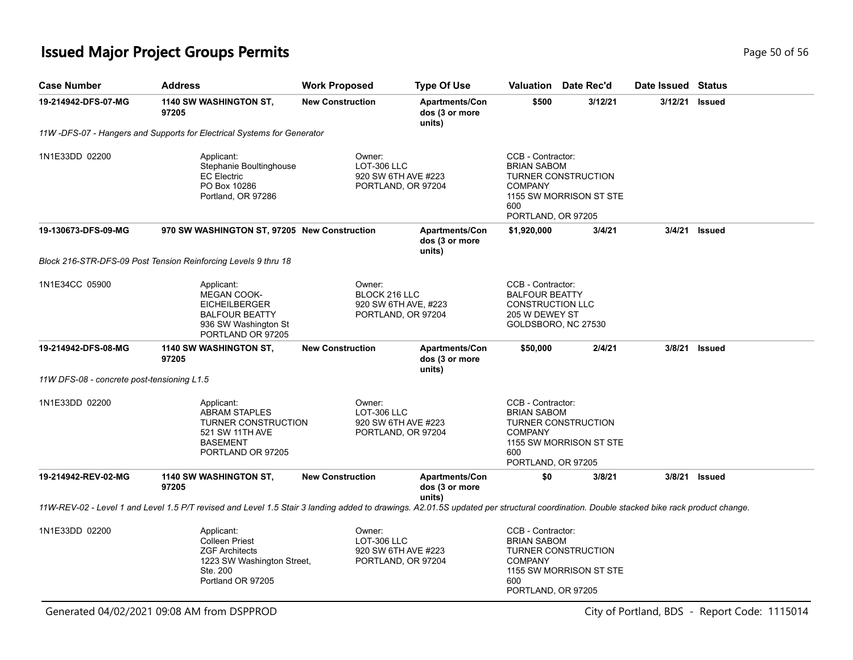## **Issued Major Project Groups Permits Page 10 01 2012 12:00 12:00 Page 50 of 56 20 01 56 Page 50 of 56 20 01 56 Page 50 of 56 20 01 56 Page 10 01 56 20 01 56 Page 10 01 56 20 01 56 Page 10 01 20 20 20 20 20 20 20 20 20 20**

| <b>Case Number</b>                         | <b>Address</b>                                                                                                                                                                         | <b>Work Proposed</b>                                                  | <b>Type Of Use</b>                                | Valuation                                                                               | Date Rec'd                                     | Date Issued | <b>Status</b> |
|--------------------------------------------|----------------------------------------------------------------------------------------------------------------------------------------------------------------------------------------|-----------------------------------------------------------------------|---------------------------------------------------|-----------------------------------------------------------------------------------------|------------------------------------------------|-------------|---------------|
| 19-214942-DFS-07-MG                        | 1140 SW WASHINGTON ST,<br>97205                                                                                                                                                        | <b>New Construction</b>                                               | <b>Apartments/Con</b><br>dos (3 or more<br>units) | \$500                                                                                   | 3/12/21                                        | 3/12/21     | <b>Issued</b> |
|                                            | 11W-DFS-07 - Hangers and Supports for Electrical Systems for Generator                                                                                                                 |                                                                       |                                                   |                                                                                         |                                                |             |               |
| 1N1E33DD 02200                             | Applicant:<br>Stephanie Boultinghouse<br><b>EC Electric</b><br>PO Box 10286<br>Portland, OR 97286                                                                                      | Owner:<br>LOT-306 LLC<br>920 SW 6TH AVE #223<br>PORTLAND, OR 97204    |                                                   | CCB - Contractor:<br><b>BRIAN SABOM</b><br><b>COMPANY</b><br>600<br>PORTLAND, OR 97205  | TURNER CONSTRUCTION<br>1155 SW MORRISON ST STE |             |               |
| 19-130673-DFS-09-MG                        | 970 SW WASHINGTON ST, 97205 New Construction                                                                                                                                           |                                                                       | <b>Apartments/Con</b><br>dos (3 or more<br>units) | \$1,920,000                                                                             | 3/4/21                                         |             | 3/4/21 Issued |
|                                            | Block 216-STR-DFS-09 Post Tension Reinforcing Levels 9 thru 18                                                                                                                         |                                                                       |                                                   |                                                                                         |                                                |             |               |
| 1N1E34CC 05900                             | Applicant:<br><b>MEGAN COOK-</b><br><b>EICHEILBERGER</b><br><b>BALFOUR BEATTY</b><br>936 SW Washington St<br>PORTLAND OR 97205                                                         | Owner:<br>BLOCK 216 LLC<br>920 SW 6TH AVE, #223<br>PORTLAND, OR 97204 |                                                   | CCB - Contractor:<br><b>BALFOUR BEATTY</b><br><b>CONSTRUCTION LLC</b><br>205 W DEWEY ST | GOLDSBORO, NC 27530                            |             |               |
| 19-214942-DFS-08-MG                        | 1140 SW WASHINGTON ST,<br>97205                                                                                                                                                        | <b>New Construction</b>                                               | <b>Apartments/Con</b><br>dos (3 or more<br>units) | \$50,000                                                                                | 2/4/21                                         |             | 3/8/21 Issued |
| 11W DFS-08 - concrete post-tensioning L1.5 |                                                                                                                                                                                        |                                                                       |                                                   |                                                                                         |                                                |             |               |
| 1N1E33DD 02200                             | Applicant:<br><b>ABRAM STAPLES</b><br><b>TURNER CONSTRUCTION</b><br>521 SW 11TH AVE<br><b>BASEMENT</b><br>PORTLAND OR 97205                                                            | Owner:<br>LOT-306 LLC<br>920 SW 6TH AVE #223<br>PORTLAND, OR 97204    |                                                   | CCB - Contractor:<br><b>BRIAN SABOM</b><br><b>COMPANY</b><br>600<br>PORTLAND, OR 97205  | TURNER CONSTRUCTION<br>1155 SW MORRISON ST STE |             |               |
| 19-214942-REV-02-MG                        | 1140 SW WASHINGTON ST,<br>97205                                                                                                                                                        | <b>New Construction</b>                                               | <b>Apartments/Con</b><br>dos (3 or more<br>units) | \$0                                                                                     | 3/8/21                                         |             | 3/8/21 Issued |
|                                            | 11W-REV-02 - Level 1 and Level 1.5 P/T revised and Level 1.5 Stair 3 landing added to drawings. A2.01.5S updated per structural coordination. Double stacked bike rack product change. |                                                                       |                                                   |                                                                                         |                                                |             |               |
| 1N1E33DD 02200                             | Applicant:<br><b>Colleen Priest</b><br><b>ZGF Architects</b><br>1223 SW Washington Street,<br>Ste. 200<br>Portland OR 97205                                                            | Owner:<br>LOT-306 LLC<br>920 SW 6TH AVE #223<br>PORTLAND, OR 97204    |                                                   | CCB - Contractor:<br><b>BRIAN SABOM</b><br><b>COMPANY</b><br>600<br>PORTLAND, OR 97205  | TURNER CONSTRUCTION<br>1155 SW MORRISON ST STE |             |               |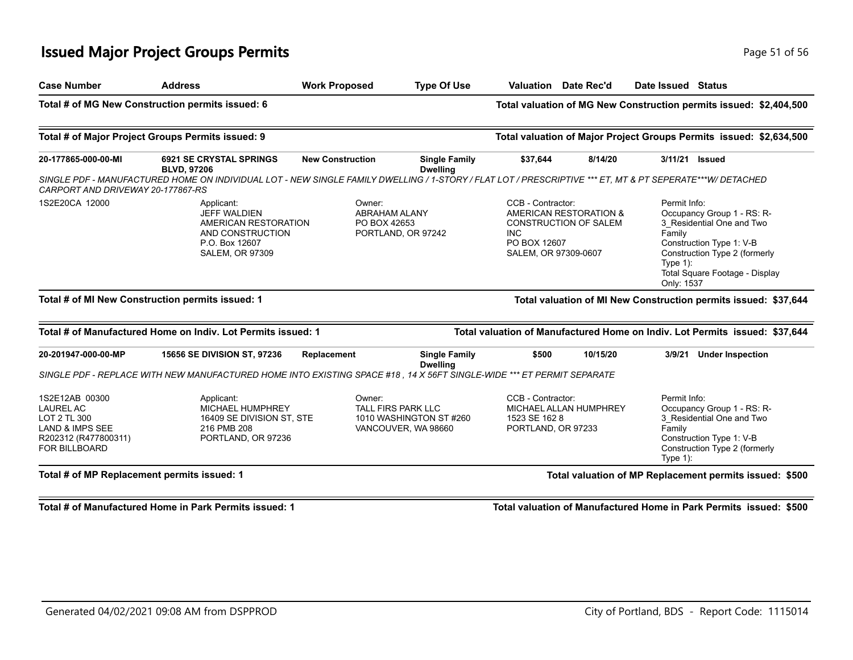## **Issued Major Project Groups Permits Page 11 of 56 and 20 and 20 and 20 and 20 and 20 and 20 and 20 and 20 and 20 and 20 and 20 and 20 and 20 and 20 and 20 and 20 and 20 and 20 and 20 and 20 and 20 and 20 and 20 and 20 a**

| <b>Case Number</b>                                                                                                                                                                                                                 | <b>Address</b>                                                                                                                                                                                                   | <b>Work Proposed</b>    | <b>Type Of Use</b>                                                   | Valuation                                                                                                                         | Date Rec'd | Date Issued Status                                                                                                                                                                                           |
|------------------------------------------------------------------------------------------------------------------------------------------------------------------------------------------------------------------------------------|------------------------------------------------------------------------------------------------------------------------------------------------------------------------------------------------------------------|-------------------------|----------------------------------------------------------------------|-----------------------------------------------------------------------------------------------------------------------------------|------------|--------------------------------------------------------------------------------------------------------------------------------------------------------------------------------------------------------------|
|                                                                                                                                                                                                                                    | Total # of MG New Construction permits issued: 6                                                                                                                                                                 |                         |                                                                      |                                                                                                                                   |            | Total valuation of MG New Construction permits issued: \$2,404,500                                                                                                                                           |
|                                                                                                                                                                                                                                    | Total # of Major Project Groups Permits issued: 9                                                                                                                                                                |                         |                                                                      |                                                                                                                                   |            | Total valuation of Major Project Groups Permits issued: \$2,634,500                                                                                                                                          |
| 20-177865-000-00-MI                                                                                                                                                                                                                | <b>6921 SE CRYSTAL SPRINGS</b><br><b>BLVD, 97206</b><br>SINGLE PDF - MANUFACTURED HOME ON INDIVIDUAL LOT - NEW SINGLE FAMILY DWELLING / 1-STORY / FLAT LOT / PRESCRIPTIVE *** ET, MT & PT SEPERATE***W/ DETACHED | <b>New Construction</b> | <b>Single Family</b><br><b>Dwelling</b>                              | \$37,644                                                                                                                          | 8/14/20    | 3/11/21<br><b>Issued</b>                                                                                                                                                                                     |
| CARPORT AND DRIVEWAY 20-177867-RS<br>1S2E20CA 12000<br>Applicant:<br>Owner:<br><b>JEFF WALDIEN</b><br><b>ABRAHAM ALANY</b><br>AMERICAN RESTORATION<br>PO BOX 42653<br>AND CONSTRUCTION<br>P.O. Box 12607<br><b>SALEM, OR 97309</b> |                                                                                                                                                                                                                  |                         | PORTLAND, OR 97242                                                   | CCB - Contractor:<br>AMERICAN RESTORATION &<br><b>CONSTRUCTION OF SALEM</b><br><b>INC</b><br>PO BOX 12607<br>SALEM, OR 97309-0607 |            | Permit Info:<br>Occupancy Group 1 - RS: R-<br>3_Residential One and Two<br>Family<br>Construction Type 1: V-B<br>Construction Type 2 (formerly<br>Type $1$ :<br>Total Square Footage - Display<br>Only: 1537 |
|                                                                                                                                                                                                                                    | Total # of MI New Construction permits issued: 1                                                                                                                                                                 |                         |                                                                      |                                                                                                                                   |            | Total valuation of MI New Construction permits issued: \$37,644                                                                                                                                              |
|                                                                                                                                                                                                                                    | Total # of Manufactured Home on Indiv. Lot Permits issued: 1                                                                                                                                                     |                         |                                                                      |                                                                                                                                   |            | Total valuation of Manufactured Home on Indiv. Lot Permits issued: \$37,644                                                                                                                                  |
| 20-201947-000-00-MP                                                                                                                                                                                                                | <b>15656 SE DIVISION ST, 97236</b><br>SINGLE PDF - REPLACE WITH NEW MANUFACTURED HOME INTO EXISTING SPACE #18, 14 X 56FT SINGLE-WIDE *** ET PERMIT SEPARATE                                                      | Replacement             | <b>Single Family</b><br><b>Dwelling</b>                              | \$500                                                                                                                             | 10/15/20   | 3/9/21<br><b>Under Inspection</b>                                                                                                                                                                            |
| 1S2E12AB 00300<br><b>LAUREL AC</b><br>LOT 2 TL 300<br><b>LAND &amp; IMPS SEE</b><br>R202312 (R477800311)<br>FOR BILLBOARD                                                                                                          | Applicant:<br>MICHAEL HUMPHREY<br>16409 SE DIVISION ST, STE<br>216 PMB 208<br>PORTLAND, OR 97236                                                                                                                 | Owner:                  | TALL FIRS PARK LLC<br>1010 WASHINGTON ST #260<br>VANCOUVER, WA 98660 | CCB - Contractor:<br>MICHAEL ALLAN HUMPHREY<br>1523 SE 162 8<br>PORTLAND, OR 97233                                                |            | Permit Info:<br>Occupancy Group 1 - RS: R-<br>3_Residential One and Two<br>Family<br>Construction Type 1: V-B<br>Construction Type 2 (formerly<br>Type $1$ :                                                 |
| Total # of MP Replacement permits issued: 1                                                                                                                                                                                        |                                                                                                                                                                                                                  |                         |                                                                      |                                                                                                                                   |            | Total valuation of MP Replacement permits issued: \$500                                                                                                                                                      |

**Total # of Manufactured Home in Park Permits issued: 1 Total valuation of Manufactured Home in Park Permits issued: \$500**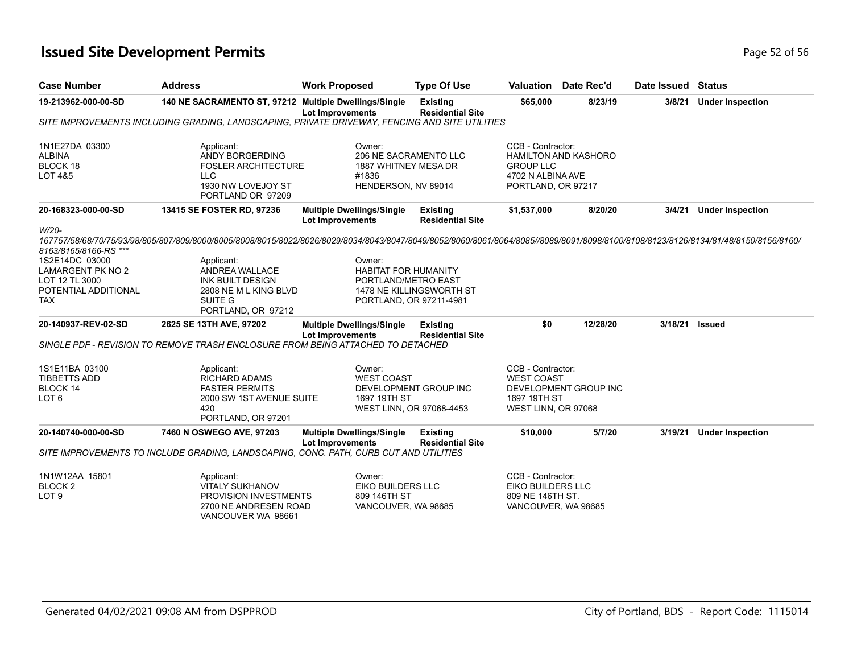## **Issued Site Development Permits Page 12 of 56 Page 52 of 56 Page 52 of 56**

| <b>Case Number</b>                                                                                                            | <b>Address</b>                                                                                                                                                                                                                                                                                     | <b>Work Proposed</b>                                                                    | <b>Type Of Use</b>                         |                                                                                   | Valuation Date Rec'd        | Date Issued Status |                         |
|-------------------------------------------------------------------------------------------------------------------------------|----------------------------------------------------------------------------------------------------------------------------------------------------------------------------------------------------------------------------------------------------------------------------------------------------|-----------------------------------------------------------------------------------------|--------------------------------------------|-----------------------------------------------------------------------------------|-----------------------------|--------------------|-------------------------|
| 19-213962-000-00-SD                                                                                                           | 140 NE SACRAMENTO ST, 97212 Multiple Dwellings/Single                                                                                                                                                                                                                                              | <b>Lot Improvements</b>                                                                 | <b>Existing</b><br><b>Residential Site</b> | \$65,000                                                                          | 8/23/19                     | 3/8/21             | <b>Under Inspection</b> |
|                                                                                                                               | SITE IMPROVEMENTS INCLUDING GRADING. LANDSCAPING. PRIVATE DRIVEWAY. FENCING AND SITE UTILITIES                                                                                                                                                                                                     |                                                                                         |                                            |                                                                                   |                             |                    |                         |
| 1N1E27DA 03300<br><b>ALBINA</b><br>BLOCK 18<br>LOT 4&5                                                                        | Applicant:<br>ANDY BORGERDING<br><b>FOSLER ARCHITECTURE</b><br><b>LLC</b><br>1930 NW LOVEJOY ST<br>PORTLAND OR 97209                                                                                                                                                                               | Owner:<br>206 NE SACRAMENTO LLC<br>1887 WHITNEY MESA DR<br>#1836<br>HENDERSON, NV 89014 |                                            | CCB - Contractor:<br><b>GROUP LLC</b><br>4702 N ALBINA AVE<br>PORTLAND, OR 97217  | <b>HAMILTON AND KASHORO</b> |                    |                         |
| 20-168323-000-00-SD                                                                                                           | 13415 SE FOSTER RD, 97236                                                                                                                                                                                                                                                                          | <b>Multiple Dwellings/Single</b><br><b>Lot Improvements</b>                             | <b>Existing</b><br><b>Residential Site</b> | \$1,537,000                                                                       | 8/20/20                     | 3/4/21             | <b>Under Inspection</b> |
| W/20-<br>8163/8165/8166-RS ***<br>1S2E14DC 03000<br>LAMARGENT PK NO 2<br>LOT 12 TL 3000<br>POTENTIAL ADDITIONAL<br><b>TAX</b> | 167757/58/68/70/75/93/98/805/807/809/800/8005/8008/8015/8022/8026/8029/8034/8043/8047/8049/8052/8060/8061/8064/8085//8089/8091/8098/8100/8108/8123/8126/8134/81/48/8150/8166/<br>Applicant:<br>ANDREA WALLACE<br><b>INK BUILT DESIGN</b><br>2808 NE M L KING BLVD<br>SUITE G<br>PORTLAND, OR 97212 | Owner:<br><b>HABITAT FOR HUMANITY</b><br>PORTLAND/METRO EAST<br>PORTLAND, OR 97211-4981 | 1478 NE KILLINGSWORTH ST                   |                                                                                   |                             |                    |                         |
| 20-140937-REV-02-SD                                                                                                           | 2625 SE 13TH AVE, 97202<br>SINGLE PDF - REVISION TO REMOVE TRASH ENCLOSURE FROM BEING ATTACHED TO DETACHED                                                                                                                                                                                         | <b>Multiple Dwellings/Single</b><br><b>Lot Improvements</b>                             | <b>Existing</b><br><b>Residential Site</b> | \$0                                                                               | 12/28/20                    | 3/18/21            | <b>Issued</b>           |
| 1S1E11BA 03100<br><b>TIBBETTS ADD</b><br><b>BLOCK 14</b><br>LOT <sub>6</sub>                                                  | Applicant:<br><b>RICHARD ADAMS</b><br><b>FASTER PERMITS</b><br>2000 SW 1ST AVENUE SUITE<br>420<br>PORTLAND, OR 97201                                                                                                                                                                               | Owner:<br><b>WEST COAST</b><br>1697 19TH ST<br>WEST LINN, OR 97068-4453                 | DEVELOPMENT GROUP INC                      | CCB - Contractor:<br><b>WEST COAST</b><br>1697 19TH ST<br>WEST LINN, OR 97068     | DEVELOPMENT GROUP INC       |                    |                         |
| 20-140740-000-00-SD                                                                                                           | 7460 N OSWEGO AVE, 97203<br>SITE IMPROVEMENTS TO INCLUDE GRADING, LANDSCAPING, CONC. PATH, CURB CUT AND UTILITIES                                                                                                                                                                                  | <b>Multiple Dwellings/Single</b><br><b>Lot Improvements</b>                             | <b>Existing</b><br><b>Residential Site</b> | \$10,000                                                                          | 5/7/20                      | 3/19/21            | <b>Under Inspection</b> |
|                                                                                                                               |                                                                                                                                                                                                                                                                                                    |                                                                                         |                                            |                                                                                   |                             |                    |                         |
| 1N1W12AA 15801<br><b>BLOCK2</b><br>LOT <sub>9</sub>                                                                           | Applicant:<br><b>VITALY SUKHANOV</b><br>PROVISION INVESTMENTS<br>2700 NE ANDRESEN ROAD<br>VANCOUVER WA 98661                                                                                                                                                                                       | Owner:<br><b>EIKO BUILDERS LLC</b><br>809 146TH ST<br>VANCOUVER, WA 98685               |                                            | CCB - Contractor:<br>EIKO BUILDERS LLC<br>809 NE 146TH ST.<br>VANCOUVER, WA 98685 |                             |                    |                         |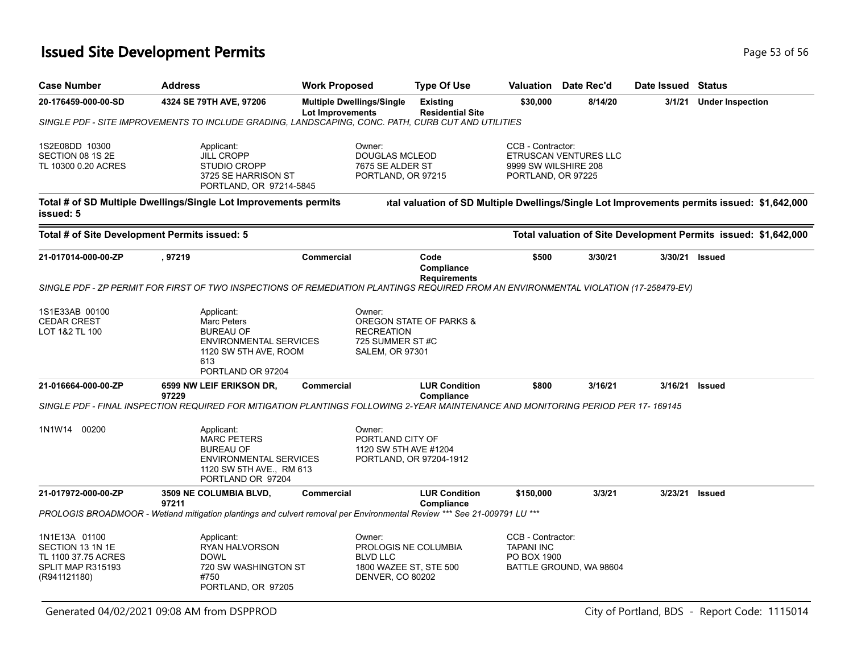## **Issued Site Development Permits Page 13 of 56 Page 53 of 56 Page 53 of 56**

| <b>Case Number</b>                                                                            | <b>Address</b>                                                                                                                       | <b>Work Proposed</b>                                                      | <b>Type Of Use</b>                                                | <b>Valuation</b>                                                | Date Rec'd              | Date Issued             | <b>Status</b>                                                                               |
|-----------------------------------------------------------------------------------------------|--------------------------------------------------------------------------------------------------------------------------------------|---------------------------------------------------------------------------|-------------------------------------------------------------------|-----------------------------------------------------------------|-------------------------|-------------------------|---------------------------------------------------------------------------------------------|
| 20-176459-000-00-SD                                                                           | 4324 SE 79TH AVE, 97206                                                                                                              | <b>Multiple Dwellings/Single</b><br><b>Lot Improvements</b>               | \$30,000<br>8/14/20<br><b>Existing</b><br><b>Residential Site</b> |                                                                 | 3/1/21                  | <b>Under Inspection</b> |                                                                                             |
|                                                                                               | SINGLE PDF - SITE IMPROVEMENTS TO INCLUDE GRADING, LANDSCAPING, CONC. PATH, CURB CUT AND UTILITIES                                   |                                                                           |                                                                   |                                                                 |                         |                         |                                                                                             |
| 1S2E08DD 10300<br>SECTION 08 1S 2E<br>TL 10300 0.20 ACRES                                     | Applicant:<br><b>JILL CROPP</b><br><b>STUDIO CROPP</b><br>3725 SE HARRISON ST<br>PORTLAND, OR 97214-5845                             | Owner:<br><b>DOUGLAS MCLEOD</b><br>7675 SE ALDER ST<br>PORTLAND, OR 97215 |                                                                   | CCB - Contractor:<br>9999 SW WILSHIRE 208<br>PORTLAND, OR 97225 | ETRUSCAN VENTURES LLC   |                         |                                                                                             |
| issued: 5                                                                                     | Total # of SD Multiple Dwellings/Single Lot Improvements permits                                                                     |                                                                           |                                                                   |                                                                 |                         |                         | ital valuation of SD Multiple Dwellings/Single Lot Improvements permits issued: \$1,642,000 |
|                                                                                               | Total # of Site Development Permits issued: 5                                                                                        |                                                                           |                                                                   |                                                                 |                         |                         | Total valuation of Site Development Permits issued: \$1,642,000                             |
| 21-017014-000-00-ZP                                                                           | , 97219                                                                                                                              | <b>Commercial</b>                                                         | Code<br>Compliance<br><b>Requirements</b>                         | \$500                                                           | 3/30/21                 |                         | 3/30/21 Issued                                                                              |
|                                                                                               | SINGLE PDF - ZP PERMIT FOR FIRST OF TWO INSPECTIONS OF REMEDIATION PLANTINGS REQUIRED FROM AN ENVIRONMENTAL VIOLATION (17-258479-EV) |                                                                           |                                                                   |                                                                 |                         |                         |                                                                                             |
| 1S1E33AB 00100<br><b>CEDAR CREST</b><br>LOT 1&2 TL 100                                        | Applicant:<br>Marc Peters<br><b>BUREAU OF</b><br>ENVIRONMENTAL SERVICES<br>1120 SW 5TH AVE, ROOM<br>613<br>PORTLAND OR 97204         | Owner:<br><b>RECREATION</b><br>725 SUMMER ST#C<br><b>SALEM, OR 97301</b>  | OREGON STATE OF PARKS &                                           |                                                                 |                         |                         |                                                                                             |
| 21-016664-000-00-ZP                                                                           | 6599 NW LEIF ERIKSON DR,<br>97229                                                                                                    | <b>Commercial</b>                                                         | <b>LUR Condition</b><br>Compliance                                | \$800                                                           | 3/16/21                 | 3/16/21                 | <b>Issued</b>                                                                               |
|                                                                                               | SINGLE PDF - FINAL INSPECTION REQUIRED FOR MITIGATION PLANTINGS FOLLOWING 2-YEAR MAINTENANCE AND MONITORING PERIOD PER 17- 169145    |                                                                           |                                                                   |                                                                 |                         |                         |                                                                                             |
| 00200<br>1N1W14                                                                               | Applicant:<br><b>MARC PETERS</b><br><b>BUREAU OF</b><br>ENVIRONMENTAL SERVICES<br>1120 SW 5TH AVE., RM 613<br>PORTLAND OR 97204      | Owner:<br>PORTLAND CITY OF<br>1120 SW 5TH AVE #1204                       | PORTLAND, OR 97204-1912                                           |                                                                 |                         |                         |                                                                                             |
| 21-017972-000-00-ZP                                                                           | 3509 NE COLUMBIA BLVD,<br>97211                                                                                                      | Commercial                                                                | <b>LUR Condition</b><br>Compliance                                | \$150,000                                                       | 3/3/21                  | 3/23/21                 | <b>Issued</b>                                                                               |
|                                                                                               | PROLOGIS BROADMOOR - Wetland mitigation plantings and culvert removal per Environmental Review *** See 21-009791 LU ***              |                                                                           |                                                                   |                                                                 |                         |                         |                                                                                             |
| 1N1E13A 01100<br>SECTION 13 1N 1E<br>TL 1100 37.75 ACRES<br>SPLIT MAP R315193<br>(R941121180) | Applicant:<br>RYAN HALVORSON<br><b>DOWL</b><br>720 SW WASHINGTON ST<br>#750<br>PORTLAND, OR 97205                                    | Owner:<br><b>BLVD LLC</b><br><b>DENVER, CO 80202</b>                      | PROLOGIS NE COLUMBIA<br>1800 WAZEE ST, STE 500                    | CCB - Contractor:<br><b>TAPANI INC</b><br><b>PO BOX 1900</b>    | BATTLE GROUND, WA 98604 |                         |                                                                                             |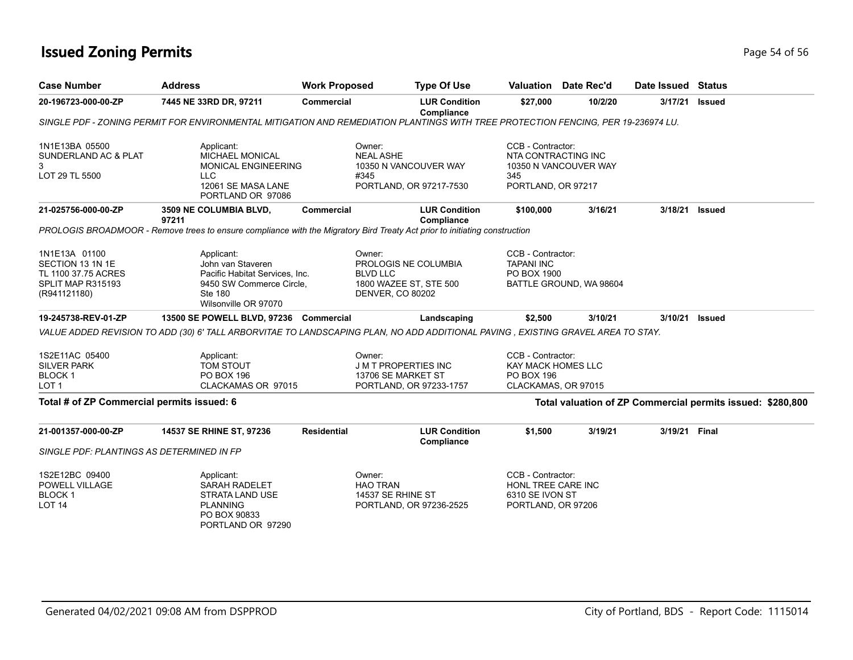## **Issued Zoning Permits** Page 54 of 56

| <b>Case Number</b>                                                                            | <b>Address</b>                                                                                                                          | <b>Work Proposed</b> |                                                                                                        | <b>Type Of Use</b>                 |                                                                                     | Valuation Date Rec'd    | Date Issued   | <b>Status</b>                                              |
|-----------------------------------------------------------------------------------------------|-----------------------------------------------------------------------------------------------------------------------------------------|----------------------|--------------------------------------------------------------------------------------------------------|------------------------------------|-------------------------------------------------------------------------------------|-------------------------|---------------|------------------------------------------------------------|
| 20-196723-000-00-ZP                                                                           | 7445 NE 33RD DR, 97211                                                                                                                  | Commercial           |                                                                                                        | <b>LUR Condition</b><br>Compliance | \$27,000                                                                            | 10/2/20                 | 3/17/21       | Issued                                                     |
|                                                                                               | SINGLE PDF - ZONING PERMIT FOR ENVIRONMENTAL MITIGATION AND REMEDIATION PLANTINGS WITH TREE PROTECTION FENCING, PER 19-236974 LU.       |                      |                                                                                                        |                                    |                                                                                     |                         |               |                                                            |
| 1N1E13BA 05500<br>SUNDERLAND AC & PLAT<br>3<br>LOT 29 TL 5500                                 | Applicant:<br><b>MICHAEL MONICAL</b><br><b>MONICAL ENGINEERING</b><br>LLC<br>12061 SE MASA LANE<br>PORTLAND OR 97086                    |                      | Owner:<br><b>NEAL ASHE</b><br>10350 N VANCOUVER WAY<br>#345<br>PORTLAND, OR 97217-7530                 |                                    | CCB - Contractor:<br>NTA CONTRACTING INC<br>345<br>PORTLAND, OR 97217               | 10350 N VANCOUVER WAY   |               |                                                            |
| 21-025756-000-00-ZP                                                                           | 3509 NE COLUMBIA BLVD,<br>97211                                                                                                         | <b>Commercial</b>    |                                                                                                        | <b>LUR Condition</b><br>Compliance | \$100,000                                                                           | 3/16/21                 | 3/18/21       | <b>Issued</b>                                              |
|                                                                                               | PROLOGIS BROADMOOR - Remove trees to ensure compliance with the Migratory Bird Treaty Act prior to initiating construction              |                      |                                                                                                        |                                    |                                                                                     |                         |               |                                                            |
| 1N1E13A 01100<br>SECTION 13 1N 1E<br>TL 1100 37.75 ACRES<br>SPLIT MAP R315193<br>(R941121180) | Applicant:<br>John van Staveren<br>Pacific Habitat Services, Inc.<br>9450 SW Commerce Circle,<br><b>Ste 180</b><br>Wilsonville OR 97070 |                      | Owner:<br>PROLOGIS NE COLUMBIA<br><b>BLVD LLC</b><br>1800 WAZEE ST, STE 500<br><b>DENVER, CO 80202</b> |                                    | CCB - Contractor:<br><b>TAPANI INC</b><br>PO BOX 1900                               | BATTLE GROUND, WA 98604 |               |                                                            |
| 19-245738-REV-01-ZP                                                                           | 13500 SE POWELL BLVD, 97236 Commercial                                                                                                  |                      |                                                                                                        | Landscaping                        | \$2,500                                                                             | 3/10/21                 | 3/10/21       | <b>Issued</b>                                              |
|                                                                                               | VALUE ADDED REVISION TO ADD (30) 6' TALL ARBORVITAE TO LANDSCAPING PLAN, NO ADD ADDITIONAL PAVING , EXISTING GRAVEL AREA TO STAY.       |                      |                                                                                                        |                                    |                                                                                     |                         |               |                                                            |
| 1S2E11AC 05400<br><b>SILVER PARK</b><br><b>BLOCK1</b><br>LOT <sub>1</sub>                     | Applicant:<br>TOM STOUT<br><b>PO BOX 196</b><br>CLACKAMAS OR 97015                                                                      |                      | Owner:<br><b>J M T PROPERTIES INC</b><br>13706 SE MARKET ST<br>PORTLAND, OR 97233-1757                 |                                    | CCB - Contractor:<br>KAY MACK HOMES LLC<br><b>PO BOX 196</b><br>CLACKAMAS, OR 97015 |                         |               |                                                            |
| Total # of ZP Commercial permits issued: 6                                                    |                                                                                                                                         |                      |                                                                                                        |                                    |                                                                                     |                         |               | Total valuation of ZP Commercial permits issued: \$280,800 |
| 21-001357-000-00-ZP                                                                           | 14537 SE RHINE ST, 97236                                                                                                                | <b>Residential</b>   |                                                                                                        | <b>LUR Condition</b><br>Compliance | \$1,500                                                                             | 3/19/21                 | 3/19/21 Final |                                                            |
| SINGLE PDF: PLANTINGS AS DETERMINED IN FP                                                     |                                                                                                                                         |                      |                                                                                                        |                                    |                                                                                     |                         |               |                                                            |
| 1S2E12BC 09400<br><b>POWELL VILLAGE</b><br><b>BLOCK1</b><br><b>LOT 14</b>                     | Applicant:<br><b>SARAH RADELET</b><br>STRATA LAND USE<br><b>PLANNING</b><br>PO BOX 90833<br>PORTLAND OR 97290                           |                      | Owner:<br><b>HAO TRAN</b><br>14537 SE RHINE ST<br>PORTLAND, OR 97236-2525                              |                                    | CCB - Contractor:<br>HONL TREE CARE INC<br>6310 SE IVON ST<br>PORTLAND, OR 97206    |                         |               |                                                            |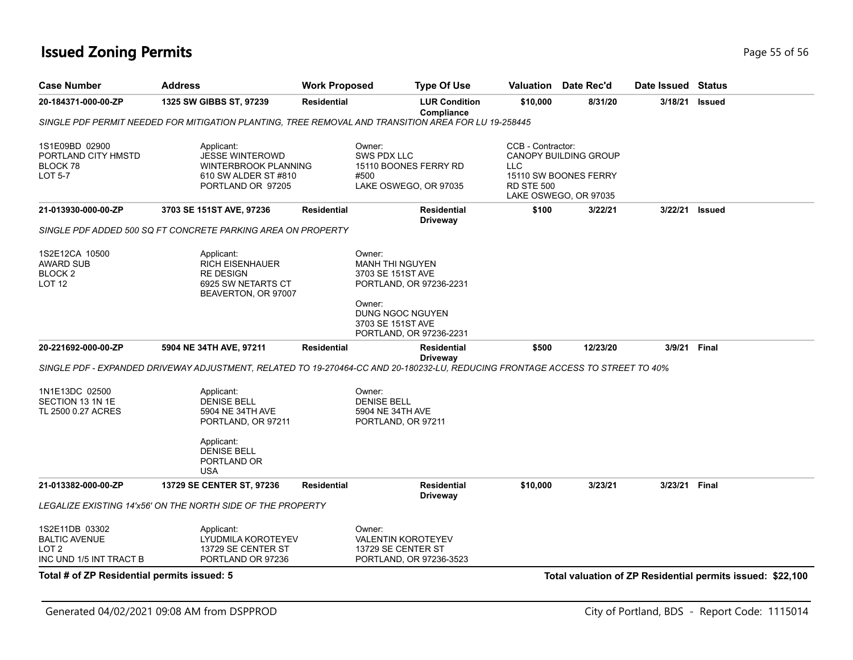## **Issued Zoning Permits** Provided a strategies of 56 and 200 minutes and 200 minutes and 200 minutes and 200 minutes  $P$  age 55 of 56

| <b>Case Number</b>                                                                    | <b>Address</b>                                                                                                   | <b>Work Proposed</b> | <b>Type Of Use</b>                                                                                                             |                                                      | <b>Valuation</b> Date Rec'd                                                    | Date Issued Status |                                                            |
|---------------------------------------------------------------------------------------|------------------------------------------------------------------------------------------------------------------|----------------------|--------------------------------------------------------------------------------------------------------------------------------|------------------------------------------------------|--------------------------------------------------------------------------------|--------------------|------------------------------------------------------------|
| 20-184371-000-00-ZP                                                                   | 1325 SW GIBBS ST, 97239                                                                                          | <b>Residential</b>   | <b>LUR Condition</b><br>Compliance                                                                                             | \$10,000                                             | 8/31/20                                                                        | 3/18/21            | <b>Issued</b>                                              |
|                                                                                       |                                                                                                                  |                      | SINGLE PDF PERMIT NEEDED FOR MITIGATION PLANTING, TREE REMOVAL AND TRANSITION AREA FOR LU 19-258445                            |                                                      |                                                                                |                    |                                                            |
| 1S1E09BD 02900<br>PORTLAND CITY HMSTD<br>BLOCK 78<br><b>LOT 5-7</b>                   | Applicant:<br><b>JESSE WINTEROWD</b><br><b>WINTERBROOK PLANNING</b><br>610 SW ALDER ST #810<br>PORTLAND OR 97205 |                      | Owner:<br><b>SWS PDX LLC</b><br>15110 BOONES FERRY RD<br>#500<br>LAKE OSWEGO, OR 97035                                         | CCB - Contractor:<br><b>LLC</b><br><b>RD STE 500</b> | <b>CANOPY BUILDING GROUP</b><br>15110 SW BOONES FERRY<br>LAKE OSWEGO, OR 97035 |                    |                                                            |
| 21-013930-000-00-ZP                                                                   | 3703 SE 151ST AVE, 97236                                                                                         | <b>Residential</b>   | <b>Residential</b><br><b>Driveway</b>                                                                                          | \$100                                                | 3/22/21                                                                        |                    | 3/22/21 Issued                                             |
|                                                                                       | SINGLE PDF ADDED 500 SQ FT CONCRETE PARKING AREA ON PROPERTY                                                     |                      |                                                                                                                                |                                                      |                                                                                |                    |                                                            |
| 1S2E12CA 10500<br><b>AWARD SUB</b><br>BLOCK <sub>2</sub><br>LOT <sub>12</sub>         | Applicant:<br><b>RICH EISENHAUER</b><br><b>RE DESIGN</b><br>6925 SW NETARTS CT<br>BEAVERTON, OR 97007            |                      | Owner:<br>MANH THI NGUYEN<br>3703 SE 151ST AVE<br>PORTLAND, OR 97236-2231                                                      |                                                      |                                                                                |                    |                                                            |
|                                                                                       |                                                                                                                  |                      | Owner:<br>DUNG NGOC NGUYEN<br>3703 SE 151ST AVE<br>PORTLAND, OR 97236-2231                                                     |                                                      |                                                                                |                    |                                                            |
| 20-221692-000-00-ZP                                                                   | 5904 NE 34TH AVE, 97211                                                                                          | <b>Residential</b>   | <b>Residential</b><br><b>Driveway</b>                                                                                          | \$500                                                | 12/23/20                                                                       | 3/9/21 Final       |                                                            |
|                                                                                       |                                                                                                                  |                      | SINGLE PDF - EXPANDED DRIVEWAY ADJUSTMENT, RELATED TO 19-270464-CC AND 20-180232-LU, REDUCING FRONTAGE ACCESS TO STREET TO 40% |                                                      |                                                                                |                    |                                                            |
| 1N1E13DC 02500<br>SECTION 13 1N 1E<br>TL 2500 0.27 ACRES                              | Applicant:<br><b>DENISE BELL</b><br>5904 NE 34TH AVE<br>PORTLAND, OR 97211<br>Applicant:<br><b>DENISE BELL</b>   |                      | Owner:<br><b>DENISE BELL</b><br>5904 NE 34TH AVE<br>PORTLAND, OR 97211                                                         |                                                      |                                                                                |                    |                                                            |
|                                                                                       | PORTLAND OR<br><b>USA</b>                                                                                        |                      |                                                                                                                                |                                                      |                                                                                |                    |                                                            |
| 21-013382-000-00-ZP                                                                   | 13729 SE CENTER ST, 97236                                                                                        | <b>Residential</b>   | <b>Residential</b><br>Driveway                                                                                                 | \$10,000                                             | 3/23/21                                                                        | 3/23/21 Final      |                                                            |
|                                                                                       | <b>LEGALIZE EXISTING 14'x56' ON THE NORTH SIDE OF THE PROPERTY</b>                                               |                      |                                                                                                                                |                                                      |                                                                                |                    |                                                            |
| 1S2E11DB 03302<br><b>BALTIC AVENUE</b><br>LOT <sub>2</sub><br>INC UND 1/5 INT TRACT B | Applicant:<br>LYUDMILA KOROTEYEV<br>13729 SE CENTER ST<br>PORTLAND OR 97236                                      |                      | Owner:<br>VALENTIN KOROTEYEV<br>13729 SE CENTER ST<br>PORTLAND, OR 97236-3523                                                  |                                                      |                                                                                |                    |                                                            |
| Total # of ZP Residential permits issued: 5                                           |                                                                                                                  |                      |                                                                                                                                |                                                      |                                                                                |                    | Total valuation of ZP Residential permits issued: \$22,100 |